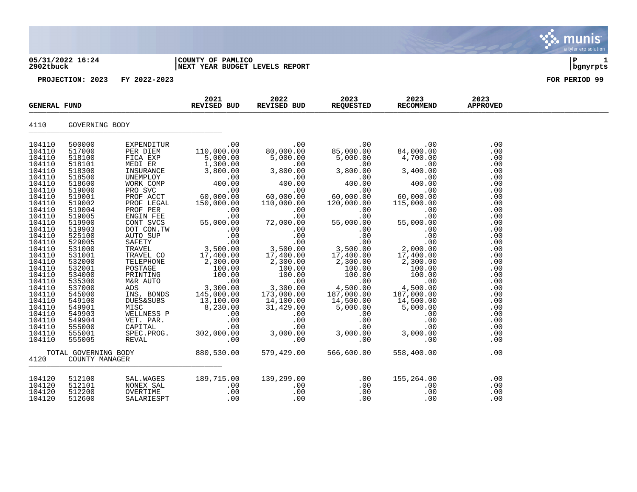# **05/31/2022 16:24 |COUNTY OF PAMLICO |P 1 2902tbuck |NEXT YEAR BUDGET LEVELS REPORT |bgnyrpts**



| <b>GENERAL FUND</b>                                                                                                                                                                                                                                                                                      |                                                                                                                                                                                                                                                                                                          | 2021<br>REVISED BUD                                                                                                                                                                                                                              | 2022<br>REVISED BUD                                      | 2023<br>REQUESTED               | 2023<br>RECOMMEND                                                                                                                                                                                                                                                                                                                                                                                        | 2023<br><b>APPROVED</b>                                                                                                                                                                         |                                                                                                                                                                                                                |  |
|----------------------------------------------------------------------------------------------------------------------------------------------------------------------------------------------------------------------------------------------------------------------------------------------------------|----------------------------------------------------------------------------------------------------------------------------------------------------------------------------------------------------------------------------------------------------------------------------------------------------------|--------------------------------------------------------------------------------------------------------------------------------------------------------------------------------------------------------------------------------------------------|----------------------------------------------------------|---------------------------------|----------------------------------------------------------------------------------------------------------------------------------------------------------------------------------------------------------------------------------------------------------------------------------------------------------------------------------------------------------------------------------------------------------|-------------------------------------------------------------------------------------------------------------------------------------------------------------------------------------------------|----------------------------------------------------------------------------------------------------------------------------------------------------------------------------------------------------------------|--|
| 4110                                                                                                                                                                                                                                                                                                     | GOVERNING BODY                                                                                                                                                                                                                                                                                           |                                                                                                                                                                                                                                                  |                                                          |                                 |                                                                                                                                                                                                                                                                                                                                                                                                          |                                                                                                                                                                                                 |                                                                                                                                                                                                                |  |
| 104110<br>104110<br>104110<br>104110<br>104110<br>104110<br>104110<br>104110<br>104110<br>104110<br>104110<br>104110<br>104110<br>104110<br>104110<br>104110<br>104110<br>104110<br>104110<br>104110<br>104110<br>104110<br>104110<br>104110<br>104110<br>104110<br>104110<br>104110<br>104110<br>104110 | 500000<br>517000<br>518100<br>518101<br>518300<br>518500<br>518600<br>519000<br>519001<br>519002<br>519004<br>519005<br>519900<br>519903<br>525100<br>529005<br>531000<br>531001<br>532000<br>532001<br>534000<br>535300<br>537000<br>545000<br>549100<br>549901<br>549903<br>549904<br>555000<br>555001 | NEXTRIBUS NORTHAL<br>INS, BONDS<br>DUES&SUBS<br>MISC 8, 230.00 31, 429.00 5, 000.00<br>MELLNESS P .00 .00 .00<br>WELLNESS P .00 .00 .00<br>CAPITAL .00 .00 .00 .00<br>SPEC.PROG. 302, 000.00 3, 000.00 3, 000.00<br>REVAL .00 .00 .00 .00<br>REV | EXPENDITUR<br>PER DIEM 110.000.00<br>RIGI CEM 110.000.00 | 00.<br>00.000,08                | 00.<br>85,000.00<br>85,000.00<br>$\begin{smallmatrix} 5 \ 6 \ 000.00 \ 3 \ 7 \ 000.00 \ 1 \ 0 \ 0 \ 0 \ 0 \end{smallmatrix}$<br>00.<br>00.000,00<br>120,000.00<br>.00<br>$55,000.00$<br>0.00<br>0.00<br>0.00<br>0.00<br>$\frac{3,500.00}{17,400.00}$<br>$\frac{2,300.00}{2,300.00}$<br>$\begin{array}{c} 27000.00\ 100.00\ 100.00\ 100.00\ 4\ 500.00\ 4\ 97,000.00\ 107,000.00\ 107,000.00\ \end{array}$ | 00.<br>84 ,000 .00<br>84,000.00<br>4,700.00<br>$\begin{array}{c} 3,400.06 \\ 0.00 \\ 0.00 \\ 0.00 \\ 0.00 \end{array}$<br>00.<br>60,000,00<br>115,000.00<br>14,500.00<br>5,000.00<br>.00<br>.00 | .00<br>.00<br>.00<br>.00<br>.00<br>.00<br>.00<br>.00<br>.00<br>.00<br>.00<br>.00<br>.00<br>.00<br>.00<br>.00<br>.00<br>.00<br>.00<br>.00<br>.00<br>.00<br>.00<br>.00<br>.00<br>.00<br>.00<br>.00<br>.00<br>.00 |  |
| 104110<br>4120                                                                                                                                                                                                                                                                                           | 555005<br>TOTAL GOVERNING BODY<br>COUNTY MANAGER                                                                                                                                                                                                                                                         |                                                                                                                                                                                                                                                  |                                                          |                                 | 566,600.00                                                                                                                                                                                                                                                                                                                                                                                               | 558,400.00                                                                                                                                                                                      | .00<br>.00                                                                                                                                                                                                     |  |
| 104120<br>104120<br>104120<br>104120                                                                                                                                                                                                                                                                     | 512100<br>512101<br>512200<br>512600                                                                                                                                                                                                                                                                     | SAL.WAGES<br>NONEX SAL<br>OVERTIME<br>SALARIESPT                                                                                                                                                                                                 | 189,7<br>189,715.00<br>.00<br>.00<br>.00                 | 139,299.00<br>.00<br>.00<br>.00 | .00<br>.00<br>.00<br>.00                                                                                                                                                                                                                                                                                                                                                                                 | 155,264.00<br>.00<br>.00<br>.00                                                                                                                                                                 | .00<br>.00<br>.00<br>.00                                                                                                                                                                                       |  |

 $\blacksquare$  munis a tyler erp solution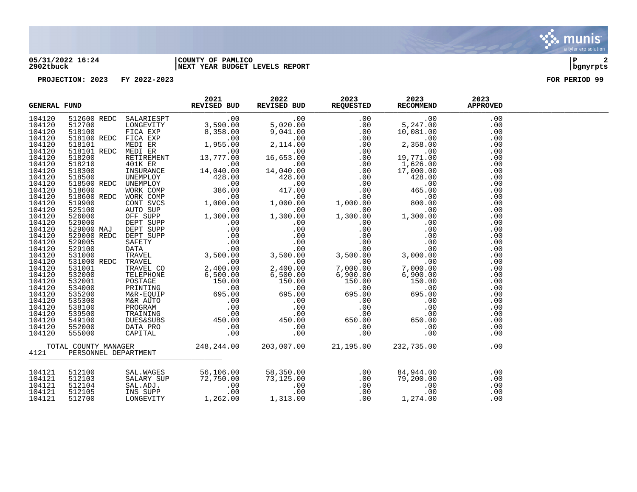#### **05/31/2022 16:24 |COUNTY OF PAMLICO |P 2 2902tbuck |NEXT YEAR BUDGET LEVELS REPORT |bgnyrpts**

| <b>GENERAL FUND</b> |  | 2021<br>REVISED BUD | 2022 | 2023 2023 | 2023<br>REVISED BUD REQUESTED RECOMMEND APPROVED                                                                                                                                                                                          | 2023 |  |
|---------------------|--|---------------------|------|-----------|-------------------------------------------------------------------------------------------------------------------------------------------------------------------------------------------------------------------------------------------|------|--|
|                     |  |                     |      |           |                                                                                                                                                                                                                                           | .00  |  |
|                     |  |                     |      |           |                                                                                                                                                                                                                                           | .00  |  |
|                     |  |                     |      |           |                                                                                                                                                                                                                                           | .00  |  |
|                     |  |                     |      |           |                                                                                                                                                                                                                                           | .00  |  |
|                     |  |                     |      |           |                                                                                                                                                                                                                                           | .00  |  |
|                     |  |                     |      |           |                                                                                                                                                                                                                                           | .00  |  |
|                     |  |                     |      |           |                                                                                                                                                                                                                                           | .00  |  |
|                     |  |                     |      |           |                                                                                                                                                                                                                                           | .00  |  |
|                     |  |                     |      |           |                                                                                                                                                                                                                                           | .00  |  |
|                     |  |                     |      |           |                                                                                                                                                                                                                                           | .00  |  |
|                     |  |                     |      |           |                                                                                                                                                                                                                                           | .00  |  |
|                     |  |                     |      |           |                                                                                                                                                                                                                                           | .00  |  |
|                     |  |                     |      |           |                                                                                                                                                                                                                                           | .00  |  |
|                     |  |                     |      |           |                                                                                                                                                                                                                                           | .00  |  |
|                     |  |                     |      |           |                                                                                                                                                                                                                                           | .00  |  |
|                     |  |                     |      |           |                                                                                                                                                                                                                                           | .00  |  |
|                     |  |                     |      |           |                                                                                                                                                                                                                                           | .00  |  |
|                     |  |                     |      |           |                                                                                                                                                                                                                                           | .00  |  |
|                     |  |                     |      |           |                                                                                                                                                                                                                                           | .00  |  |
|                     |  |                     |      |           |                                                                                                                                                                                                                                           | .00  |  |
|                     |  |                     |      |           |                                                                                                                                                                                                                                           | .00  |  |
|                     |  |                     |      |           |                                                                                                                                                                                                                                           | .00  |  |
|                     |  |                     |      |           |                                                                                                                                                                                                                                           | .00  |  |
|                     |  |                     |      |           |                                                                                                                                                                                                                                           | .00  |  |
|                     |  |                     |      |           |                                                                                                                                                                                                                                           | .00  |  |
|                     |  |                     |      |           |                                                                                                                                                                                                                                           | .00  |  |
|                     |  |                     |      |           |                                                                                                                                                                                                                                           | .00  |  |
|                     |  |                     |      |           |                                                                                                                                                                                                                                           | .00  |  |
|                     |  |                     |      |           |                                                                                                                                                                                                                                           | .00  |  |
|                     |  |                     |      |           |                                                                                                                                                                                                                                           | .00  |  |
|                     |  |                     |      |           |                                                                                                                                                                                                                                           | .00  |  |
|                     |  |                     |      |           |                                                                                                                                                                                                                                           | .00  |  |
|                     |  |                     |      |           |                                                                                                                                                                                                                                           | .00  |  |
|                     |  |                     |      |           |                                                                                                                                                                                                                                           | .00  |  |
|                     |  |                     |      |           |                                                                                                                                                                                                                                           | .00  |  |
|                     |  |                     |      |           |                                                                                                                                                                                                                                           |      |  |
| 104121              |  |                     |      |           | 512100 SAL.WAGES 56,106.00 58,350.00 .00 84,944.00<br>512103 SALARY SUP 72,750.00 73,125.00 .00 .00 79,200.00<br>512104 SAL.ADJ. .00 .00 .00 .00 .00 .00<br>512105 INS SUPP .00 .00 .00 .00 .00 .00<br>512700 LONGEVITY 1,262.00 1,313.00 | .00  |  |
| 104121              |  |                     |      |           |                                                                                                                                                                                                                                           | .00  |  |
| 104121              |  |                     |      |           |                                                                                                                                                                                                                                           | .00  |  |
| 104121              |  |                     |      |           |                                                                                                                                                                                                                                           | .00  |  |
| 104121              |  |                     |      |           |                                                                                                                                                                                                                                           | .00  |  |

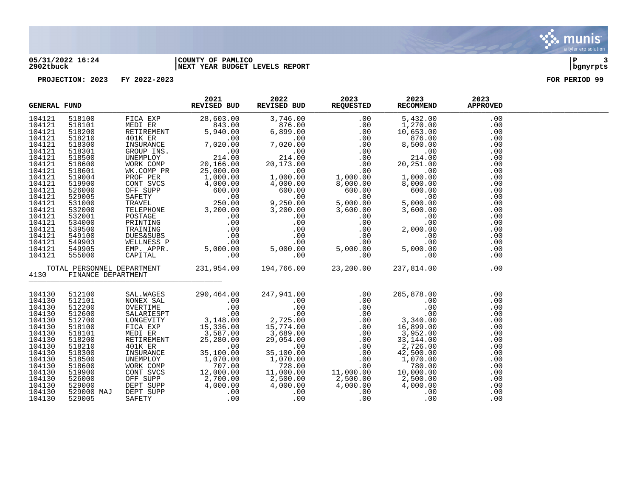

### **05/31/2022 16:24 |COUNTY OF PAMLICO |P 3 2902tbuck |NEXT YEAR BUDGET LEVELS REPORT |bgnyrpts**

| <b>GENERAL FUND</b> |            |                    | 2021<br>REVISED BUD                                                                                                                                                                                                                                                                                                                                                                                                     | 2022 | 2023<br>REVISED BUD REQUESTED | 2023<br>RECOMMEND                                                                                                                                                                                                                                                                                                                                                                                                                                                           | 2023<br><b>APPROVED</b> |  |
|---------------------|------------|--------------------|-------------------------------------------------------------------------------------------------------------------------------------------------------------------------------------------------------------------------------------------------------------------------------------------------------------------------------------------------------------------------------------------------------------------------|------|-------------------------------|-----------------------------------------------------------------------------------------------------------------------------------------------------------------------------------------------------------------------------------------------------------------------------------------------------------------------------------------------------------------------------------------------------------------------------------------------------------------------------|-------------------------|--|
| 104121              |            |                    |                                                                                                                                                                                                                                                                                                                                                                                                                         |      |                               | $\begin{tabular}{l cccc} $\texttt{keyOESTED} & $\texttt{RECCMIREN} & $\texttt{AFFNC} $\\ \hline \texttt{0.00} & 5,432.00 & $\texttt{m} & $\texttt{m}$ & $\texttt{m}$ & $\texttt{m}$ & $\texttt{m}$ & $\texttt{m}$ & $\texttt{m}$ & $\texttt{m}$ & $\texttt{m}$ & $\texttt{m}$ & $\texttt{m}$ & $\texttt{m}$ & $\texttt{m}$ & $\texttt{m}$ & $\texttt{m}$ & $\texttt{m}$ & $\texttt{m}$ & $\texttt{m}$ & $\texttt{m}$ & $\texttt{m}$ & $\texttt{m}$ & $\texttt{m}$ & $\text$ | .00                     |  |
| 104121              |            |                    |                                                                                                                                                                                                                                                                                                                                                                                                                         |      |                               |                                                                                                                                                                                                                                                                                                                                                                                                                                                                             | .00                     |  |
| 104121              |            |                    |                                                                                                                                                                                                                                                                                                                                                                                                                         |      |                               |                                                                                                                                                                                                                                                                                                                                                                                                                                                                             | .00                     |  |
| 104121              |            |                    |                                                                                                                                                                                                                                                                                                                                                                                                                         |      |                               |                                                                                                                                                                                                                                                                                                                                                                                                                                                                             | .00                     |  |
| 104121              |            |                    |                                                                                                                                                                                                                                                                                                                                                                                                                         |      |                               |                                                                                                                                                                                                                                                                                                                                                                                                                                                                             | .00                     |  |
| 104121              |            |                    |                                                                                                                                                                                                                                                                                                                                                                                                                         |      |                               |                                                                                                                                                                                                                                                                                                                                                                                                                                                                             | .00                     |  |
| 104121              |            |                    |                                                                                                                                                                                                                                                                                                                                                                                                                         |      |                               |                                                                                                                                                                                                                                                                                                                                                                                                                                                                             | .00                     |  |
| 104121              |            |                    |                                                                                                                                                                                                                                                                                                                                                                                                                         |      |                               |                                                                                                                                                                                                                                                                                                                                                                                                                                                                             | .00                     |  |
| 104121              |            |                    |                                                                                                                                                                                                                                                                                                                                                                                                                         |      |                               |                                                                                                                                                                                                                                                                                                                                                                                                                                                                             | .00                     |  |
| 104121              |            |                    |                                                                                                                                                                                                                                                                                                                                                                                                                         |      |                               |                                                                                                                                                                                                                                                                                                                                                                                                                                                                             | .00                     |  |
| 104121              |            |                    |                                                                                                                                                                                                                                                                                                                                                                                                                         |      |                               |                                                                                                                                                                                                                                                                                                                                                                                                                                                                             | .00                     |  |
| 104121              |            |                    |                                                                                                                                                                                                                                                                                                                                                                                                                         |      |                               |                                                                                                                                                                                                                                                                                                                                                                                                                                                                             | .00                     |  |
| 104121              |            |                    |                                                                                                                                                                                                                                                                                                                                                                                                                         |      |                               |                                                                                                                                                                                                                                                                                                                                                                                                                                                                             | .00                     |  |
| 104121              |            |                    |                                                                                                                                                                                                                                                                                                                                                                                                                         |      |                               |                                                                                                                                                                                                                                                                                                                                                                                                                                                                             | .00                     |  |
| 104121              |            |                    |                                                                                                                                                                                                                                                                                                                                                                                                                         |      |                               |                                                                                                                                                                                                                                                                                                                                                                                                                                                                             | .00                     |  |
| 104121              |            |                    |                                                                                                                                                                                                                                                                                                                                                                                                                         |      |                               |                                                                                                                                                                                                                                                                                                                                                                                                                                                                             | .00                     |  |
| 104121              |            |                    |                                                                                                                                                                                                                                                                                                                                                                                                                         |      |                               |                                                                                                                                                                                                                                                                                                                                                                                                                                                                             | .00                     |  |
| 104121              |            |                    |                                                                                                                                                                                                                                                                                                                                                                                                                         |      |                               |                                                                                                                                                                                                                                                                                                                                                                                                                                                                             | .00                     |  |
| 104121              |            |                    |                                                                                                                                                                                                                                                                                                                                                                                                                         |      |                               |                                                                                                                                                                                                                                                                                                                                                                                                                                                                             | .00                     |  |
| 104121              |            |                    |                                                                                                                                                                                                                                                                                                                                                                                                                         |      |                               |                                                                                                                                                                                                                                                                                                                                                                                                                                                                             | .00                     |  |
| 104121              |            |                    |                                                                                                                                                                                                                                                                                                                                                                                                                         |      |                               |                                                                                                                                                                                                                                                                                                                                                                                                                                                                             | .00                     |  |
| 104121              |            |                    |                                                                                                                                                                                                                                                                                                                                                                                                                         |      |                               |                                                                                                                                                                                                                                                                                                                                                                                                                                                                             | .00                     |  |
| 4130                |            | FINANCE DEPARTMENT | $\begin{tabular}{l c c c c c c c c} \hline \textbf{FUND} & \textbf{REVTSED BUD} & \textbf{REVTSED DUD} & \textbf{REVTSED} & \textbf{ED} & \textbf{REVUSFED} & \textbf{REVOSISTED} & \textbf{REVOMERND} \\ \hline 5181010 & \text{MEDI EER} & 28,633.00 & 3,746.00 & 0.00 & 5,432.00 \\ 5182100 & \text{REUREWENT} & 5,940.00 & 6,899.00 & 0.00 & 10,653.$<br>TOTAL PERSONNEL DEPARTMENT 231,954.00 194,766.00 23,200.00 |      |                               | 237,814.00                                                                                                                                                                                                                                                                                                                                                                                                                                                                  | .00                     |  |
| 104130              | 512100     |                    |                                                                                                                                                                                                                                                                                                                                                                                                                         |      |                               | $\begin{tabular}{lcccc} SAL. WAGES & 290,464.00 & 247,941.00 & .00 & .00 & .00 \\ \hline \text{NONEX SAL} & .00 & .00 & .00 & .00 & .00 \\ \text{OKERTIME} & .00 & .00 & .00 & .00 & .00 \\ \text{KALARIESPT} & .00 & .00 & .00 & .00 & .00 \\ \text{LONGEVITY} & 3,148.00 & 2,725.00 & .00 & 3,340.00 \\ \text{MEDI ER} & 15,336.00 & 15,774.00 & .00$                                                                                                                     | .00                     |  |
| 104130              | 512101     |                    |                                                                                                                                                                                                                                                                                                                                                                                                                         |      |                               |                                                                                                                                                                                                                                                                                                                                                                                                                                                                             | .00                     |  |
| 104130              | 512200     |                    |                                                                                                                                                                                                                                                                                                                                                                                                                         |      |                               |                                                                                                                                                                                                                                                                                                                                                                                                                                                                             | .00                     |  |
| 104130              | 512600     |                    |                                                                                                                                                                                                                                                                                                                                                                                                                         |      |                               |                                                                                                                                                                                                                                                                                                                                                                                                                                                                             | .00                     |  |
| 104130              | 512700     |                    |                                                                                                                                                                                                                                                                                                                                                                                                                         |      |                               |                                                                                                                                                                                                                                                                                                                                                                                                                                                                             | .00                     |  |
| 104130              | 518100     |                    |                                                                                                                                                                                                                                                                                                                                                                                                                         |      |                               |                                                                                                                                                                                                                                                                                                                                                                                                                                                                             | .00                     |  |
| 104130              | 518101     |                    |                                                                                                                                                                                                                                                                                                                                                                                                                         |      |                               |                                                                                                                                                                                                                                                                                                                                                                                                                                                                             | .00                     |  |
| 104130              | 518200     |                    |                                                                                                                                                                                                                                                                                                                                                                                                                         |      |                               |                                                                                                                                                                                                                                                                                                                                                                                                                                                                             | .00                     |  |
| 104130              | 518210     |                    |                                                                                                                                                                                                                                                                                                                                                                                                                         |      |                               |                                                                                                                                                                                                                                                                                                                                                                                                                                                                             | .00                     |  |
| 104130              | 518300     |                    |                                                                                                                                                                                                                                                                                                                                                                                                                         |      |                               |                                                                                                                                                                                                                                                                                                                                                                                                                                                                             | .00                     |  |
| 104130              | 518500     |                    |                                                                                                                                                                                                                                                                                                                                                                                                                         |      |                               |                                                                                                                                                                                                                                                                                                                                                                                                                                                                             | .00                     |  |
| 104130              | 518600     |                    |                                                                                                                                                                                                                                                                                                                                                                                                                         |      |                               |                                                                                                                                                                                                                                                                                                                                                                                                                                                                             | .00                     |  |
| 104130              | 519900     |                    |                                                                                                                                                                                                                                                                                                                                                                                                                         |      |                               |                                                                                                                                                                                                                                                                                                                                                                                                                                                                             | .00                     |  |
| 104130              | 526000     |                    |                                                                                                                                                                                                                                                                                                                                                                                                                         |      |                               |                                                                                                                                                                                                                                                                                                                                                                                                                                                                             | .00                     |  |
| 104130              | 529000     |                    |                                                                                                                                                                                                                                                                                                                                                                                                                         |      |                               |                                                                                                                                                                                                                                                                                                                                                                                                                                                                             | .00                     |  |
| 104130              | 529000 MAJ |                    |                                                                                                                                                                                                                                                                                                                                                                                                                         |      |                               |                                                                                                                                                                                                                                                                                                                                                                                                                                                                             | .00                     |  |
| 104130              | 529005     |                    |                                                                                                                                                                                                                                                                                                                                                                                                                         |      |                               |                                                                                                                                                                                                                                                                                                                                                                                                                                                                             | .00                     |  |

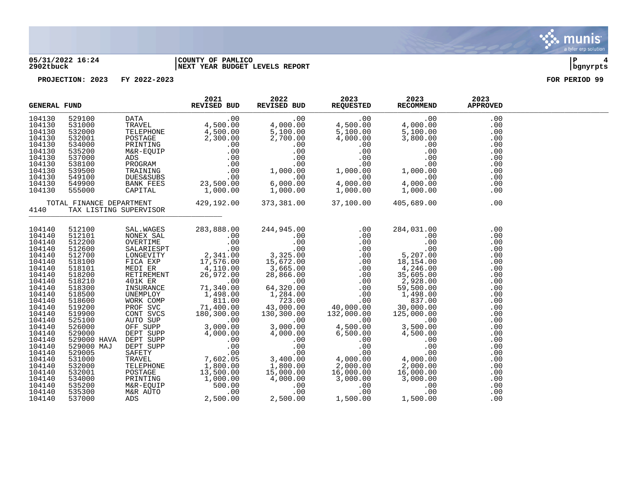

#### **05/31/2022 16:24 |COUNTY OF PAMLICO |P 4 2902tbuck |NEXT YEAR BUDGET LEVELS REPORT |bgnyrpts**

|                                                                                                                                                                                                                                    | 2021<br>REVISED BUD<br><b>GENERAL FUND</b> |                        | 2022 | 2023<br>REVISED BUD REQUESTED RECOMMEND | 2023                                                                                                                                                                                                                                                                                                                                                                                   | 2023<br><b>APPROVED</b>                                                                                                                                       |  |
|------------------------------------------------------------------------------------------------------------------------------------------------------------------------------------------------------------------------------------|--------------------------------------------|------------------------|------|-----------------------------------------|----------------------------------------------------------------------------------------------------------------------------------------------------------------------------------------------------------------------------------------------------------------------------------------------------------------------------------------------------------------------------------------|---------------------------------------------------------------------------------------------------------------------------------------------------------------|--|
| 104130<br>104130<br>104130<br>104130<br>104130<br>104130<br>104130<br>104130<br>104130<br>104130<br>104130<br>104130                                                                                                               |                                            |                        |      |                                         |                                                                                                                                                                                                                                                                                                                                                                                        | .00<br>.00<br>.00<br>.00<br>.00<br>.00<br>.00<br>.00<br>.00<br>.00<br>.00<br>.00                                                                              |  |
| 4140                                                                                                                                                                                                                               |                                            | TAX LISTING SUPERVISOR |      |                                         | TOTAL FINANCE DEPARTMENT       429,192.00    373,381.00    37,100.00   405,689.00<br>0   TAX LISTING SUPERVISOR                                                                                                                                                                                                                                                                        | .00                                                                                                                                                           |  |
| 104140<br>104140<br>104140<br>104140<br>104140<br>104140<br>104140<br>104140<br>104140<br>104140<br>104140<br>104140<br>104140<br>104140<br>104140<br>104140<br>104140<br>104140<br>104140<br>104140<br>104140<br>104140<br>104140 |                                            |                        |      |                                         | $\begin{tabular}{cccc} \textbf{512100} & \textbf{SAL},\textbf{WASES} & \textbf{283},\textbf{888.00} & \textbf{244},\textbf{945.00} & \textbf{.00} & \textbf{284},\textbf{031.00} \\ \textbf{512200} & \textbf{NONEX} & \textbf{SAL} & \textbf{.00} & \textbf{.00} & \textbf{.00} & \textbf{.00} & \textbf{.00} \\ \textbf{512200} & \textbf{SINREX SAL} & \textbf{.00} & \textbf{.00}$ | .00<br>.00<br>.00<br>.00<br>.00<br>.00<br>.00<br>.00<br>.00<br>.00<br>.00<br>.00<br>.00<br>.00<br>.00<br>.00<br>.00<br>.00<br>.00<br>.00<br>.00<br>.00<br>.00 |  |
| 104140<br>104140<br>104140<br>104140                                                                                                                                                                                               |                                            |                        |      |                                         |                                                                                                                                                                                                                                                                                                                                                                                        | .00<br>.00<br>.00<br>.00                                                                                                                                      |  |

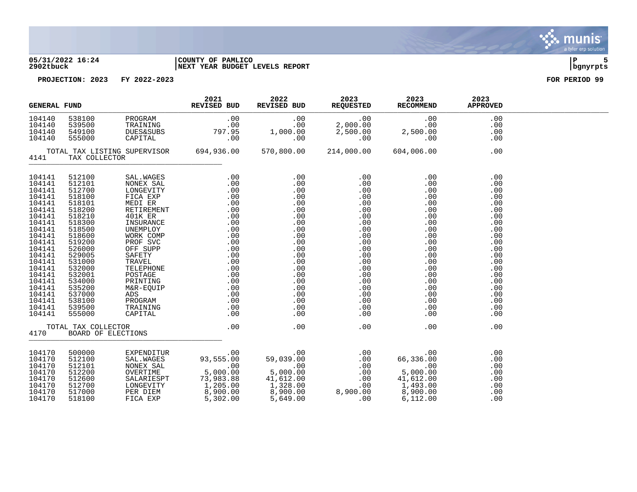

### **05/31/2022 16:24 |COUNTY OF PAMLICO |P 5 2902tbuck |NEXT YEAR BUDGET LEVELS REPORT |bgnyrpts**



| <b>GENERAL FUND</b>                                                                                                                                                                                            |                                                                              |                                                                                            | 2021<br>REVISED BUD | ${\begin{tabular}{cc} 2022 & 2023 & 2023 \\ REVISED BUD & REQUESTED & RECOMMEND \\ \end{tabular}}$ |                                                                                                                                                                                                                                                                                          | 2023<br>APPROVED                                                                                                                                |  |
|----------------------------------------------------------------------------------------------------------------------------------------------------------------------------------------------------------------|------------------------------------------------------------------------------|--------------------------------------------------------------------------------------------|---------------------|----------------------------------------------------------------------------------------------------|------------------------------------------------------------------------------------------------------------------------------------------------------------------------------------------------------------------------------------------------------------------------------------------|-------------------------------------------------------------------------------------------------------------------------------------------------|--|
| 104140<br>104140<br>104140<br>104140                                                                                                                                                                           | 549100<br>555000                                                             | 538100<br>539500 PROGRAM<br>539500 TRAINING<br><b>DUES&amp;SUBS</b><br>DUES&SUB<br>CAPITAL |                     |                                                                                                    | $\begin{array}{ c cccc } \hline . & 00 & .00 & .00 & .00 & .00 \ \hline \texttt{G} & .00 & .00 & 2,000.00 & .00 & .00 \ \texttt{B}\texttt{BS} & 797.95 & 1,000.00 & 2,500.00 & 2,500.00 \ \hline .00 & .00 & .00 & .00 & .00 & .00 \ \hline \end{array}$                                 | .00<br>.00<br>.00<br>.00                                                                                                                        |  |
| TOTAL TAX LISTING SUPERVISOR 694,936.00<br>4141<br>TAX COLLECTOR                                                                                                                                               |                                                                              |                                                                                            |                     | 570,800.00 214,000.00 604,006.00                                                                   | .00                                                                                                                                                                                                                                                                                      |                                                                                                                                                 |  |
| 104141<br>104141<br>104141<br>104141<br>104141<br>104141<br>104141<br>104141<br>104141<br>104141<br>104141<br>104141<br>104141<br>104141<br>104141<br>104141<br>104141<br>104141<br>104141<br>104141<br>104141 |                                                                              |                                                                                            |                     |                                                                                                    | $\begin{array}{cccc} 0.00 & 0.00 & 0.00 \\ 0.00 & 0.00 & 0.00 \\ 0.00 & 0.00 & 0.00 \\ 0.00 & 0.00 & 0.00 \\ 0.00 & 0.00 & 0.00 \\ 0.00 & 0.00 & 0.00 \\ 0.00 & 0.00 & 0.00 \\ 0.00 & 0.00 & 0.00 \\ 0.00 & 0.00 & 0.00 \\ 0.00 & 0.00 & 0.00 \\ 0.00 & 0.00 & 0.00 \\ 0.00 & 0.00 & 0.$ | .00<br>.00<br>.00<br>.00<br>.00<br>.00<br>.00<br>.00<br>.00<br>.00<br>.00<br>.00<br>.00<br>.00<br>.00<br>.00<br>.00<br>.00<br>.00<br>.00<br>.00 |  |
| 104141                                                                                                                                                                                                         |                                                                              |                                                                                            |                     |                                                                                                    |                                                                                                                                                                                                                                                                                          | .00                                                                                                                                             |  |
| 4170                                                                                                                                                                                                           |                                                                              |                                                                                            |                     |                                                                                                    | .00                                                                                                                                                                                                                                                                                      | .00                                                                                                                                             |  |
| 104170<br>104170<br>104170<br>104170<br>104170<br>104170<br>104170<br>104170                                                                                                                                   | 500000<br>512100<br>512101<br>512200<br>512600<br>512700<br>517000<br>518100 |                                                                                            |                     |                                                                                                    | EXPENDITUR<br>SAL.WAGES<br>MONEX SAL<br>NONEX SAL<br>OU DO 100<br>OU DO 100<br>OU DO 100<br>OU DO 100<br>OU DO 100<br>OU DO 100<br>OU DO 100<br>SALARIESPT<br>5,000.00<br>SALARIESPT<br>73,983.88<br>41,612.00<br>LONGEVITY<br>1,205.00<br>2,900.00<br>8,900.00<br>8,9                   | .00<br>.00<br>.00<br>.00<br>.00<br>.00<br>.00<br>.00                                                                                            |  |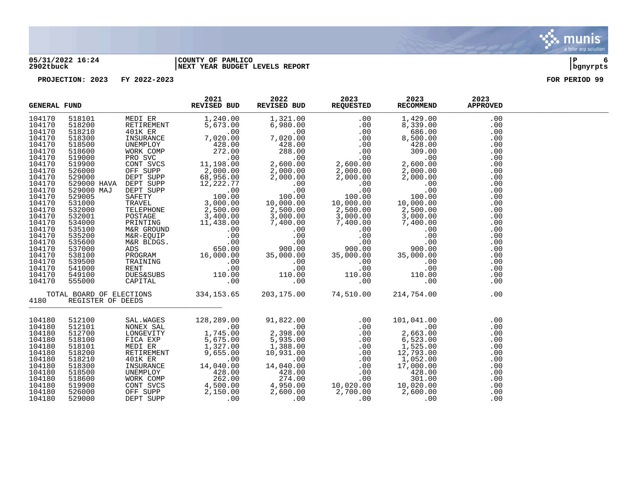

#### **05/31/2022 16:24 |COUNTY OF PAMLICO |P 6 2902tbuck |NEXT YEAR BUDGET LEVELS REPORT |bgnyrpts**



|        | $\begin{tabular}{l cccc} \textbf{NERAL FUND} & \textbf{2021} & \textbf{2022} & \textbf{2023} & \textbf{2023} & \textbf{2023} & \textbf{2023} & \textbf{2023} & \textbf{2023} & \textbf{2023} & \textbf{2023} & \textbf{2023} & \textbf{2023} & \textbf{2023} & \textbf{2023} & \textbf{2023} & \textbf{2023} & \textbf{2023} & \textbf{2023} & \textbf{2023} & \textbf{2023}$<br><b>GENERAL FUND</b> |                   |  |                                                                                                                                                                                                                                                                                                                                       | <b>APPROVED</b> |  |
|--------|------------------------------------------------------------------------------------------------------------------------------------------------------------------------------------------------------------------------------------------------------------------------------------------------------------------------------------------------------------------------------------------------------|-------------------|--|---------------------------------------------------------------------------------------------------------------------------------------------------------------------------------------------------------------------------------------------------------------------------------------------------------------------------------------|-----------------|--|
| 104170 |                                                                                                                                                                                                                                                                                                                                                                                                      |                   |  |                                                                                                                                                                                                                                                                                                                                       | .00             |  |
| 104170 |                                                                                                                                                                                                                                                                                                                                                                                                      |                   |  |                                                                                                                                                                                                                                                                                                                                       | .00             |  |
| 104170 |                                                                                                                                                                                                                                                                                                                                                                                                      |                   |  |                                                                                                                                                                                                                                                                                                                                       | .00             |  |
| 104170 |                                                                                                                                                                                                                                                                                                                                                                                                      |                   |  |                                                                                                                                                                                                                                                                                                                                       | .00             |  |
| 104170 |                                                                                                                                                                                                                                                                                                                                                                                                      |                   |  |                                                                                                                                                                                                                                                                                                                                       | .00             |  |
| 104170 |                                                                                                                                                                                                                                                                                                                                                                                                      |                   |  |                                                                                                                                                                                                                                                                                                                                       | .00             |  |
| 104170 |                                                                                                                                                                                                                                                                                                                                                                                                      |                   |  |                                                                                                                                                                                                                                                                                                                                       | .00             |  |
| 104170 |                                                                                                                                                                                                                                                                                                                                                                                                      |                   |  |                                                                                                                                                                                                                                                                                                                                       | .00             |  |
| 104170 |                                                                                                                                                                                                                                                                                                                                                                                                      |                   |  |                                                                                                                                                                                                                                                                                                                                       | .00             |  |
| 104170 |                                                                                                                                                                                                                                                                                                                                                                                                      |                   |  |                                                                                                                                                                                                                                                                                                                                       | .00             |  |
| 104170 |                                                                                                                                                                                                                                                                                                                                                                                                      |                   |  |                                                                                                                                                                                                                                                                                                                                       | .00             |  |
| 104170 |                                                                                                                                                                                                                                                                                                                                                                                                      |                   |  |                                                                                                                                                                                                                                                                                                                                       | .00             |  |
| 104170 |                                                                                                                                                                                                                                                                                                                                                                                                      |                   |  |                                                                                                                                                                                                                                                                                                                                       | .00             |  |
| 104170 |                                                                                                                                                                                                                                                                                                                                                                                                      |                   |  |                                                                                                                                                                                                                                                                                                                                       | .00             |  |
| 104170 |                                                                                                                                                                                                                                                                                                                                                                                                      |                   |  |                                                                                                                                                                                                                                                                                                                                       | .00             |  |
| 104170 |                                                                                                                                                                                                                                                                                                                                                                                                      |                   |  |                                                                                                                                                                                                                                                                                                                                       | .00             |  |
| 104170 |                                                                                                                                                                                                                                                                                                                                                                                                      |                   |  |                                                                                                                                                                                                                                                                                                                                       | .00             |  |
| 104170 |                                                                                                                                                                                                                                                                                                                                                                                                      |                   |  |                                                                                                                                                                                                                                                                                                                                       | .00             |  |
| 104170 |                                                                                                                                                                                                                                                                                                                                                                                                      |                   |  |                                                                                                                                                                                                                                                                                                                                       | .00             |  |
| 104170 |                                                                                                                                                                                                                                                                                                                                                                                                      |                   |  |                                                                                                                                                                                                                                                                                                                                       | .00             |  |
| 104170 |                                                                                                                                                                                                                                                                                                                                                                                                      |                   |  |                                                                                                                                                                                                                                                                                                                                       | .00             |  |
| 104170 |                                                                                                                                                                                                                                                                                                                                                                                                      |                   |  |                                                                                                                                                                                                                                                                                                                                       | .00             |  |
| 104170 |                                                                                                                                                                                                                                                                                                                                                                                                      |                   |  |                                                                                                                                                                                                                                                                                                                                       | .00             |  |
| 104170 |                                                                                                                                                                                                                                                                                                                                                                                                      |                   |  |                                                                                                                                                                                                                                                                                                                                       | .00             |  |
| 104170 |                                                                                                                                                                                                                                                                                                                                                                                                      |                   |  |                                                                                                                                                                                                                                                                                                                                       | .00             |  |
| 104170 |                                                                                                                                                                                                                                                                                                                                                                                                      |                   |  |                                                                                                                                                                                                                                                                                                                                       | .00             |  |
| 4180   |                                                                                                                                                                                                                                                                                                                                                                                                      |                   |  |                                                                                                                                                                                                                                                                                                                                       | .00             |  |
|        |                                                                                                                                                                                                                                                                                                                                                                                                      | REGISTER OF DEEDS |  |                                                                                                                                                                                                                                                                                                                                       |                 |  |
| 104180 |                                                                                                                                                                                                                                                                                                                                                                                                      |                   |  | $\begin{tabular}{l c c c c c} \hline \texttt{512100} & \texttt{SAL.WAGES} & \texttt{128,289.00} & \texttt{91,822.00} & .00 & 101,041.00 \\ \hline \texttt{512101} & \texttt{NONGEVITY} & 1,745.00 & 2,398.00 & .00 & .00 & 2,663.00 \\ \texttt{512100} & \texttt{LONGEVITY} & 1,745.00 & 2,398.00 & .00 & 2,663.00 \\ \texttt{518100$ | .00             |  |
| 104180 |                                                                                                                                                                                                                                                                                                                                                                                                      |                   |  |                                                                                                                                                                                                                                                                                                                                       | .00             |  |
| 104180 |                                                                                                                                                                                                                                                                                                                                                                                                      |                   |  |                                                                                                                                                                                                                                                                                                                                       | .00             |  |
| 104180 |                                                                                                                                                                                                                                                                                                                                                                                                      |                   |  |                                                                                                                                                                                                                                                                                                                                       | .00             |  |
| 104180 |                                                                                                                                                                                                                                                                                                                                                                                                      |                   |  |                                                                                                                                                                                                                                                                                                                                       | .00             |  |
| 104180 |                                                                                                                                                                                                                                                                                                                                                                                                      |                   |  |                                                                                                                                                                                                                                                                                                                                       | .00             |  |
| 104180 |                                                                                                                                                                                                                                                                                                                                                                                                      |                   |  |                                                                                                                                                                                                                                                                                                                                       | .00             |  |
| 104180 |                                                                                                                                                                                                                                                                                                                                                                                                      |                   |  |                                                                                                                                                                                                                                                                                                                                       | .00             |  |
| 104180 |                                                                                                                                                                                                                                                                                                                                                                                                      |                   |  |                                                                                                                                                                                                                                                                                                                                       | .00             |  |
| 104180 |                                                                                                                                                                                                                                                                                                                                                                                                      |                   |  |                                                                                                                                                                                                                                                                                                                                       | .00             |  |
| 104180 |                                                                                                                                                                                                                                                                                                                                                                                                      |                   |  |                                                                                                                                                                                                                                                                                                                                       | .00             |  |
| 104180 |                                                                                                                                                                                                                                                                                                                                                                                                      |                   |  |                                                                                                                                                                                                                                                                                                                                       | .00             |  |
| 104180 |                                                                                                                                                                                                                                                                                                                                                                                                      |                   |  |                                                                                                                                                                                                                                                                                                                                       | .00             |  |

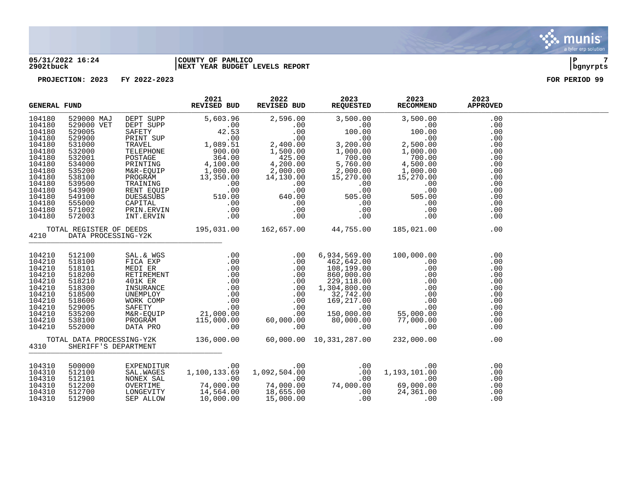#### **05/31/2022 16:24 |COUNTY OF PAMLICO |P 7 2902tbuck |NEXT YEAR BUDGET LEVELS REPORT |bgnyrpts**



|                                                                                                                                                    | <b>GENERAL FUND</b>                                                                                                                                        |                                                                                                                                               | 2021<br>REVISED BUD                                                                                                                                                                                                      | 2022<br>REVISED BUD                                                                                                                                                           | 2023<br>REQUESTED                                                                                                                                                            | 2023<br><b>RECOMMEND</b>                                                                                                                                                                         | 2023<br><b>APPROVED</b>                                                                               |  |
|----------------------------------------------------------------------------------------------------------------------------------------------------|------------------------------------------------------------------------------------------------------------------------------------------------------------|-----------------------------------------------------------------------------------------------------------------------------------------------|--------------------------------------------------------------------------------------------------------------------------------------------------------------------------------------------------------------------------|-------------------------------------------------------------------------------------------------------------------------------------------------------------------------------|------------------------------------------------------------------------------------------------------------------------------------------------------------------------------|--------------------------------------------------------------------------------------------------------------------------------------------------------------------------------------------------|-------------------------------------------------------------------------------------------------------|--|
| 104180<br>104180<br>104180<br>104180<br>104180<br>104180<br>104180<br>104180<br>104180<br>104180<br>104180<br>104180<br>104180<br>104180<br>104180 | 529000 MAJ<br>529000 VET<br>529005<br>529900<br>531000<br>532000<br>532001<br>534000<br>535200<br>538100<br>539500<br>543900<br>549100<br>555000<br>571002 | DEPT SUPP<br>DEPT SUPP<br>SAFETY<br>PRINT SUP<br>TRAVEL<br>TELEPHONE<br>POSTAGE<br>PRINTING<br>M&R-EQUIP<br>PROGRAM<br>TRAINING<br>RENT EQUIP | 5,603.96<br>.00<br>42.53<br>$100 \cdot 00$<br>1,089.51<br>900.00<br>$364.00$<br>4,100.00<br>1,000.00<br>13,350.00<br>.00<br>.00<br>$.00$<br>510.00<br>NUES&SUBS 510.00<br>CAPITAL .00<br>PRIN.ERVIN .00<br>INT.ERVIN .00 | 2,596.00<br>.00<br>.00<br>.00<br>2,400.00<br>1,500.00<br>425.00<br>$\begin{array}{r} 425.00\ 4,200.00\ 2,000.00\ 14,130.00\ 0.00\ \end{array}$<br>.00<br>640.00<br>.00<br>.00 | 3,500.00<br>.00<br>100.00<br>.00<br>3,200.00<br>1,000.00<br>700.00<br>5,760.00<br>2,000.00<br>15,270.00<br>.00<br>.00<br>505.00<br>.00<br>.00                                | 3,500.00<br>.00<br>100.00<br>.00<br>2,500.00<br>1,000.00<br>$\begin{array}{cc}\n & 4,500.06 \\  & 1,000.00 \\ \hline\n 1,000.00 \\  & 15,270.00 \\  & 0.00\n\end{array}$<br>505.00<br>.00<br>.00 | .00<br>.00<br>.00<br>.00<br>.00<br>.00<br>.00<br>.00<br>.00<br>.00<br>.00<br>.00<br>.00<br>.00<br>.00 |  |
| 104180<br>4210                                                                                                                                     | 572003<br>TOTAL REGISTER OF DEEDS<br>DATA PROCESSING-Y2K                                                                                                   |                                                                                                                                               | 195,031.00  162,657.00  44,755.00                                                                                                                                                                                        | .00                                                                                                                                                                           | .00                                                                                                                                                                          | .00<br>185,021.00                                                                                                                                                                                | .00<br>.00                                                                                            |  |
| 104210<br>104210<br>104210<br>104210<br>104210<br>104210<br>104210<br>104210<br>104210<br>104210<br>104210<br>104210                               | 512100<br>518100<br>518101<br>518200<br>518210<br>518300<br>518500<br>518600<br>529005<br>535200<br>538100<br>552000                                       | SAL.& WGS<br>FICA EXP<br>MEDI ER<br>RETIREMENT<br>401K ER<br>INSURANCE<br>UNEMPLOY<br>WORK COMP<br>SAFETY<br>M&R-EQUIP<br>PROGRAM<br>DATA PRO |                                                                                                                                                                                                                          |                                                                                                                                                                               | 6,934,569.00<br>462,642.00<br>108,199.00<br>860,000.00<br>229,118.00<br>1,304,800.00<br>32,742.00<br>169,217.00<br>and the contract<br>.00<br>150,000.00<br>80,000.00<br>.00 | 100,000.00<br>.00<br>$\begin{matrix} 0 & 5 \\ 0 & 0 \end{matrix}$<br>55,000.00<br>77,000.00<br>.00                                                                                               | .00<br>.00<br>.00<br>.00<br>.00<br>.00<br>.00<br>.00<br>.00<br>.00<br>.00<br>.00                      |  |
| 4310                                                                                                                                               | TOTAL DATA PROCESSING-Y2K<br>SHERIFF'S DEPARTMENT                                                                                                          |                                                                                                                                               | 136,000.00                                                                                                                                                                                                               |                                                                                                                                                                               | 60,000.00 10,331,287.00                                                                                                                                                      | 232,000.00                                                                                                                                                                                       | .00                                                                                                   |  |
| 104310<br>104310<br>104310<br>104310<br>104310<br>104310                                                                                           | 500000<br>512100<br>512101<br>512200<br>512700<br>512900                                                                                                   | EXPENDITUR<br>SAL. WAGES<br>NONEX SAL<br>OVERTIME<br>LONGEVITY<br>SEP ALLOW                                                                   | .00<br>1,100,133.69<br>00.<br>00.<br>00.<br>14,564.00<br>10,000.00                                                                                                                                                       | 1,092,504.00<br>.00<br>74,000.00<br>18,655.00<br>15.000.00<br>15,000.00                                                                                                       | $0.00$<br>0.00 .00<br>0.00 .00 .00                                                                                                                                           | .00<br>1,193,101.00<br>.00<br>00.<br>69,000.00<br>24,361.00<br>.00                                                                                                                               | .00<br>.00<br>.00<br>.00<br>.00<br>.00                                                                |  |

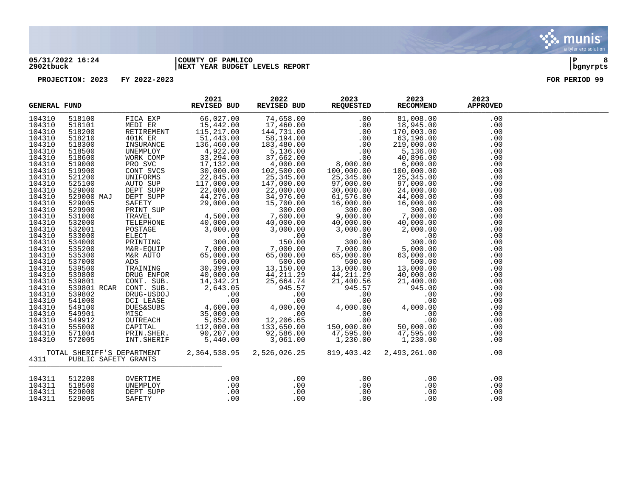#### **05/31/2022 16:24 |COUNTY OF PAMLICO |P 8 2902tbuck |NEXT YEAR BUDGET LEVELS REPORT |bgnyrpts**

| <b>GENERAL FUND</b>                                                                                                                                                                                                                                                                                                                                        |                                                                                                                                                                                                                                                                                                                                                                     |                                                                                                                                                                                                                                                                                                                                                                                            | 2021<br>REVISED BUD                                                                                                                                                                                                                                                                                                                                                                                                                                                                                                                                      | 2022<br>REVISED BUD                                                                                                                                                                                                                                                                                                                                                                                                                                                                                  | 2023<br><b>REQUESTED</b>                                                                                                                                                                                                                                                                                                                                                                                        | 2023<br><b>RECOMMEND</b>                                                                                                                                                                                                                                                                                                                                                                                                                     | 2023<br><b>APPROVED</b>                                                                                                                                                                                                                    |  |
|------------------------------------------------------------------------------------------------------------------------------------------------------------------------------------------------------------------------------------------------------------------------------------------------------------------------------------------------------------|---------------------------------------------------------------------------------------------------------------------------------------------------------------------------------------------------------------------------------------------------------------------------------------------------------------------------------------------------------------------|--------------------------------------------------------------------------------------------------------------------------------------------------------------------------------------------------------------------------------------------------------------------------------------------------------------------------------------------------------------------------------------------|----------------------------------------------------------------------------------------------------------------------------------------------------------------------------------------------------------------------------------------------------------------------------------------------------------------------------------------------------------------------------------------------------------------------------------------------------------------------------------------------------------------------------------------------------------|------------------------------------------------------------------------------------------------------------------------------------------------------------------------------------------------------------------------------------------------------------------------------------------------------------------------------------------------------------------------------------------------------------------------------------------------------------------------------------------------------|-----------------------------------------------------------------------------------------------------------------------------------------------------------------------------------------------------------------------------------------------------------------------------------------------------------------------------------------------------------------------------------------------------------------|----------------------------------------------------------------------------------------------------------------------------------------------------------------------------------------------------------------------------------------------------------------------------------------------------------------------------------------------------------------------------------------------------------------------------------------------|--------------------------------------------------------------------------------------------------------------------------------------------------------------------------------------------------------------------------------------------|--|
| 104310<br>104310<br>104310<br>104310<br>104310<br>104310<br>104310<br>104310<br>104310<br>104310<br>104310<br>104310<br>104310<br>104310<br>104310<br>104310<br>104310<br>104310<br>104310<br>104310<br>104310<br>104310<br>104310<br>104310<br>104310<br>104310<br>104310<br>104310<br>104310<br>104310<br>104310<br>104310<br>104310<br>104310<br>104310 | 518100<br>518101<br>518200<br>518210<br>518300<br>518500<br>518600<br>519000<br>519900<br>521200<br>525100<br>529000<br>529000 MAJ<br>529005<br>529900<br>531000<br>532000<br>532001<br>533000<br>534000<br>535200<br>535300<br>537000<br>539500<br>539800<br>539801<br>539801 RCAR<br>539802<br>541000<br>549100<br>549901<br>549912<br>555000<br>571004<br>572005 | FICA EXP<br>MEDI ER<br>RETIREMENT<br>401K ER<br>INSURANCE<br>UNEMPLOY<br>WORK COMP<br>PRO SVC<br>CONT SVCS<br>UNIFORMS<br>AUTO SUP<br>SAFETY<br>PRINT SUP<br>TRAVEL<br>TELEPHONE<br>POSTAGE<br>ELECT<br>PRINTING<br>M&R-EQUIP<br>M&R AUTO<br>ADS<br>CONT. SUB.<br>CONT. SUB.<br>DRUG-USDOJ<br>DCI LEASE<br><b>DUES&amp;SUBS</b><br>MISC<br>OUTREACH<br>CAPITAL<br>PRIN.SHER.<br>INT.SHERIF | 66,027.00<br>15,442.00<br>115,217.00<br>51,443.00<br>136,460.00<br>4,922.00<br>33,294.00<br>17,132.00<br>30,000.00<br>22,845.00<br>117,000.00<br>AUTO SUP<br>DEPT SUPP 22,000.00<br>DEPT SUPP 44,276.00<br>33,000.00<br>29,000.00<br>.00<br>4,500.00<br>40,000.00<br>3,000.00<br>00.<br>חח מחד<br>300.00<br>0011P<br>000.00 7,000.00<br>00.00 500.00 ----<br>ADS<br>TRAINING 30,399.00<br>DRUG ENFOR 40,000.00<br>$14,342.21$<br>2,643.05<br>.00<br>.00<br>4,600.00<br>$\begin{array}{r} 35,000.00 \ 5,852.00 \ 112,000.00 \ 8. \end{array}$<br>5,440.00 | 74,658.00<br>$17,460.00$<br>144.731.00<br>144,731.00<br>58,194.00<br>183,480.00<br>183,480.00<br>5,136.00<br>37,662.00<br>4,000.00<br>102,500.00<br>25,345.00<br>147,000.00<br>22,000.00<br>34,976.00<br>15,700.00<br>300.00<br>7,600.00<br>40,000.00<br>3,000.00<br>.00<br>150.00<br>7,000.00<br>65,000.00<br>65,000.00<br>500.00<br>13,150.00<br>44, 211.29<br>$\frac{44}{25}$<br>4,0<br>25,664.74<br>945.57<br>.00<br>.00<br>4,000.00<br>.00<br>12, 206.65<br>133,650.00<br>92,586.00<br>3,061.00 | .00<br>.00<br>.00<br>.00<br>.00<br>.00<br>.00<br>8,000.00<br>100,000.00<br>25,345.00<br>97,000.00<br>30,000.00<br>30,000.00<br>61,576.00<br>16,000.00<br>300.00<br>9,000.00<br>40,000.00<br>3,000.00<br>.00<br>300.00<br>7,000.00<br>65,000.00<br>65,000.00<br>$500.00$<br>$13,000.00$<br>$44,211.29$<br>$21,400.56$<br>$945.57$<br>.00<br>.00<br>4,000.00<br>.00<br>.00<br>150,000.00<br>47,595.00<br>1,230.00 | 81,008.00<br>18,945.00<br>170,003.00<br>63,196.00<br>219,000.00<br>5,136.00<br>40,896.00<br>6,000.00<br>100,000.00<br>25,345.00<br>97,000.00<br>24,000.00<br>24,000.00<br>44,000.00<br>16,000.00<br>300.00<br>7,000.00<br>40,000.00<br>2,000.00<br>.00<br>300.00<br>5,000.00<br>63,000.00<br>500.00<br>500.00<br>13,000.00<br>40,000.00<br>21,400.00<br>945.00<br>.00<br>.00<br>4,000.00<br>.00<br>.00<br>50,000.00<br>47,595.00<br>1,230.00 | .00<br>.00<br>.00<br>.00<br>.00<br>.00<br>.00<br>.00<br>.00<br>.00<br>.00<br>.00<br>.00<br>.00<br>.00<br>.00<br>.00<br>.00<br>.00<br>.00<br>.00<br>.00<br>.00<br>.00<br>.00<br>.00<br>.00<br>.00<br>.00<br>.00<br>.00<br>.00<br>.00<br>.00 |  |
| 4311                                                                                                                                                                                                                                                                                                                                                       | TOTAL SHERIFF'S DEPARTMENT<br>PUBLIC SAFETY GRANTS                                                                                                                                                                                                                                                                                                                  |                                                                                                                                                                                                                                                                                                                                                                                            | 2,364,538.95                                                                                                                                                                                                                                                                                                                                                                                                                                                                                                                                             | 2,526,026.25                                                                                                                                                                                                                                                                                                                                                                                                                                                                                         | 819,403.42                                                                                                                                                                                                                                                                                                                                                                                                      | 2,493,261.00                                                                                                                                                                                                                                                                                                                                                                                                                                 | .00<br>.00                                                                                                                                                                                                                                 |  |
| 104311<br>104311<br>104311<br>104311                                                                                                                                                                                                                                                                                                                       | 512200<br>518500<br>529000<br>529005                                                                                                                                                                                                                                                                                                                                | OVERTIME<br>UNEMPLOY<br>DEPT SUPP<br>SAFETY                                                                                                                                                                                                                                                                                                                                                | .00<br>.00<br>.00<br>.00                                                                                                                                                                                                                                                                                                                                                                                                                                                                                                                                 | .00<br>$.00\,$<br>.00<br>.00                                                                                                                                                                                                                                                                                                                                                                                                                                                                         | .00<br>.00<br>.00<br>.00                                                                                                                                                                                                                                                                                                                                                                                        | .00<br>.00<br>.00<br>.00                                                                                                                                                                                                                                                                                                                                                                                                                     | .00<br>.00<br>.00<br>.00                                                                                                                                                                                                                   |  |

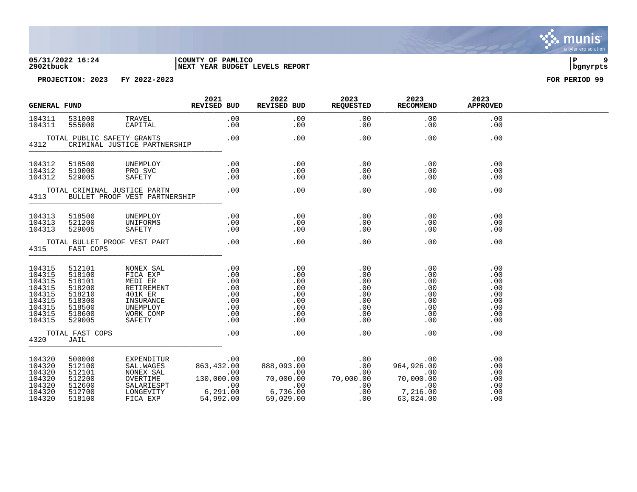

#### **05/31/2022 16:24 |COUNTY OF PAMLICO |P 9 2902tbuck |NEXT YEAR BUDGET LEVELS REPORT |bgnyrpts**



| <b>GENERAL FUND</b>                                                                    |                                                                                        |                                                                                                                                                                                                                                                                                                                                                                                                                                                                                      | 2021<br>REVISED BUD | 2022<br>REVISED BUD                                         | 2023<br><b>REQUESTED</b>                                    | 2023<br><b>RECOMMEND</b>                                    | 2023<br><b>APPROVED</b>                                     |  |
|----------------------------------------------------------------------------------------|----------------------------------------------------------------------------------------|--------------------------------------------------------------------------------------------------------------------------------------------------------------------------------------------------------------------------------------------------------------------------------------------------------------------------------------------------------------------------------------------------------------------------------------------------------------------------------------|---------------------|-------------------------------------------------------------|-------------------------------------------------------------|-------------------------------------------------------------|-------------------------------------------------------------|--|
| 104311<br>104311                                                                       | 531000<br>555000                                                                       | TRAVEL<br>CAPITAL                                                                                                                                                                                                                                                                                                                                                                                                                                                                    | .00<br>.00          | .00<br>.00                                                  | .00<br>.00                                                  | .00<br>.00                                                  | .00<br>.00                                                  |  |
| 4312                                                                                   | TOTAL PUBLIC SAFETY GRANTS                                                             | CRIMINAL JUSTICE PARTNERSHIP                                                                                                                                                                                                                                                                                                                                                                                                                                                         | .00                 | $\overline{00}$                                             | .00                                                         | .00                                                         | .00                                                         |  |
| 104312<br>104312<br>104312                                                             | 518500<br>519000<br>529005                                                             | UNEMPLOY<br>PRO SVC<br>SAFETY                                                                                                                                                                                                                                                                                                                                                                                                                                                        | .00<br>.00          | $.00$ . $.00$<br>.00<br>.00                                 | $\sim 00$<br>.00<br>.00                                     | .00<br>.00<br>.00                                           | .00<br>.00<br>.00                                           |  |
| 4313                                                                                   |                                                                                        | TOTAL CRIMINAL JUSTICE PARTN<br>BULLET PROOF VEST PARTNERSHIP                                                                                                                                                                                                                                                                                                                                                                                                                        |                     | $.00$ . $.00$                                               | .00                                                         | .00                                                         | .00                                                         |  |
| 104313<br>104313<br>104313                                                             | 518500<br>521200<br>529005                                                             | UNEMPLOY<br>UNIFORMS<br>SAFETY                                                                                                                                                                                                                                                                                                                                                                                                                                                       | .00<br>.00<br>.00   | .00<br>.00<br>.00                                           | .00<br>.00<br>.00                                           | .00<br>.00<br>.00                                           | .00<br>.00<br>.00                                           |  |
| 4315                                                                                   | FAST COPS                                                                              | TOTAL BULLET PROOF VEST PART                                                                                                                                                                                                                                                                                                                                                                                                                                                         | .00                 | .00                                                         | .00                                                         | .00                                                         | .00                                                         |  |
| 104315<br>104315<br>104315<br>104315<br>104315<br>104315<br>104315<br>104315<br>104315 | 512101<br>518100<br>518101<br>518200<br>518210<br>518300<br>518500<br>518600<br>529005 | NONEX SAL<br>FICA EXP<br>MEDI ER<br>RETIREMENT<br>401K ER<br>INSURANCE<br>UNEMPLOY<br>WORK COMP<br>SAFETY                                                                                                                                                                                                                                                                                                                                                                            |                     | .00<br>.00<br>.00<br>.00<br>.00<br>.00<br>.00<br>.00<br>.00 | .00<br>.00<br>.00<br>.00<br>.00<br>.00<br>.00<br>.00<br>.00 | .00<br>.00<br>.00<br>.00<br>.00<br>.00<br>.00<br>.00<br>.00 | .00<br>.00<br>.00<br>.00<br>.00<br>.00<br>.00<br>.00<br>.00 |  |
| 4320                                                                                   | TOTAL FAST COPS<br>JAIL                                                                |                                                                                                                                                                                                                                                                                                                                                                                                                                                                                      |                     | .00                                                         | .00                                                         | .00                                                         | .00                                                         |  |
| 104320<br>104320<br>104320<br>104320<br>104320<br>104320<br>104320                     | 500000<br>512100<br>512101<br>512200<br>512600<br>512700<br>518100                     | $\begin{tabular}{ll} \multicolumn{2}{l} \multicolumn{2}{l}{} & \multicolumn{2}{l}{} & \multicolumn{2}{l}{} & \multicolumn{2}{l}{} & \multicolumn{2}{l}{} & \multicolumn{2}{l}{} & \multicolumn{2}{l}{} & \multicolumn{2}{l}{} & \multicolumn{2}{l}{} & \multicolumn{2}{l}{} & \multicolumn{2}{l}{} & \multicolumn{2}{l}{} & \multicolumn{2}{l}{} & \multicolumn{2}{l}{} & \multicolumn{2}{l}{} & \multicolumn{2}{l}{} & \multicolumn{2}{l}{} & \multicolumn{2}{l}{} & \multicolumn{$ |                     |                                                             |                                                             |                                                             | .00<br>.00<br>.00<br>.00<br>.00<br>.00<br>.00               |  |

 $\mathbf{v}_{\mathbf{z}}$  $\blacksquare$  munis a tyler erp solution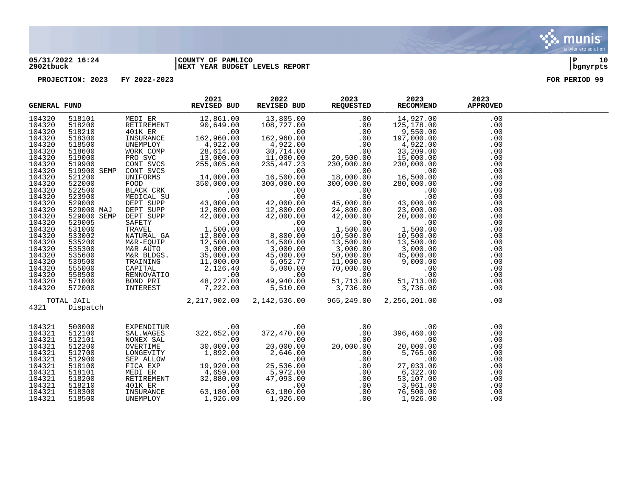

#### **05/31/2022 16:24 |COUNTY OF PAMLICO |P 10 2902tbuck |NEXT YEAR BUDGET LEVELS REPORT |bgnyrpts**

|                                                                                                                                                                                                                                              | <b>GENERAL FUND</b>                                                                                                                                                                                                                                        |                                                                                                                       | 2021<br>REVISED BUD                                                                                                                                                                                                                                                                                                                                                                                                                                     | 2022<br>REVISED BUD                                                                                                                                                                                                       | 2023<br><b>REQUESTED</b>                                                                                                                                                           | 2023<br>RECOMMEND                                                                                                                                                                                                                                                                                                                                     | 2023<br><b>APPROVED</b>                                                                                                                                              |  |
|----------------------------------------------------------------------------------------------------------------------------------------------------------------------------------------------------------------------------------------------|------------------------------------------------------------------------------------------------------------------------------------------------------------------------------------------------------------------------------------------------------------|-----------------------------------------------------------------------------------------------------------------------|---------------------------------------------------------------------------------------------------------------------------------------------------------------------------------------------------------------------------------------------------------------------------------------------------------------------------------------------------------------------------------------------------------------------------------------------------------|---------------------------------------------------------------------------------------------------------------------------------------------------------------------------------------------------------------------------|------------------------------------------------------------------------------------------------------------------------------------------------------------------------------------|-------------------------------------------------------------------------------------------------------------------------------------------------------------------------------------------------------------------------------------------------------------------------------------------------------------------------------------------------------|----------------------------------------------------------------------------------------------------------------------------------------------------------------------|--|
| 104320<br>104320<br>104320<br>104320<br>104320<br>104320<br>104320<br>104320<br>104320<br>104320<br>104320<br>104320<br>104320<br>104320<br>104320<br>104320<br>104320<br>104320<br>104320<br>104320<br>104320<br>104320<br>104320<br>104320 | 518101<br>518200<br>518210<br>518300<br>518500<br>518600<br>519000<br>519900<br>519900 SEMP<br>521200<br>522000<br>522500<br>523900<br>529000<br>529000 MAJ<br>529000 SEMP<br>529005<br>531000<br>533002<br>535200<br>535300<br>535600<br>539500<br>555000 | MEDI ER<br>RETIREMENT<br>401K ER<br>INSURANCE<br>UNEMPLOY<br>DEPT SUPP<br>SAFETY<br>TRAVEL<br>NATURAL GA<br>M&R-EQUIP | 12,861.00<br>90,649.00<br>$E = 162,960.00$<br>4,922.00<br>WORK COMP<br>PRO SVC 13,000.00<br>CONT SVCS 255,005.60<br>CONT SVCS 255,005.60<br>UNIFORMS 14,000.00<br>FOOD 14,000.00<br>FOOD 350,000.00<br>BLACK CRK .00<br>MEDICAL SU .00<br>DEPT SUPP 43,000.00<br>DEPT SUPP 12,800.00<br>42,000.00<br>$00$ .<br>1,500.00<br>12,800.00<br>12,500.00<br>M&R AUTO<br>M&R BLDGS. 35,000.00<br>TRAINING 11,000.00<br>CAPITAL 2,126.40<br>RENNOVATIO 10,000.00 | $00$ .<br>16,500.00<br>300,000.00<br>.00<br>.00<br>42,000.00<br>12,800.00<br>$\begin{smallmatrix} 42,000.00\ 42,000.00\ 0\ \end{smallmatrix}$<br>00.00<br>8,800.00<br>14,500.00<br>$3,000.00$<br>$45,000.00$<br>45,000.00 | 18,000.00<br>300,000.00<br>.00<br>.00<br>45,000.00<br>24,800.00<br>42,000.00<br>$\sim$ 00<br>1,500.00<br>10,500.00<br>13,500.00<br>3,000.00<br>50,000.00<br>11,000.00<br>70,000.00 | RECOMMEND MARK<br>14, 927.00<br>125, 178.00<br>9, 550.00<br>197, 000.00<br>33, 209.00<br>15, 000.00<br>15, 000.00<br>280, 000.00<br>280, 000.00<br>280, 000.00<br>280, 000.00<br>20, 000.00<br>20, 000.00<br>10, 500.00<br>10, 500.00<br>10, 500.00<br>13, 500.0<br>125,178.00<br>197,000.00<br>00.<br>16,500.00<br>1,500.00<br>3,000.00<br>45.000.00 | .00<br>.00<br>.00<br>.00<br>.00<br>.00<br>.00<br>.00<br>.00<br>.00<br>.00<br>.00<br>.00<br>.00<br>.00<br>.00<br>.00<br>.00<br>.00<br>.00<br>.00<br>.00<br>.00<br>.00 |  |
| 104320<br>104320<br>104320                                                                                                                                                                                                                   | 558500<br>571000<br>572000                                                                                                                                                                                                                                 | BOND PRI<br>INTEREST                                                                                                  | $\frac{48,227.00}{7,222.00}$                                                                                                                                                                                                                                                                                                                                                                                                                            | $\begin{array}{r} 6,052.77 \\ 6,052.77 \\ 5,000.00 \\ 49,940.00 \\ 5,510.00 \end{array}$                                                                                                                                  | $\sim 00$<br>$51, 713.00$<br>3,736.00                                                                                                                                              | $\begin{array}{c} .000 \\ .00 \\ .00 \\ 51,713.00 \\ 3,736.00 \end{array}$                                                                                                                                                                                                                                                                            | .00<br>.00<br>.00                                                                                                                                                    |  |
| 4321                                                                                                                                                                                                                                         | TOTAL JAIL<br>Dispatch                                                                                                                                                                                                                                     |                                                                                                                       |                                                                                                                                                                                                                                                                                                                                                                                                                                                         | 2, 217, 902.00 2, 142, 536.00                                                                                                                                                                                             | 965,249.00                                                                                                                                                                         | 2,256,201.00                                                                                                                                                                                                                                                                                                                                          | .00                                                                                                                                                                  |  |
| 104321<br>104321<br>104321<br>104321<br>104321<br>104321<br>104321<br>104321<br>104321<br>104321<br>104321<br>104321                                                                                                                         | 500000<br>512100<br>512101<br>512200<br>512700<br>512900<br>518100<br>518101<br>518200<br>518210<br>518300<br>518500                                                                                                                                       | RETIREMENT<br>401K ER<br>INSURANCE<br>UNEMPLOY                                                                        | CONTRACT CONTRACT CONTRACT CONTRACT CONTRACT CONTRACT ON A SALMON CONTRACT ON A SALMON CONTRACT ON A SALMO CONTRACT OF A SALMON CONTRACT OF A SALMON CONTRACT OF A SALMON CONTRACT OF A SALMON CONTRACT OF A SALMON CONTRACT O<br>32,880.00<br>.00<br>63,180.00<br>1,926.00                                                                                                                                                                             | .00<br>372,470.00<br>$20,000.00$<br>2,646.00<br>2,646.00<br>00<br>25,536.00<br>25,536.00<br>5,972.00<br>47,093.00<br>.00<br>63,180.00<br>1,926.00                                                                         | .00<br>.00<br>20,00<br>.00<br>20,000.00<br>.00<br>.00<br>.00<br>.00<br>.00<br>.00<br>.00<br>.00                                                                                    | $396,460.00$<br>0.00<br>0.00<br>0.00<br>0.5.00<br>0.0<br>$\sim$ 00<br>00.<br>מח בכת 27<br>$27,033.\tilde{00}$<br>$6,322.00$<br>$53,107.00$<br>$3,961.00$<br>$76,500.00$<br>$1,926.00$                                                                                                                                                                 | .00<br>.00<br>.00<br>.00<br>.00<br>.00<br>.00<br>.00<br>.00<br>.00<br>.00<br>.00                                                                                     |  |

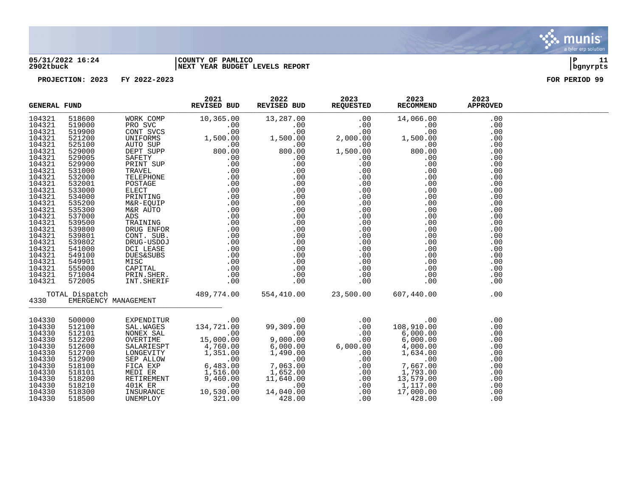

#### **05/31/2022 16:24 |COUNTY OF PAMLICO |P 11 2902tbuck |NEXT YEAR BUDGET LEVELS REPORT |bgnyrpts**

|                  | REVISED BUD<br><b>GENERAL FUND</b><br>$\begin{tabular}{l c c c c} \hline & \textbf{REAL PUND} & \textbf{REVUSED BUD} & \textbf{REVUSED BUD} & \textbf{REVUSED BUD} & \textbf{REVUSED BUD} & \textbf{REVUSED BUD} & \textbf{REVUSED BUD} & \textbf{REVUSED BUD} & \textbf{REVUSED BUD} & \textbf{REVUSED APEV} & \textbf{AEVUSUB} & \textbf{AEVUSUB} & \textbf{AEVUSUB} & \textbf{AEVUSUB} & \textbf{AEVUSUB} & \textbf{AEVUSUB} & \textbf{AEVUSUB} & \textbf{AEVUSUB} & \$ |                                                                                                                                                                                                                                                                                                                                 | 2021 | 2022 | 2023 2023<br>REVISED BUD REQUESTED RECOMMEND | 2023 | 2023<br><b>APPROVED</b> |  |
|------------------|----------------------------------------------------------------------------------------------------------------------------------------------------------------------------------------------------------------------------------------------------------------------------------------------------------------------------------------------------------------------------------------------------------------------------------------------------------------------------|---------------------------------------------------------------------------------------------------------------------------------------------------------------------------------------------------------------------------------------------------------------------------------------------------------------------------------|------|------|----------------------------------------------|------|-------------------------|--|
| 104321           |                                                                                                                                                                                                                                                                                                                                                                                                                                                                            |                                                                                                                                                                                                                                                                                                                                 |      |      |                                              |      | .00                     |  |
| 104321           |                                                                                                                                                                                                                                                                                                                                                                                                                                                                            |                                                                                                                                                                                                                                                                                                                                 |      |      |                                              |      | .00                     |  |
| 104321           |                                                                                                                                                                                                                                                                                                                                                                                                                                                                            |                                                                                                                                                                                                                                                                                                                                 |      |      |                                              |      | .00                     |  |
| 104321           |                                                                                                                                                                                                                                                                                                                                                                                                                                                                            |                                                                                                                                                                                                                                                                                                                                 |      |      |                                              |      | .00                     |  |
| 104321           |                                                                                                                                                                                                                                                                                                                                                                                                                                                                            |                                                                                                                                                                                                                                                                                                                                 |      |      |                                              |      | .00                     |  |
| 104321           |                                                                                                                                                                                                                                                                                                                                                                                                                                                                            |                                                                                                                                                                                                                                                                                                                                 |      |      |                                              |      | .00                     |  |
| 104321           |                                                                                                                                                                                                                                                                                                                                                                                                                                                                            |                                                                                                                                                                                                                                                                                                                                 |      |      |                                              |      | .00                     |  |
| 104321           |                                                                                                                                                                                                                                                                                                                                                                                                                                                                            |                                                                                                                                                                                                                                                                                                                                 |      |      |                                              |      | .00                     |  |
| 104321           |                                                                                                                                                                                                                                                                                                                                                                                                                                                                            |                                                                                                                                                                                                                                                                                                                                 |      |      |                                              |      | .00                     |  |
| 104321           |                                                                                                                                                                                                                                                                                                                                                                                                                                                                            |                                                                                                                                                                                                                                                                                                                                 |      |      |                                              |      | .00                     |  |
| 104321           |                                                                                                                                                                                                                                                                                                                                                                                                                                                                            |                                                                                                                                                                                                                                                                                                                                 |      |      |                                              |      | .00                     |  |
| 104321           |                                                                                                                                                                                                                                                                                                                                                                                                                                                                            |                                                                                                                                                                                                                                                                                                                                 |      |      |                                              |      | .00                     |  |
| 104321           |                                                                                                                                                                                                                                                                                                                                                                                                                                                                            |                                                                                                                                                                                                                                                                                                                                 |      |      |                                              |      | .00                     |  |
| 104321           |                                                                                                                                                                                                                                                                                                                                                                                                                                                                            |                                                                                                                                                                                                                                                                                                                                 |      |      |                                              |      | .00                     |  |
| 104321           |                                                                                                                                                                                                                                                                                                                                                                                                                                                                            |                                                                                                                                                                                                                                                                                                                                 |      |      |                                              |      | .00                     |  |
| 104321           |                                                                                                                                                                                                                                                                                                                                                                                                                                                                            |                                                                                                                                                                                                                                                                                                                                 |      |      |                                              |      | .00                     |  |
| 104321           |                                                                                                                                                                                                                                                                                                                                                                                                                                                                            |                                                                                                                                                                                                                                                                                                                                 |      |      |                                              |      | .00                     |  |
| 104321           |                                                                                                                                                                                                                                                                                                                                                                                                                                                                            |                                                                                                                                                                                                                                                                                                                                 |      |      |                                              |      | .00                     |  |
| 104321           |                                                                                                                                                                                                                                                                                                                                                                                                                                                                            |                                                                                                                                                                                                                                                                                                                                 |      |      |                                              |      | .00                     |  |
| 104321           |                                                                                                                                                                                                                                                                                                                                                                                                                                                                            |                                                                                                                                                                                                                                                                                                                                 |      |      |                                              |      | .00                     |  |
| 104321           |                                                                                                                                                                                                                                                                                                                                                                                                                                                                            |                                                                                                                                                                                                                                                                                                                                 |      |      |                                              |      | .00                     |  |
| 104321           |                                                                                                                                                                                                                                                                                                                                                                                                                                                                            |                                                                                                                                                                                                                                                                                                                                 |      |      |                                              |      | .00                     |  |
| 104321           |                                                                                                                                                                                                                                                                                                                                                                                                                                                                            |                                                                                                                                                                                                                                                                                                                                 |      |      |                                              |      | .00                     |  |
| 104321<br>104321 |                                                                                                                                                                                                                                                                                                                                                                                                                                                                            |                                                                                                                                                                                                                                                                                                                                 |      |      |                                              |      | .00                     |  |
| 104321           |                                                                                                                                                                                                                                                                                                                                                                                                                                                                            |                                                                                                                                                                                                                                                                                                                                 |      |      |                                              |      | .00<br>.00              |  |
|                  |                                                                                                                                                                                                                                                                                                                                                                                                                                                                            |                                                                                                                                                                                                                                                                                                                                 |      |      |                                              |      |                         |  |
| 4330             |                                                                                                                                                                                                                                                                                                                                                                                                                                                                            |                                                                                                                                                                                                                                                                                                                                 |      |      |                                              |      | .00                     |  |
| 104330           |                                                                                                                                                                                                                                                                                                                                                                                                                                                                            | $\begin{tabular}{cccc} 500000 & \text{EXPENDITUR} & .00 & .00 & .00 & .00 & .00 \\ 512100 & \text{SAL}, \text{WAGES} & 134,721.00 & 99,309.00 & .00 & 108,910.00 \\ 512101 & \text{NONEX SAL} & 15,000.00 & 9,000.00 & .00 & 6,000.00 \\ 512200 & \text{OKERTIME} & 15,000.00 & 6,000.00 & 6,000.00 \\ 512200 & \text{SALARIES$ |      |      |                                              |      | .00                     |  |
| 104330           |                                                                                                                                                                                                                                                                                                                                                                                                                                                                            |                                                                                                                                                                                                                                                                                                                                 |      |      |                                              |      | .00                     |  |
| 104330           |                                                                                                                                                                                                                                                                                                                                                                                                                                                                            |                                                                                                                                                                                                                                                                                                                                 |      |      |                                              |      | .00                     |  |
| 104330           |                                                                                                                                                                                                                                                                                                                                                                                                                                                                            |                                                                                                                                                                                                                                                                                                                                 |      |      |                                              |      | .00                     |  |
| 104330           |                                                                                                                                                                                                                                                                                                                                                                                                                                                                            |                                                                                                                                                                                                                                                                                                                                 |      |      |                                              |      | .00                     |  |
| 104330           |                                                                                                                                                                                                                                                                                                                                                                                                                                                                            |                                                                                                                                                                                                                                                                                                                                 |      |      |                                              |      | .00                     |  |
| 104330           |                                                                                                                                                                                                                                                                                                                                                                                                                                                                            |                                                                                                                                                                                                                                                                                                                                 |      |      |                                              |      | .00                     |  |
| 104330           |                                                                                                                                                                                                                                                                                                                                                                                                                                                                            |                                                                                                                                                                                                                                                                                                                                 |      |      |                                              |      | .00                     |  |
| 104330           |                                                                                                                                                                                                                                                                                                                                                                                                                                                                            |                                                                                                                                                                                                                                                                                                                                 |      |      |                                              |      | .00                     |  |
| 104330           |                                                                                                                                                                                                                                                                                                                                                                                                                                                                            |                                                                                                                                                                                                                                                                                                                                 |      |      |                                              |      | .00                     |  |
| 104330           |                                                                                                                                                                                                                                                                                                                                                                                                                                                                            |                                                                                                                                                                                                                                                                                                                                 |      |      |                                              |      | .00                     |  |
| 104330           |                                                                                                                                                                                                                                                                                                                                                                                                                                                                            |                                                                                                                                                                                                                                                                                                                                 |      |      |                                              |      | .00                     |  |
| 104330           |                                                                                                                                                                                                                                                                                                                                                                                                                                                                            |                                                                                                                                                                                                                                                                                                                                 |      |      |                                              |      | .00                     |  |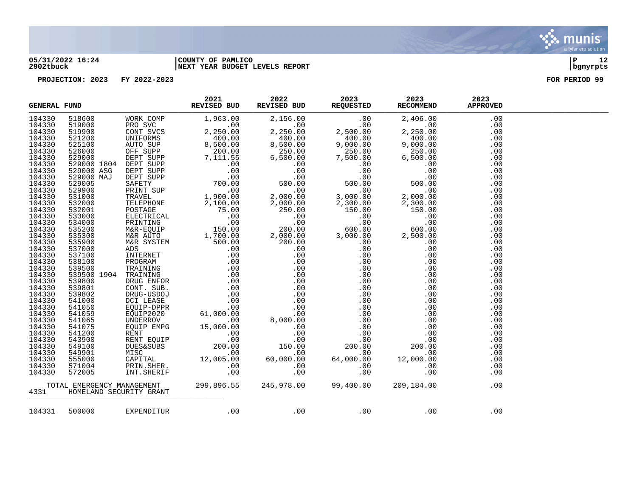

### **05/31/2022 16:24 |COUNTY OF PAMLICO |P 12 2902tbuck |NEXT YEAR BUDGET LEVELS REPORT |bgnyrpts**

|  |  |  | $\begin{tabular}{cccccccc} $\text{GMERRAA}, $\text{FOD} & $\text{R0018} & $\text{R018} & $\text{R018} & $\text{R018} & $\text{R018} & $\text{R018} & $\text{R018} & $\text{R018} & $\text{R018} & $\text{R018} & $\text{R018} & $\text{R018} & $\text{R018} \\ \end{tabular} \begin{tabular}{cccccccc} \text{GMER} & $\text{R018} & $\text{R018} & $\text{R018} & $\text{R018} & $\text{R018} & $\text{R018} &$ |  |
|--|--|--|-----------------------------------------------------------------------------------------------------------------------------------------------------------------------------------------------------------------------------------------------------------------------------------------------------------------------------------------------------------------------------------------------------------------|--|
|  |  |  | 104331 500000 EXPENDITUR .00 .00 .00 .00 .00 .00 .00                                                                                                                                                                                                                                                                                                                                                            |  |

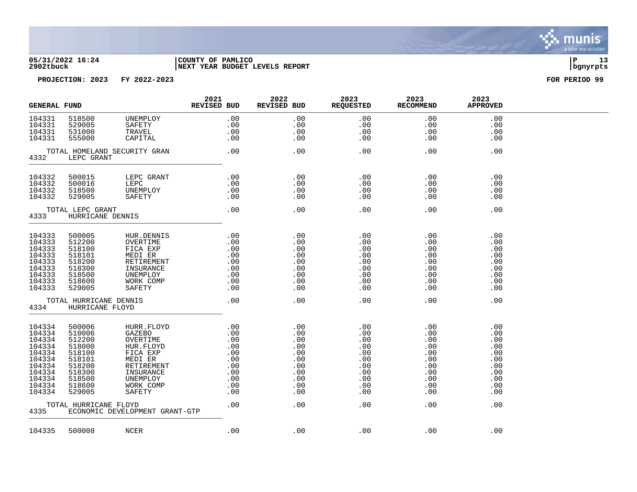

#### **05/31/2022 16:24 |COUNTY OF PAMLICO |P 13 2902tbuck |NEXT YEAR BUDGET LEVELS REPORT |bgnyrpts**

| <b>GENERAL FUND</b>                                                                                        |                                                                                                            |                                                                                                                                    | 2021<br><b>REVISED BUD</b>                                                                | 2022<br>REVISED BUD                                                       | 2023<br>REQUESTED                                                         | 2023<br><b>RECOMMEND</b>                                                  | 2023<br><b>APPROVED</b>                                                   |  |
|------------------------------------------------------------------------------------------------------------|------------------------------------------------------------------------------------------------------------|------------------------------------------------------------------------------------------------------------------------------------|-------------------------------------------------------------------------------------------|---------------------------------------------------------------------------|---------------------------------------------------------------------------|---------------------------------------------------------------------------|---------------------------------------------------------------------------|--|
| 104331<br>104331<br>104331<br>104331                                                                       | 518500<br>529005<br>531000<br>555000                                                                       | UNEMPLOY<br>SAFETY<br>TRAVEL<br>CAPITAL                                                                                            | .00<br>.00<br>.00<br>.00                                                                  | .00<br>.00<br>.00<br>.00                                                  | .00<br>.00<br>.00<br>.00                                                  | .00<br>.00<br>.00<br>.00                                                  | .00<br>.00<br>.00<br>.00                                                  |  |
| 4332                                                                                                       | LEPC GRANT                                                                                                 | TOTAL HOMELAND SECURITY GRAN                                                                                                       | .00                                                                                       | .00                                                                       | .00                                                                       | .00                                                                       | .00                                                                       |  |
| 104332<br>104332<br>104332<br>104332                                                                       | 500015<br>500016<br>518500<br>529005                                                                       | LEPC GRANT<br>LEPC<br>UNEMPLOY<br>SAFETY                                                                                           | .00<br>.00<br>.00<br>.00                                                                  | .00<br>.00<br>.00<br>.00                                                  | .00<br>.00<br>.00<br>.00                                                  | .00<br>.00<br>.00<br>.00                                                  | .00<br>.00<br>.00<br>.00                                                  |  |
| 4333                                                                                                       | TOTAL LEPC GRANT<br>HURRICANE DENNIS                                                                       |                                                                                                                                    | .00                                                                                       | .00                                                                       | .00                                                                       | .00                                                                       | .00                                                                       |  |
| 104333<br>104333<br>104333<br>104333<br>104333<br>104333<br>104333<br>104333<br>104333                     | 500005<br>512200<br>518100<br>518101<br>518200<br>518300<br>518500<br>518600<br>529005                     | HUR.DENNIS<br>OVERTIME<br>FICA EXP<br>MEDI ER<br>RETIREMENT<br>INSURANCE<br>UNEMPLOY<br>WORK COMP<br>SAFETY                        | .00<br>$\begin{array}{c} .00\ 0.00\ 0.00\ .00\ 0.00\ 0.00\ 0.00\ 0.00\ 0.00\ \end{array}$ | .00<br>.00<br>.00<br>.00<br>.00<br>.00<br>.00<br>.00<br>.00               | .00<br>.00<br>.00<br>.00<br>.00<br>.00<br>.00<br>.00<br>.00               | .00<br>.00<br>.00<br>.00<br>.00<br>.00<br>.00<br>.00<br>.00               | .00<br>$.00 \ \rm$<br>.00<br>.00<br>.00<br>.00<br>.00<br>.00<br>.00       |  |
| 4334                                                                                                       | TOTAL HURRICANE DENNIS<br>HURRICANE FLOYD                                                                  |                                                                                                                                    | .00                                                                                       | .00                                                                       | .00                                                                       | .00                                                                       | .00                                                                       |  |
| 104334<br>104334<br>104334<br>104334<br>104334<br>104334<br>104334<br>104334<br>104334<br>104334<br>104334 | 500006<br>510006<br>512200<br>518000<br>518100<br>518101<br>518200<br>518300<br>518500<br>518600<br>529005 | HURR.FLOYD<br>GAZEBO<br>OVERTIME<br>HUR.FLOYD<br>FICA EXP<br>MEDI ER<br>RETIREMENT<br>INSURANCE<br>UNEMPLOY<br>WORK COMP<br>SAFETY | .00                                                                                       | .00<br>.00<br>.00<br>.00<br>.00<br>.00<br>.00<br>.00<br>.00<br>.00<br>.00 | .00<br>.00<br>.00<br>.00<br>.00<br>.00<br>.00<br>.00<br>.00<br>.00<br>.00 | .00<br>.00<br>.00<br>.00<br>.00<br>.00<br>.00<br>.00<br>.00<br>.00<br>.00 | .00<br>.00<br>.00<br>.00<br>.00<br>.00<br>.00<br>.00<br>.00<br>.00<br>.00 |  |
| TOTAL HURRICANE FLOYD<br>4335<br>ECONOMIC DEVELOPMENT GRANT-GTP                                            |                                                                                                            | .00                                                                                                                                | .00                                                                                       | .00                                                                       | .00                                                                       | .00                                                                       |                                                                           |  |
| 104335                                                                                                     | 500008                                                                                                     | NCER                                                                                                                               | .00                                                                                       | .00                                                                       | .00                                                                       | .00                                                                       | .00                                                                       |  |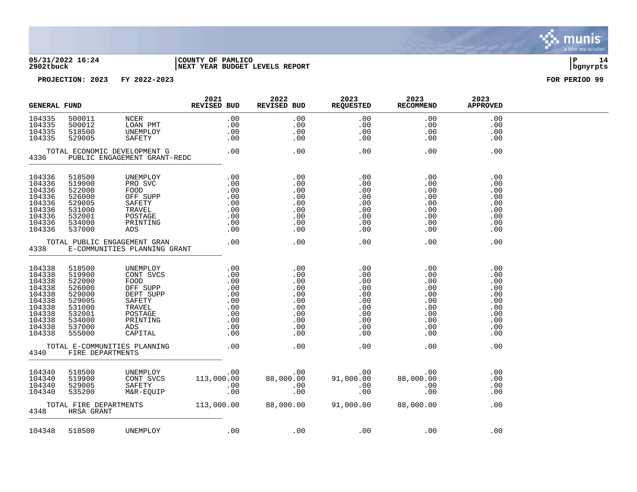

#### **05/31/2022 16:24 |COUNTY OF PAMLICO |P 14 2902tbuck |NEXT YEAR BUDGET LEVELS REPORT |bgnyrpts**

| <b>GENERAL FUND</b>                                                                                        |                                                                                                            |                                                                                           | 2021<br><b>REVISED BUD</b>                                                                                                                                                                                                                                  | 2022<br>REVISED BUD                                                                                                       | 2023<br>REQUESTED                                                                                                                                                                  | 2023<br><b>RECOMMEND</b>                                                                                                 | 2023<br><b>APPROVED</b>                                                   |  |
|------------------------------------------------------------------------------------------------------------|------------------------------------------------------------------------------------------------------------|-------------------------------------------------------------------------------------------|-------------------------------------------------------------------------------------------------------------------------------------------------------------------------------------------------------------------------------------------------------------|---------------------------------------------------------------------------------------------------------------------------|------------------------------------------------------------------------------------------------------------------------------------------------------------------------------------|--------------------------------------------------------------------------------------------------------------------------|---------------------------------------------------------------------------|--|
| 104335<br>104335<br>104335<br>104335                                                                       | 500011<br>500012<br>518500<br>529005                                                                       | NCER<br>LOAN PMT<br>UNEMPLOY<br>SAFETY                                                    | .00                                                                                                                                                                                                                                                         | .00<br>.00<br>.00<br>.00                                                                                                  | $\begin{array}{r} .00 \ .00 \ .00 \ .00 \ .00 \end{array}$                                                                                                                         | .00<br>.00<br>.00<br>.00                                                                                                 | .00<br>.00<br>.00<br>.00                                                  |  |
| 4336                                                                                                       | TOTAL ECONOMIC DEVELOPMENT G                                                                               | PUBLIC ENGAGEMENT GRANT-REDC                                                              |                                                                                                                                                                                                                                                             | .00                                                                                                                       | .00                                                                                                                                                                                | .00                                                                                                                      | .00                                                                       |  |
| 104336<br>104336<br>104336<br>104336<br>104336<br>104336<br>104336<br>104336<br>104336                     | 518500<br>519000<br>522000<br>526000<br>529005<br>531000<br>532001<br>534000<br>537000                     | UNEMPLOY<br>PRO SVC<br>FOOD<br>OFF SUPP<br>SAFETY<br>TRAVEL<br>POSTAGE<br>PRINTING<br>ADS | $\begin{array}{cccc} . & 00 & & & . & 00 \ . & 00 & & & . & 00 \ . & 00 & & & . & 00 \ . & 00 & & & . & 00 \ . & 00 & & & . & 00 \ . & 00 & & & . & 00 \ . & 00 & & & . & 00 \ . & 00 & & & . & 00 \ . & 00 & & & . & 00 \ . & 00 & & & . & 00 \end{array}$ |                                                                                                                           | .00<br>.00<br>.00                                                                                                                                                                  | .00<br>$\begin{array}{r} .00\ 0.00\ 0.00\ 0.00\ 0.00\ 0.00\ 0.00\ 0.00\ 0.00\ 0.00\ \end{array}$                         | .00<br>.00<br>.00<br>.00<br>.00<br>.00<br>.00<br>.00<br>.00               |  |
| 4338                                                                                                       | TOTAL PUBLIC ENGAGEMENT GRAN                                                                               | E-COMMUNITIES PLANNING GRANT                                                              | .00                                                                                                                                                                                                                                                         | .00                                                                                                                       | .00                                                                                                                                                                                | .00                                                                                                                      | .00                                                                       |  |
| 104338<br>104338<br>104338<br>104338<br>104338<br>104338<br>104338<br>104338<br>104338<br>104338<br>104338 | 518500<br>519900<br>522000<br>526000<br>529000<br>529005<br>531000<br>532001<br>534000<br>537000<br>555000 |                                                                                           |                                                                                                                                                                                                                                                             |                                                                                                                           | .00<br>.00<br>.00<br>$\begin{array}{c} .\ 0\,0\ .\ 0\,0\ .\ 0\,0\ .\ 0\,0\ .\ 0\,0\ .\ 0\,0\ . \end{array}$<br>$\begin{array}{c} 0.033 \\ 0.0033 \end{array}$<br>.00<br>.00<br>.00 | .00<br>$\begin{array}{c} .00\ 0.00\ 0.00\ 0.00\ 0.00\ 0.00\ 0.00\ 0.00\ 0.00\ 0.00\ 0.00\ 0.00\ 0.00\ 0.00\ \end{array}$ | .00<br>.00<br>.00<br>.00<br>.00<br>.00<br>.00<br>.00<br>.00<br>.00<br>.00 |  |
| 4340                                                                                                       | TOTAL E-COMMUNITIES PLANNING<br>FIRE DEPARTMENTS                                                           |                                                                                           | .00                                                                                                                                                                                                                                                         | .00                                                                                                                       | .00                                                                                                                                                                                | .00                                                                                                                      | .00                                                                       |  |
| 104340<br>104340<br>104340<br>104340                                                                       | 518500<br>519900<br>529005<br>535200                                                                       |                                                                                           |                                                                                                                                                                                                                                                             | UNEMPLOY .00 .00 .00<br>CONT SVCS 113,000.00 88,000.00 91,000.00 88,00<br>SAFETY .00 .00 .00 .00<br>M&R-EQUIP .00 .00 .00 |                                                                                                                                                                                    | .00<br>88,000.00<br>$\begin{array}{c} . & 0 \\ . & 0 \end{array}$                                                        | .00<br>.00<br>.00<br>.00                                                  |  |
| 4348                                                                                                       | HRSA GRANT                                                                                                 |                                                                                           |                                                                                                                                                                                                                                                             | TOTAL FIRE DEPARTMENTS 113,000.00 88,000.00 91,000.00 88,000.00                                                           |                                                                                                                                                                                    |                                                                                                                          | .00                                                                       |  |
| 104348                                                                                                     | 518500                                                                                                     | UNEMPLOY                                                                                  |                                                                                                                                                                                                                                                             | $.00$ . $.00$                                                                                                             | .00                                                                                                                                                                                | $\sim$ 00                                                                                                                | .00                                                                       |  |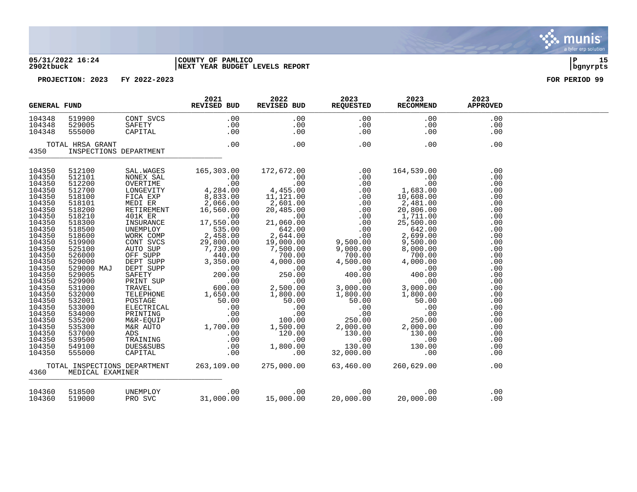#### **05/31/2022 16:24 |COUNTY OF PAMLICO |P 15 2902tbuck |NEXT YEAR BUDGET LEVELS REPORT |bgnyrpts**

| <b>GENERAL FUND</b>                                                                                                                                                                                                                                                        |                                                                                                                                                                                                                                                                                |                                                          | 2021<br>REVISED BUD                     | 2022 | 2023<br>REVISED BUD REQUESTED       | 2023<br>RECOMMEND                                                                                                                                                                                                                                                                                                                   | 2023<br><b>APPROVED</b>                                                                                                                                                                   |  |
|----------------------------------------------------------------------------------------------------------------------------------------------------------------------------------------------------------------------------------------------------------------------------|--------------------------------------------------------------------------------------------------------------------------------------------------------------------------------------------------------------------------------------------------------------------------------|----------------------------------------------------------|-----------------------------------------|------|-------------------------------------|-------------------------------------------------------------------------------------------------------------------------------------------------------------------------------------------------------------------------------------------------------------------------------------------------------------------------------------|-------------------------------------------------------------------------------------------------------------------------------------------------------------------------------------------|--|
| 104348<br>104348<br>104348                                                                                                                                                                                                                                                 |                                                                                                                                                                                                                                                                                | 519900<br>529005<br>555000<br>555000<br>555000<br>565000 |                                         | .00  | $.00$<br>$.00$<br>.00<br>.00<br>.00 | .00<br>.00<br>.00                                                                                                                                                                                                                                                                                                                   | .00<br>.00<br>.00                                                                                                                                                                         |  |
|                                                                                                                                                                                                                                                                            |                                                                                                                                                                                                                                                                                |                                                          |                                         |      |                                     |                                                                                                                                                                                                                                                                                                                                     |                                                                                                                                                                                           |  |
| 4350                                                                                                                                                                                                                                                                       | TOTAL HRSA GRANT<br>INSPECTIONS DEPARTMENT                                                                                                                                                                                                                                     |                                                          | .00                                     | .00  | .00                                 | .00                                                                                                                                                                                                                                                                                                                                 | .00                                                                                                                                                                                       |  |
| 104350<br>104350<br>104350<br>104350<br>104350<br>104350<br>104350<br>104350<br>104350<br>104350<br>104350<br>104350<br>104350<br>104350<br>104350<br>104350<br>104350<br>104350<br>104350<br>104350<br>104350<br>104350<br>104350<br>104350<br>104350<br>104350<br>104350 | 512100<br>512101<br>512200<br>512700<br>518100<br>518101<br>518200<br>518210<br>518300<br>518500<br>518600<br>519900<br>525100<br>526000<br>529000<br>529000 MAJ<br>529005<br>529900<br>531000<br>532000<br>532001<br>533000<br>534000<br>535200<br>535300<br>537000<br>539500 |                                                          |                                         |      |                                     | $\begin{tabular}{l c c c c} \hline & \texttt{SAL} \texttt{WAGES} & 165,303,00 & 172,672,00 & 000 & 164,539,00 \\ \hline \texttt{ONREPTRE} & 000 & 000 & 000 & 000 & 000 \\ \hline \texttt{JONREPTRE} & 000 & 000 & 000 & 000 & 000 \\ \texttt{FICR EXP} & 000 & 000 & 000 & 000 & 000 \\ \texttt{WENT EER} & 000 & 2,601,000 & 000$ | .00<br>.00<br>.00<br>.00<br>.00<br>.00<br>.00<br>.00<br>.00<br>.00<br>.00<br>.00<br>.00<br>.00<br>.00<br>.00<br>.00<br>.00<br>.00<br>.00<br>.00<br>.00<br>.00<br>.00<br>.00<br>.00<br>.00 |  |
| 104350<br>104350                                                                                                                                                                                                                                                           | 549100<br>555000                                                                                                                                                                                                                                                               |                                                          |                                         |      |                                     |                                                                                                                                                                                                                                                                                                                                     | .00<br>.00                                                                                                                                                                                |  |
| 4360                                                                                                                                                                                                                                                                       | MEDICAL EXAMINER                                                                                                                                                                                                                                                               |                                                          | TOTAL INSPECTIONS DEPARTMENT 263,109.00 |      | 275,000.00 63,460.00 260,629.00     |                                                                                                                                                                                                                                                                                                                                     | .00                                                                                                                                                                                       |  |
| 104360<br>104360                                                                                                                                                                                                                                                           | 518500<br>519000                                                                                                                                                                                                                                                               | UNEMPLOY<br>PRO SVC<br>UNEMPLOY<br>PRO SVC               |                                         |      |                                     |                                                                                                                                                                                                                                                                                                                                     | .00<br>.00                                                                                                                                                                                |  |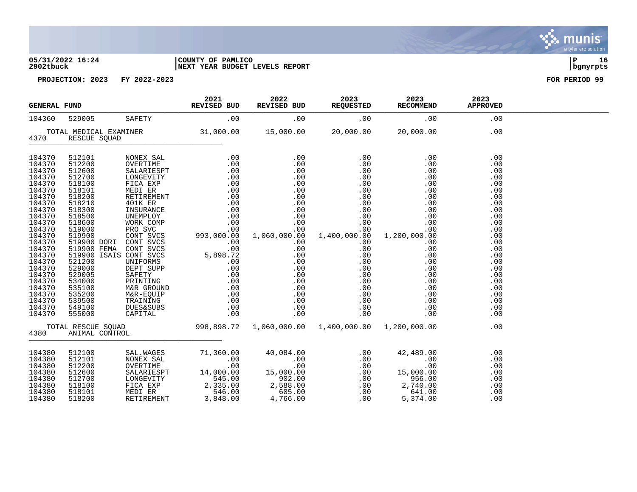#### **05/31/2022 16:24 |COUNTY OF PAMLICO |P 16 2902tbuck |NEXT YEAR BUDGET LEVELS REPORT |bgnyrpts**

| <b>GENERAL FUND</b>                                                                                                                                                                                                                |                                                                              | 2021<br><b>REVISED BUD</b> | 2022<br>REVISED BUD | 2023<br><b>REQUESTED</b> | 2023<br><b>RECOMMEND</b> | 2023<br><b>APPROVED</b>                                                                                                                                                                                                                  |                                                                                                                                                               |  |
|------------------------------------------------------------------------------------------------------------------------------------------------------------------------------------------------------------------------------------|------------------------------------------------------------------------------|----------------------------|---------------------|--------------------------|--------------------------|------------------------------------------------------------------------------------------------------------------------------------------------------------------------------------------------------------------------------------------|---------------------------------------------------------------------------------------------------------------------------------------------------------------|--|
| 104360                                                                                                                                                                                                                             |                                                                              |                            | 529005 SAFETY .00   | .00                      | .00                      | .00                                                                                                                                                                                                                                      | .00                                                                                                                                                           |  |
| 4370                                                                                                                                                                                                                               | TOTAL MEDICAL EXAMINER<br>RESCUE SQUAD                                       |                            |                     |                          |                          | $31,000.00$ $15,000.00$ $20,000.00$ $20,000.00$                                                                                                                                                                                          | .00                                                                                                                                                           |  |
| 104370<br>104370<br>104370<br>104370<br>104370<br>104370<br>104370<br>104370<br>104370<br>104370<br>104370<br>104370<br>104370<br>104370<br>104370<br>104370<br>104370<br>104370<br>104370<br>104370<br>104370<br>104370<br>104370 |                                                                              |                            |                     |                          |                          | $0.00$<br>.00.<br>.00                                                                                                                                                                                                                    | .00<br>.00<br>.00<br>.00<br>.00<br>.00<br>.00<br>.00<br>.00<br>.00<br>.00<br>.00<br>.00<br>.00<br>.00<br>.00<br>.00<br>.00<br>.00<br>.00<br>.00<br>.00<br>.00 |  |
| 104370<br>104370                                                                                                                                                                                                                   |                                                                              |                            |                     |                          |                          |                                                                                                                                                                                                                                          | .00<br>.00                                                                                                                                                    |  |
| 4380                                                                                                                                                                                                                               | ANIMAL CONTROL                                                               |                            |                     |                          |                          | TOTAL RESCUE SQUAD 998,898.72 1,060,000.00 1,400,000.00 1,200,000.00                                                                                                                                                                     | .00                                                                                                                                                           |  |
| 104380<br>104380<br>104380<br>104380<br>104380<br>104380<br>104380<br>104380                                                                                                                                                       | 512100<br>512101<br>512200<br>512600<br>512700<br>518100<br>518101<br>518200 |                            |                     |                          |                          | 3AL.WAGES 71,360.00 40,084.00 .00 42,489.00<br>NONEX SAL .00 .00 .00 .00 .00 .00<br>OVERTIME .00 .00 .00 .00 .00 .00<br>SALARIESPT 14,000.00 15,000.00 .00 .00 .00 .00<br>LONGEVITY 545.00 956.00 .00 956.00<br>FICA EXP 2,335.00 2,588. | .00<br>.00<br>.00<br>.00<br>.00<br>.00<br>.00<br>.00                                                                                                          |  |



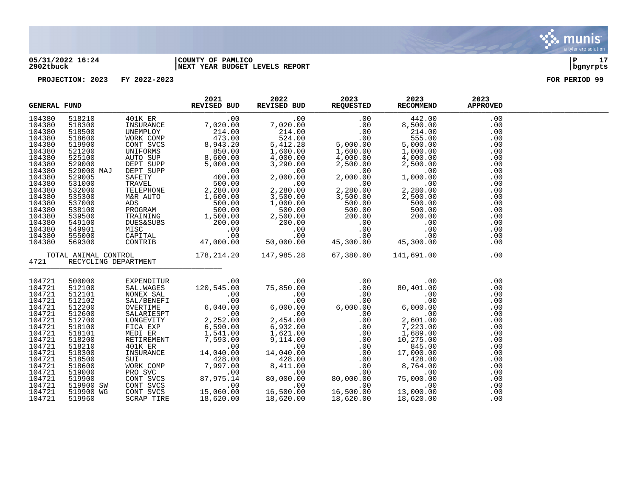

#### **05/31/2022 16:24 |COUNTY OF PAMLICO |P 17 2902tbuck |NEXT YEAR BUDGET LEVELS REPORT |bgnyrpts**

| <b>GENERAL FUND</b>                                                                                                                                                                        |                                                                                                                                                                                                  | 2021<br>REVISED BUD | 2022 | 2023 | 2023<br>REVISED BUD REQUESTED RECOMMEND                                                                                                                                                                                                                                                                                                                                                                                                                               | 2023<br><b>APPROVED</b>                                                                                                           |  |
|--------------------------------------------------------------------------------------------------------------------------------------------------------------------------------------------|--------------------------------------------------------------------------------------------------------------------------------------------------------------------------------------------------|---------------------|------|------|-----------------------------------------------------------------------------------------------------------------------------------------------------------------------------------------------------------------------------------------------------------------------------------------------------------------------------------------------------------------------------------------------------------------------------------------------------------------------|-----------------------------------------------------------------------------------------------------------------------------------|--|
| 104380<br>104380<br>104380<br>104380<br>104380<br>104380<br>104380<br>104380<br>104380<br>104380<br>104380<br>104380<br>104380<br>104380<br>104380<br>104380<br>104380<br>104380<br>104380 |                                                                                                                                                                                                  |                     |      |      | $\begin{tabular}{l c c c c c} \hline \textbf{FUV} & \textbf{REVISED BUD} & \textbf{REVISED BUD} & \textbf{REQUISTED} & \textbf{REQUISTED} & \textbf{REQUISTED} & \textbf{REQUISTED} & \textbf{REQUISTED} & \textbf{REQUISTED} & \textbf{REQUISTED} & \textbf{REQUISTED} & \textbf{REQUISTED} & \textbf{REQUISTED} & \textbf{REQUISTED} & \textbf{REQUISTED} & \textbf{REQUISTED} & \textbf{REQUISTED} & \textbf{REQUISTED} & \textbf{REQUISTED} & \textbf{REQUISTED}$ | .00<br>.00<br>.00<br>.00<br>.00<br>.00<br>.00<br>.00<br>.00<br>.00<br>.00<br>.00<br>.00<br>.00<br>.00<br>.00<br>.00<br>.00<br>.00 |  |
| 104380<br>4721                                                                                                                                                                             | RECYCLING DEPARTMENT                                                                                                                                                                             |                     |      |      | TOTAL ANIMAL CONTROL 178, 214.20 147, 985.28 67, 380.00 141, 691.00                                                                                                                                                                                                                                                                                                                                                                                                   | .00<br>.00                                                                                                                        |  |
| 104721<br>104721<br>104721<br>104721<br>104721<br>104721<br>104721<br>104721<br>104721<br>104721<br>104721<br>104721<br>104721<br>104721<br>104721<br>104721<br>104721<br>104721<br>104721 | 500000<br>512100<br>512101<br>512102<br>512200<br>512600<br>512700<br>518100<br>518101<br>518200<br>518210<br>518300<br>518500<br>518600<br>519000<br>519900<br>519900 SW<br>519900 WG<br>519960 |                     |      |      |                                                                                                                                                                                                                                                                                                                                                                                                                                                                       | .00<br>.00<br>.00<br>.00<br>.00<br>.00<br>.00<br>.00<br>.00<br>.00<br>.00<br>.00<br>.00<br>.00<br>.00<br>.00<br>.00<br>.00<br>.00 |  |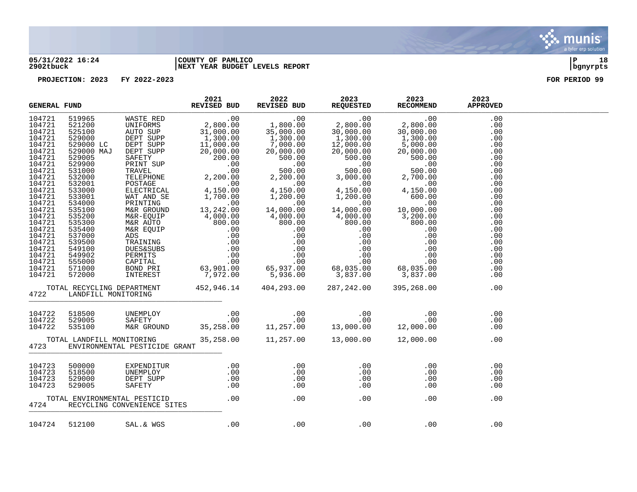

#### **05/31/2022 16:24 |COUNTY OF PAMLICO |P 18 2902tbuck |NEXT YEAR BUDGET LEVELS REPORT |bgnyrpts**

| <b>GENERAL FUND</b>                                                                                                                                                                                                                          |                     |                               |  |                                                                                                                                                                                                                                                                                                                                                                                                              |     |  |
|----------------------------------------------------------------------------------------------------------------------------------------------------------------------------------------------------------------------------------------------|---------------------|-------------------------------|--|--------------------------------------------------------------------------------------------------------------------------------------------------------------------------------------------------------------------------------------------------------------------------------------------------------------------------------------------------------------------------------------------------------------|-----|--|
| 104721<br>104721<br>104721<br>104721<br>104721<br>104721<br>104721<br>104721<br>104721<br>104721<br>104721<br>104721<br>104721<br>104721<br>104721<br>104721<br>104721<br>104721<br>104721<br>104721<br>104721<br>104721<br>104721<br>104721 |                     |                               |  | $\begin{tabular}{l c c c c c} \hline \textbf{F} \textbf{CD} & \textbf{REV} \textbf{CE} & \textbf{REV} \textbf{CE} \textbf{D} \textbf{BD} & \textbf{REV} \textbf{CE} \textbf{BD} & \textbf{REV} \textbf{CE} \textbf{BD} & \textbf{REV} \textbf{DE} \textbf{DE} & \textbf{REV} \textbf{DE} \textbf{DE} & \textbf{REV} \textbf{DE} \textbf{DE} \\ \hline 5212600 & \text{UNIPORR} & 2,800.00 & 1,800.00 & 2,80$ |     |  |
| 104721                                                                                                                                                                                                                                       |                     |                               |  |                                                                                                                                                                                                                                                                                                                                                                                                              |     |  |
| 4722                                                                                                                                                                                                                                         | LANDFILL MONITORING |                               |  | TOTAL RECYCLING DEPARTMENT 452,946.14 404,293.00 287,242.00 395,268.00 (1722)                                                                                                                                                                                                                                                                                                                                |     |  |
| 104722<br>104722<br>104722                                                                                                                                                                                                                   |                     |                               |  |                                                                                                                                                                                                                                                                                                                                                                                                              |     |  |
| 4723                                                                                                                                                                                                                                         |                     | ENVIRONMENTAL PESTICIDE GRANT |  | TOTAL LANDFILL MONITORING 35,258.00 11,257.00 13,000.00 12,000.00 12,000.00                                                                                                                                                                                                                                                                                                                                  |     |  |
|                                                                                                                                                                                                                                              |                     |                               |  |                                                                                                                                                                                                                                                                                                                                                                                                              |     |  |
|                                                                                                                                                                                                                                              |                     |                               |  |                                                                                                                                                                                                                                                                                                                                                                                                              |     |  |
| 104724                                                                                                                                                                                                                                       | 512100              | SAL. & WGS                    |  | $00$ . $00$ . $00$ . $00$ . $00$ . $00$                                                                                                                                                                                                                                                                                                                                                                      | .00 |  |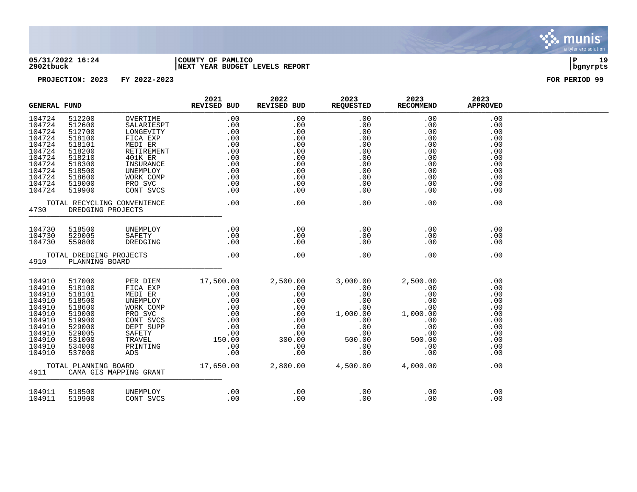

#### **05/31/2022 16:24 |COUNTY OF PAMLICO |P 19 2902tbuck |NEXT YEAR BUDGET LEVELS REPORT |bgnyrpts**

|                                                                                                                              | <b>GENERAL FUND</b>                                                                                                                          |                                                                                                                                                                                      | 2021<br><b>REVISED BUD</b>                                                                                                                                                                                                                                                   | 2022<br>REVISED BUD                                                              | 2023<br><b>REQUESTED</b>                                                         | 2023<br><b>RECOMMEND</b>                                                                                  | 2023<br><b>APPROVED</b>                                                                 |  |
|------------------------------------------------------------------------------------------------------------------------------|----------------------------------------------------------------------------------------------------------------------------------------------|--------------------------------------------------------------------------------------------------------------------------------------------------------------------------------------|------------------------------------------------------------------------------------------------------------------------------------------------------------------------------------------------------------------------------------------------------------------------------|----------------------------------------------------------------------------------|----------------------------------------------------------------------------------|-----------------------------------------------------------------------------------------------------------|-----------------------------------------------------------------------------------------|--|
| 104724<br>104724<br>104724<br>104724<br>104724<br>104724<br>104724<br>104724<br>104724<br>104724<br>104724<br>104724         | 512200<br>512600<br>512700<br>518100<br>518101<br>518200<br>518210<br>518300<br>518500<br>518600<br>519000<br>519900                         | OVERTIME<br>SALARIESPT<br>LONGEVITY<br>FICA EXP<br>MEDI ER<br>RETIREMENT<br>401K ER<br>INSURANCE<br>UNEMPLOY<br>WORK COMP<br>PRO SVC<br>CONT SVCS                                    | .00<br>.00<br>PT .00<br>Y .00<br>.00<br>.00<br>.00<br>.00<br>E .00<br>P .00<br>.00<br>S .00<br>.00<br>.00<br>.00<br>.00<br>.00<br>.00<br>.00                                                                                                                                 | .00<br>.00<br>.00<br>.00<br>.00<br>.00<br>.00<br>.00<br>.00<br>.00<br>.00<br>.00 | .00<br>.00<br>.00<br>.00<br>.00<br>.00<br>.00<br>.00<br>.00<br>.00<br>.00<br>.00 | .00<br>.00<br>.00<br>.00<br>.00<br>.00<br>.00<br>.00<br>.00<br>.00<br>.00<br>.00                          | .00<br>.00<br>.00<br>.00<br>.00<br>.00<br>.00<br>.00<br>.00<br>.00<br>.00<br>.00        |  |
| 4730                                                                                                                         | DREDGING PROJECTS                                                                                                                            | TOTAL RECYCLING CONVENIENCE                                                                                                                                                          | $\overline{0}$ .                                                                                                                                                                                                                                                             | .00                                                                              | .00                                                                              | .00                                                                                                       | .00                                                                                     |  |
| 104730<br>104730<br>104730                                                                                                   | 518500<br>529005<br>559800                                                                                                                   | UNEMPLOY<br>SAFETY<br>DREDGING                                                                                                                                                       | .00<br>.00<br>$\begin{array}{c} .\,00\ 00\ \end{array}$                                                                                                                                                                                                                      | $\sim$ 00<br>.00<br>.00                                                          | .00<br>.00<br>.00                                                                | .00<br>.00<br>.00                                                                                         | .00<br>.00<br>.00                                                                       |  |
| 4910                                                                                                                         | TOTAL DREDGING PROJECTS<br>PLANNING BOARD                                                                                                    |                                                                                                                                                                                      | .00                                                                                                                                                                                                                                                                          | .00                                                                              | .00                                                                              | .00                                                                                                       | .00                                                                                     |  |
| 104910<br>104910<br>104910<br>104910<br>104910<br>104910<br>104910<br>104910<br>104910<br>104910<br>104910<br>104910<br>4911 | 517000<br>518100<br>518101<br>518500<br>518600<br>519000<br>519900<br>529000<br>529005<br>531000<br>534000<br>537000<br>TOTAL PLANNING BOARD | PER DIEM<br>FICA EXP<br>MEDI ER<br>UNEMPLOY<br>WORK COMP<br>PRO SVC<br>CONT SVCS<br>DEPT SUPP<br>SAFETY<br>TRAVEL<br>IRAVL <sub>E</sub><br>PRINTING<br>ADS<br>CAMA GIS MAPPING GRANT | $17,500.00$ $2,500.00$<br>$.00$ $.00$<br>$.00$ $.00$<br>$.00$ $.00$<br>$.00$ $.00$<br>$.00$ $.00$<br>$.00$ $.00$<br>$.00$ $.00$<br>$150.00$ $.00$<br>$.00$<br>$.00$<br>$.00$<br>$.00$<br>$.00$<br>$.00$<br>$.00$<br>$.00$<br>$.00$<br>$.00$<br>17,650.00  2,800.00  4,500.00 |                                                                                  | 2,500.00<br>00.00<br>00.00.00.00.00.00<br>3,000.00<br>.00<br>.00                 | 2,500.00<br>.00<br>.00<br>.00<br>.00<br>1,000.00<br>.00<br>.00<br>.00<br>500.00<br>.00<br>.00<br>4,000.00 | .00<br>.00<br>.00<br>.00<br>.00<br>.00<br>.00<br>.00<br>.00<br>.00<br>.00<br>.00<br>.00 |  |
| 104911<br>104911                                                                                                             | 518500<br>519900                                                                                                                             | UNEMPLOY<br>CONT SVCS                                                                                                                                                                | .00<br>.00                                                                                                                                                                                                                                                                   | .00<br>.00                                                                       | .00<br>.00                                                                       | .00<br>.00                                                                                                | .00<br>.00                                                                              |  |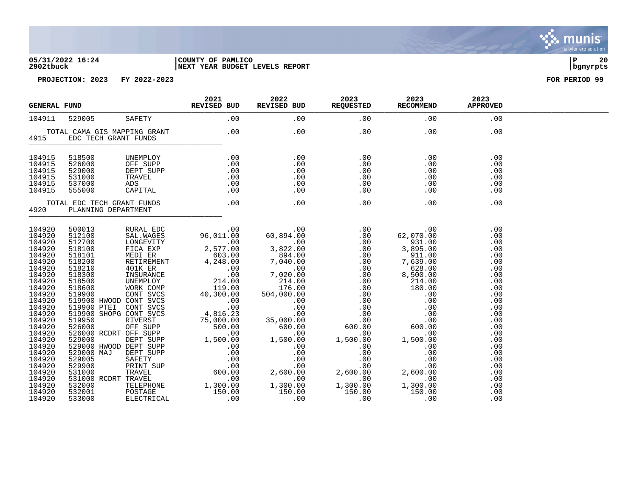#### **05/31/2022 16:24 |COUNTY OF PAMLICO |P 20 2902tbuck |NEXT YEAR BUDGET LEVELS REPORT |bgnyrpts**

| <b>GENERAL FUND</b>                                                                                                                                                                                                                                              |                                                          |                              | 2021 2022 2023 2023 2023<br>REVISED BUD REVISED BUD REQUESTED RECOMMEND APPROVED                                                                                                                                                                                                                                                                                                                                                    |  |     |                                                                                                                                                                                    |  |
|------------------------------------------------------------------------------------------------------------------------------------------------------------------------------------------------------------------------------------------------------------------|----------------------------------------------------------|------------------------------|-------------------------------------------------------------------------------------------------------------------------------------------------------------------------------------------------------------------------------------------------------------------------------------------------------------------------------------------------------------------------------------------------------------------------------------|--|-----|------------------------------------------------------------------------------------------------------------------------------------------------------------------------------------|--|
| 104911                                                                                                                                                                                                                                                           |                                                          |                              | 529005 SAFETY .00 .00 .00 .00                                                                                                                                                                                                                                                                                                                                                                                                       |  |     | .00                                                                                                                                                                                |  |
|                                                                                                                                                                                                                                                                  | 4915 EDC TECH GRANT FUNDS                                | TOTAL CAMA GIS MAPPING GRANT | $00$ . $00$ . $00$ . $00$                                                                                                                                                                                                                                                                                                                                                                                                           |  | .00 | .00                                                                                                                                                                                |  |
| 104915<br>104915<br>104915<br>104915<br>104915<br>104915                                                                                                                                                                                                         | 518500<br>526000<br>529000<br>531000<br>537000<br>555000 |                              |                                                                                                                                                                                                                                                                                                                                                                                                                                     |  |     |                                                                                                                                                                                    |  |
|                                                                                                                                                                                                                                                                  |                                                          |                              |                                                                                                                                                                                                                                                                                                                                                                                                                                     |  |     | .00                                                                                                                                                                                |  |
| 104920<br>104920<br>104920<br>104920<br>104920<br>104920<br>104920<br>104920<br>104920<br>104920<br>104920<br>104920<br>104920<br>104920<br>104920<br>104920<br>104920<br>104920<br>104920<br>104920<br>104920<br>104920<br>104920<br>104920<br>104920<br>104920 |                                                          |                              | $\begin{tabular}{cccccccc} \textbf{F} & \textbf{F} & \textbf{F} & \textbf{F} & \textbf{F} & \textbf{F} & \textbf{F} & \textbf{F} & \textbf{F} & \textbf{F} & \textbf{F} & \textbf{F} & \textbf{F} & \textbf{F} & \textbf{F} & \textbf{F} & \textbf{F} & \textbf{F} & \textbf{F} & \textbf{F} & \textbf{F} & \textbf{F} & \textbf{F} & \textbf{F} & \textbf{F} & \textbf{F} & \textbf{F} & \textbf{F} & \textbf{F} & \textbf{F} & \$ |  |     | .00<br>.00<br>.00<br>.00<br>.00<br>.00<br>.00<br>.00<br>.00<br>.00<br>.00<br>.00<br>.00<br>.00<br>.00<br>.00<br>.00<br>.00<br>.00<br>.00<br>.00<br>.00<br>.00<br>.00<br>.00<br>.00 |  |

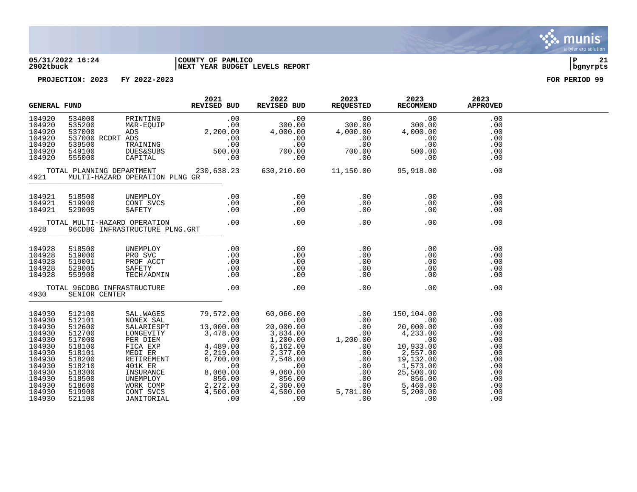

#### **05/31/2022 16:24 |COUNTY OF PAMLICO |P 21 2902tbuck |NEXT YEAR BUDGET LEVELS REPORT |bgnyrpts**

|                                                                                                                                          | 2021<br>REVISED BUD<br><b>GENERAL FUND</b>                                                                                               |  |                                     | 2022                                                                                                                                                                                                                                                                                                                                                      | 2023 2023<br>REVISED BUD REQUESTED RECOMMEND |                                                                                                                                                                                                                                                                                                                          | 2023<br><b>APPROVED</b>                       |  |
|------------------------------------------------------------------------------------------------------------------------------------------|------------------------------------------------------------------------------------------------------------------------------------------|--|-------------------------------------|-----------------------------------------------------------------------------------------------------------------------------------------------------------------------------------------------------------------------------------------------------------------------------------------------------------------------------------------------------------|----------------------------------------------|--------------------------------------------------------------------------------------------------------------------------------------------------------------------------------------------------------------------------------------------------------------------------------------------------------------------------|-----------------------------------------------|--|
| 104920<br>104920<br>104920<br>104920<br>104920<br>104920<br>104920                                                                       |                                                                                                                                          |  |                                     |                                                                                                                                                                                                                                                                                                                                                           |                                              |                                                                                                                                                                                                                                                                                                                          | .00<br>.00<br>.00<br>.00<br>.00<br>.00<br>.00 |  |
|                                                                                                                                          | 4921 MULTI-HAZARD OPERATION PLNG GR                                                                                                      |  |                                     |                                                                                                                                                                                                                                                                                                                                                           |                                              |                                                                                                                                                                                                                                                                                                                          | .00                                           |  |
|                                                                                                                                          |                                                                                                                                          |  |                                     | $\begin{array}{cccc} 104921 & 518500 & \text{UNEMPLOY} & .00 & .00 \\ 104921 & 519900 & \text{CONT SVCS} & .00 & .00 \\ 104921 & 529005 & \text{SAFETY} & .00 & .00 \\ 104921 & 529005 & \text{SAFETY} & .00 & .00 \\ \text{TOTAL MULT-I-HAZARD OPERATION} & .00 & .00 & .00 \\ 4928 & 96 \text{CDBG INFRASTRUCTURE PLNG.GRT} & .00 & .00 \\ \end{array}$ |                                              | .00<br>$\begin{array}{c} . & 0 & 0 \\ . & 0 & 0 \end{array}$                                                                                                                                                                                                                                                             | .00<br>$.00$<br>$.00$<br>.00<br>.00           |  |
|                                                                                                                                          |                                                                                                                                          |  |                                     |                                                                                                                                                                                                                                                                                                                                                           |                                              | .00                                                                                                                                                                                                                                                                                                                      | .00                                           |  |
| 104928<br>104928<br>104928<br>104928<br>104928                                                                                           | 518500<br>519000<br>519001<br>529005<br>559900                                                                                           |  |                                     |                                                                                                                                                                                                                                                                                                                                                           |                                              | $\begin{array}{c} .00\ .00\ .00\ .00\ .00\ .00 \end{array}$                                                                                                                                                                                                                                                              |                                               |  |
| 4930                                                                                                                                     | SENIOR CENTER                                                                                                                            |  | TOTAL 96CDBG INFRASTRUCTURE .00 .00 |                                                                                                                                                                                                                                                                                                                                                           | .00                                          |                                                                                                                                                                                                                                                                                                                          | .00<br>.00                                    |  |
| 104930<br>104930<br>104930<br>104930<br>104930<br>104930<br>104930<br>104930<br>104930<br>104930<br>104930<br>104930<br>104930<br>104930 | 512100<br>512101<br>512600<br>512700<br>517000<br>518100<br>518101<br>518200<br>518210<br>518300<br>518500<br>518600<br>519900<br>521100 |  |                                     |                                                                                                                                                                                                                                                                                                                                                           |                                              | $\begin{tabular}{lcccc} \texttt{SAL}.\texttt{WAGES} & 79,572.00 & 60,066.00 & .00 & 150,104.00 & .00 \\ \texttt{NONEX SAL} & 79,572.00 & 60,066.00 & .00 & .00 & 150,104.00 & .00 \\ \texttt{SALARIESPT} & 13,000.00 & 20,000.00 & .00 & 20,000.00 & .00 \\ \texttt{LONEGVITY} & 3,478.00 & 3,834.00 & .00 & 4,233.00 &$ |                                               |  |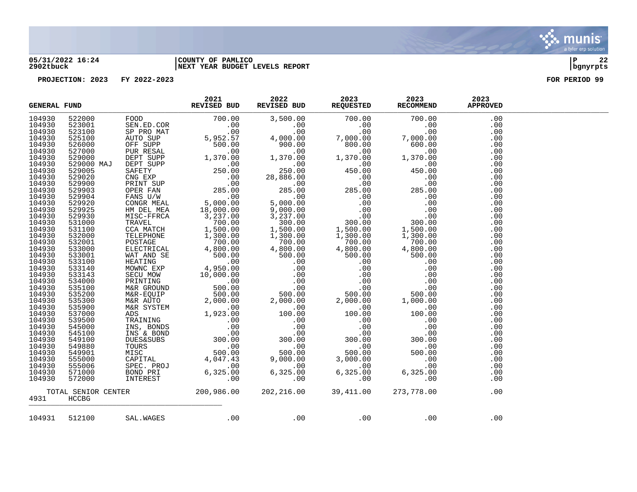

### **05/31/2022 16:24 |COUNTY OF PAMLICO |P 22 2902tbuck |NEXT YEAR BUDGET LEVELS REPORT |bgnyrpts**

|        | REVISED BUD<br><b>GENERAL FUND</b><br>$\begin{tabular}{l c c c c} \textbf{FMO} & \textbf{RAV126B} & \textbf{RAV126B} & \textbf{RAV26B} & \textbf{RAV26B} & \textbf{RGO} & \textbf{RGO} & \textbf{RAO} & \textbf{RAO} & \textbf{RAO} & \textbf{RAO} & \textbf{RAO} & \textbf{RAO} & \textbf{RAO} & \textbf{RAO} & \textbf{RAO} & \textbf{RAO} & \textbf{RAO} & \textbf{RAO} & \textbf{RAO} & \textbf{RAO} & \textbf{RAO} & \textbf{RAO} & \textbf{RAO$ |                   | 2021 | 2022 2023 2023<br>REVISED BUD REQUESTED RECOMMEND |                                                                | 2023<br><b>APPROVED</b> |  |
|--------|-------------------------------------------------------------------------------------------------------------------------------------------------------------------------------------------------------------------------------------------------------------------------------------------------------------------------------------------------------------------------------------------------------------------------------------------------------|-------------------|------|---------------------------------------------------|----------------------------------------------------------------|-------------------------|--|
| 104930 |                                                                                                                                                                                                                                                                                                                                                                                                                                                       |                   |      |                                                   |                                                                | .00                     |  |
| 104930 |                                                                                                                                                                                                                                                                                                                                                                                                                                                       |                   |      |                                                   |                                                                | .00                     |  |
| 104930 |                                                                                                                                                                                                                                                                                                                                                                                                                                                       |                   |      |                                                   |                                                                | .00                     |  |
| 104930 |                                                                                                                                                                                                                                                                                                                                                                                                                                                       |                   |      |                                                   |                                                                | .00                     |  |
| 104930 |                                                                                                                                                                                                                                                                                                                                                                                                                                                       |                   |      |                                                   |                                                                | .00                     |  |
| 104930 |                                                                                                                                                                                                                                                                                                                                                                                                                                                       |                   |      |                                                   |                                                                | .00                     |  |
| 104930 |                                                                                                                                                                                                                                                                                                                                                                                                                                                       |                   |      |                                                   |                                                                | .00                     |  |
| 104930 |                                                                                                                                                                                                                                                                                                                                                                                                                                                       |                   |      |                                                   |                                                                | .00                     |  |
| 104930 |                                                                                                                                                                                                                                                                                                                                                                                                                                                       |                   |      |                                                   |                                                                | .00                     |  |
| 104930 |                                                                                                                                                                                                                                                                                                                                                                                                                                                       |                   |      |                                                   |                                                                | .00                     |  |
| 104930 |                                                                                                                                                                                                                                                                                                                                                                                                                                                       |                   |      |                                                   |                                                                | .00                     |  |
| 104930 |                                                                                                                                                                                                                                                                                                                                                                                                                                                       |                   |      |                                                   |                                                                | .00                     |  |
| 104930 |                                                                                                                                                                                                                                                                                                                                                                                                                                                       |                   |      |                                                   |                                                                | .00                     |  |
| 104930 |                                                                                                                                                                                                                                                                                                                                                                                                                                                       |                   |      |                                                   |                                                                | .00                     |  |
| 104930 |                                                                                                                                                                                                                                                                                                                                                                                                                                                       |                   |      |                                                   |                                                                | .00                     |  |
| 104930 |                                                                                                                                                                                                                                                                                                                                                                                                                                                       |                   |      |                                                   |                                                                | .00                     |  |
| 104930 |                                                                                                                                                                                                                                                                                                                                                                                                                                                       |                   |      |                                                   |                                                                | .00                     |  |
| 104930 |                                                                                                                                                                                                                                                                                                                                                                                                                                                       |                   |      |                                                   |                                                                | .00                     |  |
| 104930 |                                                                                                                                                                                                                                                                                                                                                                                                                                                       |                   |      |                                                   |                                                                | .00                     |  |
| 104930 |                                                                                                                                                                                                                                                                                                                                                                                                                                                       |                   |      |                                                   |                                                                | .00                     |  |
| 104930 |                                                                                                                                                                                                                                                                                                                                                                                                                                                       |                   |      |                                                   |                                                                | .00                     |  |
| 104930 |                                                                                                                                                                                                                                                                                                                                                                                                                                                       |                   |      |                                                   |                                                                | .00                     |  |
| 104930 |                                                                                                                                                                                                                                                                                                                                                                                                                                                       |                   |      |                                                   |                                                                | .00                     |  |
| 104930 |                                                                                                                                                                                                                                                                                                                                                                                                                                                       |                   |      |                                                   |                                                                | .00                     |  |
| 104930 |                                                                                                                                                                                                                                                                                                                                                                                                                                                       |                   |      |                                                   |                                                                | .00                     |  |
| 104930 |                                                                                                                                                                                                                                                                                                                                                                                                                                                       |                   |      |                                                   |                                                                | .00                     |  |
| 104930 |                                                                                                                                                                                                                                                                                                                                                                                                                                                       |                   |      |                                                   |                                                                | .00                     |  |
| 104930 |                                                                                                                                                                                                                                                                                                                                                                                                                                                       |                   |      |                                                   |                                                                | .00                     |  |
| 104930 |                                                                                                                                                                                                                                                                                                                                                                                                                                                       |                   |      |                                                   |                                                                | .00                     |  |
| 104930 |                                                                                                                                                                                                                                                                                                                                                                                                                                                       |                   |      |                                                   |                                                                | .00                     |  |
| 104930 |                                                                                                                                                                                                                                                                                                                                                                                                                                                       |                   |      |                                                   |                                                                | .00                     |  |
| 104930 |                                                                                                                                                                                                                                                                                                                                                                                                                                                       |                   |      |                                                   |                                                                | .00                     |  |
| 104930 |                                                                                                                                                                                                                                                                                                                                                                                                                                                       |                   |      |                                                   |                                                                | .00                     |  |
| 104930 |                                                                                                                                                                                                                                                                                                                                                                                                                                                       |                   |      |                                                   |                                                                | .00                     |  |
| 104930 |                                                                                                                                                                                                                                                                                                                                                                                                                                                       |                   |      |                                                   |                                                                | .00                     |  |
| 104930 |                                                                                                                                                                                                                                                                                                                                                                                                                                                       |                   |      |                                                   |                                                                | .00                     |  |
| 104930 |                                                                                                                                                                                                                                                                                                                                                                                                                                                       |                   |      |                                                   |                                                                | .00                     |  |
| 104930 |                                                                                                                                                                                                                                                                                                                                                                                                                                                       |                   |      |                                                   |                                                                | .00                     |  |
| 104930 |                                                                                                                                                                                                                                                                                                                                                                                                                                                       |                   |      |                                                   |                                                                | .00                     |  |
| 104930 |                                                                                                                                                                                                                                                                                                                                                                                                                                                       |                   |      |                                                   |                                                                | .00                     |  |
| 104930 |                                                                                                                                                                                                                                                                                                                                                                                                                                                       |                   |      |                                                   |                                                                | .00                     |  |
|        |                                                                                                                                                                                                                                                                                                                                                                                                                                                       |                   |      |                                                   | TOTAL SENIOR CENTER 200,986.00 202,216.00 39,411.00 273,778.00 | .00                     |  |
| 4931   | HCCBG                                                                                                                                                                                                                                                                                                                                                                                                                                                 |                   |      |                                                   |                                                                |                         |  |
| 104931 |                                                                                                                                                                                                                                                                                                                                                                                                                                                       | 512100 SAL. WAGES |      | $00$ . $00$ . $00$                                | $\overline{00}$                                                | .00                     |  |
|        |                                                                                                                                                                                                                                                                                                                                                                                                                                                       |                   |      |                                                   |                                                                |                         |  |

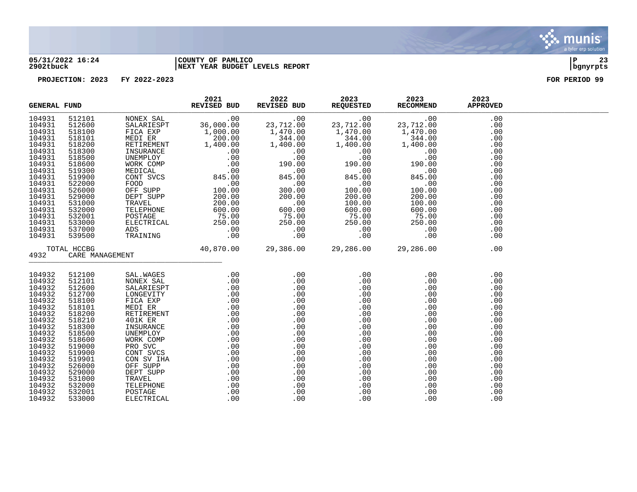

#### **05/31/2022 16:24 |COUNTY OF PAMLICO |P 23 2902tbuck |NEXT YEAR BUDGET LEVELS REPORT |bgnyrpts**

|        | <b>GENERAL FUND</b><br>NONEX SAL 200.00<br>NEXTRIESPT 36,000.00 23,712.00 23,712.00 23,712.00<br>NEXTRIESPT 1,000.00 1,400.00 1,400.00 1,400.00<br>NEXTRIENS 1,400.00 1,400.00 1,400.00 1,400.00 0<br>NEXTRIENS 30.000 1,400.00 1,400.00 1,400.00 0<br>NEXTRIEN |                                 | 2021<br>REVISED BUD | 2022<br>REVISED BUD | 2023<br>REQUESTED | 2023<br>RECOMMEND | 2023<br><b>APPROVED</b> |  |
|--------|-----------------------------------------------------------------------------------------------------------------------------------------------------------------------------------------------------------------------------------------------------------------|---------------------------------|---------------------|---------------------|-------------------|-------------------|-------------------------|--|
| 104931 | 512101                                                                                                                                                                                                                                                          |                                 |                     |                     |                   |                   | .00                     |  |
| 104931 | 512600                                                                                                                                                                                                                                                          |                                 |                     |                     |                   |                   | .00                     |  |
| 104931 | 518100                                                                                                                                                                                                                                                          |                                 |                     |                     |                   |                   | .00                     |  |
| 104931 | 518101                                                                                                                                                                                                                                                          |                                 |                     |                     |                   |                   | .00                     |  |
| 104931 | 518200                                                                                                                                                                                                                                                          |                                 |                     |                     |                   |                   | .00                     |  |
| 104931 | 518300                                                                                                                                                                                                                                                          |                                 |                     |                     |                   |                   | .00                     |  |
| 104931 | 518500                                                                                                                                                                                                                                                          |                                 |                     |                     |                   |                   | .00                     |  |
| 104931 | 518600                                                                                                                                                                                                                                                          |                                 |                     |                     |                   |                   | .00                     |  |
| 104931 | 519300                                                                                                                                                                                                                                                          |                                 |                     |                     |                   |                   | .00                     |  |
| 104931 | 519900                                                                                                                                                                                                                                                          |                                 |                     |                     |                   |                   | .00                     |  |
| 104931 | 522000                                                                                                                                                                                                                                                          |                                 |                     |                     |                   |                   | .00                     |  |
| 104931 | 526000                                                                                                                                                                                                                                                          |                                 |                     |                     |                   |                   | .00                     |  |
| 104931 | 529000                                                                                                                                                                                                                                                          |                                 |                     |                     |                   |                   | .00                     |  |
| 104931 | 531000                                                                                                                                                                                                                                                          |                                 |                     |                     |                   |                   | .00                     |  |
| 104931 | 532000                                                                                                                                                                                                                                                          |                                 |                     |                     |                   |                   | .00                     |  |
| 104931 | 532001                                                                                                                                                                                                                                                          |                                 |                     |                     |                   |                   | .00                     |  |
| 104931 | 533000                                                                                                                                                                                                                                                          |                                 |                     |                     |                   |                   | .00                     |  |
| 104931 | 537000                                                                                                                                                                                                                                                          |                                 |                     |                     |                   |                   | .00                     |  |
| 104931 | 539500                                                                                                                                                                                                                                                          |                                 |                     |                     |                   |                   | .00                     |  |
|        | TOTAL HCCBG                                                                                                                                                                                                                                                     | $40,870.00$ 29,386.00 29,286.00 |                     |                     |                   | 29,286.00         | .00                     |  |
| 4932   | CARE MANAGEMENT                                                                                                                                                                                                                                                 |                                 |                     |                     |                   |                   |                         |  |
| 104932 | 512100                                                                                                                                                                                                                                                          |                                 |                     |                     |                   |                   | .00                     |  |
| 104932 | 512101                                                                                                                                                                                                                                                          |                                 |                     |                     |                   |                   | .00                     |  |
| 104932 | 512600                                                                                                                                                                                                                                                          |                                 |                     |                     |                   |                   | .00                     |  |
| 104932 | 512700                                                                                                                                                                                                                                                          |                                 |                     |                     |                   |                   | .00                     |  |
| 104932 | 518100                                                                                                                                                                                                                                                          |                                 |                     |                     |                   |                   | .00                     |  |
| 104932 | 518101                                                                                                                                                                                                                                                          |                                 |                     |                     |                   |                   | .00                     |  |
| 104932 | 518200                                                                                                                                                                                                                                                          |                                 |                     |                     |                   |                   | .00                     |  |
| 104932 | 518210                                                                                                                                                                                                                                                          |                                 |                     |                     |                   |                   | .00                     |  |
| 104932 | 518300                                                                                                                                                                                                                                                          |                                 |                     |                     |                   |                   | .00                     |  |
| 104932 | 518500                                                                                                                                                                                                                                                          |                                 |                     |                     |                   |                   | .00                     |  |
| 104932 | 518600                                                                                                                                                                                                                                                          |                                 |                     |                     |                   |                   | .00                     |  |
| 104932 | 519000                                                                                                                                                                                                                                                          |                                 |                     |                     |                   |                   | .00                     |  |
| 104932 | 519900                                                                                                                                                                                                                                                          |                                 |                     |                     |                   |                   | .00                     |  |
| 104932 | 519901                                                                                                                                                                                                                                                          |                                 |                     |                     |                   |                   | .00                     |  |
| 104932 | 526000                                                                                                                                                                                                                                                          |                                 |                     |                     |                   |                   | .00                     |  |
| 104932 | 529000                                                                                                                                                                                                                                                          |                                 |                     |                     |                   |                   | .00                     |  |
| 104932 | 531000                                                                                                                                                                                                                                                          |                                 |                     |                     |                   |                   | .00                     |  |
| 104932 | 532000                                                                                                                                                                                                                                                          |                                 |                     |                     |                   |                   | .00                     |  |
| 104932 | 532001                                                                                                                                                                                                                                                          |                                 |                     |                     |                   | .00               | .00                     |  |
| 104932 | 533000                                                                                                                                                                                                                                                          |                                 |                     |                     |                   | .00               | .00                     |  |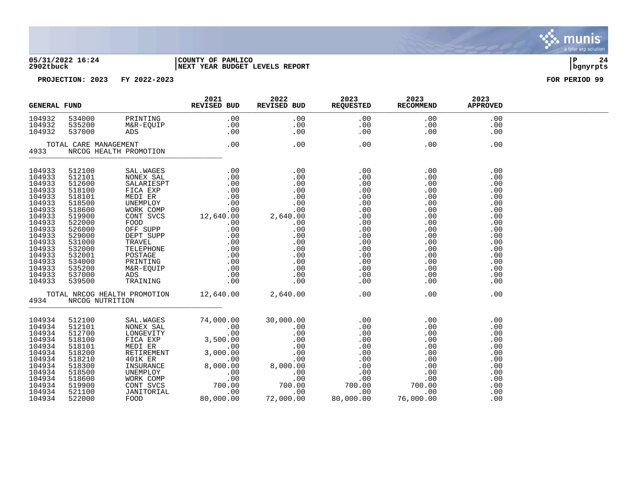

#### **05/31/2022 16:24 |COUNTY OF PAMLICO |P 24 2902tbuck |NEXT YEAR BUDGET LEVELS REPORT |bgnyrpts**



| <b>GENERAL FUND</b>                                                                                                            |                                                                                                                                |                        | 2021<br>REVISED BUD | 2022 | 2023<br>REVISED BUD REQUESTED RECOMMEND | 2023                                                      | 2023<br><b>APPROVED</b>                                                                                                    |  |
|--------------------------------------------------------------------------------------------------------------------------------|--------------------------------------------------------------------------------------------------------------------------------|------------------------|---------------------|------|-----------------------------------------|-----------------------------------------------------------|----------------------------------------------------------------------------------------------------------------------------|--|
| 104932<br>104932<br>104932                                                                                                     |                                                                                                                                |                        |                     |      |                                         | $\begin{array}{c} . & 00 \\ . & 00 \\ . & 00 \end{array}$ | .00<br>.00<br>.00                                                                                                          |  |
| 4933                                                                                                                           | TOTAL CARE MANAGEMENT                                                                                                          | NRCOG HEALTH PROMOTION | $\frac{1}{T}$ 00.   |      | .00                                     | .00                                                       | .00                                                                                                                        |  |
|                                                                                                                                |                                                                                                                                |                        |                     |      |                                         |                                                           | .00<br>.00<br>.00<br>.00<br>.00<br>.00<br>.00<br>.00<br>.00<br>.00<br>.00<br>.00<br>.00<br>.00<br>.00<br>.00<br>.00<br>.00 |  |
| 4934                                                                                                                           | NRCOG NUTRITION                                                                                                                |                        |                     |      |                                         |                                                           | .00                                                                                                                        |  |
| 104934<br>104934<br>104934<br>104934<br>104934<br>104934<br>104934<br>104934<br>104934<br>104934<br>104934<br>104934<br>104934 | 512100<br>512101<br>512700<br>518100<br>518101<br>518200<br>518210<br>518300<br>518500<br>518600<br>519900<br>521100<br>522000 |                        |                     |      |                                         |                                                           | .00<br>.00<br>.00<br>.00<br>.00<br>.00<br>.00<br>.00<br>.00<br>.00<br>.00<br>.00<br>.00                                    |  |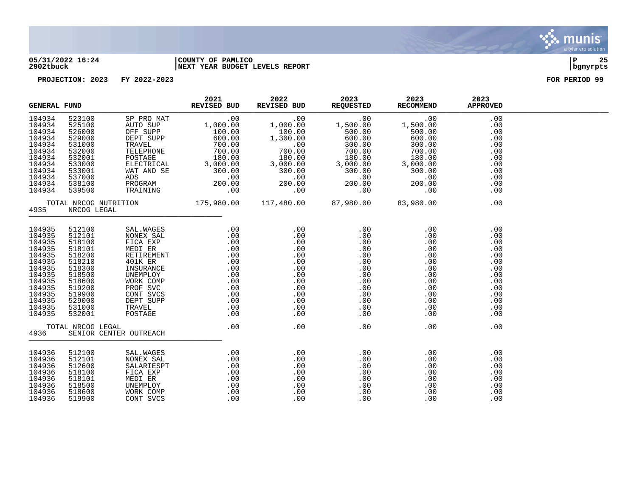

#### **05/31/2022 16:24 |COUNTY OF PAMLICO |P 25 2902tbuck |NEXT YEAR BUDGET LEVELS REPORT |bgnyrpts**

| <b>GENERAL FUND</b>                                                                                                                      |                                                                                                                                                               |                                                                                                                                                                                                                                                | 2021<br><b>REVISED BUD</b>                                                                                                                                                                                                                                                                    | 2022 | 2023<br>REVISED BUD REQUESTED RECOMMEND | 2023                                                                              | 2023<br><b>APPROVED</b>                                                                               |  |
|------------------------------------------------------------------------------------------------------------------------------------------|---------------------------------------------------------------------------------------------------------------------------------------------------------------|------------------------------------------------------------------------------------------------------------------------------------------------------------------------------------------------------------------------------------------------|-----------------------------------------------------------------------------------------------------------------------------------------------------------------------------------------------------------------------------------------------------------------------------------------------|------|-----------------------------------------|-----------------------------------------------------------------------------------|-------------------------------------------------------------------------------------------------------|--|
| 104934<br>104934<br>104934<br>104934<br>104934<br>104934<br>104934<br>104934<br>104934<br>104934<br>104934<br>104934                     | 523100<br>525100<br>526000<br>529000<br>531000<br>532000<br>532001<br>533000<br>533001<br>537000<br>538100<br>539500                                          |                                                                                                                                                                                                                                                |                                                                                                                                                                                                                                                                                               |      |                                         |                                                                                   | .00<br>.00<br>.00<br>.00<br>.00<br>.00<br>.00<br>.00<br>.00<br>.00<br>.00<br>.00                      |  |
| 4935                                                                                                                                     | NRCOG LEGAL                                                                                                                                                   | TOTAL NRCOG NUTRITION 175,980.00 117,480.00 87,980.00 83,980.00                                                                                                                                                                                |                                                                                                                                                                                                                                                                                               |      |                                         |                                                                                   | .00                                                                                                   |  |
| 104935<br>104935<br>104935<br>104935<br>104935<br>104935<br>104935<br>104935<br>104935<br>104935<br>104935<br>104935<br>104935<br>104935 | 512100<br>512101<br>518100<br>518101<br>518200<br>518210<br>518300<br>518500<br>518600<br>519200<br>519900<br>529000<br>531000<br>532001<br>TOTAL NRCOG LEGAL | 3AL.WAGES .00 .00 .00 .00<br>NONEX SAL .00 .00 .00 .00<br>FICA EXP .00 .00 .00 .00<br>MEDI ER .00 .00 .00 .00<br>RETIREMENT .00 .00 .00 .00<br>401K ER .00 .00 .00 .00<br>INSURANCE .00 .00 .00 .00<br>UNEMPLOY .00 .00 .00 .00<br>UNEMPLOY .0 | .00                                                                                                                                                                                                                                                                                           | .00  | .00                                     | .00                                                                               | .00<br>.00<br>.00<br>.00<br>.00<br>.00<br>.00<br>.00<br>.00<br>.00<br>.00<br>.00<br>.00<br>.00<br>.00 |  |
| 4936                                                                                                                                     |                                                                                                                                                               | SENIOR CENTER OUTREACH                                                                                                                                                                                                                         |                                                                                                                                                                                                                                                                                               |      |                                         |                                                                                   |                                                                                                       |  |
| 104936<br>104936<br>104936<br>104936<br>104936<br>104936<br>104936<br>104936                                                             | 512100<br>512101<br>512600<br>518100<br>518101<br>518500<br>518600<br>519900                                                                                  | SAL.WAGES<br>NONEX SAL<br>SALARIESPT<br>FICA EXP<br>MEDI ER<br>UNEMPLOY<br>WORK COMP<br>CONT SVCS                                                                                                                                              | $\begin{array}{ccccc} \text{S} & & & .00 & & .00 \\ \text{I} & & & .00 & & .00 \\ \text{P} \text{T} & & & .00 & & .00 \\ \text{P} \text{T} & & & .00 & & .00 \\ & & .00 & & & .00 \\ & & & .00 & & & .00 \\ \text{I} \text{P} & & & .00 & & .00 \\ \text{S} & & & .00 & & .00 \\ \end{array}$ |      |                                         | .00<br>$\begin{array}{r} .00\ 00\ 00\ 00\ 00\ 00\ 00\ 00\ 00\ \end{array}$<br>.00 | .00<br>.00<br>.00<br>.00<br>.00<br>.00<br>.00<br>.00                                                  |  |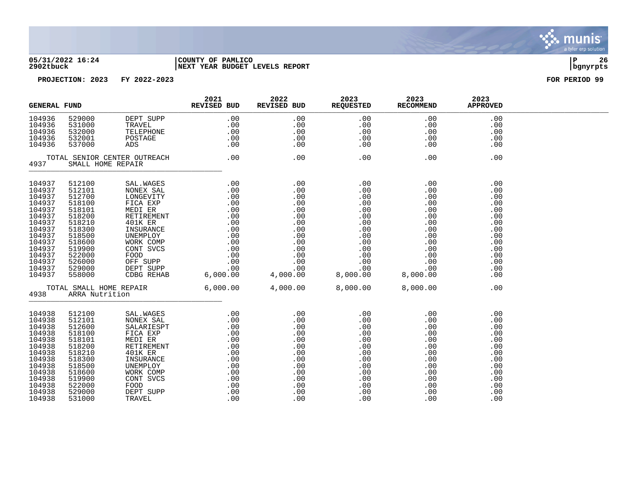

#### **05/31/2022 16:24 |COUNTY OF PAMLICO |P 26 2902tbuck |NEXT YEAR BUDGET LEVELS REPORT |bgnyrpts**

| <b>GENERAL FUND</b>                                                                                                                                |                                                                                                                                                    |                                                                                                                                                                                                                                                                    | 2021<br>REVISED BUD                                                                                                        | 2022<br>REVISED BUD                                                                                                                                                                                                                                    | 2023<br><b>REQUESTED</b>                                                                           | 2023<br><b>RECOMMEND</b>                                                                                                                            | 2023<br><b>APPROVED</b>                                                                               |  |
|----------------------------------------------------------------------------------------------------------------------------------------------------|----------------------------------------------------------------------------------------------------------------------------------------------------|--------------------------------------------------------------------------------------------------------------------------------------------------------------------------------------------------------------------------------------------------------------------|----------------------------------------------------------------------------------------------------------------------------|--------------------------------------------------------------------------------------------------------------------------------------------------------------------------------------------------------------------------------------------------------|----------------------------------------------------------------------------------------------------|-----------------------------------------------------------------------------------------------------------------------------------------------------|-------------------------------------------------------------------------------------------------------|--|
| 104936<br>104936<br>104936<br>104936<br>104936                                                                                                     | 529000<br>531000<br>532000<br>532001<br>537000                                                                                                     |                                                                                                                                                                                                                                                                    | $\begin{tabular}{lcl} DEPT & SUPP & .00 \\ TRAVEL & .00 \\ TELEPHONE & .00 \\ POSTAGE & .00 \\ ADS & .00 \\ \end{tabular}$ | $\begin{array}{c} 0.00\ 0.00\ 0.00\ 0.00\ 0.00\ \end{array}$                                                                                                                                                                                           | .00<br>.00<br>.00<br>.00<br>.00                                                                    | .00<br>.00<br>$\begin{array}{c} .00\ 0.00\ 0.00\ 0.00 \end{array}$                                                                                  | .00<br>.00<br>.00<br>.00<br>.00                                                                       |  |
| TOTAL SENIOR CENTER OUTREACH .00<br>4937 SMALL HOME REPAIR                                                                                         |                                                                                                                                                    |                                                                                                                                                                                                                                                                    | .00                                                                                                                        | .00                                                                                                                                                                                                                                                    | .00                                                                                                | .00                                                                                                                                                 |                                                                                                       |  |
| 104937<br>104937<br>104937<br>104937<br>104937<br>104937<br>104937<br>104937<br>104937<br>104937<br>104937<br>104937<br>104937<br>104937<br>104937 | 512100<br>512101<br>512700<br>518100<br>518101<br>518200<br>518210<br>518300<br>518500<br>518600<br>519900<br>522000<br>526000<br>529000<br>558000 | 3AL.WAGES<br>NONEX SAL. .00<br>NONEX SAL. .00<br>LONGEVITY<br>LONGEVITY<br>MEDI ER<br>MEDI ERR<br>MEDI ERR<br>MEDI ERR<br>MEDI ERRENT<br>MEDI ERRENT<br>MEDIT ERRENT<br>MEDIT ERRENT<br>MEDIT ERRENT<br>MEDIT ERRENT<br>MEDIT CONFIDENCE<br>TRISURATE:<br>00<br>MO |                                                                                                                            |                                                                                                                                                                                                                                                        |                                                                                                    |                                                                                                                                                     | .00<br>.00<br>.00<br>.00<br>.00<br>.00<br>.00<br>.00<br>.00<br>.00<br>.00<br>.00<br>.00<br>.00<br>.00 |  |
|                                                                                                                                                    | 4938 ARRA Nutrition                                                                                                                                | TOTAL SMALL HOME REPAIR 6,000.00 4,000.00 8,000.00 8,000.00 8,000.00                                                                                                                                                                                               |                                                                                                                            |                                                                                                                                                                                                                                                        |                                                                                                    |                                                                                                                                                     | .00                                                                                                   |  |
| 104938<br>104938<br>104938<br>104938<br>104938<br>104938<br>104938<br>104938<br>104938<br>104938<br>104938<br>104938<br>104938<br>104938           | 512100<br>512101<br>512600<br>518100<br>518101<br>518200<br>518210<br>518300<br>518500<br>518600<br>519900<br>522000<br>529000<br>531000           |                                                                                                                                                                                                                                                                    |                                                                                                                            | 3AL.WAGES .00 .00<br>NONEX SAL .00 .00 .00<br>FICA EXP .00 .00 .00<br>FICA EXP .00 .00<br>MEDI ER .00 .00<br>AUIK ER .00 .00<br>401K ER .00 .00<br>INSURANCE .00 .00<br>UNEMPLOY .00 .00<br>UNEMPLOY .00 .00<br>CONT SVCS .00 .00<br>COD .00 .00<br>PO | $.00$<br>$.00$<br>.00<br>.00<br>.00<br>.00<br>.00<br>.00<br>.00<br>.00<br>.00<br>.00<br>.00<br>.00 | .00<br>$\begin{array}{c} 0.00\ 0.00\ 0.00\ 0.00\ 0.00\ 0.00\ 0.00\ 0.00\ 0.00\ 0.00\ 0.00\ 0.00\ 0.00\ 0.00\ 0.00\ 0.00\ \end{array}$<br>.00<br>.00 | .00<br>.00<br>.00<br>.00<br>.00<br>.00<br>.00<br>.00<br>.00<br>.00<br>.00<br>.00<br>.00<br>.00        |  |

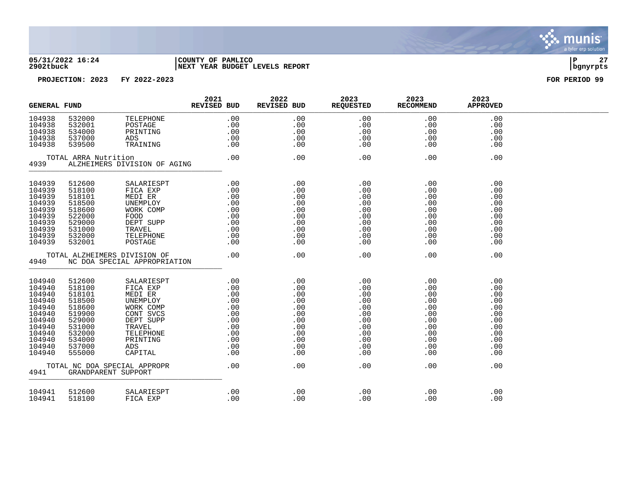

#### **05/31/2022 16:24 |COUNTY OF PAMLICO |P 27 2902tbuck |NEXT YEAR BUDGET LEVELS REPORT |bgnyrpts**

| <b>GENERAL FUND</b>                                                                                                  |                                                                                                                      |                                                                                                                                                                           | 2021<br>REVISED BUD                                                                                                | 2022<br>REVISED BUD                                                                                      | 2023<br><b>REQUESTED</b>                                                                | 2023<br><b>RECOMMEND</b>                                                                | 2023<br><b>APPROVED</b>                                                                 |  |
|----------------------------------------------------------------------------------------------------------------------|----------------------------------------------------------------------------------------------------------------------|---------------------------------------------------------------------------------------------------------------------------------------------------------------------------|--------------------------------------------------------------------------------------------------------------------|----------------------------------------------------------------------------------------------------------|-----------------------------------------------------------------------------------------|-----------------------------------------------------------------------------------------|-----------------------------------------------------------------------------------------|--|
| 104938<br>104938<br>104938<br>104938<br>104938                                                                       | 532000<br>532001<br>534000<br>537000<br>539500                                                                       | TELEPHONE<br>POSTAGE<br>PRINTING<br>ADS<br>TRAINING                                                                                                                       | .00<br>.00<br>$0.00$<br>.00.00                                                                                     | .00<br>.00<br>.00<br>.00<br>.00                                                                          | .00<br>.00<br>.00<br>.00<br>.00                                                         | .00<br>.00<br>.00<br>.00<br>.00                                                         | .00<br>.00<br>.00<br>.00<br>.00                                                         |  |
| 4939                                                                                                                 | TOTAL ARRA Nutrition                                                                                                 | ALZHEIMERS DIVISION OF AGING                                                                                                                                              | .00                                                                                                                | .00                                                                                                      | .00                                                                                     | .00                                                                                     | .00                                                                                     |  |
| 104939<br>104939<br>104939<br>104939<br>104939<br>104939<br>104939<br>104939<br>104939<br>104939                     | 512600<br>518100<br>518101<br>518500<br>518600<br>522000<br>529000<br>531000<br>532000<br>532001                     | SALARIESPT<br>FICA EXP<br>MEDI ER<br>UNEMPLOY<br>WORK COMP<br>FOOD<br>DEPT SUPP<br>TRAVEL<br>TELEPHONE<br>POSTAGE                                                         | $\begin{array}{cccc}\n & . & 0 & 0 \\  & . & 0 & 0 \\  & . & 0 & 0 \\  & . & . & . & 0\n\end{array}$<br>.00<br>.00 | .00<br>.00<br>.00<br>.00<br>.00<br>.00<br>.00<br>.00<br>.00<br>.00                                       | .00<br>.00<br>.00<br>.00<br>.00<br>.00<br>.00<br>.00<br>.00<br>.00                      | .00<br>.00<br>.00<br>.00<br>.00<br>.00<br>.00<br>.00<br>.00<br>.00                      | .00<br>.00<br>.00<br>.00<br>.00<br>.00<br>.00<br>.00<br>.00<br>.00                      |  |
| 4940                                                                                                                 |                                                                                                                      | TOTAL ALZHEIMERS DIVISION OF<br>NC DOA SPECIAL APPROPRIATION                                                                                                              | .00                                                                                                                | .00                                                                                                      | .00                                                                                     | .00                                                                                     | .00                                                                                     |  |
| 104940<br>104940<br>104940<br>104940<br>104940<br>104940<br>104940<br>104940<br>104940<br>104940<br>104940<br>104940 | 512600<br>518100<br>518101<br>518500<br>518600<br>519900<br>529000<br>531000<br>532000<br>534000<br>537000<br>555000 | SALARIESPT<br>FICA EXP<br>MEDI ER<br>UNEMPLOY<br>WORK COMP<br>CONT SVCS<br>DEPT SUPP<br>TRAVEL<br>TELEPHONE<br>PRINTING<br>ADS<br>CAPITAL<br>TOTAL NC DOA SPECIAL APPROPR | .00<br>.00<br>.00<br>.00<br>.00<br>.00<br>.00<br>.00<br>.00<br>.00<br>.00                                          | .00<br>.00<br>.00<br>$0.00$<br>.00<br>.00<br>.00<br>.00<br>.00<br>.00<br>.00<br>.00<br>.00<br>.00<br>.00 | .00<br>.00<br>.00<br>.00<br>.00<br>.00<br>.00<br>.00<br>.00<br>.00<br>.00<br>.00<br>.00 | .00<br>.00<br>.00<br>.00<br>.00<br>.00<br>.00<br>.00<br>.00<br>.00<br>.00<br>.00<br>.00 | .00<br>.00<br>.00<br>.00<br>.00<br>.00<br>.00<br>.00<br>.00<br>.00<br>.00<br>.00<br>.00 |  |
| 4941                                                                                                                 |                                                                                                                      | GRANDPARENT SUPPORT                                                                                                                                                       |                                                                                                                    |                                                                                                          |                                                                                         |                                                                                         |                                                                                         |  |
| 104941<br>104941                                                                                                     | 512600<br>518100                                                                                                     | SALARIESPT<br>FICA EXP                                                                                                                                                    | .00<br>.00                                                                                                         | .00<br>.00                                                                                               | .00<br>.00                                                                              | .00<br>.00                                                                              | .00<br>.00                                                                              |  |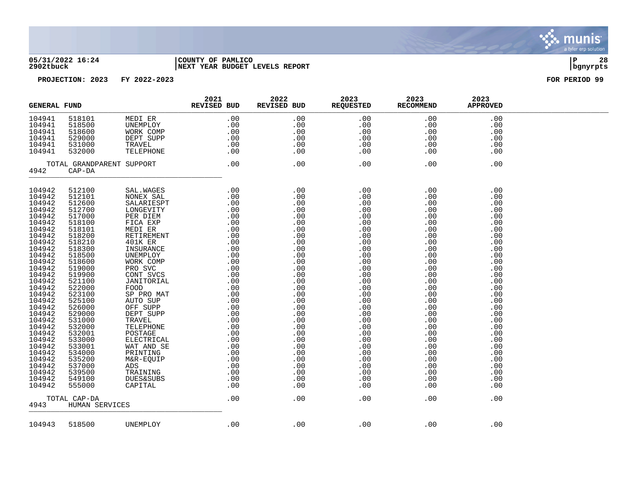

#### **05/31/2022 16:24 |COUNTY OF PAMLICO |P 28 2902tbuck |NEXT YEAR BUDGET LEVELS REPORT |bgnyrpts**

| <b>GENERAL FUND</b> |                  |                           | 2021<br>REVISED BUD                                                                                                                                                                                                                                                           | 2022<br>REVISED BUD | 2023<br><b>REQUESTED</b>       | 2023<br>RECOMMEND | 2023<br><b>APPROVED</b> |  |
|---------------------|------------------|---------------------------|-------------------------------------------------------------------------------------------------------------------------------------------------------------------------------------------------------------------------------------------------------------------------------|---------------------|--------------------------------|-------------------|-------------------------|--|
| 104941              | 518101           | MEDI ER                   | .00                                                                                                                                                                                                                                                                           | .00                 | .00                            | .00               | .00                     |  |
| 104941              | 518500           | UNEMPLOY                  | .00                                                                                                                                                                                                                                                                           | .00                 | .00                            | .00               | .00                     |  |
| 104941              | 518600           | WORK COMP                 | .00                                                                                                                                                                                                                                                                           | .00                 | $\boldsymbol{\mathcal{L}}$ 0.0 | .00               | .00                     |  |
| 104941              | 529000           | DEPT SUPP                 | .00                                                                                                                                                                                                                                                                           | .00                 | .00                            | .00               | .00                     |  |
| 104941              | 531000           | TRAVEL                    | .00                                                                                                                                                                                                                                                                           | .00                 | .00                            | .00               | .00                     |  |
| 104941              | 532000           | TELEPHONE                 | .00                                                                                                                                                                                                                                                                           | .00                 | .00                            | .00               | .00                     |  |
|                     |                  | TOTAL GRANDPARENT SUPPORT | .00                                                                                                                                                                                                                                                                           | .00                 | .00                            | .00               | .00                     |  |
| 4942                | $CAP-DA$         |                           |                                                                                                                                                                                                                                                                               |                     |                                |                   |                         |  |
|                     |                  |                           |                                                                                                                                                                                                                                                                               |                     |                                |                   |                         |  |
| 104942              | 512100           | SAL. WAGES                | .00                                                                                                                                                                                                                                                                           | .00                 | .00                            | .00               | .00                     |  |
| 104942              | 512101           | NONEX SAL                 | .00                                                                                                                                                                                                                                                                           | .00                 | .00                            | .00               | .00                     |  |
| 104942<br>104942    | 512600           | SALARIESPT                |                                                                                                                                                                                                                                                                               | .00                 | .00                            | .00               | .00                     |  |
|                     | 512700           | LONGEVITY                 |                                                                                                                                                                                                                                                                               | .00                 | .00                            | .00               | .00                     |  |
| 104942<br>104942    | 517000<br>518100 | PER DIEM                  |                                                                                                                                                                                                                                                                               | .00                 | .00                            | .00               | .00                     |  |
|                     |                  | FICA EXP                  |                                                                                                                                                                                                                                                                               | .00                 | .00                            | .00               | .00                     |  |
| 104942              | 518101           | MEDI ER                   |                                                                                                                                                                                                                                                                               | .00                 | .00                            | .00               | .00                     |  |
| 104942<br>104942    | 518200           | RETIREMENT                |                                                                                                                                                                                                                                                                               | .00                 | .00                            | $.00$<br>.00      | .00                     |  |
|                     | 518210           | 401K ER                   |                                                                                                                                                                                                                                                                               | .00                 | .00                            |                   | .00                     |  |
| 104942              | 518300           | INSURANCE                 |                                                                                                                                                                                                                                                                               | .00                 | .00                            | .00               | .00                     |  |
| 104942              | 518500           | UNEMPLOY                  |                                                                                                                                                                                                                                                                               | .00                 | .00                            | .00               | .00                     |  |
| 104942              | 518600           | WORK COMP                 |                                                                                                                                                                                                                                                                               | .00                 | .00                            | .00               | .00                     |  |
| 104942              | 519000           | PRO SVC                   |                                                                                                                                                                                                                                                                               | .00                 | .00                            | .00               | .00                     |  |
| 104942              | 519900           | CONT SVCS                 |                                                                                                                                                                                                                                                                               | .00                 | .00                            | .00               | .00                     |  |
| 104942<br>104942    | 521100           | JANITORIAL                |                                                                                                                                                                                                                                                                               | .00                 | .00                            | .00               | .00                     |  |
| 104942              | 522000           | FOOD                      |                                                                                                                                                                                                                                                                               | .00                 | .00                            | .00               | .00                     |  |
|                     | 523100           | SP PRO MAT                |                                                                                                                                                                                                                                                                               | .00                 | .00                            | .00<br>.00        | .00                     |  |
| 104942<br>104942    | 525100<br>526000 | AUTO SUP<br>OFF SUPP      |                                                                                                                                                                                                                                                                               | .00                 | .00                            |                   | .00                     |  |
| 104942              |                  |                           |                                                                                                                                                                                                                                                                               | .00                 | .00                            | .00.00            | .00                     |  |
| 104942              | 529000<br>531000 | DEPT SUPP<br>TRAVEL       |                                                                                                                                                                                                                                                                               | .00                 | .00                            | .00               | .00<br>.00              |  |
| 104942              | 532000           | TELEPHONE                 |                                                                                                                                                                                                                                                                               | .00<br>.00          | .00<br>.00                     | .00               |                         |  |
|                     | 532001           | POSTAGE                   |                                                                                                                                                                                                                                                                               | .00                 | .00                            | .00               | .00                     |  |
| 104942<br>104942    | 533000           | ELECTRICAL                |                                                                                                                                                                                                                                                                               | .00                 | .00                            | .00               | .00<br>.00              |  |
| 104942              | 533001           | WAT AND SE                |                                                                                                                                                                                                                                                                               | .00                 | .00                            | .00               | .00                     |  |
| 104942              | 534000           | PRINTING                  |                                                                                                                                                                                                                                                                               | .00                 | .00                            | .00               | .00                     |  |
| 104942              | 535200           | M&R-EQUIP                 |                                                                                                                                                                                                                                                                               | .00                 | .00                            | .00               | .00                     |  |
| 104942              | 537000           | ADS                       |                                                                                                                                                                                                                                                                               | .00                 | .00                            | .00               | .00                     |  |
| 104942              | 539500           | TRAINING                  |                                                                                                                                                                                                                                                                               | .00                 | .00                            | .00               | .00                     |  |
| 104942              | 549100           | <b>DUES&amp;SUBS</b>      |                                                                                                                                                                                                                                                                               | .00                 | .00                            | .00               | .00                     |  |
| 104942              | 555000           | CAPITAL                   |                                                                                                                                                                                                                                                                               | .00                 | .00                            | .00               | .00                     |  |
|                     |                  |                           | $\begin{array}{cccc} 0.00 & 0.00 & 0.00 & 0.00 & 0.00 & 0.00 & 0.00 & 0.00 & 0.00 & 0.00 & 0.00 & 0.00 & 0.00 & 0.00 & 0.00 & 0.00 & 0.00 & 0.00 & 0.00 & 0.00 & 0.00 & 0.00 & 0.00 & 0.00 & 0.00 & 0.00 & 0.00 & 0.00 & 0.00 & 0.00 & 0.00 & 0.00 & 0.00 & 0.00 & 0.00 & 0.$ |                     |                                |                   |                         |  |
| TOTAL CAP-DA        |                  | .00                       | .00                                                                                                                                                                                                                                                                           | .00                 | .00                            | .00               |                         |  |
| 4943                | HUMAN SERVICES   |                           |                                                                                                                                                                                                                                                                               |                     |                                |                   |                         |  |
| 104943              | 518500           | UNEMPLOY                  | .00                                                                                                                                                                                                                                                                           | .00                 | .00                            | .00               | .00                     |  |
|                     |                  |                           |                                                                                                                                                                                                                                                                               |                     |                                |                   |                         |  |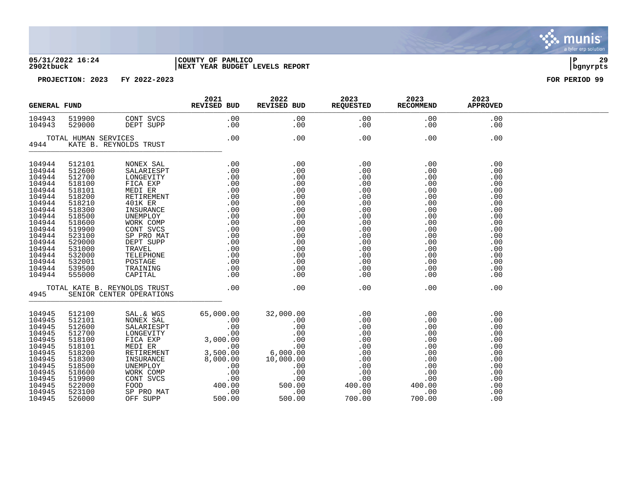

### **05/31/2022 16:24 |COUNTY OF PAMLICO |P 29 2902tbuck |NEXT YEAR BUDGET LEVELS REPORT |bgnyrpts**



|                                                                                                                                                                                  | <b>GENERAL FUND</b>                                                                                                                                                              |                                                                                                                                                                                                                                          | 2021<br>REVISED BUD                                                                                                                                                                                                                                                                                                                                                                                                                             | 2022 | 2023<br>REVISED BUD REQUESTED RECOMMEND | 2023       | 2023<br><b>APPROVED</b>                                                                                                    |  |
|----------------------------------------------------------------------------------------------------------------------------------------------------------------------------------|----------------------------------------------------------------------------------------------------------------------------------------------------------------------------------|------------------------------------------------------------------------------------------------------------------------------------------------------------------------------------------------------------------------------------------|-------------------------------------------------------------------------------------------------------------------------------------------------------------------------------------------------------------------------------------------------------------------------------------------------------------------------------------------------------------------------------------------------------------------------------------------------|------|-----------------------------------------|------------|----------------------------------------------------------------------------------------------------------------------------|--|
| 104943<br>104943                                                                                                                                                                 | 529000                                                                                                                                                                           |                                                                                                                                                                                                                                          |                                                                                                                                                                                                                                                                                                                                                                                                                                                 |      |                                         |            | .00<br>.00                                                                                                                 |  |
|                                                                                                                                                                                  | TOTAL HUMAN SERVICES<br>KATE B. REYNOLDS TRUST<br>4944                                                                                                                           |                                                                                                                                                                                                                                          | $.00$ $.00$                                                                                                                                                                                                                                                                                                                                                                                                                                     |      | .00                                     | .00        | .00                                                                                                                        |  |
| 104944<br>104944<br>104944<br>104944<br>104944<br>104944<br>104944<br>104944<br>104944<br>104944<br>104944<br>104944<br>104944<br>104944<br>104944<br>104944<br>104944<br>104944 | 512101<br>512600<br>512700<br>518100<br>518101<br>518200<br>518210<br>518300<br>518500<br>518600<br>519900<br>523100<br>529000<br>531000<br>532000<br>532001<br>539500<br>555000 | ------------<br>101K ER<br>UNEMPLOY<br>TRAVEL<br>TELEPHON<br>POSTAGE<br>TRAINING                                                                                                                                                         | $\begin{tabular}{l c c} \multicolumn{4}{c}{\textbf{NONEX SAL}} & \multicolumn{4}{c}{\textbf{5ALA} \textbf{I} \textbf{E2PT}} & \multicolumn{4}{c}{\textbf{0.00}} & \multicolumn{4}{c}{\textbf{0.00}} & \multicolumn{4}{c}{\textbf{0.00}} & \multicolumn{4}{c}{\textbf{0.00}} & \multicolumn{4}{c}{\textbf{0.00}} & \multicolumn{4}{c}{\textbf{0.00}} & \multicolumn{4}{c}{\textbf{0.00}} & \multicolumn{4}{c}{\textbf{0.00}} & \multicolumn{4}{$ |      |                                         | .00<br>.00 | .00<br>.00<br>.00<br>.00<br>.00<br>.00<br>.00<br>.00<br>.00<br>.00<br>.00<br>.00<br>.00<br>.00<br>.00<br>.00<br>.00<br>.00 |  |
|                                                                                                                                                                                  |                                                                                                                                                                                  | TOTAL KATE B. REYNOLDS TRUST 600<br>4945 SENIOR CENTER OPERATIONS                                                                                                                                                                        |                                                                                                                                                                                                                                                                                                                                                                                                                                                 | .00  | .00                                     | .00        | .00                                                                                                                        |  |
| 104945<br>104945<br>104945<br>104945<br>104945<br>104945<br>104945<br>104945<br>104945<br>104945<br>104945<br>104945<br>104945<br>104945                                         | 512100<br>512101<br>512600<br>512700<br>518100<br>518101<br>518200<br>518300<br>518500<br>518600<br>519900<br>522000<br>523100<br>526000                                         | SAL. & WGS 65,000.00 32,000.00 .00 .00 .00<br>SALARIESPT .00 .00 .00 .00 .00 .00<br>LONGEVITY .00 .00 .00 .00 .00 .00<br>FICA EXP 3,000.00 .00 .00 .00 .00 .00<br>NEDI ER 3,000.00 .00 .00 .00 .00 .00<br>NEDI ER 3,500.00 .00 .00 .00 . |                                                                                                                                                                                                                                                                                                                                                                                                                                                 |      |                                         |            | .00<br>.00<br>.00<br>.00<br>.00<br>.00<br>.00<br>.00<br>.00<br>.00<br>.00<br>.00<br>.00<br>.00                             |  |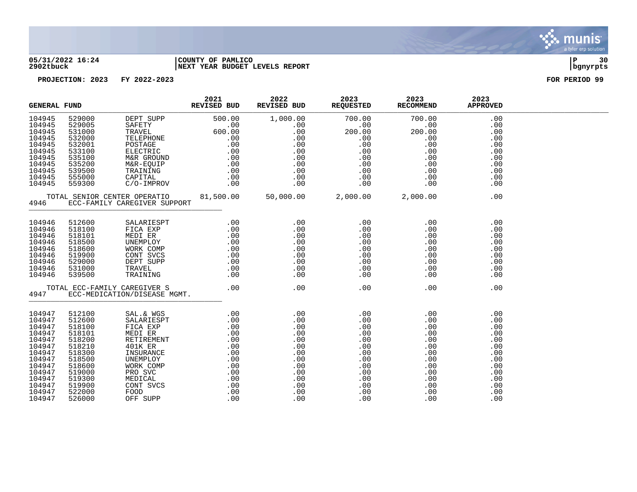

#### **05/31/2022 16:24 |COUNTY OF PAMLICO |P 30 2902tbuck |NEXT YEAR BUDGET LEVELS REPORT |bgnyrpts**

| <b>GENERAL FUND</b>                                                                                                                      |                                                                                                                                          | 2021 2021 REVISED BUD                                                                                                                                                                                                                                                                                                                                                                                                                  | 2022 | 2023<br>REVISED BUD REQUESTED RECOMMEND | 2023                                                                                                                                                                                                                                                                                                                                                         | 2023<br><b>APPROVED</b>                                     |  |
|------------------------------------------------------------------------------------------------------------------------------------------|------------------------------------------------------------------------------------------------------------------------------------------|----------------------------------------------------------------------------------------------------------------------------------------------------------------------------------------------------------------------------------------------------------------------------------------------------------------------------------------------------------------------------------------------------------------------------------------|------|-----------------------------------------|--------------------------------------------------------------------------------------------------------------------------------------------------------------------------------------------------------------------------------------------------------------------------------------------------------------------------------------------------------------|-------------------------------------------------------------|--|
|                                                                                                                                          |                                                                                                                                          |                                                                                                                                                                                                                                                                                                                                                                                                                                        |      |                                         |                                                                                                                                                                                                                                                                                                                                                              |                                                             |  |
|                                                                                                                                          |                                                                                                                                          |                                                                                                                                                                                                                                                                                                                                                                                                                                        |      |                                         |                                                                                                                                                                                                                                                                                                                                                              |                                                             |  |
|                                                                                                                                          |                                                                                                                                          | $\begin{tabular}{cccc} 104946 & 512600 & \text{SALARIESPT} & .00 & .00 & .00 & .00 & .00 \\ 104946 & 518100 & FICA EXP & .00 & .00 & .00 & .00 & .00 \\ 104946 & 518101 & MEDT ER & .00 & .00 & .00 & .00 & .00 \\ 104946 & 518500 & JNNEMPLOV & .00 & .00 & .00 & .00 & .00 & .00 \\ 104946 & 518500 & NORMY COWP & .00 & .00 & .00 & .0$                                                                                             |      |                                         |                                                                                                                                                                                                                                                                                                                                                              | .00<br>.00<br>.00<br>.00<br>.00<br>.00<br>.00<br>.00<br>.00 |  |
|                                                                                                                                          |                                                                                                                                          |                                                                                                                                                                                                                                                                                                                                                                                                                                        |      |                                         |                                                                                                                                                                                                                                                                                                                                                              | .00                                                         |  |
| 104947<br>104947<br>104947<br>104947<br>104947<br>104947<br>104947<br>104947<br>104947<br>104947<br>104947<br>104947<br>104947<br>104947 | 512100<br>512600<br>518100<br>518101<br>518200<br>518210<br>518300<br>518500<br>518600<br>519000<br>519300<br>519900<br>522000<br>526000 | $\begin{tabular}{l c c} \multicolumn{4}{c}{\textbf{SAL}.\&\textbf{WGS}} & .00 & .00 & .00 \\ \multicolumn{4}{c}{\textbf{SALARIESPT}} & .00 & .00 & .00 \\ \multicolumn{4}{c}{\textbf{FICA EXP}} & .00 & .00 & .00 \\ \multicolumn{4}{c}{\textbf{MEDI EER}} & .00 & .00 & .00 \\ \multicolumn{4}{c}{\textbf{RETI} \textbf{REMENT}} & .00 & .00 & .00 \\ \multicolumn{4}{c}{\textbf{RETIREMENT}} & .00 & .00 & .00 \\ \multicolumn{4}{c$ |      |                                         | $\begin{array}{cccc} . & 00 & . & 00 & . & 00 & . & 00 & . & 00 & . & 00 & . & 00 & . & 00 & . & 00 & . & 00 & . & 00 & . & 00 & . & 00 & . & 00 & . & 00 & . & 00 & . & 00 & . & 00 & . & 00 & . & 00 & . & 00 & . & 00 & . & 00 & . & 00 & . & 00 & . & 00 & . & 00 & . & 00 & . & 00 & . & 00 & . & 00 & . & 00 & . & 00 & . & 00 & . & 00 & . & $<br>.00 | .00                                                         |  |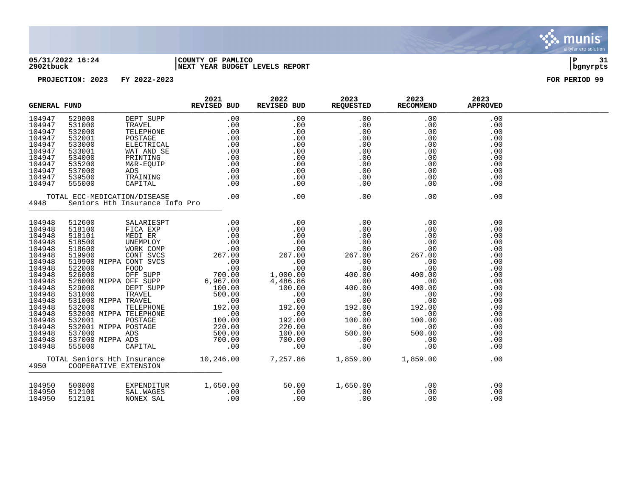

#### **05/31/2022 16:24 |COUNTY OF PAMLICO |P 31 2902tbuck |NEXT YEAR BUDGET LEVELS REPORT |bgnyrpts**

| <b>GENERAL FUND</b>                                                                                                                                                                                  |                            |                                      | 2021<br>REVISED BUD                                                                                           | 2022<br>REVISED BUD | 2023<br>REQUESTED RECOMMEND | 2023                            | 2023<br><b>APPROVED</b>                                                                                                                  |  |
|------------------------------------------------------------------------------------------------------------------------------------------------------------------------------------------------------|----------------------------|--------------------------------------|---------------------------------------------------------------------------------------------------------------|---------------------|-----------------------------|---------------------------------|------------------------------------------------------------------------------------------------------------------------------------------|--|
| 104947<br>104947<br>104947<br>104947<br>104947<br>104947<br>104947<br>104947<br>104947<br>104947<br>104947                                                                                           |                            |                                      |                                                                                                               |                     |                             |                                 | .00<br>.00<br>.00<br>.00<br>.00<br>.00<br>.00<br>.00<br>.00<br>.00<br>.00                                                                |  |
| 4948                                                                                                                                                                                                 |                            |                                      |                                                                                                               |                     |                             |                                 | .00                                                                                                                                      |  |
| 104948<br>104948<br>104948<br>104948<br>104948<br>104948<br>104948<br>104948<br>104948<br>104948<br>104948<br>104948<br>104948<br>104948<br>104948<br>104948<br>104948<br>104948<br>104948<br>104948 |                            |                                      |                                                                                                               |                     |                             |                                 | .00<br>.00<br>.00<br>.00<br>.00<br>.00<br>.00<br>.00<br>.00<br>.00<br>.00<br>.00<br>.00<br>.00<br>.00<br>.00<br>.00<br>.00<br>.00<br>.00 |  |
| 4950                                                                                                                                                                                                 | COOPERATIVE EXTENSION      |                                      | TOTAL Seniors Hth Insurance     10,246.00    7,257.86    1,859.00    1,859.00<br>4950   COOPERATIVE EXTENSION |                     |                             |                                 | .00                                                                                                                                      |  |
| 104950<br>104950<br>104950                                                                                                                                                                           | 500000<br>512100<br>512101 | EXPENDITUR<br>SAL.WAGES<br>NONEX SAL | 1,650.00 50.00 1,650.00<br>00 .00 .00 .00<br>00 .00 .00<br>$\begin{array}{c} . & 00 \\ . & 00 \end{array}$    |                     |                             | .00<br>.00<br>$\frac{1}{2}$ .00 | .00<br>.00<br>.00                                                                                                                        |  |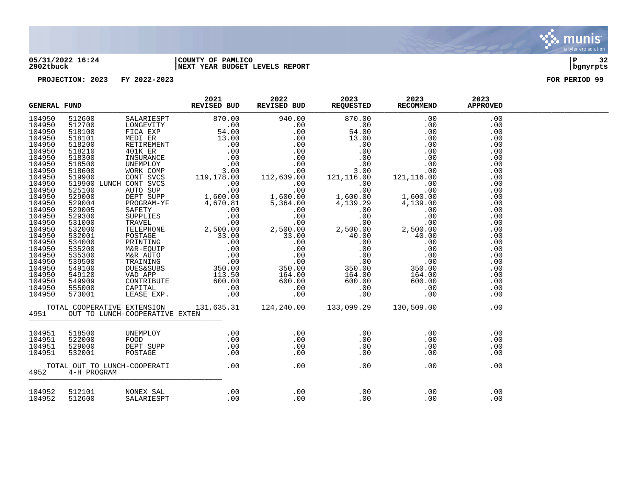

#### **05/31/2022 16:24 |COUNTY OF PAMLICO |P 32 2902tbuck |NEXT YEAR BUDGET LEVELS REPORT |bgnyrpts**

| REVISED BUD REVISED BUD REQUESTED RECOMMEND<br><b>GENERAL FUND</b> |             | 2021                                | 2022 | 2023 | 2023 | 2023<br><b>APPROVED</b> |                                                                                                              |  |
|--------------------------------------------------------------------|-------------|-------------------------------------|------|------|------|-------------------------|--------------------------------------------------------------------------------------------------------------|--|
|                                                                    |             |                                     |      |      |      |                         | .00<br>.00<br>.00<br>.00<br>.00<br>.00<br>.00<br>.00<br>.00<br>.00<br>.00<br>.00                             |  |
|                                                                    |             |                                     |      |      |      |                         | .00<br>.00<br>.00<br>.00<br>.00<br>.00<br>.00<br>.00<br>.00<br>.00<br>.00<br>.00<br>.00<br>.00<br>.00<br>.00 |  |
|                                                                    |             | 4951 OUT TO LUNCH-COOPERATIVE EXTEN |      |      |      |                         | .00                                                                                                          |  |
| 104951<br>104951<br>104951<br>104951                               |             |                                     |      |      |      |                         | .00<br>.00<br>.00<br>.00                                                                                     |  |
| 4952                                                               | 4-H PROGRAM |                                     |      |      |      |                         | .00                                                                                                          |  |
| 104952<br>104952                                                   |             |                                     |      |      |      |                         | .00<br>.00                                                                                                   |  |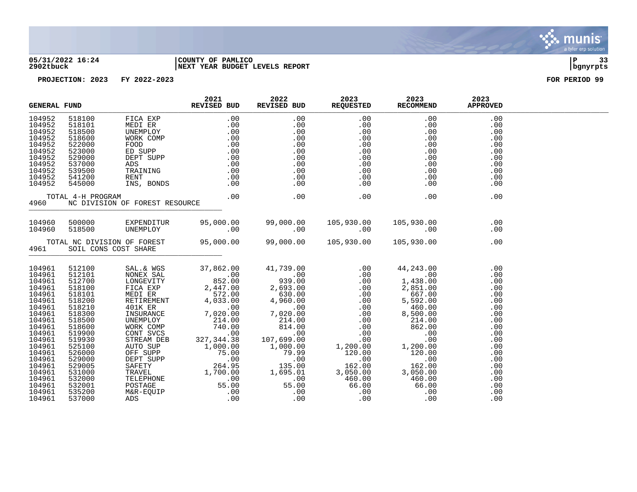

#### **05/31/2022 16:24 |COUNTY OF PAMLICO |P 33 2902tbuck |NEXT YEAR BUDGET LEVELS REPORT |bgnyrpts**

| <b>GENERAL FUND</b>                                                                                                                                                                                            |                                                                                                                                                                                                                | $\begin{tabular}{ccccc} & & & 2021 \\ \hline \multicolumn{2}{c }{\textbf{2021}} & & & \multicolumn{2}{c }{\textbf{REVISED BUD}} \end{tabular}$                                                                                                                                                                                                                                    | 2022 | REVISED BUD REQUESTED RECOMMEND | 2023 2023 | 2023<br><b>APPROVED</b>                                                                                                                         |  |
|----------------------------------------------------------------------------------------------------------------------------------------------------------------------------------------------------------------|----------------------------------------------------------------------------------------------------------------------------------------------------------------------------------------------------------------|-----------------------------------------------------------------------------------------------------------------------------------------------------------------------------------------------------------------------------------------------------------------------------------------------------------------------------------------------------------------------------------|------|---------------------------------|-----------|-------------------------------------------------------------------------------------------------------------------------------------------------|--|
|                                                                                                                                                                                                                |                                                                                                                                                                                                                |                                                                                                                                                                                                                                                                                                                                                                                   |      |                                 |           |                                                                                                                                                 |  |
|                                                                                                                                                                                                                |                                                                                                                                                                                                                |                                                                                                                                                                                                                                                                                                                                                                                   |      |                                 |           |                                                                                                                                                 |  |
|                                                                                                                                                                                                                |                                                                                                                                                                                                                | 00.00 500000 EXPENDITUR 95,000.00 99,000.00 105,930.00 105,930.00 105,930.00<br>00.00 00.00 00.00 00.00 00.00                                                                                                                                                                                                                                                                     |      |                                 |           |                                                                                                                                                 |  |
| 4961                                                                                                                                                                                                           |                                                                                                                                                                                                                | TOTAL NC DIVISION OF FOREST 95,000.00 99,000.00 105,930.00 105,930.00<br>SOIL CONS COST SHARE                                                                                                                                                                                                                                                                                     |      |                                 |           | .00                                                                                                                                             |  |
| 104961<br>104961<br>104961<br>104961<br>104961<br>104961<br>104961<br>104961<br>104961<br>104961<br>104961<br>104961<br>104961<br>104961<br>104961<br>104961<br>104961<br>104961<br>104961<br>104961<br>104961 | 512100<br>512101<br>512700<br>518100<br>518101<br>518200<br>518210<br>518300<br>518500<br>518600<br>519900<br>519930<br>525100<br>526000<br>529000<br>529005<br>531000<br>532000<br>532001<br>535200<br>537000 | $\begin{tabular}{l c c c c} \multicolumn{1}{c}{\textbf{SAL}}.\&\textbf{WSS} & \textbf{37,862.00} & \textbf{41,739.00} & \textbf{.00} & \textbf{44,243.00} \\ \multicolumn{1}{c}{\textbf{NONSEV} T1} & \textbf{852.00} & \textbf{939.00} & \textbf{.00} & \textbf{.00} & \textbf{1,438.00} \\ \multicolumn{1}{c}{\textbf{LONGVITY}} & \textbf{852.00} & \textbf{939.00} & \textbf$ |      |                                 |           | .00<br>.00<br>.00<br>.00<br>.00<br>.00<br>.00<br>.00<br>.00<br>.00<br>.00<br>.00<br>.00<br>.00<br>.00<br>.00<br>.00<br>.00<br>.00<br>.00<br>.00 |  |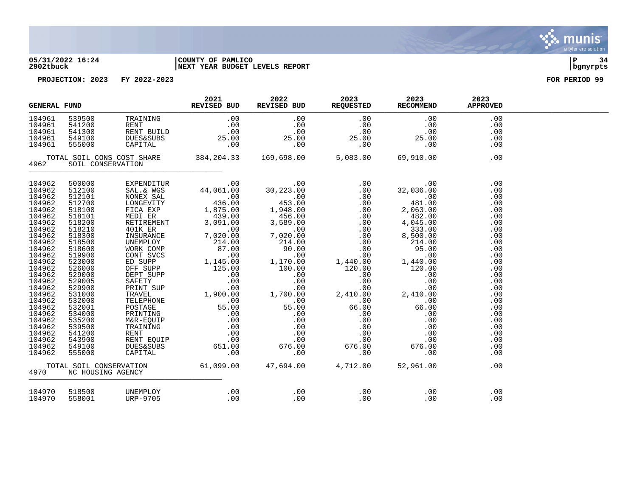

#### **05/31/2022 16:24 |COUNTY OF PAMLICO |P 34 2902tbuck |NEXT YEAR BUDGET LEVELS REPORT |bgnyrpts**

| <b>GENERAL FUND</b>                                                                                                                                                                                                                                                        |                                                                                                                                                                                                                                                                                                      |                                                                                                                                                                                                                                             | 2021<br>REVISED BUD | 2022 | 2023<br>REVISED BUD REQUESTED RECOMMEND | 2023       | 2023<br><b>APPROVED</b>                                                                                                                                                                          |  |
|----------------------------------------------------------------------------------------------------------------------------------------------------------------------------------------------------------------------------------------------------------------------------|------------------------------------------------------------------------------------------------------------------------------------------------------------------------------------------------------------------------------------------------------------------------------------------------------|---------------------------------------------------------------------------------------------------------------------------------------------------------------------------------------------------------------------------------------------|---------------------|------|-----------------------------------------|------------|--------------------------------------------------------------------------------------------------------------------------------------------------------------------------------------------------|--|
| 104961<br>104961<br>104961<br>104961<br>104961                                                                                                                                                                                                                             |                                                                                                                                                                                                                                                                                                      | 339500 TRAINING .00 .00 .00 .00 .00<br>541200 RENT .00 .00 .00 .00 .00 .00<br>541300 RENT BUILD .00 .00 .00 .00 .00<br>549100 DUES&SUBS 25.00 25.00 25.00 25.00<br>555000 CAPITAL .00 .00 .00 .00 .00<br>555000 CAPITAL .00 .00 .00 .00 .00 |                     |      |                                         |            | .00<br>.00<br>.00<br>.00<br>.00                                                                                                                                                                  |  |
| 4962                                                                                                                                                                                                                                                                       | SOIL CONSERVATION                                                                                                                                                                                                                                                                                    | TOTAL SOIL CONS COST SHARE 384, 204.33 169, 698.00 5, 083.00 69, 910.00                                                                                                                                                                     |                     |      |                                         |            | .00                                                                                                                                                                                              |  |
| 104962<br>104962<br>104962<br>104962<br>104962<br>104962<br>104962<br>104962<br>104962<br>104962<br>104962<br>104962<br>104962<br>104962<br>104962<br>104962<br>104962<br>104962<br>104962<br>104962<br>104962<br>104962<br>104962<br>104962<br>104962<br>104962<br>104962 | 500000<br>512100<br>512101<br>512700<br>518100<br>518101<br>518200<br>518210<br>518300<br>518500<br>518600<br>519900<br>523000<br>526000<br>529000<br>529005<br>529900<br>531000<br>532000<br>532001<br>534000<br>535200<br>539500<br>541200<br>543900<br>549100<br>555000<br>4970 NC HOUSING AGENCY | TOTAL SOIL CONSERVATION 61,099.00 47,694.00 4,712.00 52,961.00<br>0 NC HOUSING AGENCY                                                                                                                                                       |                     |      |                                         |            | .00<br>.00<br>.00<br>.00<br>.00<br>.00<br>.00<br>.00<br>.00<br>.00<br>.00<br>.00<br>.00<br>.00<br>.00<br>.00<br>.00<br>.00<br>.00<br>.00<br>.00<br>.00<br>.00<br>.00<br>.00<br>.00<br>.00<br>.00 |  |
| 104970<br>104970                                                                                                                                                                                                                                                           | 518500<br>558001                                                                                                                                                                                                                                                                                     | UNEMPLOY<br>URP-9705                                                                                                                                                                                                                        |                     |      |                                         | .00<br>.00 | .00<br>.00                                                                                                                                                                                       |  |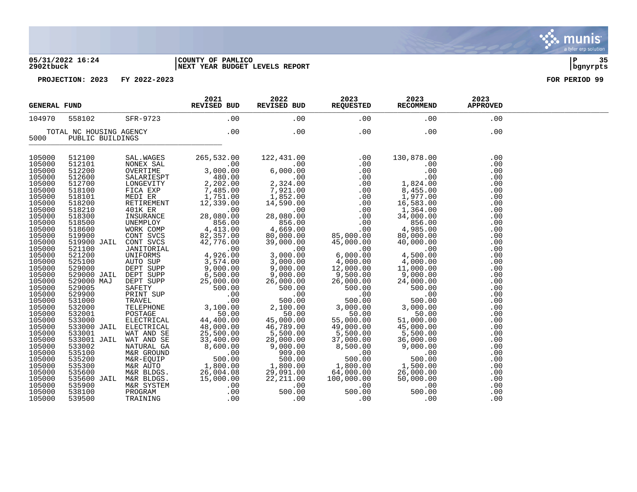#### **05/31/2022 16:24 |COUNTY OF PAMLICO |P 35 2902tbuck |NEXT YEAR BUDGET LEVELS REPORT |bgnyrpts**

| <b>GENERAL FUND</b> |                         |                       | 2021<br>REVISED BUD                                                                                                                                                                                                                                  | 2022<br>REVISED BUD                                                                                                             | 2023<br>REQUESTED                                                                                                                                                                                                                                                                                               | 2023<br>RECOMMEND                                                    | 2023<br><b>APPROVED</b> |  |
|---------------------|-------------------------|-----------------------|------------------------------------------------------------------------------------------------------------------------------------------------------------------------------------------------------------------------------------------------------|---------------------------------------------------------------------------------------------------------------------------------|-----------------------------------------------------------------------------------------------------------------------------------------------------------------------------------------------------------------------------------------------------------------------------------------------------------------|----------------------------------------------------------------------|-------------------------|--|
| 104970              | 558102                  | SFR-9723              | .00                                                                                                                                                                                                                                                  | .00                                                                                                                             | .00                                                                                                                                                                                                                                                                                                             | .00                                                                  | .00                     |  |
|                     | TOTAL NC HOUSING AGENCY |                       | $\begin{array}{c c} \hline \end{array}$ .00                                                                                                                                                                                                          | .00                                                                                                                             | .00                                                                                                                                                                                                                                                                                                             | .00                                                                  | .00                     |  |
| 5000                | PUBLIC BUILDINGS        |                       |                                                                                                                                                                                                                                                      |                                                                                                                                 |                                                                                                                                                                                                                                                                                                                 |                                                                      |                         |  |
| 105000              | 512100                  |                       | SAL.WAGES 265, 532.                                                                                                                                                                                                                                  |                                                                                                                                 | $\begin{array}{cccc} 122\,,431\,.\,00 & .00 & .00 \\ 6\,,000\,.\,00 & .00 & .00 \\ 6\,,000\,.\,00 & .00 & .00 \\ 2\,,324\,.\,00 & .00 \\ 7\,,921\,.\,00 & .00 \\ 1\,,852\,.\,00 & .00 \\ 14\,,590\,.\,00 & .00 \\ 28\,,080\,.\,00 & .00 \\ 856\,.\,00 & .00 \\ 4\,,669\,.\,00 & .85\,.\,00 \\ 9\,,000\,.\,00 &$ | 130,878.00                                                           | .00                     |  |
| 105000              | 512101                  |                       |                                                                                                                                                                                                                                                      |                                                                                                                                 |                                                                                                                                                                                                                                                                                                                 | .00                                                                  | .00                     |  |
| 105000              | 512200                  |                       |                                                                                                                                                                                                                                                      |                                                                                                                                 |                                                                                                                                                                                                                                                                                                                 |                                                                      | .00                     |  |
| 105000              | 512600                  |                       |                                                                                                                                                                                                                                                      |                                                                                                                                 |                                                                                                                                                                                                                                                                                                                 |                                                                      | .00                     |  |
| 105000              | 512700                  |                       |                                                                                                                                                                                                                                                      |                                                                                                                                 |                                                                                                                                                                                                                                                                                                                 |                                                                      | .00                     |  |
| 105000              | 518100                  |                       |                                                                                                                                                                                                                                                      |                                                                                                                                 |                                                                                                                                                                                                                                                                                                                 |                                                                      | .00                     |  |
| 105000              | 518101                  |                       | SALARIESPT 480.00<br>LONGEVITY 2,202.00<br>FICA EXP 7,485.00<br>MEDI ER 1,751.00                                                                                                                                                                     |                                                                                                                                 |                                                                                                                                                                                                                                                                                                                 |                                                                      | .00                     |  |
| 105000              | 518200                  | RETIREMENT<br>401K ER | 12,339.00                                                                                                                                                                                                                                            |                                                                                                                                 |                                                                                                                                                                                                                                                                                                                 |                                                                      | .00                     |  |
| 105000              | 518210                  |                       | $\overline{00}$                                                                                                                                                                                                                                      | 28,080.00                                                                                                                       |                                                                                                                                                                                                                                                                                                                 | 1,364.00                                                             | .00                     |  |
| 105000              |                         |                       | 1026210<br>1183800<br>518300 INSURANCE<br>518500 UNEMPLOY 856.00<br>519900 CONT SVCS 82,357.00<br>519900 JAIL CONT SVCS 82,357.00<br>521100 JANITORIAL .0026.00                                                                                      |                                                                                                                                 |                                                                                                                                                                                                                                                                                                                 | 34,000.00                                                            | .00                     |  |
| 105000              |                         |                       |                                                                                                                                                                                                                                                      | $856.00$<br>4,669.00                                                                                                            |                                                                                                                                                                                                                                                                                                                 | 856.00                                                               | .00                     |  |
| 105000              |                         |                       |                                                                                                                                                                                                                                                      |                                                                                                                                 |                                                                                                                                                                                                                                                                                                                 | 4,985.00                                                             | .00                     |  |
| 105000              |                         |                       |                                                                                                                                                                                                                                                      | $\begin{smallmatrix} 60,000.00\ 39,000.00\ 39,000.00\ 3,000.00\ 3,000.00\ \end{smallmatrix}$                                    | $85,000.00\ 45,000.00\ 45,000.00\ 6,000.00\ 4,000.00$                                                                                                                                                                                                                                                           | 80,000.00                                                            | .00                     |  |
| 105000              |                         |                       |                                                                                                                                                                                                                                                      |                                                                                                                                 |                                                                                                                                                                                                                                                                                                                 | 40,000.00                                                            | .00                     |  |
| 105000              |                         |                       |                                                                                                                                                                                                                                                      |                                                                                                                                 |                                                                                                                                                                                                                                                                                                                 | .00                                                                  | .00                     |  |
| 105000              |                         |                       | 521200 UNIFORMS 4,926.00<br>525100 AUTO SUP 3,574.00<br>529000 DEPT SUPP 9,000.00<br>529000 JAIL DEPT SUPP 6,500.00                                                                                                                                  |                                                                                                                                 |                                                                                                                                                                                                                                                                                                                 | 4,500.00                                                             | .00                     |  |
| 105000              |                         |                       |                                                                                                                                                                                                                                                      |                                                                                                                                 |                                                                                                                                                                                                                                                                                                                 | $4,500.00$<br>$4,000.00$<br>$11,000.00$<br>$9,000.00$<br>$24,000.00$ | .00                     |  |
| 105000              |                         |                       |                                                                                                                                                                                                                                                      | $\begin{array}{r} 3,000.00\ 9,000.00\ 26,000.00\ 500.00\ 500.00\ 1,000\ 2,100.00\ 45,000.00\ 46,789.00\ 46,789.00\ \end{array}$ | $12,000$<br>$9,500.00$<br>$35,000.00$                                                                                                                                                                                                                                                                           |                                                                      | .00                     |  |
| 105000              |                         |                       |                                                                                                                                                                                                                                                      |                                                                                                                                 |                                                                                                                                                                                                                                                                                                                 |                                                                      | .00                     |  |
| 105000              | 529000 MAJ              | DEPT SUPP             | 25,000.00                                                                                                                                                                                                                                            |                                                                                                                                 |                                                                                                                                                                                                                                                                                                                 |                                                                      | .00                     |  |
| 105000              | 529005                  |                       |                                                                                                                                                                                                                                                      |                                                                                                                                 | 500.00                                                                                                                                                                                                                                                                                                          | 500.00                                                               | .00                     |  |
| 105000              | 529900                  |                       |                                                                                                                                                                                                                                                      |                                                                                                                                 | 500.00<br>00.                                                                                                                                                                                                                                                                                                   | .00                                                                  | .00                     |  |
| 105000              | 531000                  |                       |                                                                                                                                                                                                                                                      |                                                                                                                                 | 500.00                                                                                                                                                                                                                                                                                                          | 500.00                                                               | .00                     |  |
| 105000              | 532000                  |                       |                                                                                                                                                                                                                                                      |                                                                                                                                 | 3,000.00                                                                                                                                                                                                                                                                                                        | 3,000.00                                                             | .00                     |  |
| 105000              | 532001                  |                       |                                                                                                                                                                                                                                                      |                                                                                                                                 | 50.00                                                                                                                                                                                                                                                                                                           | 50.00                                                                | .00                     |  |
| 105000              | 533000                  |                       |                                                                                                                                                                                                                                                      |                                                                                                                                 | 55,000.00                                                                                                                                                                                                                                                                                                       | 51,000.00                                                            | .00                     |  |
| 105000              | 533000 JAIL             |                       |                                                                                                                                                                                                                                                      |                                                                                                                                 | 49,000.00                                                                                                                                                                                                                                                                                                       | 45,000.00                                                            | .00                     |  |
| 105000              | 533001                  |                       | MAJ DEPT SUPP 25,000.00<br>SAFETY 5000.00<br>PRINT SUP .000<br>TRAVEL .000<br>TELEPHONE 3,100.00<br>POSTAGE 3,100.00<br>POSTAGE 44,400.00<br>MAT AND SE 25,500.00<br>MAT AND SE 25,500.00<br>MAT AND SE 25,500.00<br>MAT AND SE 25,500.00<br>MAT AND | $5,500.00$<br>98.000                                                                                                            | 5,500.00                                                                                                                                                                                                                                                                                                        | 5,500.00                                                             | .00                     |  |
| 105000              | 533001 JAIL             |                       |                                                                                                                                                                                                                                                      | 28,000.00                                                                                                                       | 37,000.00                                                                                                                                                                                                                                                                                                       | 36,000.00                                                            | .00                     |  |
| 105000              | 533002                  | NATURAL GA            | 8,600.00                                                                                                                                                                                                                                             |                                                                                                                                 | 8,500.00                                                                                                                                                                                                                                                                                                        | 9,000.00                                                             | .00                     |  |
| 105000              | 535100                  | M&R GROUND            | 500.00                                                                                                                                                                                                                                               |                                                                                                                                 |                                                                                                                                                                                                                                                                                                                 | .00                                                                  | .00                     |  |
| 105000              | 535200                  | M&R-EQUIP             |                                                                                                                                                                                                                                                      |                                                                                                                                 | 00.000,<br>00.<br>00.000,00                                                                                                                                                                                                                                                                                     | 500.00                                                               | .00                     |  |
| 105000              | 535300                  |                       |                                                                                                                                                                                                                                                      |                                                                                                                                 |                                                                                                                                                                                                                                                                                                                 | 1,500.00                                                             | .00                     |  |
| 105000              | 535600                  |                       | M&R AUTO 1,800.00<br>M&R BLDGS. 26,004.08                                                                                                                                                                                                            | $\begin{array}{r} 9,000.00 \ 9,000.00 \ 500.00 \ 1,800.00 \ 29,091.00 \end{array}$                                              | 1,800.00<br>64,000.00                                                                                                                                                                                                                                                                                           | 26,000.00                                                            | .00                     |  |
| 105000              | 535600 JAIL M&R BLDGS.  |                       | 15,000.00                                                                                                                                                                                                                                            | 22,211.00                                                                                                                       | 100,000.00                                                                                                                                                                                                                                                                                                      | 50,000.00                                                            | .00                     |  |
| 105000              | 535900                  | M&R SYSTEM            | .00                                                                                                                                                                                                                                                  | .00                                                                                                                             | .00                                                                                                                                                                                                                                                                                                             | .00                                                                  | .00                     |  |
| 105000              | 538100                  | PROGRAM               | M<br>.00                                                                                                                                                                                                                                             | 500.00                                                                                                                          | 500.00                                                                                                                                                                                                                                                                                                          | 500.00                                                               | .00                     |  |
| 105000              | 539500                  | TRAINING              | .00                                                                                                                                                                                                                                                  | .00                                                                                                                             | .00                                                                                                                                                                                                                                                                                                             | .00                                                                  | .00                     |  |

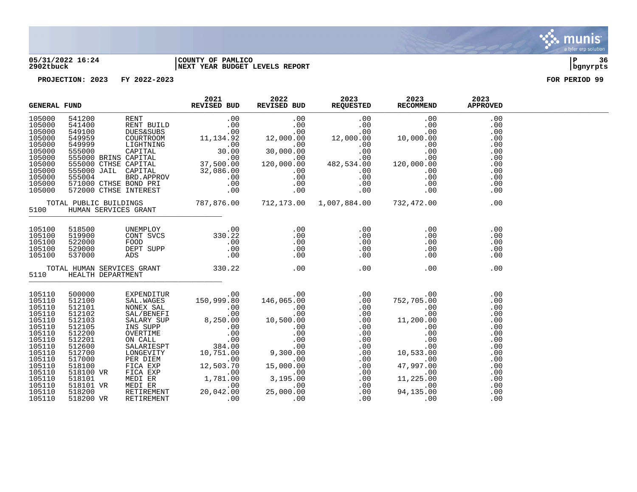

#### **05/31/2022 16:24 |COUNTY OF PAMLICO |P 36 2902tbuck |NEXT YEAR BUDGET LEVELS REPORT |bgnyrpts**

|                                                                                                                                                                        | <b>GENERAL FUND</b> |  | 2021<br>REVISED BUD | 2022 | 2023<br>REVISED BUD AU23 2023<br>REQUESTED REQUESTED RECOMMEND | 2023 | 2023<br><b>APPROVED</b>                |  |
|------------------------------------------------------------------------------------------------------------------------------------------------------------------------|---------------------|--|---------------------|------|----------------------------------------------------------------|------|----------------------------------------|--|
|                                                                                                                                                                        |                     |  |                     |      |                                                                |      |                                        |  |
|                                                                                                                                                                        |                     |  |                     |      |                                                                |      |                                        |  |
| 105100<br>105100<br>105100<br>105100<br>105100                                                                                                                         |                     |  |                     | .00  | .00                                                            | .00  | .00<br>.00<br>.00<br>.00<br>.00<br>.00 |  |
| 105110<br>105110<br>105110<br>105110<br>105110<br>105110<br>105110<br>105110<br>105110<br>105110<br>105110<br>105110<br>105110<br>105110<br>105110<br>105110<br>105110 |                     |  |                     |      |                                                                |      |                                        |  |

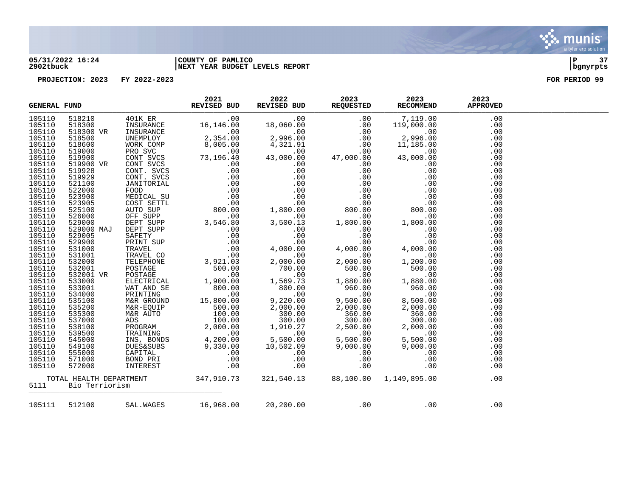

# **05/31/2022 16:24 |COUNTY OF PAMLICO |P 37 2902tbuck |NEXT YEAR BUDGET LEVELS REPORT |bgnyrpts**

**PROJECTION: 2023 FY 2022-2023 FOR PERIOD 99**

| <b>GENERAL FUND</b> |                     | 2021<br>REVISED BUD | 2022<br>REVISED BUD REQUESTED RECOMMEND             | 2023 | 2023                                                                 | 2023<br><b>APPROVED</b> |  |
|---------------------|---------------------|---------------------|-----------------------------------------------------|------|----------------------------------------------------------------------|-------------------------|--|
| 105110              |                     |                     |                                                     |      |                                                                      | .00                     |  |
| 105110              |                     |                     |                                                     |      |                                                                      | .00                     |  |
| 105110              |                     |                     |                                                     |      |                                                                      | .00                     |  |
| 105110              |                     |                     |                                                     |      |                                                                      | .00                     |  |
| 105110              |                     |                     |                                                     |      |                                                                      | .00                     |  |
| 105110              |                     |                     |                                                     |      |                                                                      | .00                     |  |
| 105110              |                     |                     |                                                     |      |                                                                      | .00                     |  |
| 105110              |                     |                     |                                                     |      |                                                                      | .00                     |  |
| 105110              |                     |                     |                                                     |      |                                                                      | .00                     |  |
| 105110              |                     |                     |                                                     |      |                                                                      | .00                     |  |
| 105110              |                     |                     |                                                     |      |                                                                      | .00                     |  |
| 105110              |                     |                     |                                                     |      |                                                                      | .00                     |  |
| 105110              |                     |                     |                                                     |      |                                                                      | .00                     |  |
| 105110              |                     |                     |                                                     |      |                                                                      | .00                     |  |
| 105110              |                     |                     |                                                     |      |                                                                      | .00                     |  |
| 105110              |                     |                     |                                                     |      |                                                                      | .00                     |  |
| 105110              |                     |                     |                                                     |      |                                                                      | .00                     |  |
| 105110              |                     |                     |                                                     |      |                                                                      | .00                     |  |
| 105110              |                     |                     |                                                     |      |                                                                      | .00                     |  |
| 105110              |                     |                     |                                                     |      |                                                                      | .00                     |  |
| 105110              |                     |                     |                                                     |      |                                                                      | .00                     |  |
| 105110              |                     |                     |                                                     |      |                                                                      | .00                     |  |
| 105110              |                     |                     |                                                     |      |                                                                      | .00                     |  |
| 105110              |                     |                     |                                                     |      |                                                                      | .00                     |  |
| 105110              |                     |                     |                                                     |      |                                                                      | .00                     |  |
| 105110              |                     |                     |                                                     |      |                                                                      | .00                     |  |
| 105110              |                     |                     |                                                     |      |                                                                      | .00                     |  |
| 105110              |                     |                     |                                                     |      |                                                                      | .00                     |  |
| 105110              |                     |                     |                                                     |      |                                                                      | .00                     |  |
| 105110              |                     |                     |                                                     |      |                                                                      | .00                     |  |
| 105110              |                     |                     |                                                     |      |                                                                      | .00                     |  |
| 105110              |                     |                     |                                                     |      |                                                                      | .00                     |  |
| 105110              |                     |                     |                                                     |      |                                                                      | .00                     |  |
| 105110              |                     |                     |                                                     |      |                                                                      | .00                     |  |
| 105110              |                     |                     |                                                     |      |                                                                      | .00                     |  |
| 105110              |                     |                     |                                                     |      |                                                                      | .00                     |  |
| 105110              |                     |                     |                                                     |      |                                                                      | .00                     |  |
| 105110              |                     |                     |                                                     |      |                                                                      | .00                     |  |
| 105110              |                     |                     |                                                     |      |                                                                      | .00                     |  |
|                     | 5111 Bio Terriorism |                     |                                                     |      | TOTAL HEALTH DEPARTMENT 347,910.73 321,540.13 88,100.00 1,149,895.00 | .00                     |  |
|                     |                     |                     | 105111 512100 SAL.WAGES 16,968.00 20,200.00 .00 .00 |      |                                                                      | .00                     |  |

. munis<sup>.</sup> a tyler erp solution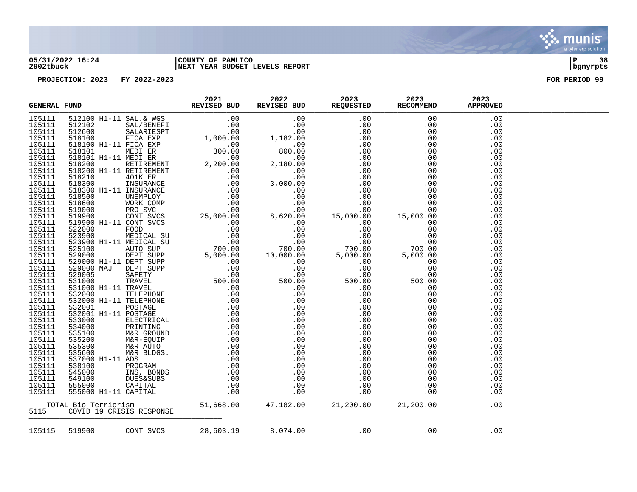

### **05/31/2022 16:24 |COUNTY OF PAMLICO |P 38 2902tbuck |NEXT YEAR BUDGET LEVELS REPORT |bgnyrpts**

| <b>GENERAL FUND</b> | $\begin{tabular}{cccccc} & 2021 & 2022 & 2023 & 2023 \\ \hline & & \multicolumn{3}{c }{REVISED BUD} & \multicolumn{3}{c }{REVISED BUD} & \multicolumn{3}{c }{REQUESTED} & \multicolumn{3}{c }{REQUESTED} & \multicolumn{3}{c }{RECOMMEND} & \multicolumn{3}{c }{APPROVED} \end{tabular}$<br>$\begin{small} \textbf{MEMA} & \textbf{FOMO} & \textbf{ROMA} & \textbf{ROMA} & \textbf{ROMA} & \textbf{ROMA} & \textbf{ROMA} & \textbf{ROMA} & \textbf{ROMA} & \textbf{ROMA} & \textbf{ROMA} & \textbf{ROMA} & \textbf{ROMA} & \textbf{ROMA} & \textbf{ROMA} & \textbf{ROMA} & \textbf{ROMA} & \textbf{ROMA} & \textbf{ROMA} & \textbf{ROMA} & \textbf{ROMA} & \textbf{ROMA} & \textbf{ROMA} & \textbf{ROMA}$ |  |     |     |  |
|---------------------|-----------------------------------------------------------------------------------------------------------------------------------------------------------------------------------------------------------------------------------------------------------------------------------------------------------------------------------------------------------------------------------------------------------------------------------------------------------------------------------------------------------------------------------------------------------------------------------------------------------------------------------------------------------------------------------------------------------|--|-----|-----|--|
| 105111              |                                                                                                                                                                                                                                                                                                                                                                                                                                                                                                                                                                                                                                                                                                           |  |     |     |  |
| 105111              |                                                                                                                                                                                                                                                                                                                                                                                                                                                                                                                                                                                                                                                                                                           |  |     |     |  |
| 105111              |                                                                                                                                                                                                                                                                                                                                                                                                                                                                                                                                                                                                                                                                                                           |  |     |     |  |
| 105111              |                                                                                                                                                                                                                                                                                                                                                                                                                                                                                                                                                                                                                                                                                                           |  |     |     |  |
| 105111              |                                                                                                                                                                                                                                                                                                                                                                                                                                                                                                                                                                                                                                                                                                           |  |     |     |  |
| 105111              |                                                                                                                                                                                                                                                                                                                                                                                                                                                                                                                                                                                                                                                                                                           |  |     |     |  |
| 105111              |                                                                                                                                                                                                                                                                                                                                                                                                                                                                                                                                                                                                                                                                                                           |  |     |     |  |
| 105111              |                                                                                                                                                                                                                                                                                                                                                                                                                                                                                                                                                                                                                                                                                                           |  |     |     |  |
| 105111              |                                                                                                                                                                                                                                                                                                                                                                                                                                                                                                                                                                                                                                                                                                           |  |     |     |  |
| 105111              |                                                                                                                                                                                                                                                                                                                                                                                                                                                                                                                                                                                                                                                                                                           |  |     |     |  |
| 105111              |                                                                                                                                                                                                                                                                                                                                                                                                                                                                                                                                                                                                                                                                                                           |  |     |     |  |
| 105111              |                                                                                                                                                                                                                                                                                                                                                                                                                                                                                                                                                                                                                                                                                                           |  |     |     |  |
| 105111              |                                                                                                                                                                                                                                                                                                                                                                                                                                                                                                                                                                                                                                                                                                           |  |     |     |  |
| 105111              |                                                                                                                                                                                                                                                                                                                                                                                                                                                                                                                                                                                                                                                                                                           |  |     |     |  |
| 105111              |                                                                                                                                                                                                                                                                                                                                                                                                                                                                                                                                                                                                                                                                                                           |  |     |     |  |
| 105111              |                                                                                                                                                                                                                                                                                                                                                                                                                                                                                                                                                                                                                                                                                                           |  |     |     |  |
| 105111              |                                                                                                                                                                                                                                                                                                                                                                                                                                                                                                                                                                                                                                                                                                           |  |     |     |  |
| 105111              |                                                                                                                                                                                                                                                                                                                                                                                                                                                                                                                                                                                                                                                                                                           |  |     |     |  |
| 105111              |                                                                                                                                                                                                                                                                                                                                                                                                                                                                                                                                                                                                                                                                                                           |  |     |     |  |
| 105111              |                                                                                                                                                                                                                                                                                                                                                                                                                                                                                                                                                                                                                                                                                                           |  |     |     |  |
| 105111              |                                                                                                                                                                                                                                                                                                                                                                                                                                                                                                                                                                                                                                                                                                           |  |     |     |  |
| 105111              |                                                                                                                                                                                                                                                                                                                                                                                                                                                                                                                                                                                                                                                                                                           |  |     |     |  |
| 105111<br>105111    |                                                                                                                                                                                                                                                                                                                                                                                                                                                                                                                                                                                                                                                                                                           |  |     |     |  |
| 105111              |                                                                                                                                                                                                                                                                                                                                                                                                                                                                                                                                                                                                                                                                                                           |  |     |     |  |
| 105111              |                                                                                                                                                                                                                                                                                                                                                                                                                                                                                                                                                                                                                                                                                                           |  |     |     |  |
| 105111              |                                                                                                                                                                                                                                                                                                                                                                                                                                                                                                                                                                                                                                                                                                           |  |     |     |  |
| 105111              |                                                                                                                                                                                                                                                                                                                                                                                                                                                                                                                                                                                                                                                                                                           |  |     |     |  |
| 105111              |                                                                                                                                                                                                                                                                                                                                                                                                                                                                                                                                                                                                                                                                                                           |  |     |     |  |
| 105111              |                                                                                                                                                                                                                                                                                                                                                                                                                                                                                                                                                                                                                                                                                                           |  |     |     |  |
| 105111              |                                                                                                                                                                                                                                                                                                                                                                                                                                                                                                                                                                                                                                                                                                           |  |     |     |  |
| 105111              |                                                                                                                                                                                                                                                                                                                                                                                                                                                                                                                                                                                                                                                                                                           |  |     |     |  |
| 105111              |                                                                                                                                                                                                                                                                                                                                                                                                                                                                                                                                                                                                                                                                                                           |  |     |     |  |
| 105111              |                                                                                                                                                                                                                                                                                                                                                                                                                                                                                                                                                                                                                                                                                                           |  |     |     |  |
| 105111              |                                                                                                                                                                                                                                                                                                                                                                                                                                                                                                                                                                                                                                                                                                           |  |     |     |  |
| 105111              |                                                                                                                                                                                                                                                                                                                                                                                                                                                                                                                                                                                                                                                                                                           |  |     |     |  |
| 105111              |                                                                                                                                                                                                                                                                                                                                                                                                                                                                                                                                                                                                                                                                                                           |  |     |     |  |
| 105111              |                                                                                                                                                                                                                                                                                                                                                                                                                                                                                                                                                                                                                                                                                                           |  |     |     |  |
| 105111              |                                                                                                                                                                                                                                                                                                                                                                                                                                                                                                                                                                                                                                                                                                           |  |     |     |  |
| 105111              |                                                                                                                                                                                                                                                                                                                                                                                                                                                                                                                                                                                                                                                                                                           |  |     |     |  |
| 105111              |                                                                                                                                                                                                                                                                                                                                                                                                                                                                                                                                                                                                                                                                                                           |  |     |     |  |
| 105111              |                                                                                                                                                                                                                                                                                                                                                                                                                                                                                                                                                                                                                                                                                                           |  |     |     |  |
| 105111              |                                                                                                                                                                                                                                                                                                                                                                                                                                                                                                                                                                                                                                                                                                           |  |     |     |  |
|                     |                                                                                                                                                                                                                                                                                                                                                                                                                                                                                                                                                                                                                                                                                                           |  |     |     |  |
| 5115                |                                                                                                                                                                                                                                                                                                                                                                                                                                                                                                                                                                                                                                                                                                           |  |     |     |  |
|                     |                                                                                                                                                                                                                                                                                                                                                                                                                                                                                                                                                                                                                                                                                                           |  |     |     |  |
| 105115              | 519900 CONT SVCS 28,603.19 8,074.00 .00                                                                                                                                                                                                                                                                                                                                                                                                                                                                                                                                                                                                                                                                   |  | .00 | .00 |  |

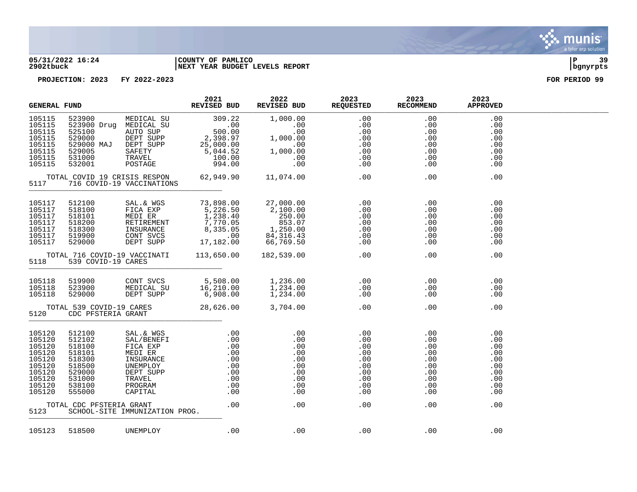

### **05/31/2022 16:24 |COUNTY OF PAMLICO |P 39 2902tbuck |NEXT YEAR BUDGET LEVELS REPORT |bgnyrpts**

| <b>GENERAL FUND</b>                                                                              |                                                                                                  |                                | 2021<br>REVISED BUD | 2022                                                                                                                                                                                                                        | 2023<br>REVISED BUD REQUESTED | 2023<br>RECOMMEND | 2023<br><b>APPROVED</b> |  |
|--------------------------------------------------------------------------------------------------|--------------------------------------------------------------------------------------------------|--------------------------------|---------------------|-----------------------------------------------------------------------------------------------------------------------------------------------------------------------------------------------------------------------------|-------------------------------|-------------------|-------------------------|--|
| 105115<br>105115<br>105115<br>105115<br>105115<br>105115<br>105115<br>105115                     |                                                                                                  |                                |                     |                                                                                                                                                                                                                             |                               |                   |                         |  |
| 5117                                                                                             |                                                                                                  |                                |                     |                                                                                                                                                                                                                             |                               |                   |                         |  |
| 105117<br>105117<br>105117<br>105117<br>105117<br>105117<br>105117                               | 512100<br>518100<br>518101<br>518200<br>518300<br>519900<br>529000                               |                                |                     |                                                                                                                                                                                                                             |                               |                   |                         |  |
| 5118                                                                                             | 539 COVID-19 CARES                                                                               |                                |                     | TOTAL 716 COVID-19 VACCINATI 113,650.00 182,539.00 .00<br>5118 539 COVID-19 CARES                                                                                                                                           |                               |                   |                         |  |
| 105118<br>105118<br>105118                                                                       |                                                                                                  |                                |                     | 118 519900 CONT SVCS 5,508.00 1,236.00 .00 .00 .00<br>118 523900 MEDICAL SU 16,210.00 1,234.00 .00 .00 .00<br>118 529000 DEPT SUPP 6,908.00 1,234.00 .00 .00 .00<br>TOTAL 539 COVID-19 CARES 28,626.00 3,704.00 .00 .00 .00 |                               |                   | .00<br>.00<br>.00       |  |
|                                                                                                  | 5120 CDC PFSTERIA GRANT                                                                          |                                |                     |                                                                                                                                                                                                                             |                               |                   | .00                     |  |
| 105120<br>105120<br>105120<br>105120<br>105120<br>105120<br>105120<br>105120<br>105120<br>105120 | 512100<br>512102<br>518100<br>518101<br>518300<br>518500<br>529000<br>531000<br>538100<br>555000 |                                |                     |                                                                                                                                                                                                                             |                               |                   |                         |  |
| 5123                                                                                             | TOTAL CDC PFSTERIA GRANT                                                                         | SCHOOL-SITE IMMUNIZATION PROG. |                     |                                                                                                                                                                                                                             |                               |                   |                         |  |
| 105123                                                                                           | 518500 UNEMPLOY                                                                                  |                                |                     | $100$ . $00$ . $00$                                                                                                                                                                                                         |                               | .00               | .00                     |  |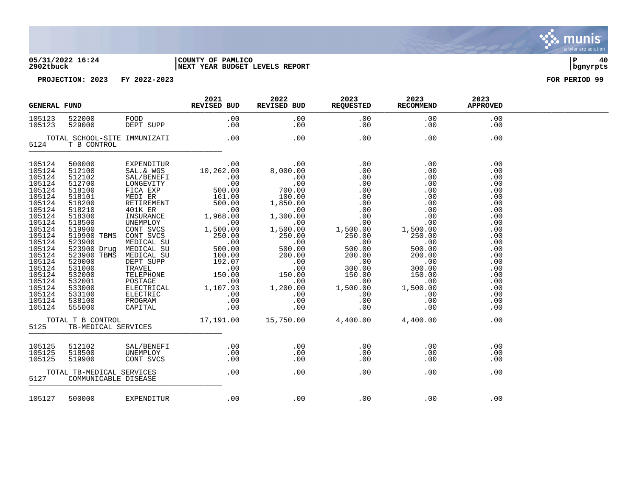### **05/31/2022 16:24 |COUNTY OF PAMLICO |P 40 2902tbuck |NEXT YEAR BUDGET LEVELS REPORT |bgnyrpts**



|                                                                                                                                                                                                                                    | <b>GENERAL FUND</b>                                                                                                                                                                                                                               |                            | 2021<br>REVISED BUD                                                                                                                                                                                                                                                                                                                                                                                                                                                                                                        | 2022<br>REVISED BUD                                                                                                                                                                                                                                                                                                                         | 2023<br><b>REQUESTED</b>                                                                                                                                                                                                                                                                                                    | 2023<br><b>RECOMMEND</b>                                                                                                                                                                                                                                                                                                                            | 2023<br><b>APPROVED</b>                                                                                                                                       |  |
|------------------------------------------------------------------------------------------------------------------------------------------------------------------------------------------------------------------------------------|---------------------------------------------------------------------------------------------------------------------------------------------------------------------------------------------------------------------------------------------------|----------------------------|----------------------------------------------------------------------------------------------------------------------------------------------------------------------------------------------------------------------------------------------------------------------------------------------------------------------------------------------------------------------------------------------------------------------------------------------------------------------------------------------------------------------------|---------------------------------------------------------------------------------------------------------------------------------------------------------------------------------------------------------------------------------------------------------------------------------------------------------------------------------------------|-----------------------------------------------------------------------------------------------------------------------------------------------------------------------------------------------------------------------------------------------------------------------------------------------------------------------------|-----------------------------------------------------------------------------------------------------------------------------------------------------------------------------------------------------------------------------------------------------------------------------------------------------------------------------------------------------|---------------------------------------------------------------------------------------------------------------------------------------------------------------|--|
| 105123<br>105123                                                                                                                                                                                                                   | 522000<br>529000                                                                                                                                                                                                                                  | FOOD<br>פס את<br>DEPT SUPP | .00<br>$\begin{array}{c} .\ 00 \\ .\ 00 \end{array}$                                                                                                                                                                                                                                                                                                                                                                                                                                                                       | .00<br>.00                                                                                                                                                                                                                                                                                                                                  | .00<br>.00                                                                                                                                                                                                                                                                                                                  | .00<br>$.00 \,$                                                                                                                                                                                                                                                                                                                                     | .00<br>.00                                                                                                                                                    |  |
| 5124                                                                                                                                                                                                                               | TOTAL SCHOOL-SITE IMMUNIZATI<br>T B CONTROL                                                                                                                                                                                                       |                            | .00                                                                                                                                                                                                                                                                                                                                                                                                                                                                                                                        | .00                                                                                                                                                                                                                                                                                                                                         | .00                                                                                                                                                                                                                                                                                                                         | .00                                                                                                                                                                                                                                                                                                                                                 | .00                                                                                                                                                           |  |
| 105124<br>105124<br>105124<br>105124<br>105124<br>105124<br>105124<br>105124<br>105124<br>105124<br>105124<br>105124<br>105124<br>105124<br>105124<br>105124<br>105124<br>105124<br>105124<br>105124<br>105124<br>105124<br>105124 | 500000<br>512100<br>512102<br>512700<br>518100<br>518101<br>518200<br>518210<br>518300<br>518500<br>519900<br>519900 TBMS<br>523900<br>523900 Drug<br>523900 TBMS<br>529000<br>531000<br>532000<br>532001<br>533000<br>533100<br>538100<br>555000 | EXPENDITUR<br>SAL.& WGS    | 00.<br>10,262.00<br>SAL/BENEFI $10,262.00$<br>SAL/BENEFI $00$<br>FICA EXP $500.00$<br>MEDI ER $161.00$<br>RETIREMENT $500.00$<br>ALIKER $161.00$<br>RETIREMENT $500.00$<br>MISURANCE $1,968.00$<br>UNEMPLOY .00<br>CONT SVCS $1,500.00$<br>CONT SVCS $250.00$<br>CONT SVCS<br>MEDICAL SU 250.00<br>MEDICAL SU 500.00<br>MEDICAL SU 500.00<br>MEDICAL SU 100.00<br>DEPT SUPP 192.07<br>DEFT SUPP<br>TRAVEL<br>TELEPHONE 150.00<br>POSTAGE 150.00<br>ELECTRICAL 1,107.93<br>ELECTRIC 1,107.93<br>ELECTRIC .00<br>CAPITAL .00 | $\begin{array}{c} \texttt{.00} \ \texttt{.00} \ \texttt{.00} \end{array}$<br>$\begin{array}{r} .00 \ .00 \ .00 \ .00 \ 700.00 \ .00 \end{array}$<br>1,850.00<br>$1.300 \n00$<br>00.00.00<br>.00<br>1,500.00<br>$\begin{array}{r} 1,500.00\ 250.00\ 500.00\ 200.00\ 0.00\ 150.00\ \end{array}$<br>$00$ .<br>1,200.00<br>$00.$<br>0.00<br>0.0 | $\begin{array}{c} 0.00 \\ -0.00 \end{array}$<br>$\begin{array}{r} .00\ 0.00\ 0.00\ 0.00\ 0.00\ 0.00\ 0.00\ 0.00\ 0.00\ 0.00\ 0.00\ 0.00\ 0.00\ 0.00\ 0.000\ \end{array}$<br>$\begin{array}{r} 1,500.00\ 250.00\ 500.00\ 200.00\ 200.00\ 150.00\ \end{array}$<br>.00<br>$0.00$<br>0.00<br>1,500.00<br>.00<br>.00<br>1,500.00 | .00<br>.00<br>$\begin{array}{r} .00\ 0.00\ 0.00\ 0.00\ 0.00\ 0.00\ 0.00\ 1,500.00\ \end{array}$<br>$0.00$<br>0.00<br>0.00<br>1,500.00<br>$\begin{array}{r} 250.00 \ 250.00 \ 0 \ 0 \ 0 \ 200.00 \ 0 \ 0 \ 0 \ 0 \ 0 \ 0 \ 0 \ 0 \ 0 \ 0 \ 0 \end{array}$<br>300.00<br>150.00<br>.00<br>1,500.00<br>$\begin{array}{c} .00 \\ .00 \\ .00 \end{array}$ | .00<br>.00<br>.00<br>.00<br>.00<br>.00<br>.00<br>.00<br>.00<br>.00<br>.00<br>.00<br>.00<br>.00<br>.00<br>.00<br>.00<br>.00<br>.00<br>.00<br>.00<br>.00<br>.00 |  |
| 5125                                                                                                                                                                                                                               | TB-MEDICAL SERVICES                                                                                                                                                                                                                               |                            |                                                                                                                                                                                                                                                                                                                                                                                                                                                                                                                            | TOTAL T B CONTROL 17,191.00 15,750.00 4,400.00 4,400.00                                                                                                                                                                                                                                                                                     |                                                                                                                                                                                                                                                                                                                             |                                                                                                                                                                                                                                                                                                                                                     | .00                                                                                                                                                           |  |
| 105125<br>105125<br>105125<br>5127                                                                                                                                                                                                 | 512102<br>518500<br>519900<br>TOTAL TB-MEDICAL SERVICES<br>COMMUNICABLE DISEASE                                                                                                                                                                   | SAL/BENEFI                 | .00<br>CONT SVCS .00<br>CONT SVCS .00<br>.00                                                                                                                                                                                                                                                                                                                                                                                                                                                                               | .00<br>.00<br>.00<br>.00                                                                                                                                                                                                                                                                                                                    | .00<br>.00<br>.00<br>.00                                                                                                                                                                                                                                                                                                    | .00<br>.00<br>.00<br>.00                                                                                                                                                                                                                                                                                                                            | .00<br>.00<br>.00<br>.00                                                                                                                                      |  |
|                                                                                                                                                                                                                                    | 105127 500000                                                                                                                                                                                                                                     | EXPENDITUR                 | .00                                                                                                                                                                                                                                                                                                                                                                                                                                                                                                                        | .00                                                                                                                                                                                                                                                                                                                                         | $\overline{00}$                                                                                                                                                                                                                                                                                                             | $\sim$ 00                                                                                                                                                                                                                                                                                                                                           | .00                                                                                                                                                           |  |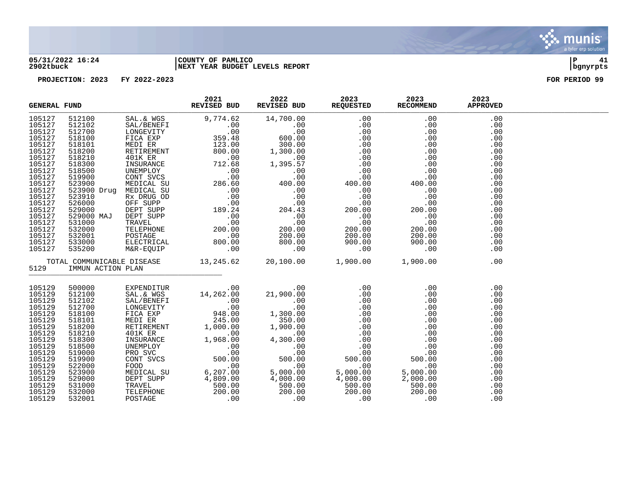

### **05/31/2022 16:24 |COUNTY OF PAMLICO |P 41 2902tbuck |NEXT YEAR BUDGET LEVELS REPORT |bgnyrpts**

| <b>GENERAL FUND</b> |                        | 2021 2022 2023 2023<br>REVISED BUD REVISED BUD REQUESTED RECOMMEND APPROVED<br>$\begin{tabular}{l c c c c c} \multicolumn{1}{c c c c} \multicolumn{1}{c c c} \multicolumn{1}{c c c} \multicolumn{1}{c c c} \multicolumn{1}{c c c} \multicolumn{1}{c c c} \multicolumn{1}{c c c} \multicolumn{1}{c c c} \multicolumn{1}{c c c} \multicolumn{1}{c c c} \multicolumn{1}{c c c} \multicolumn{1}{c c c} \multicolumn{1}{c c c} \multicolumn{1}{c c c} \multicolumn{1}{c c c} \multicolumn{$ |  |  |  |
|---------------------|------------------------|----------------------------------------------------------------------------------------------------------------------------------------------------------------------------------------------------------------------------------------------------------------------------------------------------------------------------------------------------------------------------------------------------------------------------------------------------------------------------------------|--|--|--|
|                     |                        |                                                                                                                                                                                                                                                                                                                                                                                                                                                                                        |  |  |  |
|                     |                        |                                                                                                                                                                                                                                                                                                                                                                                                                                                                                        |  |  |  |
|                     |                        |                                                                                                                                                                                                                                                                                                                                                                                                                                                                                        |  |  |  |
|                     |                        |                                                                                                                                                                                                                                                                                                                                                                                                                                                                                        |  |  |  |
|                     |                        |                                                                                                                                                                                                                                                                                                                                                                                                                                                                                        |  |  |  |
|                     |                        |                                                                                                                                                                                                                                                                                                                                                                                                                                                                                        |  |  |  |
|                     |                        |                                                                                                                                                                                                                                                                                                                                                                                                                                                                                        |  |  |  |
|                     |                        |                                                                                                                                                                                                                                                                                                                                                                                                                                                                                        |  |  |  |
|                     |                        |                                                                                                                                                                                                                                                                                                                                                                                                                                                                                        |  |  |  |
|                     |                        |                                                                                                                                                                                                                                                                                                                                                                                                                                                                                        |  |  |  |
|                     |                        |                                                                                                                                                                                                                                                                                                                                                                                                                                                                                        |  |  |  |
|                     |                        |                                                                                                                                                                                                                                                                                                                                                                                                                                                                                        |  |  |  |
|                     |                        |                                                                                                                                                                                                                                                                                                                                                                                                                                                                                        |  |  |  |
|                     |                        |                                                                                                                                                                                                                                                                                                                                                                                                                                                                                        |  |  |  |
|                     |                        |                                                                                                                                                                                                                                                                                                                                                                                                                                                                                        |  |  |  |
|                     |                        |                                                                                                                                                                                                                                                                                                                                                                                                                                                                                        |  |  |  |
|                     |                        |                                                                                                                                                                                                                                                                                                                                                                                                                                                                                        |  |  |  |
|                     |                        |                                                                                                                                                                                                                                                                                                                                                                                                                                                                                        |  |  |  |
|                     |                        |                                                                                                                                                                                                                                                                                                                                                                                                                                                                                        |  |  |  |
|                     |                        |                                                                                                                                                                                                                                                                                                                                                                                                                                                                                        |  |  |  |
|                     |                        |                                                                                                                                                                                                                                                                                                                                                                                                                                                                                        |  |  |  |
|                     |                        | TOTAL COMMUNICABLE DISEASE 13,245.62 20,100.00 1,900.00 1,900.00 1,900.00                                                                                                                                                                                                                                                                                                                                                                                                              |  |  |  |
|                     | 5129 IMMUN ACTION PLAN |                                                                                                                                                                                                                                                                                                                                                                                                                                                                                        |  |  |  |
| 105129              |                        |                                                                                                                                                                                                                                                                                                                                                                                                                                                                                        |  |  |  |
| 105129              |                        |                                                                                                                                                                                                                                                                                                                                                                                                                                                                                        |  |  |  |
| 105129              |                        |                                                                                                                                                                                                                                                                                                                                                                                                                                                                                        |  |  |  |
| 105129              |                        |                                                                                                                                                                                                                                                                                                                                                                                                                                                                                        |  |  |  |
| 105129              |                        |                                                                                                                                                                                                                                                                                                                                                                                                                                                                                        |  |  |  |
| 105129              |                        |                                                                                                                                                                                                                                                                                                                                                                                                                                                                                        |  |  |  |
| 105129              |                        |                                                                                                                                                                                                                                                                                                                                                                                                                                                                                        |  |  |  |
| 105129              |                        |                                                                                                                                                                                                                                                                                                                                                                                                                                                                                        |  |  |  |
| 105129              |                        |                                                                                                                                                                                                                                                                                                                                                                                                                                                                                        |  |  |  |
| 105129              |                        |                                                                                                                                                                                                                                                                                                                                                                                                                                                                                        |  |  |  |
| 105129              |                        |                                                                                                                                                                                                                                                                                                                                                                                                                                                                                        |  |  |  |
| 105129              |                        |                                                                                                                                                                                                                                                                                                                                                                                                                                                                                        |  |  |  |
| 105129              |                        |                                                                                                                                                                                                                                                                                                                                                                                                                                                                                        |  |  |  |
| 105129              |                        |                                                                                                                                                                                                                                                                                                                                                                                                                                                                                        |  |  |  |
| 105129              |                        |                                                                                                                                                                                                                                                                                                                                                                                                                                                                                        |  |  |  |
| 105129              |                        |                                                                                                                                                                                                                                                                                                                                                                                                                                                                                        |  |  |  |
| 105129              |                        |                                                                                                                                                                                                                                                                                                                                                                                                                                                                                        |  |  |  |
| 105129              |                        |                                                                                                                                                                                                                                                                                                                                                                                                                                                                                        |  |  |  |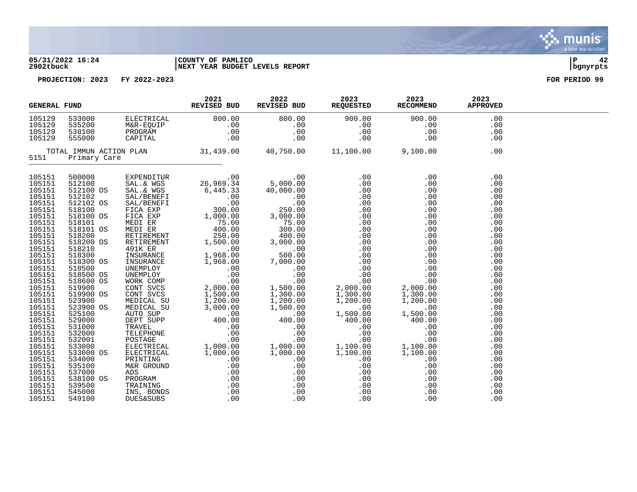

# **05/31/2022 16:24 |COUNTY OF PAMLICO |P 42 2902tbuck |NEXT YEAR BUDGET LEVELS REPORT |bgnyrpts**



| <b>GENERAL FUND</b>                                                                    |                                                                                                    |            | 2021<br>REVISED BUD                                                                                                                                                                                                                                                                                                                                                                               | 2022                                                                                                                                        | 2023<br>REVISED BUD REQUESTED                                            | 2023<br><b>RECOMMEND</b>                                                                                                                                                                            | 2023<br><b>APPROVED</b>                                     |  |
|----------------------------------------------------------------------------------------|----------------------------------------------------------------------------------------------------|------------|---------------------------------------------------------------------------------------------------------------------------------------------------------------------------------------------------------------------------------------------------------------------------------------------------------------------------------------------------------------------------------------------------|---------------------------------------------------------------------------------------------------------------------------------------------|--------------------------------------------------------------------------|-----------------------------------------------------------------------------------------------------------------------------------------------------------------------------------------------------|-------------------------------------------------------------|--|
| 105129<br>105129<br>105129<br>105129                                                   | 533000                                                                                             | ELECTRICAL | 800.00<br>129 535200 M&R-EQUIP<br>129 538100 PROGRAM .00<br>129 538100 PROGRAM .00<br>129 555000 CAPITAL .00<br>TOTAL_IMMUN_ACTION_PLAN .01<br>TOTAL_IMMUN_ACTION_PLAN .01                                                                                                                                                                                                                        | 800.00<br>.00<br>.00<br>.00                                                                                                                 | 900.00<br>.00<br>.00<br>.00                                              | 900.00<br>.00<br>.00<br>.00                                                                                                                                                                         | .00<br>.00<br>.00<br>.00                                    |  |
| 5151                                                                                   | Primary Care                                                                                       |            |                                                                                                                                                                                                                                                                                                                                                                                                   | 40,750.00                                                                                                                                   | 11,100.00                                                                | 9,100.00                                                                                                                                                                                            | .00                                                         |  |
| 105151<br>105151<br>105151<br>105151<br>105151<br>105151<br>105151<br>105151<br>105151 | 500000<br>512100<br>512100 OS<br>512102<br>512102 OS<br>518100<br>518100 OS<br>518101<br>518101 OS |            | EXPENDITUR .00<br>SAL.& WGS 26,969.34<br>$\begin{tabular}{l c c c} \texttt{EXPENDITUR} & .000 & .000 & .000 \\ \texttt{SAL} & \texttt{WGS} & 26,969.34 & 5,000.000 \\ \texttt{SAL} & \texttt{WGS} & 6,445.33 & 40,000.000 \\ \texttt{SAL} / \texttt{EBNEFT} & .00 & .000 & .000 \\ \texttt{FICA EXP} & 300.00 & 250.000 \\ \texttt{FICA EXP} & 300.00 & 3,000.00 \\ \texttt{MEDI ER} & 400.00 & $ | $00.00$ .<br>5,000.00                                                                                                                       |                                                                          | $\begin{array}{r} .00\ 0.00\ 0.00\ 0.00\ 0.00\ 0.00\ 0.00\ 0.00\ 0.00\ 0.00\ 0.00\ 0.00\ 0.00\ 0.00\ 0.00\ 0.00\ 0.00\ 0.00\ 1,300.00\ 1,300.00\ 1,200.00\ 1,500.00\ 1,500.00\ 400.00\ \end{array}$ | .00<br>.00<br>.00<br>.00<br>.00<br>.00<br>.00<br>.00<br>.00 |  |
| 105151<br>105151<br>105151<br>105151<br>105151<br>105151                               | 518200<br>518200 OS<br>518210<br>518300<br>518300 OS<br>518500                                     |            |                                                                                                                                                                                                                                                                                                                                                                                                   |                                                                                                                                             |                                                                          |                                                                                                                                                                                                     | .00<br>.00<br>.00<br>.00<br>.00<br>.00                      |  |
| 105151<br>105151<br>105151<br>105151<br>105151<br>105151<br>105151                     | 518500 OS<br>518600 OS<br>519900<br>519900 OS<br>523900<br>523900 OS<br>525100                     |            |                                                                                                                                                                                                                                                                                                                                                                                                   |                                                                                                                                             |                                                                          |                                                                                                                                                                                                     | .00<br>.00<br>.00<br>.00<br>.00<br>.00<br>.00               |  |
| 105151<br>105151<br>105151<br>105151<br>105151<br>105151<br>105151                     | 529000<br>531000<br>532000<br>532001<br>533000<br>533000 OS<br>534000                              |            |                                                                                                                                                                                                                                                                                                                                                                                                   |                                                                                                                                             | $1,500.00$<br>400.00<br>.00<br>.00<br>.00<br>1,100.00<br>1,100.00<br>.00 | $,500.00$<br>$400.00$<br>$.00$<br>$.00$<br>$1,100.00$<br>$1,100.00$<br>$.00$<br>$.00$<br>$.00$<br>$.00$                                                                                             | .00<br>.00<br>.00<br>.00<br>.00<br>.00<br>.00               |  |
| 105151<br>105151<br>105151<br>105151<br>105151<br>105151                               | 535100<br>537000<br>538100 OS<br>539500<br>545000<br>549100                                        |            |                                                                                                                                                                                                                                                                                                                                                                                                   | $\begin{array}{cc} 0.00 & 1,1\ 00.00 & 1,1\ 00.00 & 1,1\ 0 & 0 & 0\ 0.00 & 0 & 0\ 0 & 0 & 0 & 0\ 0 & 0 & 0 & 0\ 0 & 0 & 0 & 0\ \end{array}$ | .00<br>.00<br>.00<br>.00<br>.00<br>.00                                   | .00<br>.00                                                                                                                                                                                          | .00<br>.00<br>.00<br>.00<br>.00<br>.00                      |  |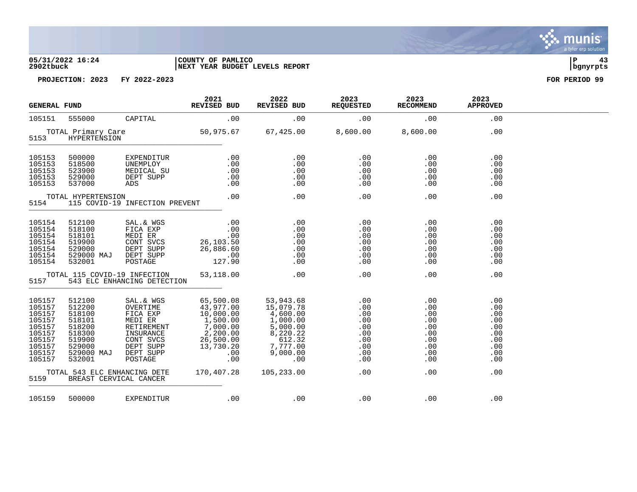### **05/31/2022 16:24 |COUNTY OF PAMLICO |P 43 2902tbuck |NEXT YEAR BUDGET LEVELS REPORT |bgnyrpts**

**PROJECTION: 2023 FY 2022-2023 FOR PERIOD 99**

| <b>GENERAL FUND</b>                                                                              |                                                                                                      |                                                                                                            | 2021<br>REVISED BUD                                                                                                                                       | 2022<br>REVISED BUD                                                                                                                                         | 2023<br>REQUESTED                                                  | 2023<br>RECOMMEND                                                  | 2023<br><b>APPROVED</b>                                            |  |
|--------------------------------------------------------------------------------------------------|------------------------------------------------------------------------------------------------------|------------------------------------------------------------------------------------------------------------|-----------------------------------------------------------------------------------------------------------------------------------------------------------|-------------------------------------------------------------------------------------------------------------------------------------------------------------|--------------------------------------------------------------------|--------------------------------------------------------------------|--------------------------------------------------------------------|--|
| 105151                                                                                           | 555000                                                                                               | CAPITAL                                                                                                    | .00                                                                                                                                                       | .00                                                                                                                                                         | .00                                                                | .00                                                                | .00                                                                |  |
| 5153                                                                                             | TOTAL Primary Care<br>HYPERTENSION                                                                   |                                                                                                            |                                                                                                                                                           | 50,975.67 67,425.00 8,600.00                                                                                                                                |                                                                    | 8,600.00                                                           | .00                                                                |  |
| 105153<br>105153<br>105153<br>105153<br>105153                                                   | 500000<br>518500<br>523900<br>529000<br>537000                                                       | EXPENDITUR<br>UNEMPLOY<br>MEDICAL SU<br>DEPT SUPP<br>ADS                                                   | .00<br>.00<br>.00<br>.00<br>.00                                                                                                                           | .00<br>.00<br>.00<br>.00<br>.00                                                                                                                             | .00<br>.00<br>.00<br>.00<br>.00                                    | .00<br>.00<br>.00<br>.00<br>.00                                    | .00<br>.00<br>.00<br>.00<br>.00                                    |  |
| 5154                                                                                             | TOTAL HYPERTENSION                                                                                   | 115 COVID-19 INFECTION PREVENT                                                                             | .00                                                                                                                                                       | .00                                                                                                                                                         | .00                                                                | .00                                                                | .00                                                                |  |
| 105154<br>105154<br>105154<br>105154<br>105154<br>105154<br>105154                               | 512100<br>518100<br>518101<br>519900<br>529000<br>529000 MAJ<br>532001                               | SAL.& WGS<br>FICA EXP<br>MEDI ER<br>CONT SVCS<br>MEDI ER<br>CONT SVCS<br>DEPT SUPP<br>DEPT SUPP<br>POSTAGE | .00<br>.00<br>.00<br>26,103.50<br>26,886.60<br>$-00$<br>127.90                                                                                            | .00<br>.00<br>.00<br>.00<br>.00<br>.00<br>.00                                                                                                               | .00<br>.00<br>.00<br>.00<br>.00<br>.00<br>.00                      | .00<br>.00<br>.00<br>.00<br>.00<br>.00<br>.00                      | .00<br>.00<br>.00<br>.00<br>.00<br>.00<br>.00                      |  |
| 5157                                                                                             | TOTAL 115 COVID-19 INFECTION                                                                         | 543 ELC ENHANCING DETECTION                                                                                | 53,118.00                                                                                                                                                 | .00                                                                                                                                                         | .00                                                                | .00                                                                | .00                                                                |  |
| 105157<br>105157<br>105157<br>105157<br>105157<br>105157<br>105157<br>105157<br>105157<br>105157 | 512100<br>512200<br>518100<br>518101<br>518200<br>518300<br>519900<br>529000<br>529000 MAJ<br>532001 | SAL.& WGS<br>OVERTIME<br>CONT SVCS<br>DEPT SUPP<br>DEPT SUPP<br>POSTAGE                                    | 65,500.08<br>43,977.00<br>FICA EXP $10,000.00$<br>MEDI ER $1,500.00$<br>RETIREMENT 7,000.00<br>INSURANCE 2,200.00<br>26,500.00<br>13,730.20<br>.00<br>.00 | 53,943.68<br>15,079.78<br>4,600.00<br>$\begin{array}{c} 4,600.00\ 1,000.00\ 5,000.00\ 8,220.22\ 81.232\ 7,777.00\ 9,000.00\ \end{array}$<br>$\overline{00}$ | .00<br>.00<br>.00<br>.00<br>.00<br>.00<br>.00<br>.00<br>.00<br>.00 | .00<br>.00<br>.00<br>.00<br>.00<br>.00<br>.00<br>.00<br>.00<br>.00 | .00<br>.00<br>.00<br>.00<br>.00<br>.00<br>.00<br>.00<br>.00<br>.00 |  |
| 5159                                                                                             | TOTAL 543 ELC ENHANCING DETE<br>BREAST CERVICAL CANCER                                               |                                                                                                            | 170,407.28                                                                                                                                                | 105,233.00                                                                                                                                                  | .00                                                                | .00                                                                | .00                                                                |  |
| 105159                                                                                           | 500000                                                                                               | EXPENDITUR                                                                                                 | .00                                                                                                                                                       | .00                                                                                                                                                         | .00                                                                | .00                                                                | .00                                                                |  |

. munis<sup>.</sup> a tyler erp solution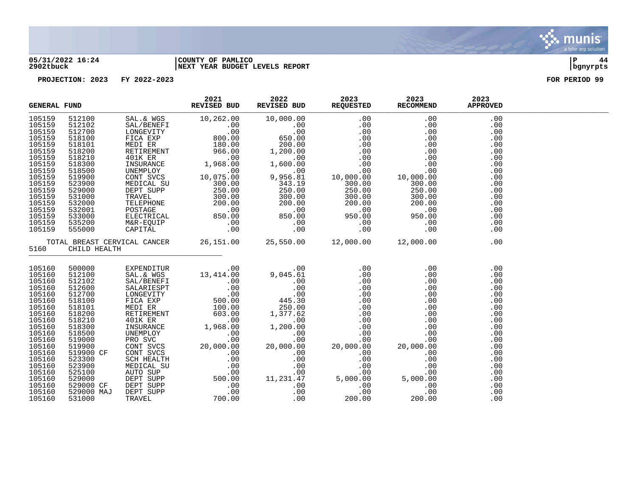

### **05/31/2022 16:24 |COUNTY OF PAMLICO |P 44 2902tbuck |NEXT YEAR BUDGET LEVELS REPORT |bgnyrpts**

| <b>GENERAL FUND</b> |                   | 2021<br>REVISED BUD                                                                                                                                                                                                                                                                                                                         | 2022 | 2023 2023 | REVISED BUD REQUESTED RECOMMEND APPROVED | 2023       |  |
|---------------------|-------------------|---------------------------------------------------------------------------------------------------------------------------------------------------------------------------------------------------------------------------------------------------------------------------------------------------------------------------------------------|------|-----------|------------------------------------------|------------|--|
| 105159              |                   |                                                                                                                                                                                                                                                                                                                                             |      |           |                                          |            |  |
| 105159<br>105159    |                   |                                                                                                                                                                                                                                                                                                                                             |      |           |                                          |            |  |
| 105159              |                   |                                                                                                                                                                                                                                                                                                                                             |      |           |                                          |            |  |
| 105159              |                   |                                                                                                                                                                                                                                                                                                                                             |      |           |                                          |            |  |
| 105159              |                   |                                                                                                                                                                                                                                                                                                                                             |      |           |                                          |            |  |
| 105159              |                   |                                                                                                                                                                                                                                                                                                                                             |      |           |                                          |            |  |
| 105159              |                   |                                                                                                                                                                                                                                                                                                                                             |      |           |                                          |            |  |
| 105159              |                   |                                                                                                                                                                                                                                                                                                                                             |      |           |                                          |            |  |
| 105159              |                   |                                                                                                                                                                                                                                                                                                                                             |      |           |                                          |            |  |
| 105159              |                   |                                                                                                                                                                                                                                                                                                                                             |      |           |                                          |            |  |
| 105159              |                   |                                                                                                                                                                                                                                                                                                                                             |      |           |                                          |            |  |
| 105159              |                   |                                                                                                                                                                                                                                                                                                                                             |      |           |                                          |            |  |
| 105159              |                   |                                                                                                                                                                                                                                                                                                                                             |      |           |                                          |            |  |
| 105159              |                   |                                                                                                                                                                                                                                                                                                                                             |      |           |                                          |            |  |
| 105159              |                   |                                                                                                                                                                                                                                                                                                                                             |      |           |                                          |            |  |
| 105159              |                   |                                                                                                                                                                                                                                                                                                                                             |      |           |                                          |            |  |
| 105159              |                   |                                                                                                                                                                                                                                                                                                                                             |      |           |                                          |            |  |
|                     | 5160 CHILD HEALTH | TOTAL BREAST CERVICAL CANCER 26,151.00 25,550.00 12,000.00 12,000.00                                                                                                                                                                                                                                                                        |      |           |                                          | .00        |  |
|                     |                   |                                                                                                                                                                                                                                                                                                                                             |      |           |                                          |            |  |
| 105160              | 500000<br>512100  | $\begin{tabular}{cccc} 500000 & EXPENDITUR & 13,414\,\, .00 & 9,045.61 & .00 & .00 & .00 & .00 \\ 512100 & SAL & RWS & 13,414\,\, .00 & 9,045.61 & .00 & .00 & .00 & .00 \\ 512100 & SAL & RWS & 100 & .00 & .00 & .00 & .00 & .00 \\ 512600 & EML & RWS & 0 & .00 & .00 & .00 & .00 & .00 & .00 \\ 512500 & LOM & RWS & 0 & .00 & .00 & .$ |      |           |                                          | .00        |  |
| 105160              |                   |                                                                                                                                                                                                                                                                                                                                             |      |           |                                          | .00        |  |
| 105160              |                   |                                                                                                                                                                                                                                                                                                                                             |      |           |                                          | .00        |  |
| 105160              |                   |                                                                                                                                                                                                                                                                                                                                             |      |           |                                          | .00        |  |
| 105160              |                   |                                                                                                                                                                                                                                                                                                                                             |      |           |                                          | .00        |  |
| 105160              |                   |                                                                                                                                                                                                                                                                                                                                             |      |           |                                          | .00        |  |
| 105160              |                   |                                                                                                                                                                                                                                                                                                                                             |      |           |                                          | .00        |  |
| 105160              |                   |                                                                                                                                                                                                                                                                                                                                             |      |           |                                          | .00        |  |
| 105160              |                   |                                                                                                                                                                                                                                                                                                                                             |      |           |                                          | .00        |  |
| 105160              |                   |                                                                                                                                                                                                                                                                                                                                             |      |           |                                          | .00        |  |
| 105160              |                   |                                                                                                                                                                                                                                                                                                                                             |      |           |                                          | .00        |  |
| 105160<br>105160    |                   |                                                                                                                                                                                                                                                                                                                                             |      |           |                                          | .00        |  |
| 105160              |                   |                                                                                                                                                                                                                                                                                                                                             |      |           |                                          | .00<br>.00 |  |
| 105160              |                   |                                                                                                                                                                                                                                                                                                                                             |      |           |                                          | .00        |  |
| 105160              |                   |                                                                                                                                                                                                                                                                                                                                             |      |           |                                          | .00        |  |
| 105160              |                   |                                                                                                                                                                                                                                                                                                                                             |      |           |                                          | .00        |  |
| 105160              |                   |                                                                                                                                                                                                                                                                                                                                             |      |           |                                          | .00        |  |
| 105160              |                   |                                                                                                                                                                                                                                                                                                                                             |      |           |                                          | .00        |  |
| 105160              |                   |                                                                                                                                                                                                                                                                                                                                             |      |           |                                          | .00        |  |
| 105160              |                   |                                                                                                                                                                                                                                                                                                                                             |      |           |                                          | .00        |  |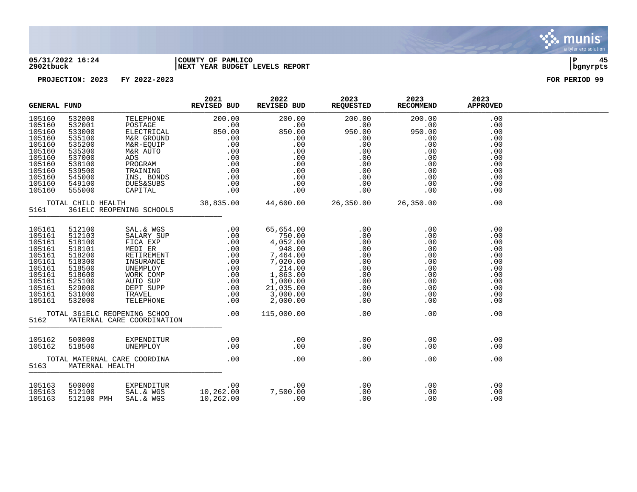

### **05/31/2022 16:24 |COUNTY OF PAMLICO |P 45 2902tbuck |NEXT YEAR BUDGET LEVELS REPORT |bgnyrpts**

| <b>GENERAL FUND</b>                                                                                                  |                                                                                                                                                      |                                     | 2021<br>REVISED BUD | 2022                                                                                                                                                                                                                                                                                                                                                                                                                                                                                                                                           | 2023<br>REVISED BUD REQUESTED RECOMMEND | 2023                                                                                                                                                                                                                                                                                             | 2023<br><b>APPROVED</b>                                                                        |  |
|----------------------------------------------------------------------------------------------------------------------|------------------------------------------------------------------------------------------------------------------------------------------------------|-------------------------------------|---------------------|------------------------------------------------------------------------------------------------------------------------------------------------------------------------------------------------------------------------------------------------------------------------------------------------------------------------------------------------------------------------------------------------------------------------------------------------------------------------------------------------------------------------------------------------|-----------------------------------------|--------------------------------------------------------------------------------------------------------------------------------------------------------------------------------------------------------------------------------------------------------------------------------------------------|------------------------------------------------------------------------------------------------|--|
| 105160<br>105160<br>105160<br>105160<br>105160<br>105160<br>105160<br>105160<br>105160<br>105160<br>105160<br>105160 | 532000<br>532001<br>533000<br>535100<br>535200<br>535300<br>537000<br>538100<br>539500<br>545000<br>549100<br>555000                                 |                                     |                     | $\begin{tabular}{l c c c c c} \hline TELEPHONE & 200.00 & 200.00 & 200.00 & 200.00 & 200.00 \\ \hline \texttt{POSTAGE} & .00 & .00 & .00 & .00 & .00 & .00 \\ \texttt{ELECTRICAL} & 850.00 & 850.00 & 950.00 & 950.00 & 0.00 \\ \texttt{M&R-ROUND} & .00 & .00 & .00 & .00 & .00 & .00 \\ \texttt{M&R-RUID} & .00 & .00 & .00 & .00 & .00 &$                                                                                                                                                                                                   |                                         | $\begin{array}{cccc} 0.00 & & & 200.00\ .00 & & & & 0.00\ 0.00 & & & & 0.00\ .00 & & & & 0.00\ .00 & & & & 0.00\ .00 & & & & 0.00\ .00 & & & & 0.00\ .00 & & & & 0.00\ .00 & & & & 0.00\ .00 & & & & 0.00\ .00 & & & & 0.00\ .00 & & & & 0.00\ .00 & & & & 0.00\ .00 & & & & & 0.0\ \end{array}$ | .00<br>.00<br>.00<br>.00<br>.00<br>.00<br>.00<br>.00<br>.00<br>.00<br>.00<br>.00               |  |
| 5161                                                                                                                 | TOTAL CHILD HEALTH                                                                                                                                   | 361ELC REOPENING SCHOOLS            |                     | 38,835.00 44,600.00 26,350.00 26,350.00                                                                                                                                                                                                                                                                                                                                                                                                                                                                                                        |                                         |                                                                                                                                                                                                                                                                                                  | .00                                                                                            |  |
| 105161<br>105161<br>105161<br>105161<br>105161<br>105161<br>105161<br>105161<br>105161<br>105161<br>105161<br>105161 | 512100<br>512103<br>518100<br>518101<br>518200<br>518300<br>518500<br>518600<br>525100<br>529000<br>531000<br>532000<br>TOTAL 361ELC REOPENING SCHOO |                                     |                     | $\begin{tabular}{l c c c} \multicolumn{4}{c}{\textbf{SAL}} & $\times$ \textbf{WGS} & $\dots$ & $\dots$ & $\dots$ & $\dots$ & $\dots$ & $\dots$ \\ \multicolumn{4}{c}{\textbf{SALARY SUP}} & $\dots$ & $\dots$ & $\dots$ & $\dots$ & $\dots$ & $\dots$ & $\dots$ \\ \multicolumn{4}{c}{\textbf{FICA EXP}} & $\dots$ & $\dots$ & $\dots$ & $\dots$ & $\dots$ & $\dots$ & $\dots$ & $\dots$ \\ \multicolumn{4}{c}{\textbf{MEDI ER}} & $\dots$ & $\dots$ & $\dots$ & $\dots$ & $\dots$ & $\dots$ & $\dots$ & $\dots$ & $\dots$ \\ \$<br>115,000.00 | .00                                     | .00<br>$0.00$<br>$0.00$<br>$0.00$<br>$0.00$<br>$0.00$<br>$0.00$<br>$0.00$<br>$0.00$<br>$0.00$<br>$0.00$                                                                                                                                                                                          | .00<br>.00<br>.00<br>.00<br>.00<br>.00<br>.00<br>.00<br>.00<br>.00<br>.00<br>.00<br>.00<br>.00 |  |
| 5162<br>105162                                                                                                       | 500000                                                                                                                                               | NATERNAL CARE COORDINATION .00      |                     |                                                                                                                                                                                                                                                                                                                                                                                                                                                                                                                                                |                                         | .00                                                                                                                                                                                                                                                                                              | .00                                                                                            |  |
| 105162                                                                                                               | 518500                                                                                                                                               |                                     |                     | EXPENDITUR .00 .00 .00<br>UNEMPLOY .00 .00 .00                                                                                                                                                                                                                                                                                                                                                                                                                                                                                                 |                                         | .00                                                                                                                                                                                                                                                                                              | .00                                                                                            |  |
| 5163                                                                                                                 | MATERNAL HEALTH                                                                                                                                      | TOTAL MATERNAL CARE COORDINA        | .00                 | $\sim$ 00                                                                                                                                                                                                                                                                                                                                                                                                                                                                                                                                      | .00                                     | .00                                                                                                                                                                                                                                                                                              | .00                                                                                            |  |
| 105163<br>105163<br>105163                                                                                           | 500000<br>512100                                                                                                                                     | SAL. & WGS<br>512100 PMH SAL. & WGS | 10,262.00           | $\sim 00$                                                                                                                                                                                                                                                                                                                                                                                                                                                                                                                                      | .00                                     | .00<br>.00<br>.00                                                                                                                                                                                                                                                                                | .00<br>.00<br>.00                                                                              |  |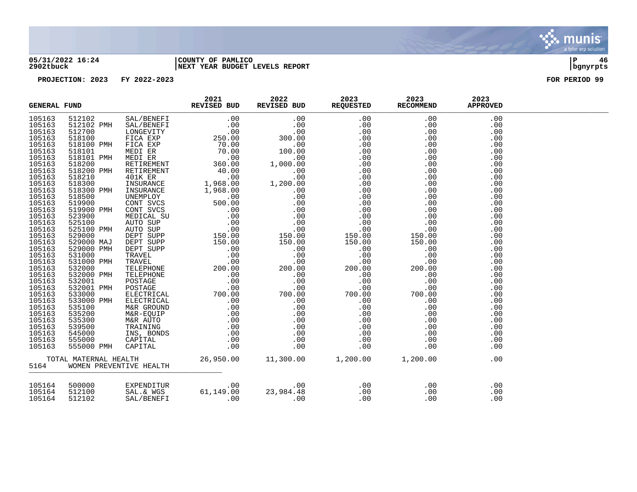

### **05/31/2022 16:24 |COUNTY OF PAMLICO |P 46 2902tbuck |NEXT YEAR BUDGET LEVELS REPORT |bgnyrpts**

|  |  |  | .00 |  |
|--|--|--|-----|--|
|  |  |  | .00 |  |
|  |  |  | .00 |  |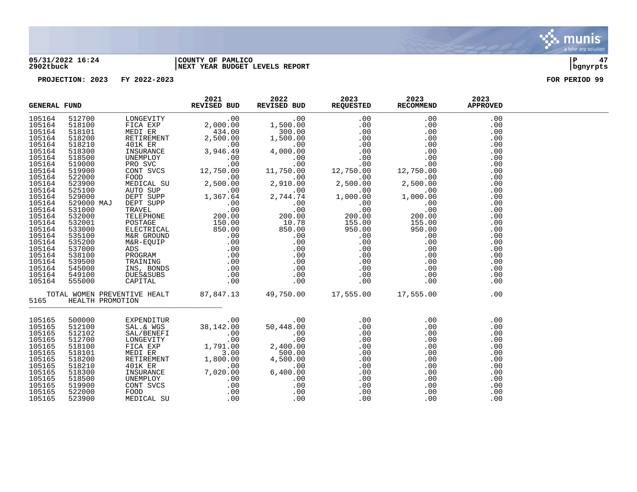

### **05/31/2022 16:24 |COUNTY OF PAMLICO |P 47 2902tbuck |NEXT YEAR BUDGET LEVELS REPORT |bgnyrpts**

|        | 5165 HEALTH PROMOTION | $\begin{tabular}{l c c c c c} \hline \textbf{EXERCISE} & \textbf{FUND} & \textbf{REVISTB} & \textbf{REVISTB} & \textbf{REVISTB} & \textbf{REVISTB} & \textbf{REVISTB} & \textbf{REVISTB} & \textbf{REVISTB} & \textbf{REVISTB} & \textbf{REVISTB} & \textbf{REVISTB} & \textbf{REVISTB} & \textbf{REVISTB} & \textbf{REVISTB} & \textbf{REVISTB} & \textbf{REVISTB} & \textbf{REVISTB} & \textbf{REVISTB} & \textbf{REVISTB} & \text$ |  |  |
|--------|-----------------------|---------------------------------------------------------------------------------------------------------------------------------------------------------------------------------------------------------------------------------------------------------------------------------------------------------------------------------------------------------------------------------------------------------------------------------------|--|--|
|        |                       | $\begin{tabular}{lcccc} 500000 & \texttt{EXPENDITUR} & .00 & .00 & .00 & .00 & .00 & .00 \\ 512100 & \texttt{SAL} & \texttt{WGS} & 38,142.00 & 50,448.00 & .00 & .00 & .00 & .00 \\ 512102 & \texttt{SAL} / \texttt{BENERF1} & .00 & .00 & .00 & .00 & .00 & .00 & .00 \\ 512700 & \texttt{LONGUITY} & .00 & .00 & .00 & .00 & .00 & .00 & .00 & .00 \\ 5$                                                                            |  |  |
| 105165 |                       |                                                                                                                                                                                                                                                                                                                                                                                                                                       |  |  |
| 105165 |                       |                                                                                                                                                                                                                                                                                                                                                                                                                                       |  |  |
| 105165 |                       |                                                                                                                                                                                                                                                                                                                                                                                                                                       |  |  |
| 105165 |                       |                                                                                                                                                                                                                                                                                                                                                                                                                                       |  |  |
| 105165 |                       |                                                                                                                                                                                                                                                                                                                                                                                                                                       |  |  |
| 105165 |                       |                                                                                                                                                                                                                                                                                                                                                                                                                                       |  |  |
| 105165 |                       |                                                                                                                                                                                                                                                                                                                                                                                                                                       |  |  |
| 105165 |                       |                                                                                                                                                                                                                                                                                                                                                                                                                                       |  |  |
| 105165 |                       |                                                                                                                                                                                                                                                                                                                                                                                                                                       |  |  |
| 105165 |                       |                                                                                                                                                                                                                                                                                                                                                                                                                                       |  |  |
| 105165 |                       |                                                                                                                                                                                                                                                                                                                                                                                                                                       |  |  |
| 105165 |                       |                                                                                                                                                                                                                                                                                                                                                                                                                                       |  |  |
| 105165 |                       |                                                                                                                                                                                                                                                                                                                                                                                                                                       |  |  |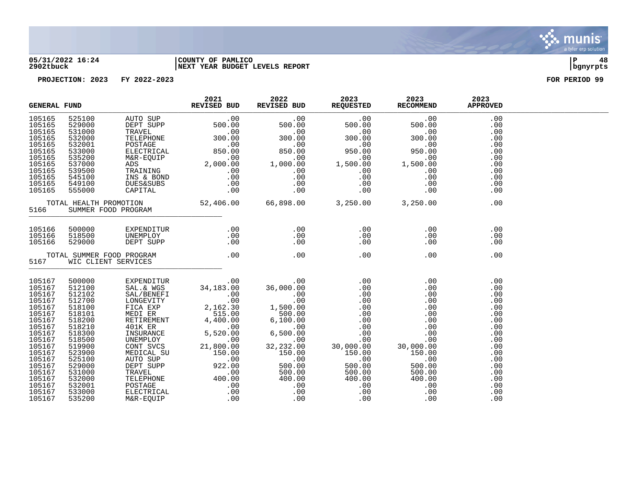

### **05/31/2022 16:24 |COUNTY OF PAMLICO |P 48 2902tbuck |NEXT YEAR BUDGET LEVELS REPORT |bgnyrpts**

|                                                                                                                                                                                            | <b>GENERAL FUND</b>                                                                                                                                                                        |                                                                                                                                                                                                                                                                                                                                       | 2021<br>REVISED BUD | 2022                                                                                                                                                                                                                                                                                                                                               | 2023<br>REVISED BUD REQUESTED RECOMMEND | 2023                                                       | 2023<br><b>APPROVED</b>                                                                                                           |  |
|--------------------------------------------------------------------------------------------------------------------------------------------------------------------------------------------|--------------------------------------------------------------------------------------------------------------------------------------------------------------------------------------------|---------------------------------------------------------------------------------------------------------------------------------------------------------------------------------------------------------------------------------------------------------------------------------------------------------------------------------------|---------------------|----------------------------------------------------------------------------------------------------------------------------------------------------------------------------------------------------------------------------------------------------------------------------------------------------------------------------------------------------|-----------------------------------------|------------------------------------------------------------|-----------------------------------------------------------------------------------------------------------------------------------|--|
|                                                                                                                                                                                            |                                                                                                                                                                                            |                                                                                                                                                                                                                                                                                                                                       |                     |                                                                                                                                                                                                                                                                                                                                                    |                                         |                                                            | .00<br>.00<br>.00<br>.00<br>.00<br>.00<br>.00<br>.00<br>.00<br>.00<br>.00<br>.00                                                  |  |
|                                                                                                                                                                                            |                                                                                                                                                                                            |                                                                                                                                                                                                                                                                                                                                       |                     |                                                                                                                                                                                                                                                                                                                                                    |                                         |                                                            | .00                                                                                                                               |  |
|                                                                                                                                                                                            |                                                                                                                                                                                            | $\begin{array}{cccc} 105166 & 500000 & \texttt{EXPENDITUR} & .00 & .00 & .00 \\ 105166 & 518500 & \texttt{UNEMPLOY} & .00 & .00 & .00 \\ 105166 & 529000 & \texttt{DEF SUPP} & .00 & .00 & .00 \\ \texttt{TOTAL SUMMER FOOD PROGRAM} & .00 & .00 & .00 & .00 \\ 5167 & \texttt{WIC CLLENT SERVICES} & .00 & .00 & .00 \\ \end{array}$ |                     |                                                                                                                                                                                                                                                                                                                                                    |                                         | .00<br>.00<br>$\begin{array}{c} 0.00 \\ -0.00 \end{array}$ | .00<br>.00<br>.00                                                                                                                 |  |
|                                                                                                                                                                                            |                                                                                                                                                                                            |                                                                                                                                                                                                                                                                                                                                       |                     |                                                                                                                                                                                                                                                                                                                                                    |                                         | .00                                                        | .00                                                                                                                               |  |
| 105167<br>105167<br>105167<br>105167<br>105167<br>105167<br>105167<br>105167<br>105167<br>105167<br>105167<br>105167<br>105167<br>105167<br>105167<br>105167<br>105167<br>105167<br>105167 | 500000<br>512100<br>512102<br>512700<br>518100<br>518101<br>518200<br>518210<br>518300<br>518500<br>519900<br>523900<br>525100<br>529000<br>531000<br>532000<br>532001<br>533000<br>535200 |                                                                                                                                                                                                                                                                                                                                       |                     | $\begin{tabular}{l cccc} \multicolumn{1}{c}{\textbf{EXPENDITUR}} & 0.00 & 0.00 & 0.00 & 0.00 \\ \multicolumn{1}{c}{\textbf{SAL}, \texttt{\& WGS}} & 34,183.00 & 36,000.00 & 0.00 & 0.00 & 0.00 \\ \texttt{SAL/BENREF1} & 0.00 & 0.00 & 0.00 & 0.00 & 0.00 \\ \texttt{INCEVITY} & 2,162.30 & 1,500.00 & 0.00 & 0.00 & 0.00 \\ \texttt{MEDT ER} & 2$ |                                         |                                                            | .00<br>.00<br>.00<br>.00<br>.00<br>.00<br>.00<br>.00<br>.00<br>.00<br>.00<br>.00<br>.00<br>.00<br>.00<br>.00<br>.00<br>.00<br>.00 |  |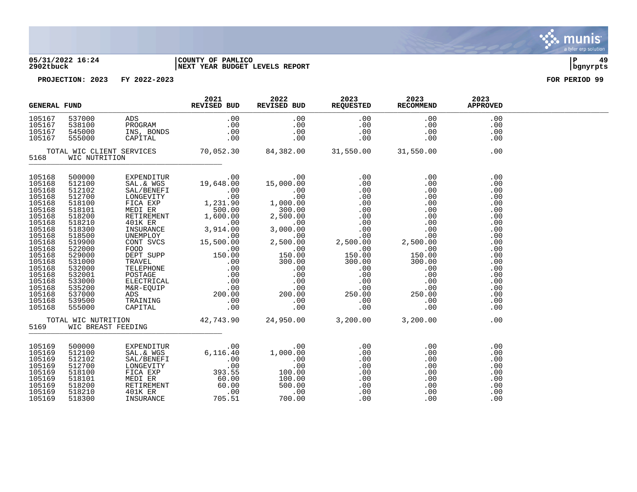

### **05/31/2022 16:24 |COUNTY OF PAMLICO |P 49 2902tbuck |NEXT YEAR BUDGET LEVELS REPORT |bgnyrpts**

| <b>GENERAL FUND</b>                                                                                                                                                                                            |                                                                                                                                                                                                                |                                                                                                                                                                                                                                                | 2021<br>REVISED BUD | 2022 | 2023<br>REVISED BUD REQUESTED RECOMMEND | 2023 | 2023<br><b>APPROVED</b>                                                                                                                         |  |
|----------------------------------------------------------------------------------------------------------------------------------------------------------------------------------------------------------------|----------------------------------------------------------------------------------------------------------------------------------------------------------------------------------------------------------------|------------------------------------------------------------------------------------------------------------------------------------------------------------------------------------------------------------------------------------------------|---------------------|------|-----------------------------------------|------|-------------------------------------------------------------------------------------------------------------------------------------------------|--|
|                                                                                                                                                                                                                |                                                                                                                                                                                                                |                                                                                                                                                                                                                                                |                     |      |                                         |      |                                                                                                                                                 |  |
| 5168                                                                                                                                                                                                           | WIC NUTRITION                                                                                                                                                                                                  |                                                                                                                                                                                                                                                |                     |      |                                         |      |                                                                                                                                                 |  |
| 105168<br>105168<br>105168<br>105168<br>105168<br>105168<br>105168<br>105168<br>105168<br>105168<br>105168<br>105168<br>105168<br>105168<br>105168<br>105168<br>105168<br>105168<br>105168<br>105168<br>105168 | 500000<br>512100<br>512102<br>512700<br>518100<br>518101<br>518200<br>518210<br>518300<br>518500<br>519900<br>522000<br>529000<br>531000<br>532000<br>532001<br>533000<br>535200<br>537000<br>539500<br>555000 |                                                                                                                                                                                                                                                |                     |      |                                         |      | .00<br>.00<br>.00<br>.00<br>.00<br>.00<br>.00<br>.00<br>.00<br>.00<br>.00<br>.00<br>.00<br>.00<br>.00<br>.00<br>.00<br>.00<br>.00<br>.00<br>.00 |  |
|                                                                                                                                                                                                                |                                                                                                                                                                                                                | TOTAL WIC NUTRITION $42,743.90$ $24,950.00$ $3,200.00$ $3,200.00$<br>5169 WIC BREAST FEEDING                                                                                                                                                   |                     |      |                                         |      | .00                                                                                                                                             |  |
| 105169<br>105169<br>105169<br>105169<br>105169<br>105169<br>105169<br>105169<br>105169                                                                                                                         | 500000<br>512100<br>512102<br>512700<br>518100<br>518101<br>518200<br>518210<br>518300                                                                                                                         | EXPENDITUR .00 .00 .00<br>SAL/BENEFI .00 .00 .00 .00<br>SAL/BENEFI .00 .00 .00 .00<br>LONGEVITY .00 .00 .00 .00<br>FICA EXP 393.55 100.00 .00<br>MEDIER 60.00 100.00 .00<br>RETIREMENT 60.00 .00 .00<br>401KER .00 .00 .00 .00<br>INSURANCE 70 |                     |      |                                         |      | .00<br>.00<br>.00<br>.00<br>.00<br>.00<br>.00<br>.00<br>.00                                                                                     |  |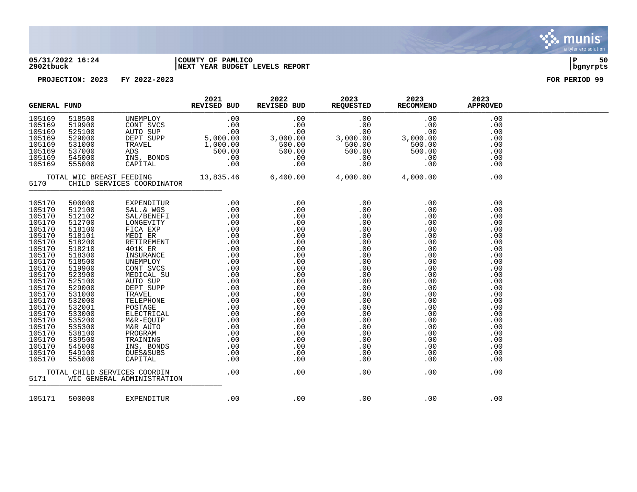

### **05/31/2022 16:24 |COUNTY OF PAMLICO |P 50 2902tbuck |NEXT YEAR BUDGET LEVELS REPORT |bgnyrpts**

| <b>GENERAL FUND</b>                                                                                                                                                                                                                                            |                                                                                                                                                                                                                                                        |                                                                                                                                                                                                                                                                                                                               | 2021<br>REVISED BUD | 2022 | 2023<br>REVISED BUD REQUESTED                                                                                                                                                                                        | 2023<br><b>RECOMMEND</b> | 2023<br><b>APPROVED</b>                                                                                                                                                            |  |
|----------------------------------------------------------------------------------------------------------------------------------------------------------------------------------------------------------------------------------------------------------------|--------------------------------------------------------------------------------------------------------------------------------------------------------------------------------------------------------------------------------------------------------|-------------------------------------------------------------------------------------------------------------------------------------------------------------------------------------------------------------------------------------------------------------------------------------------------------------------------------|---------------------|------|----------------------------------------------------------------------------------------------------------------------------------------------------------------------------------------------------------------------|--------------------------|------------------------------------------------------------------------------------------------------------------------------------------------------------------------------------|--|
|                                                                                                                                                                                                                                                                |                                                                                                                                                                                                                                                        | $\begin{tabular}{cccccccc} 105169 & 518500 & UNEMPLOY & .00 & .00 & .00 & .00 & .00 \\ 105169 & 519900 & CONT SVCS & .00 & .00 & .00 & .00 & .00 & .00 \\ 105169 & 525100 & AUTO SUP & .00 & .00 & .00 & .00 & .00 & .00 \\ 105169 & 525100 & DEPT SUPP & 5,000.00 & 3,000.00 & 3,000.00 & 3,000.00 & .00 & .00 \\ 105169 & $ |                     |      |                                                                                                                                                                                                                      |                          | .00<br>.00<br>.00<br>.00<br>.00<br>.00<br>.00<br>.00                                                                                                                               |  |
| 5170                                                                                                                                                                                                                                                           |                                                                                                                                                                                                                                                        | CHILD SERVICES COORDINATOR                                                                                                                                                                                                                                                                                                    |                     |      |                                                                                                                                                                                                                      |                          | .00                                                                                                                                                                                |  |
| 105170<br>105170<br>105170<br>105170<br>105170<br>105170<br>105170<br>105170<br>105170<br>105170<br>105170<br>105170<br>105170<br>105170<br>105170<br>105170<br>105170<br>105170<br>105170<br>105170<br>105170<br>105170<br>105170<br>105170<br>105170<br>5171 | 500000<br>512100<br>512102<br>512700<br>518100<br>518101<br>518200<br>518210<br>518300<br>518500<br>519900<br>523900<br>525100<br>529000<br>531000<br>532000<br>532001<br>533000<br>535200<br>535300<br>538100<br>539500<br>545000<br>549100<br>555000 | TOTAL CHILD SERVICES COORDIN<br>WIC GENERAL ADMINISTRATION                                                                                                                                                                                                                                                                    | .00                 | .00  | $\begin{array}{c} 0.00 \\ -0.00 \end{array}$<br>.00<br>.00<br>.00<br>.00<br>.00<br>.00<br>.00<br>.00<br>.00<br>.00<br>.00<br>.00<br>.00<br>.00<br>.00<br>.00<br>.00<br>.00<br>.00<br>.00<br>.00<br>.00<br>.00<br>.00 | .00<br>.00<br>.00        | .00<br>.00<br>.00<br>.00<br>.00<br>.00<br>.00<br>.00<br>.00<br>.00<br>.00<br>.00<br>.00<br>.00<br>.00<br>.00<br>.00<br>.00<br>.00<br>.00<br>.00<br>.00<br>.00<br>.00<br>.00<br>.00 |  |
| 105171                                                                                                                                                                                                                                                         | 500000                                                                                                                                                                                                                                                 | EXPENDITUR                                                                                                                                                                                                                                                                                                                    | .00                 | .00  | .00                                                                                                                                                                                                                  | .00                      | .00                                                                                                                                                                                |  |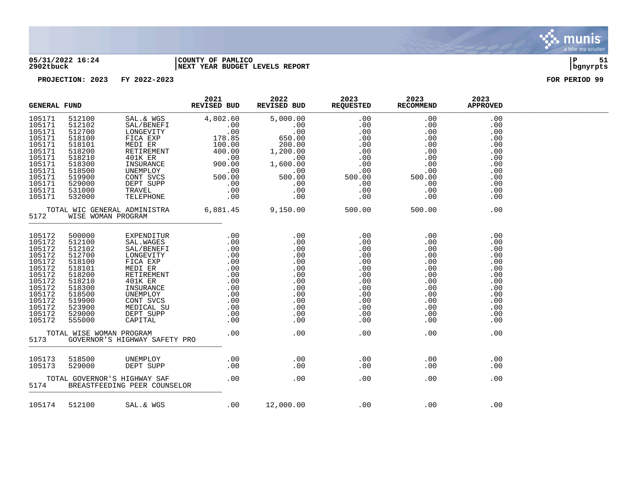

### **05/31/2022 16:24 |COUNTY OF PAMLICO |P 51 2902tbuck |NEXT YEAR BUDGET LEVELS REPORT |bgnyrpts**

| <b>GENERAL FUND</b>                                                                                                                      |                                                                                                                                                                      | REVISED BUD                                                                                                                                                                                                                                        | 2021 | 2022<br>REVISED BUD REQUESTED RECOMMEND                                                                                                                                                                                                                                      | 2023 | 2023       | 2023<br><b>APPROVED</b>                                                                               |  |
|------------------------------------------------------------------------------------------------------------------------------------------|----------------------------------------------------------------------------------------------------------------------------------------------------------------------|----------------------------------------------------------------------------------------------------------------------------------------------------------------------------------------------------------------------------------------------------|------|------------------------------------------------------------------------------------------------------------------------------------------------------------------------------------------------------------------------------------------------------------------------------|------|------------|-------------------------------------------------------------------------------------------------------|--|
| 105171<br>105171<br>105171<br>105171<br>105171<br>105171<br>105171<br>105171<br>105171<br>105171<br>105171<br>105171                     | 512100<br>512102<br>512700<br>518100<br>518101<br>518200<br>518210<br>518300<br>518500<br>519900<br>529000<br>531000                                                 |                                                                                                                                                                                                                                                    |      |                                                                                                                                                                                                                                                                              |      |            | .00<br>.00<br>.00<br>.00<br>.00<br>.00<br>.00<br>.00<br>.00<br>.00<br>.00<br>.00                      |  |
| 105171                                                                                                                                   | 532000<br>5172 WISE WOMAN PROGRAM                                                                                                                                    | TOTAL WIC GENERAL ADMINISTRA 6,881.45 9,150.00 500.00 500.00 500.00                                                                                                                                                                                |      |                                                                                                                                                                                                                                                                              |      |            | .00<br>.00                                                                                            |  |
| 105172<br>105172<br>105172<br>105172<br>105172<br>105172<br>105172<br>105172<br>105172<br>105172<br>105172<br>105172<br>105172<br>105172 | 500000<br>512100<br>512102<br>512700<br>518100<br>518101<br>518200<br>518210<br>518300<br>518500<br>519900<br>523900<br>529000<br>555000<br>TOTAL WISE WOMAN PROGRAM | EXPENDITUR<br>SAL.WAGES<br>SAL.WAGES<br>SAL.WENEFI .00 .00 .00 .00<br>LONGEVITY .00 .00 .00 .00<br>FICA EXP .00 .00 .00 .00<br>FICA EXP .00 .00 .00 .00<br>MEDICAL SU<br>INSURANCE .00 .00 .00 .00<br>INSURANCE .00 .00 .00 .00<br>UNEMPLOY .00 .0 |      | $\overline{00}$ . $\overline{00}$                                                                                                                                                                                                                                            | .00  | $\sim$ 00  | .00<br>.00<br>.00<br>.00<br>.00<br>.00<br>.00<br>.00<br>.00<br>.00<br>.00<br>.00<br>.00<br>.00<br>.00 |  |
| 5173                                                                                                                                     |                                                                                                                                                                      | GOVERNOR'S HIGHWAY SAFETY PRO                                                                                                                                                                                                                      |      |                                                                                                                                                                                                                                                                              |      |            |                                                                                                       |  |
| 105173                                                                                                                                   | 105173 518500<br>529000                                                                                                                                              |                                                                                                                                                                                                                                                    |      |                                                                                                                                                                                                                                                                              |      | .00<br>.00 | .00<br>.00                                                                                            |  |
|                                                                                                                                          |                                                                                                                                                                      | TOTAL GOVERNOR'S HIGHWAY SAF<br>5174 BREASTFEEDING PEER COUNSELOR                                                                                                                                                                                  |      | $\sim$ 00 $\sim$ 00 $\sim$ 00 $\sim$ 00 $\sim$ 00 $\sim$ 00 $\sim$ 00 $\sim$ 0.00 $\sim$ 0.00 $\sim$ 0.00 $\sim$ 0.00 $\sim$ 0.00 $\sim$ 0.00 $\sim$ 0.00 $\sim$ 0.00 $\sim$ 0.00 $\sim$ 0.00 $\sim$ 0.00 $\sim$ 0.00 $\sim$ 0.00 $\sim$ 0.00 $\sim$ 0.00 $\sim$ 0.00 $\sim$ | .00  |            | .00<br>.00                                                                                            |  |
|                                                                                                                                          |                                                                                                                                                                      | 105174 512100 SAL. & WGS                                                                                                                                                                                                                           |      | $12,000.00$ .00 .00 .00                                                                                                                                                                                                                                                      |      |            | .00                                                                                                   |  |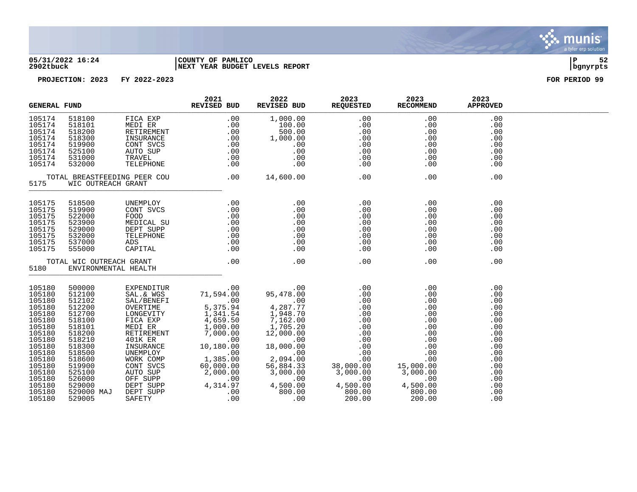

### **05/31/2022 16:24 |COUNTY OF PAMLICO |P 52 2902tbuck |NEXT YEAR BUDGET LEVELS REPORT |bgnyrpts**

| <b>GENERAL FUND</b>                                                                                                                                                              |                                                                                                                                                                                      | 2021<br>REVISED BUD                                                     | 2022                                                                                                                                                                                                                                                                                                                             | 2023<br>REVISED BUD REQUESTED RECOMMEND | 2023                                                                                                                                                        | 2023<br><b>APPROVED</b>                                                                                                    |  |
|----------------------------------------------------------------------------------------------------------------------------------------------------------------------------------|--------------------------------------------------------------------------------------------------------------------------------------------------------------------------------------|-------------------------------------------------------------------------|----------------------------------------------------------------------------------------------------------------------------------------------------------------------------------------------------------------------------------------------------------------------------------------------------------------------------------|-----------------------------------------|-------------------------------------------------------------------------------------------------------------------------------------------------------------|----------------------------------------------------------------------------------------------------------------------------|--|
| 105174<br>105174<br>105174<br>105174<br>105174<br>105174<br>105174<br>105174                                                                                                     | 518100<br>518101<br>518200<br>518300<br>519900<br>525100<br>531000<br>532000                                                                                                         |                                                                         |                                                                                                                                                                                                                                                                                                                                  | .00                                     | .00<br>$\begin{array}{ccc} 0 & 0 & 0 & 0 \\ 0 & 0 & 0 & 0 \\ 0 & 0 & 0 & 0 \\ 0 & 0 & 0 & 0 \\ 0 & 0 & 0 & 0 \\ 0 & 0 & 0 & 0 \\ 0 & 0 & 0 & 0 \end{array}$ | .00<br>.00<br>.00<br>.00<br>.00<br>.00<br>.00<br>.00                                                                       |  |
|                                                                                                                                                                                  |                                                                                                                                                                                      | TOTAL BREASTFEEDING PEER COU .00 $14,600.00$<br>5175 WIC OUTREACH GRANT |                                                                                                                                                                                                                                                                                                                                  |                                         | .00                                                                                                                                                         | .00                                                                                                                        |  |
| 105175<br>105175<br>105175<br>105175<br>105175<br>105175<br>105175<br>105175                                                                                                     |                                                                                                                                                                                      |                                                                         | $\begin{tabular}{lllllllllllllllllllllll} \multicolumn{3}{l}{{\bf 5175}}&{\bf 518500}&{\bf UNEMPLOY}&.00&.00&.00&.00\\ \n5175&{\bf 519900}&{\bf CONT SVCS}&0.0&.00&.00&.00\\ \n5175&{\bf 522000}&{\bf F0OD}&.00&.00&.00&.00\\ \n5175&{\bf 523900}&{\bf MEDICAL SU}&.00&.00&.00&.00\\ \n5175&{\bf 529000}&{\bf DEPT SUPP}&.00&.0$ |                                         | $\begin{array}{c} .00 \\ .00 \end{array}$                                                                                                                   | .00<br>.00<br>.00<br>.00<br>.00<br>.00<br>.00<br>.00                                                                       |  |
| 5180                                                                                                                                                                             |                                                                                                                                                                                      |                                                                         |                                                                                                                                                                                                                                                                                                                                  |                                         | .00                                                                                                                                                         | .00                                                                                                                        |  |
| 105180<br>105180<br>105180<br>105180<br>105180<br>105180<br>105180<br>105180<br>105180<br>105180<br>105180<br>105180<br>105180<br>105180<br>105180<br>105180<br>105180<br>105180 | 500000<br>512100<br>512102<br>512200<br>512700<br>518100<br>518101<br>518200<br>518210<br>518300<br>518500<br>518600<br>519900<br>525100<br>526000<br>529000<br>529000 MAJ<br>529005 |                                                                         |                                                                                                                                                                                                                                                                                                                                  |                                         |                                                                                                                                                             | .00<br>.00<br>.00<br>.00<br>.00<br>.00<br>.00<br>.00<br>.00<br>.00<br>.00<br>.00<br>.00<br>.00<br>.00<br>.00<br>.00<br>.00 |  |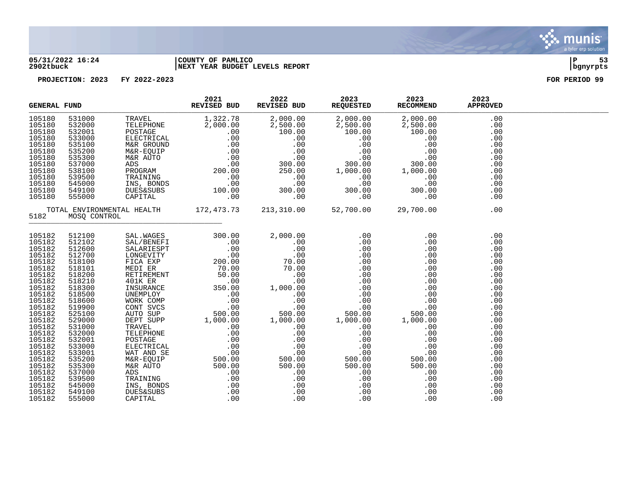

### **05/31/2022 16:24 |COUNTY OF PAMLICO |P 53 2902tbuck |NEXT YEAR BUDGET LEVELS REPORT |bgnyrpts**

| <b>GENERAL FUND</b>                                                                                                                                                                                            |                                                                                                                                                                                                                |                                       | 2021<br>REVISED BUD | 2022<br>REVISED BUD | 2023<br>REQUESTED      | 2023<br><b>RECOMMEND</b>    | 2023<br><b>APPROVED</b>                                                                                                                         |  |
|----------------------------------------------------------------------------------------------------------------------------------------------------------------------------------------------------------------|----------------------------------------------------------------------------------------------------------------------------------------------------------------------------------------------------------------|---------------------------------------|---------------------|---------------------|------------------------|-----------------------------|-------------------------------------------------------------------------------------------------------------------------------------------------|--|
| 105180<br>105180<br>105180<br>105180<br>105180<br>105180<br>105180<br>105180<br>105180<br>105180<br>105180<br>105180<br>105180                                                                                 | 531000<br>532000<br>532001<br>533000<br>535100<br>535200<br>535300<br>537000<br>538100<br>539500<br>545000<br>549100<br>555000                                                                                 |                                       |                     |                     |                        |                             | .00<br>.00<br>.00<br>.00<br>.00<br>.00<br>.00<br>.00<br>.00<br>.00<br>.00<br>.00<br>.00                                                         |  |
| 5182                                                                                                                                                                                                           | MOSQ CONTROL                                                                                                                                                                                                   | TOTAL ENVIRONMENTAL HEALTH 172,473.73 |                     |                     | 213, 310.00 52, 700.00 | 29,700.00                   | .00                                                                                                                                             |  |
| 105182<br>105182<br>105182<br>105182<br>105182<br>105182<br>105182<br>105182<br>105182<br>105182<br>105182<br>105182<br>105182<br>105182<br>105182<br>105182<br>105182<br>105182<br>105182<br>105182<br>105182 | 512100<br>512102<br>512600<br>512700<br>518100<br>518101<br>518200<br>518210<br>518300<br>518500<br>518600<br>519900<br>525100<br>529000<br>531000<br>532000<br>532001<br>533000<br>533001<br>535200<br>535300 |                                       |                     |                     |                        | 1,000.00<br>$\frac{50}{50}$ | .00<br>.00<br>.00<br>.00<br>.00<br>.00<br>.00<br>.00<br>.00<br>.00<br>.00<br>.00<br>.00<br>.00<br>.00<br>.00<br>.00<br>.00<br>.00<br>.00<br>.00 |  |
| 105182<br>105182<br>105182<br>105182<br>105182                                                                                                                                                                 | 537000<br>539500<br>545000<br>549100<br>555000                                                                                                                                                                 |                                       |                     |                     |                        | .00<br>.00                  | .00<br>.00<br>.00<br>.00<br>.00                                                                                                                 |  |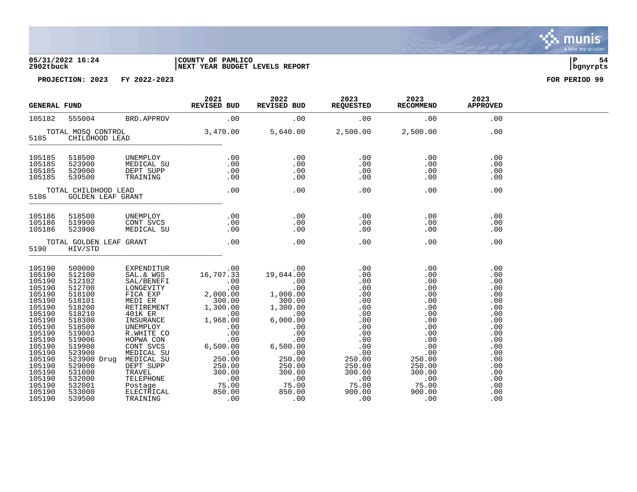### **05/31/2022 16:24 |COUNTY OF PAMLICO |P 54 2902tbuck |NEXT YEAR BUDGET LEVELS REPORT |bgnyrpts**

**PROJECTION: 2023 FY 2022-2023 FOR PERIOD 99**

| <b>GENERAL FUND</b>                                                                                                                                                                        |                                      |                                     | 2021                                                                                                                                                                                                                                                                                                                                    | 2022                                            | 2023<br>REQUESTED | 2023                                                                                                                                                                                      | 2023<br><b>APPROVED</b>                                                                                                           |  |
|--------------------------------------------------------------------------------------------------------------------------------------------------------------------------------------------|--------------------------------------|-------------------------------------|-----------------------------------------------------------------------------------------------------------------------------------------------------------------------------------------------------------------------------------------------------------------------------------------------------------------------------------------|-------------------------------------------------|-------------------|-------------------------------------------------------------------------------------------------------------------------------------------------------------------------------------------|-----------------------------------------------------------------------------------------------------------------------------------|--|
| 105182                                                                                                                                                                                     |                                      |                                     | E FUND REVISED BUD REVISED BUD REQUESTED RECOMMEND 555004 BRD.APPROV .00 .00                                                                                                                                                                                                                                                            |                                                 |                   |                                                                                                                                                                                           | .00                                                                                                                               |  |
|                                                                                                                                                                                            | 5185 CHILDHOOD LEAD                  |                                     |                                                                                                                                                                                                                                                                                                                                         |                                                 |                   |                                                                                                                                                                                           | .00                                                                                                                               |  |
| 105185<br>105185<br>105185<br>105185                                                                                                                                                       | 518500<br>523900<br>529000<br>539500 |                                     | UNEMPLOY .00 .00 .00<br>MEDICAL SU .00 .00 .00 .00<br>DEPT SUPP .00 .00 .00 .00<br>TRAINING .00 .00 .00 .00                                                                                                                                                                                                                             |                                                 |                   | .00<br>.00<br>.00<br>.00                                                                                                                                                                  | .00<br>.00<br>.00<br>.00                                                                                                          |  |
|                                                                                                                                                                                            | 5186 GOLDEN LEAF GRANT               |                                     | TOTAL CHILDHOOD LEAD 00 00 00                                                                                                                                                                                                                                                                                                           |                                                 | .00               | .00                                                                                                                                                                                       | .00                                                                                                                               |  |
| 105186<br>105186<br>105186                                                                                                                                                                 | 518500<br>519900<br>523900           | UNEMPLOY<br>CONT SVCS<br>MEDICAL SU |                                                                                                                                                                                                                                                                                                                                         | $00$ . $00$ . $00$<br>.00<br>$0.00$ . 00<br>.00 | .00<br>.00        | .00<br>.00<br>.00                                                                                                                                                                         | .00<br>.00<br>.00                                                                                                                 |  |
| 5190                                                                                                                                                                                       | HIV/STD                              | TOTAL GOLDEN LEAF GRANT             | .00                                                                                                                                                                                                                                                                                                                                     | .00                                             | .00               | .00                                                                                                                                                                                       | .00                                                                                                                               |  |
| 105190<br>105190<br>105190<br>105190<br>105190<br>105190<br>105190<br>105190<br>105190<br>105190<br>105190<br>105190<br>105190<br>105190<br>105190<br>105190<br>105190<br>105190<br>105190 |                                      |                                     | $\begin{tabular}{l c c c} \hline \texttt{500000} & \texttt{EXPENDITUR} & 0.00 & 0.00 & 0.00 \\ \hline 512100 & \texttt{SAL}.\& \texttt{WGS} & 16,707.33 & 19,044.00 & 0.00 \\ \hline 512102 & \texttt{SAL}.\& \texttt{WGS} & 16,707.33 & 19,044.00 & 0.00 \\ \hline 512700 & \texttt{LONSUITY} & 0.00 & 0.00 & 0.00 \\ \hline 518100 &$ |                                                 |                   | .00<br>.00<br>$\begin{array}{c} 0.00 \\ -0.00 \end{array}$<br>$\begin{array}{c} 0.00 \\ -0.00 \end{array}$<br>.00<br>.00<br>$\overline{2}$<br>250.00<br>250.00<br>300.00<br>$00$<br>75.00 | .00<br>.00<br>.00<br>.00<br>.00<br>.00<br>.00<br>.00<br>.00<br>.00<br>.00<br>.00<br>.00<br>.00<br>.00<br>.00<br>.00<br>.00<br>.00 |  |
| 105190<br>105190                                                                                                                                                                           |                                      |                                     |                                                                                                                                                                                                                                                                                                                                         |                                                 |                   | 900.00<br>00.                                                                                                                                                                             | .00<br>.00                                                                                                                        |  |



munis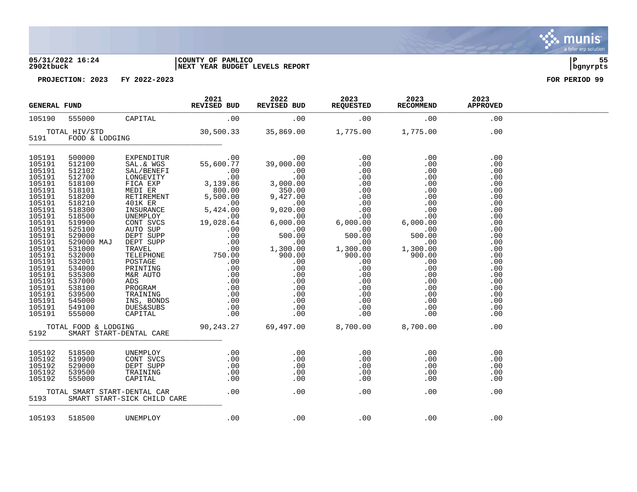### **05/31/2022 16:24 |COUNTY OF PAMLICO |P 55 2902tbuck |NEXT YEAR BUDGET LEVELS REPORT |bgnyrpts**

**PROJECTION: 2023 FY 2022-2023 FOR PERIOD 99**

| <b>GENERAL FUND</b> |                              | 2021<br>REVISED BUD | 2022<br>REVISED BUD                                                                                                                                                                                                                                                                                                           | 2023<br>REQUESTED RECOMMEND | 2023                                                  | 2023<br><b>APPROVED</b>                                                                                                                                                     |  |
|---------------------|------------------------------|---------------------|-------------------------------------------------------------------------------------------------------------------------------------------------------------------------------------------------------------------------------------------------------------------------------------------------------------------------------|-----------------------------|-------------------------------------------------------|-----------------------------------------------------------------------------------------------------------------------------------------------------------------------------|--|
| 105190              |                              |                     |                                                                                                                                                                                                                                                                                                                               |                             |                                                       |                                                                                                                                                                             |  |
|                     |                              |                     |                                                                                                                                                                                                                                                                                                                               |                             |                                                       |                                                                                                                                                                             |  |
|                     |                              |                     |                                                                                                                                                                                                                                                                                                                               |                             |                                                       | .00<br>.00<br>.00<br>.00<br>.00<br>.00<br>.00<br>.00<br>.00<br>.00<br>.00<br>.00<br>.00<br>.00<br>.00<br>.00<br>.00<br>.00<br>.00<br>.00<br>.00<br>.00<br>.00<br>.00<br>.00 |  |
|                     |                              |                     |                                                                                                                                                                                                                                                                                                                               |                             |                                                       | .00                                                                                                                                                                         |  |
|                     |                              |                     | $\begin{array}{cccc} 105192 & 518500 & \text{UNEMPLOY} & 0.0 & 0.0 & 0.0 \\ 105192 & 519900 & \text{CONT SVCS} & 0.0 & 0.0 & 0.0 \\ 105192 & 529000 & \text{DEF} & \text{SUPP} & 0.0 & 0.0 & 0.0 \\ 105192 & 539500 & \text{TRAINING} & 0.0 & 0.0 & 0.0 \\ 105192 & 555000 & \text{CRPTAL} & 0.0 & 0.0 & 0.0 \\ 105192 & 555$ |                             | $\begin{array}{c} . & 0 & 0 \\ . & 0 & 0 \end{array}$ | .00<br>.00<br>.00<br>.00<br>.00<br>.00                                                                                                                                      |  |
|                     | 105193    518500    UNEMPLOY |                     | $00.00$ . $00.00$                                                                                                                                                                                                                                                                                                             |                             | .00                                                   | .00                                                                                                                                                                         |  |

a tyler erp solution

. munis<sup>.</sup>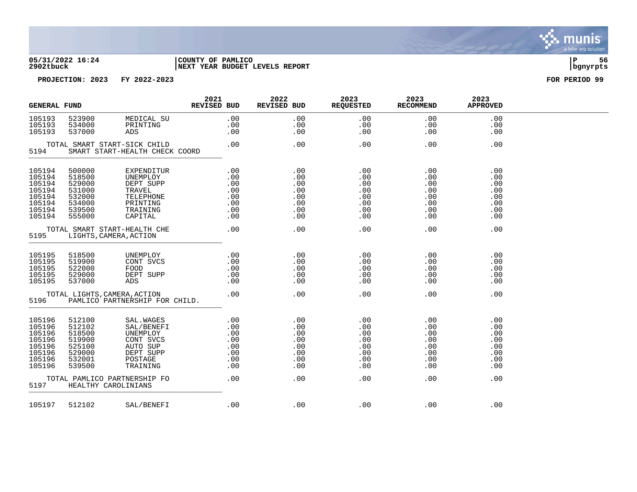

# **05/31/2022 16:24 |COUNTY OF PAMLICO |P 56 2902tbuck |NEXT YEAR BUDGET LEVELS REPORT |bgnyrpts**



| <b>GENERAL FUND</b>                                                          |                                                                              |                                                                                                   | 2021<br>REVISED BUD             | 2022<br>REVISED BUD                                                                                                     | 2023<br><b>REQUESTED</b>                             | 2023<br><b>RECOMMEND</b>                             | 2023<br><b>APPROVED</b>                               |  |
|------------------------------------------------------------------------------|------------------------------------------------------------------------------|---------------------------------------------------------------------------------------------------|---------------------------------|-------------------------------------------------------------------------------------------------------------------------|------------------------------------------------------|------------------------------------------------------|-------------------------------------------------------|--|
| 105193<br>105193<br>105193                                                   | 523900<br>534000<br>537000                                                   | MEDICAL SU<br>ppinting<br>PRINTING<br>ADS                                                         | .00<br>.00<br>.00               | .00<br>.00<br>.00                                                                                                       | .00<br>.00<br>.00                                    | .00<br>.00<br>.00                                    | .00<br>.00<br>.00                                     |  |
| 5194                                                                         |                                                                              | TOTAL SMART START-SICK CHILD<br>SMART START-HEALTH CHECK COORD                                    | .00                             | .00                                                                                                                     | .00                                                  | .00                                                  | .00                                                   |  |
| 105194<br>105194<br>105194<br>105194<br>105194<br>105194<br>105194<br>105194 | 500000<br>518500<br>529000<br>531000<br>532000<br>534000<br>539500<br>555000 | EXPENDITUR<br>UNEMPLOY<br>DEPT SUPP<br>TRAVEL<br>TELEPHONE<br>PRINTING<br>TRAINING<br>CAPITAL     | .00<br>.00<br>.00<br>.00        | .00<br>.00<br>.00<br>$.00$<br>$.00$<br>.00<br>$\begin{array}{c} 0.00 \\ 0.00 \end{array}$<br>.00<br>.00<br>.00<br>.00   | .00<br>.00<br>.00<br>.00<br>.00<br>.00<br>.00<br>.00 | .00<br>.00<br>.00<br>.00<br>.00<br>.00<br>.00<br>.00 | .00<br>.00<br>.00<br>.00<br>.00<br>.00<br>.00<br>.00  |  |
| 5195                                                                         |                                                                              | TOTAL SMART START-HEALTH CHE<br>LIGHTS, CAMERA, ACTION                                            | .00                             | .00                                                                                                                     | .00                                                  | .00                                                  | .00                                                   |  |
| 105195<br>105195<br>105195<br>105195<br>105195                               | 518500<br>519900<br>522000<br>529000<br>537000                               | UNEMPLOY<br>CONT SVCS<br>FOOD<br>DEPT SUPP<br>ADS                                                 | .00<br>.00<br>.00<br>.00<br>.00 | .00<br>.00<br>.00<br>.00<br>.00                                                                                         | .00<br>.00<br>.00<br>.00<br>.00                      | .00<br>.00<br>.00<br>.00<br>.00                      | .00<br>.00<br>.00<br>.00<br>.00                       |  |
| 5196                                                                         |                                                                              | TOTAL LIGHTS, CAMERA, ACTION<br>PAMLICO PARTNERSHIP FOR CHILD.                                    | .00                             | .00                                                                                                                     | .00                                                  | .00                                                  | .00                                                   |  |
| 105196<br>105196<br>105196<br>105196<br>105196<br>105196<br>105196<br>105196 | 512100<br>512102<br>518500<br>519900<br>525100<br>529000<br>532001<br>539500 | SAL. WAGES<br>SAL/BENEFI<br>UNEMPLOY<br>CONT SVCS<br>AUTO SUP<br>DEPT SUPP<br>POSTAGE<br>TRAINING | .00<br>.00<br>.00               | .00<br>.00<br>$\begin{bmatrix} 0 \\ 0 \\ 0 \\ 0 \\ 0 \\ 0 \\ 0 \end{bmatrix}$<br>.00<br>.00<br>.00<br>.00<br>.00<br>.00 | .00<br>.00<br>.00<br>.00<br>.00<br>.00<br>.00<br>.00 | .00<br>.00<br>.00<br>.00<br>.00<br>.00<br>.00<br>.00 | .00<br>.00<br>.00<br>.00<br>.00<br>.00<br>.00<br>.00. |  |
| 5197                                                                         |                                                                              | TOTAL PAMLICO PARTNERSHIP FO<br>HEALTHY CAROLINIANS                                               | .00                             | .00                                                                                                                     | .00                                                  | .00                                                  | .00                                                   |  |
| 105197                                                                       | 512102                                                                       | SAL/BENEFI                                                                                        | .00                             | .00                                                                                                                     | .00                                                  | .00                                                  | .00                                                   |  |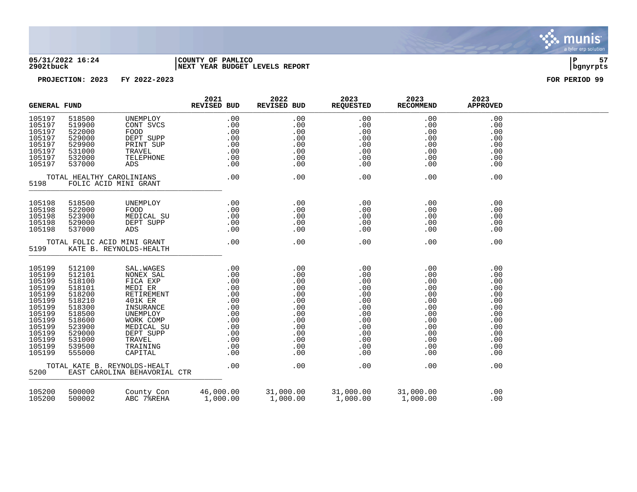

### **05/31/2022 16:24 |COUNTY OF PAMLICO |P 57 2902tbuck |NEXT YEAR BUDGET LEVELS REPORT |bgnyrpts**

|                                                                                                                                          | <b>GENERAL FUND</b>                                                                                                                      |                                                                                                                                                                                                           | 2021<br>REVISED BUD                                               | 2022<br>REVISED BUD                                                                                   | 2023<br><b>REQUESTED</b>                                                                              | 2023<br><b>RECOMMEND</b>                                                                              | 2023<br><b>APPROVED</b>                                                                               |  |
|------------------------------------------------------------------------------------------------------------------------------------------|------------------------------------------------------------------------------------------------------------------------------------------|-----------------------------------------------------------------------------------------------------------------------------------------------------------------------------------------------------------|-------------------------------------------------------------------|-------------------------------------------------------------------------------------------------------|-------------------------------------------------------------------------------------------------------|-------------------------------------------------------------------------------------------------------|-------------------------------------------------------------------------------------------------------|--|
| 105197<br>105197<br>105197<br>105197<br>105197<br>105197<br>105197<br>105197                                                             | 518500<br>519900<br>522000<br>529000<br>529900<br>531000<br>532000<br>537000                                                             | UNEMPLOY<br>CONT SVCS<br>FOOD<br>DEPT SUPP<br>PRINT SUP<br>TRAVEL<br>TELEPHONE<br>ADS                                                                                                                     | .00<br>.00                                                        | .00<br>.00<br>.00<br>.00<br>.00<br>.00<br>$.00\,$<br>.00                                              | .00<br>.00<br>.00<br>.00<br>.00<br>.00<br>.00<br>.00                                                  | .00<br>.00<br>.00<br>.00<br>.00<br>.00<br>.00<br>.00                                                  | .00<br>.00<br>.00<br>.00<br>.00<br>.00<br>.00<br>.00                                                  |  |
| 5198                                                                                                                                     |                                                                                                                                          | TOTAL HEALTHY CAROLINIANS<br>FOLIC ACID MINI GRANT                                                                                                                                                        | .00                                                               | .00                                                                                                   | .00                                                                                                   | .00                                                                                                   | .00                                                                                                   |  |
| 105198<br>105198<br>105198<br>105198<br>105198                                                                                           | 518500<br>522000<br>523900<br>529000<br>537000                                                                                           | UNEMPLOY<br>FOOD<br>MEDICAL SU<br>DEPT SUPP<br>ADS                                                                                                                                                        | $\begin{array}{c} .00\ .00\ .00\ .00\ .00\ .00\ .00\ \end{array}$ | .00<br>.00<br>.00<br>.00<br>.00                                                                       | .00<br>.00<br>.00<br>.00<br>.00                                                                       | .00<br>.00<br>.00<br>.00<br>.00                                                                       | .00<br>.00<br>.00<br>.00<br>.00                                                                       |  |
| 5199                                                                                                                                     |                                                                                                                                          | TOTAL FOLIC ACID MINI GRANT<br>KATE B. REYNOLDS-HEALTH                                                                                                                                                    | .00                                                               | .00                                                                                                   | .00                                                                                                   | .00                                                                                                   | .00                                                                                                   |  |
| 105199<br>105199<br>105199<br>105199<br>105199<br>105199<br>105199<br>105199<br>105199<br>105199<br>105199<br>105199<br>105199<br>105199 | 512100<br>512101<br>518100<br>518101<br>518200<br>518210<br>518300<br>518500<br>518600<br>523900<br>529000<br>531000<br>539500<br>555000 | SAL. WAGES<br>NONEX SAL<br>FICA EXP<br>MEDI ER<br>RETIREMENT<br>401K ER<br>INSURANCE<br>UNEMPLOY<br>WORK COMP<br>MEDICAL SU<br>DEPT SUPP<br>TRAVEL<br>TRAINING<br>CAPITAL<br>TOTAL KATE B. REYNOLDS-HEALT | .00                                                               | .00<br>.00<br>.00<br>.00<br>.00<br>.00<br>.00<br>.00<br>.00<br>.00<br>.00<br>.00<br>.00<br>.00<br>.00 | .00<br>.00<br>.00<br>.00<br>.00<br>.00<br>.00<br>.00<br>.00<br>.00<br>.00<br>.00<br>.00<br>.00<br>.00 | .00<br>.00<br>.00<br>.00<br>.00<br>.00<br>.00<br>.00<br>.00<br>.00<br>.00<br>.00<br>.00<br>.00<br>.00 | .00<br>.00<br>.00<br>.00<br>.00<br>.00<br>.00<br>.00<br>.00<br>.00<br>.00<br>.00<br>.00<br>.00<br>.00 |  |
| 5200                                                                                                                                     |                                                                                                                                          | EAST CAROLINA BEHAVORIAL CTR                                                                                                                                                                              |                                                                   |                                                                                                       |                                                                                                       |                                                                                                       |                                                                                                       |  |
| 105200<br>105200                                                                                                                         | 500000<br>500002                                                                                                                         | County Con<br>ABC 78REHA                                                                                                                                                                                  | 46,000.00<br>1,000.00                                             | $31,000.00$ $31,000.00$<br>$1,000.00$ $1,000.00$                                                      |                                                                                                       | 31,000.00<br>1,000.00                                                                                 | .00<br>.00                                                                                            |  |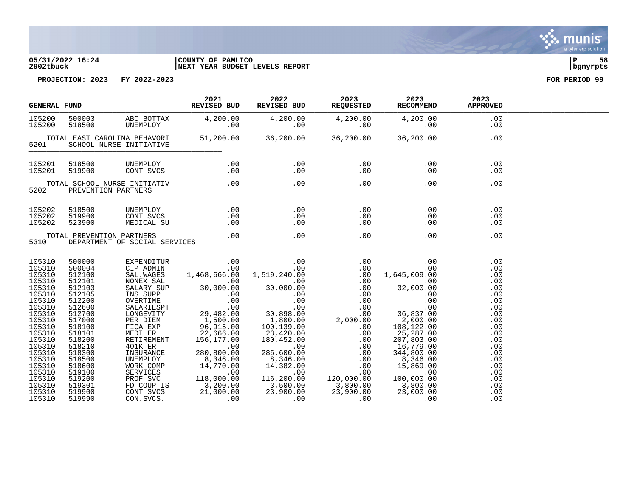### **05/31/2022 16:24 |COUNTY OF PAMLICO |P 58 2902tbuck |NEXT YEAR BUDGET LEVELS REPORT |bgnyrpts**

**PROJECTION: 2023 FY 2022-2023 FOR PERIOD 99**

|                                                                                                                                                                                                      | <b>GENERAL FUND</b>                                                                                                                                                                                  |                                                     | 2021<br>REVISED BUD                   | 2022<br>REVISED BUD                                                                              | 2023<br>REQUESTED | 2023<br>RECOMMEND                                   | 2023<br><b>APPROVED</b>                                                                                                                  |  |
|------------------------------------------------------------------------------------------------------------------------------------------------------------------------------------------------------|------------------------------------------------------------------------------------------------------------------------------------------------------------------------------------------------------|-----------------------------------------------------|---------------------------------------|--------------------------------------------------------------------------------------------------|-------------------|-----------------------------------------------------|------------------------------------------------------------------------------------------------------------------------------------------|--|
| 105200<br>105200                                                                                                                                                                                     |                                                                                                                                                                                                      |                                                     |                                       | 500003<br>518500 ABC BOTTAX 4,200.00 4,200.00 4,200.00 4,200.00 4,200.00 618500 UNEMPLOY .00 .00 |                   |                                                     | .00<br>.00                                                                                                                               |  |
| 5201                                                                                                                                                                                                 |                                                                                                                                                                                                      |                                                     |                                       |                                                                                                  |                   | $51,200.00$ $36,200.00$ $36,200.00$ $36,200.00$     | .00                                                                                                                                      |  |
| 105201<br>105201                                                                                                                                                                                     | 518500<br>519900                                                                                                                                                                                     | UNEMPLOY<br>CONT SVCS                               |                                       | $0.00$ . $0.00$ . $0.00$                                                                         | .00<br>.00        | .00<br>.00                                          | .00<br>.00                                                                                                                               |  |
| 5202                                                                                                                                                                                                 |                                                                                                                                                                                                      | TOTAL SCHOOL NURSE INITIATIV<br>PREVENTION PARTNERS | $.00$ $.00$                           |                                                                                                  | .00               | .00                                                 | .00                                                                                                                                      |  |
| 105202<br>105202<br>105202                                                                                                                                                                           | 518500<br>519900<br>523900                                                                                                                                                                           | CONT SVCS                                           |                                       | UNEMPLOY .00 .00 .00<br>CONT SVCS .00 .00 .00 .00<br>MEDICAL SU .00 .00 .00 .00                  |                   | $\begin{array}{c} 0.00 \\ -0.00 \end{array}$<br>.00 | .00<br>.00<br>.00                                                                                                                        |  |
| 5310                                                                                                                                                                                                 |                                                                                                                                                                                                      | TOTAL PREVENTION PARTNERS                           | DEPARTMENT OF SOCIAL SERVICES .00 .00 |                                                                                                  | .00               | .00                                                 | .00                                                                                                                                      |  |
| 105310<br>105310<br>105310<br>105310<br>105310<br>105310<br>105310<br>105310<br>105310<br>105310<br>105310<br>105310<br>105310<br>105310<br>105310<br>105310<br>105310<br>105310<br>105310<br>105310 | 500000<br>500004<br>512100<br>512101<br>512103<br>512105<br>512200<br>512600<br>512700<br>517000<br>518100<br>518101<br>518200<br>518210<br>518300<br>518500<br>518600<br>519100<br>519200<br>519301 |                                                     |                                       |                                                                                                  |                   |                                                     | .00<br>.00<br>.00<br>.00<br>.00<br>.00<br>.00<br>.00<br>.00<br>.00<br>.00<br>.00<br>.00<br>.00<br>.00<br>.00<br>.00<br>.00<br>.00<br>.00 |  |
| 105310<br>105310                                                                                                                                                                                     | 519900<br>519990                                                                                                                                                                                     |                                                     |                                       |                                                                                                  |                   |                                                     | .00<br>.00                                                                                                                               |  |

munis a tyler erp solution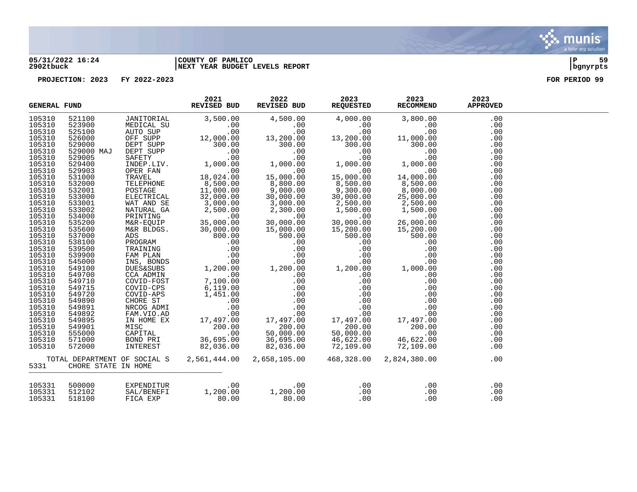

## **05/31/2022 16:24 |COUNTY OF PAMLICO |P 59 2902tbuck |NEXT YEAR BUDGET LEVELS REPORT |bgnyrpts**

|                                                                                                                                                                                  | 2021<br>REVISED BUD<br><b>GENERAL FUND</b> |  | 2022                                                                                                                                                              | 2023<br>REVISED BUD REQUESTED | 2023<br><b>RECOMMEND</b>                                                                                                                                                                                                                                                                                                                                               | 2023<br><b>APPROVED</b>                                                                                                    |  |
|----------------------------------------------------------------------------------------------------------------------------------------------------------------------------------|--------------------------------------------|--|-------------------------------------------------------------------------------------------------------------------------------------------------------------------|-------------------------------|------------------------------------------------------------------------------------------------------------------------------------------------------------------------------------------------------------------------------------------------------------------------------------------------------------------------------------------------------------------------|----------------------------------------------------------------------------------------------------------------------------|--|
| 105310<br>105310<br>105310<br>105310<br>105310<br>105310<br>105310<br>105310<br>105310<br>105310<br>105310<br>105310<br>105310<br>105310<br>105310<br>105310<br>105310<br>105310 |                                            |  |                                                                                                                                                                   |                               | $\begin{tabular}{l cccc} \textbf{FUND} & \textbf{REV} & \textbf{REV} & \textbf{REV} & \textbf{REV} & \textbf{REV} & \textbf{REV} & \textbf{REV} & \textbf{REV} & \textbf{REV} & \textbf{REV} & \textbf{REV} & \textbf{REV} \\ \hline 5311000 & JAR1T00H1A1 & 001 & 3,500.00 & 4,500.00 & 4,000.00 \\ \textbf{531000} & MST100H1A1 & 001 & 3,500.00 \\ \textbf{531000}$ | .00<br>.00<br>.00<br>.00<br>.00<br>.00<br>.00<br>.00<br>.00<br>.00<br>.00<br>.00<br>.00<br>.00<br>.00<br>.00<br>.00<br>.00 |  |
| 105310<br>105310<br>105310<br>105310<br>105310<br>105310<br>105310<br>105310<br>105310<br>105310<br>105310<br>105310<br>105310<br>105310<br>105310<br>105310<br>105310<br>105310 |                                            |  |                                                                                                                                                                   |                               |                                                                                                                                                                                                                                                                                                                                                                        | .00<br>.00<br>.00<br>.00<br>.00<br>.00<br>.00<br>.00<br>.00<br>.00<br>.00<br>.00<br>.00<br>.00<br>.00<br>.00<br>.00<br>.00 |  |
| 5331                                                                                                                                                                             | CHORE STATE IN HOME                        |  | TOTAL DEPARTMENT OF SOCIAL S  2,561,444.00  2,658,105.00  468,328.00                                                                                              |                               | 2,824,380.00                                                                                                                                                                                                                                                                                                                                                           | .00                                                                                                                        |  |
| 105331<br>105331<br>105331                                                                                                                                                       | 500000<br>512102<br>518100                 |  | EXPENDITUR $\begin{array}{cccc} 00 & 0 & 0 & 0 & 0 \ \texttt{SAL/BENERI} & 1,200.00 & 1,200.00 & 0 & 0 \ \texttt{FICA EXP} & 80.00 & 80.00 & 0 & 0 \ \end{array}$ |                               | .00<br>.00<br>.00                                                                                                                                                                                                                                                                                                                                                      | .00<br>.00<br>.00                                                                                                          |  |

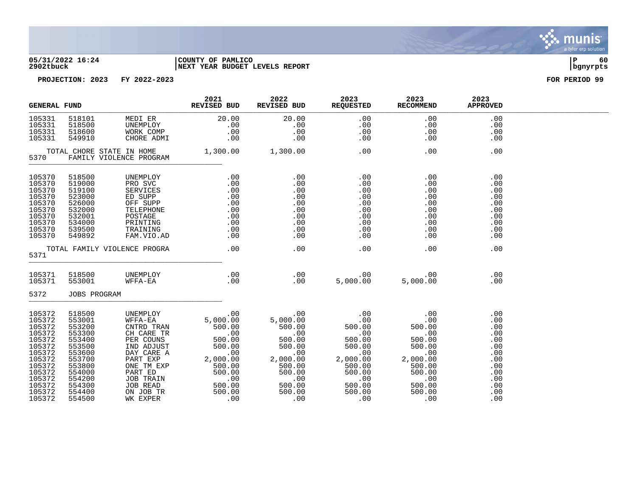

### **05/31/2022 16:24 |COUNTY OF PAMLICO |P 60 2902tbuck |NEXT YEAR BUDGET LEVELS REPORT |bgnyrpts**

| <b>GENERAL FUND</b>                                                                                                                      |                                                                                                                                          |                                                                                                                      | 2021<br>REVISED BUD                                                                                                                                                                                                                                                                                               | 2022                                                                                                          | 2023<br>REVISED BUD REQUESTED                                                                                                                                                                                  | 2023<br><b>RECOMMEND</b>                                                                                                                                                                      | 2023<br><b>APPROVED</b>                                                                        |  |
|------------------------------------------------------------------------------------------------------------------------------------------|------------------------------------------------------------------------------------------------------------------------------------------|----------------------------------------------------------------------------------------------------------------------|-------------------------------------------------------------------------------------------------------------------------------------------------------------------------------------------------------------------------------------------------------------------------------------------------------------------|---------------------------------------------------------------------------------------------------------------|----------------------------------------------------------------------------------------------------------------------------------------------------------------------------------------------------------------|-----------------------------------------------------------------------------------------------------------------------------------------------------------------------------------------------|------------------------------------------------------------------------------------------------|--|
| 105331<br>105331<br>105331<br>105331                                                                                                     | 518101<br>518500<br>518600<br>549910                                                                                                     |                                                                                                                      | MEDIER<br>UNEMPLOY .00 .00<br>WORK COMP .00 .00<br>WORK COMP .00 .00<br>ONI .00 .00<br>ONI                                                                                                                                                                                                                        | 20.00                                                                                                         | .00<br>.00<br>.00<br>.00                                                                                                                                                                                       | .00<br>.00<br>.00<br>.00                                                                                                                                                                      | .00<br>.00<br>.00<br>.00                                                                       |  |
| 5370                                                                                                                                     |                                                                                                                                          | TOTAL CHORE STATE IN HOME 1,300.00 1,300.00<br>FAMILY VIOLENCE PROGRAM                                               |                                                                                                                                                                                                                                                                                                                   |                                                                                                               | .00                                                                                                                                                                                                            | .00                                                                                                                                                                                           | .00                                                                                            |  |
| 105370<br>105370<br>105370<br>105370<br>105370<br>105370<br>105370<br>105370<br>105370<br>105370                                         | 518500<br>519000<br>519100<br>523000<br>526000<br>532000<br>532001<br>534000<br>539500<br>549892                                         | UNEMPLOY<br>PRO SVC<br>SERVICES<br>ED SUPP<br>OFF SUPP<br>TELEPHONE<br>POSTAGE<br>PRINTING<br>TRAINING<br>FAM.VIO.AD | .00                                                                                                                                                                                                                                                                                                               | $\frac{.00}{.00}$<br>.00<br>$\begin{array}{c} 00 \\ -00 \\ 0 \\ 0 \\ 0 \\ 0 \end{array}$<br>.00<br>.00<br>.00 | .00<br>.00<br>.00<br>.00<br>.00<br>.00<br>.00<br>.00<br>.00<br>.00                                                                                                                                             | .00<br>.00<br>.00<br>.00<br>.00<br>.00<br>.00<br>.00<br>.00<br>.00                                                                                                                            | .00<br>.00<br>.00<br>.00<br>.00<br>.00<br>.00<br>.00<br>.00<br>.00                             |  |
| 5371                                                                                                                                     |                                                                                                                                          | TOTAL FAMILY VIOLENCE PROGRA                                                                                         | $\sim$ 00                                                                                                                                                                                                                                                                                                         | .00                                                                                                           | .00                                                                                                                                                                                                            | .00                                                                                                                                                                                           | .00                                                                                            |  |
| 105371<br>105371<br>5372                                                                                                                 | 518500<br>553001<br>JOBS PROGRAM                                                                                                         | UNEMPLOY<br>WFFA-EA                                                                                                  | $\begin{array}{c} .\ 00 \\ .\ 00 \end{array}$                                                                                                                                                                                                                                                                     |                                                                                                               |                                                                                                                                                                                                                |                                                                                                                                                                                               | .00<br>.00                                                                                     |  |
| 105372<br>105372<br>105372<br>105372<br>105372<br>105372<br>105372<br>105372<br>105372<br>105372<br>105372<br>105372<br>105372<br>105372 | 518500<br>553001<br>553200<br>553300<br>553400<br>553500<br>553600<br>553700<br>553800<br>554000<br>554200<br>554300<br>554400<br>554500 | UNEMPLOY<br>WFFA-EA                                                                                                  | CNTRD TRAN 500.00 500.00<br>CH CARE TR<br>CH CARE TR<br>DER COUNS 500.00 500.00<br>IND ADJUST 500.00 500.00<br>DAY CARE A .00 .00<br>PART EXP 2,000.00 2,000.00<br>ONE TM EXP 500.00 500.00<br>ONE TM EXP 500.00 500.00<br>ENE ENE 500.00<br>JOB TRAIN 500.00<br>JOB TRAIN 500.00<br>ON JOB TR<br>WK EXPER 500.00 | $5,000.00$<br>5,000.00 5,000.00<br>500.00<br>$00000$<br>00.00<br>500.00<br>500 00<br>.00                      | $0.00$<br>$0.00$<br>$5,000.00$<br>$500.00$<br>$500.00$<br>$00$<br>$500.00$<br>$500.00$<br>$500.00$<br>$500.00$<br>$500.00$<br>00.000<br>2,000.00<br>500.00<br>$500.00$<br>$00.00$<br>$500.00$<br>500.00<br>.00 | $\begin{array}{c} 0.00 \\ -0.00 \end{array}$<br>500.00<br>$\begin{array}{r} .000 \\ 500.00 \\ 500.00 \\ .00 \\ 2,000.00 \\ \end{array}$<br>500.00<br>500.00<br>.00<br>500.00<br>500.00<br>.00 | .00<br>.00<br>.00<br>.00<br>.00<br>.00<br>.00<br>.00<br>.00<br>.00<br>.00<br>.00<br>.00<br>.00 |  |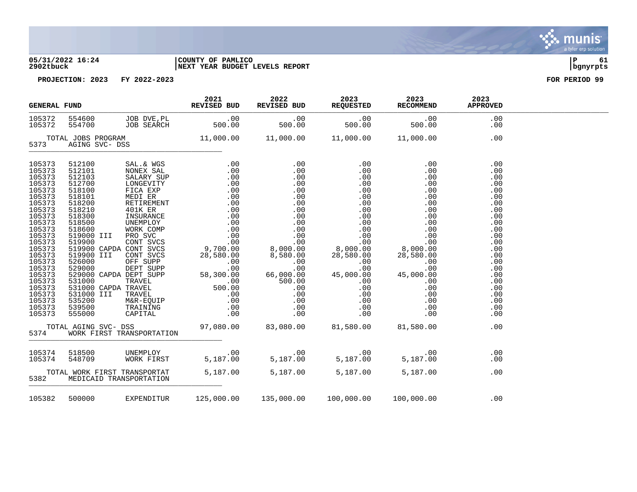### **05/31/2022 16:24 |COUNTY OF PAMLICO |P 61 2902tbuck |NEXT YEAR BUDGET LEVELS REPORT |bgnyrpts**



| <b>GENERAL FUND</b>                                                                                                                                                                                                                          |                         | REVISED BUD               | 2021                                           | 2022<br>REVISED BUD | 2023<br>REQUESTED RECOMMEND | 2023                                                                                                                                                                                                                                                                                                                                                                                                                                                                                                     | 2023<br><b>APPROVED</b>                                                                                                                                                     |  |
|----------------------------------------------------------------------------------------------------------------------------------------------------------------------------------------------------------------------------------------------|-------------------------|---------------------------|------------------------------------------------|---------------------|-----------------------------|----------------------------------------------------------------------------------------------------------------------------------------------------------------------------------------------------------------------------------------------------------------------------------------------------------------------------------------------------------------------------------------------------------------------------------------------------------------------------------------------------------|-----------------------------------------------------------------------------------------------------------------------------------------------------------------------------|--|
| 105372<br>105372                                                                                                                                                                                                                             | 554700                  |                           |                                                |                     |                             |                                                                                                                                                                                                                                                                                                                                                                                                                                                                                                          | .00<br>.00                                                                                                                                                                  |  |
| 5373                                                                                                                                                                                                                                         |                         |                           |                                                |                     |                             |                                                                                                                                                                                                                                                                                                                                                                                                                                                                                                          | .00                                                                                                                                                                         |  |
| 105373<br>105373<br>105373<br>105373<br>105373<br>105373<br>105373<br>105373<br>105373<br>105373<br>105373<br>105373<br>105373<br>105373<br>105373<br>105373<br>105373<br>105373<br>105373<br>105373<br>105373<br>105373<br>105373<br>105373 |                         |                           |                                                |                     |                             | $\begin{tabular}{@{}c@{}}\textbf{512100} & \textbf{SAL} & \textbf{WGS} & \textbf{01} & \textbf{01} & \textbf{01} & \textbf{01} & \textbf{01} & \textbf{01} & \textbf{01} & \textbf{01} & \textbf{01} & \textbf{01} & \textbf{01} & \textbf{01} & \textbf{01} & \textbf{01} & \textbf{01} & \textbf{01} & \textbf{01} & \textbf{01} & \textbf{01} & \textbf{01} & \textbf{01} & \textbf{01} & \textbf{$<br>TOTAL AGING SVC- DSS 97,080.00 83,080.00 81,580.00 81,580.00<br>5374 WORK FIRST TRANSPORTATION | .00<br>.00<br>.00<br>.00<br>.00<br>.00<br>.00<br>.00<br>.00<br>.00<br>.00<br>.00<br>.00<br>.00<br>.00<br>.00<br>.00<br>.00<br>.00<br>.00<br>.00<br>.00<br>.00<br>.00<br>.00 |  |
| 5374                                                                                                                                                                                                                                         |                         | WORK FIRST TRANSPORTATION |                                                |                     |                             |                                                                                                                                                                                                                                                                                                                                                                                                                                                                                                          |                                                                                                                                                                             |  |
| 105374<br>105374                                                                                                                                                                                                                             |                         |                           |                                                |                     |                             | 00 .<br>518500 00 .00 .00 .00 .00<br>5187.00 5,187.00 5,187.00 548709 00.08K FIRST 5,187.00 5,187.00                                                                                                                                                                                                                                                                                                                                                                                                     | .00<br>.00                                                                                                                                                                  |  |
| 5382                                                                                                                                                                                                                                         | MEDICAID TRANSPORTATION |                           | TOTAL WORK FIRST TRANSPORTAT 5,187.00 5,187.00 |                     | 5,187.00                    | 5,187.00                                                                                                                                                                                                                                                                                                                                                                                                                                                                                                 | .00                                                                                                                                                                         |  |
|                                                                                                                                                                                                                                              |                         |                           |                                                |                     |                             | 105382 500000 EXPENDITUR 125,000.00 135,000.00 100,000.00 100,000.00                                                                                                                                                                                                                                                                                                                                                                                                                                     | .00                                                                                                                                                                         |  |

. munis<sup>.</sup> a tyler erp solution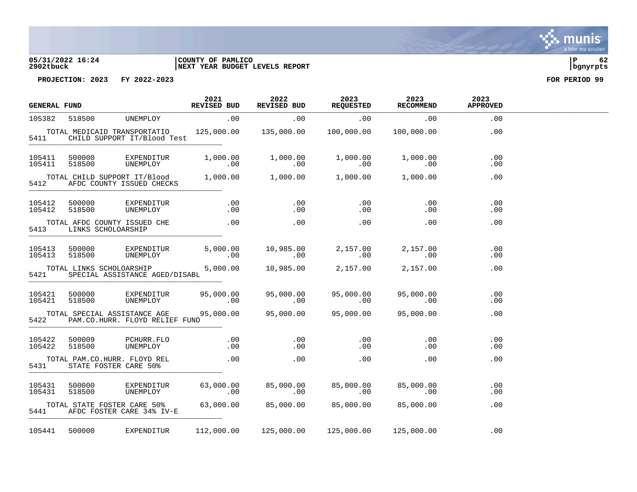# **2902tbuck |NEXT YEAR BUDGET LEVELS REPORT |bgnyrpts**

# **05/31/2022 16:24 |COUNTY OF PAMLICO |P 62**

**PROJECTION: 2023 FY 2022-2023 FOR PERIOD 99**

| <b>GENERAL FUND</b> |                    |                                                                    | 2021<br><b>REVISED BUD</b> | 2022<br>REVISED BUD                                 | 2023<br><b>REQUESTED</b> | 2023<br><b>RECOMMEND</b> | 2023<br><b>APPROVED</b>    |  |
|---------------------|--------------------|--------------------------------------------------------------------|----------------------------|-----------------------------------------------------|--------------------------|--------------------------|----------------------------|--|
| 105382              | 518500             | UNEMPLOY                                                           | .00                        | .00                                                 | .00                      | .00                      | .00                        |  |
| 5411                |                    | TOTAL MEDICAID TRANSPORTATIO<br>CHILD SUPPORT IT/Blood Test        | 125,000.00                 | 135,000.00                                          | 100,000.00               | 100,000.00               | .00                        |  |
| 105411<br>105411    | 500000<br>518500   | EXPENDITUR<br>UNEMPLOY                                             | 1,000.00<br>.00            | 1,000.00<br>.00                                     | 1,000.00<br>.00          | 1,000.00<br>.00          | .00<br>.00                 |  |
| 5412                |                    | TOTAL CHILD SUPPORT IT/Blood 1,000.00<br>AFDC COUNTY ISSUED CHECKS |                            | 1,000.00                                            | 1,000.00                 | 1,000.00                 | .00                        |  |
| 105412<br>105412    | 500000<br>518500   | EXPENDITUR<br>UNEMPLOY                                             | .00<br>.00                 | .00<br>.00                                          | .00<br>.00               | .00<br>.00               | .00<br>.00                 |  |
| 5413                | LINKS SCHOLOARSHIP | TOTAL AFDC COUNTY ISSUED CHE                                       | .00                        | .00                                                 | .00                      | .00                      | .00                        |  |
| 105413<br>105413    | 500000<br>518500   | EXPENDITUR<br>UNEMPLOY                                             | 5,000.00<br>$\sim$ 00      | 10,985.00<br>$\sim 00$                              | 2,157.00<br>.00          | 2,157.00<br>.00          | $.00 \,$<br>.00            |  |
| 5421                |                    | TOTAL LINKS SCHOLOARSHIP<br>SPECIAL ASSISTANCE AGED/DISABL         | 5,000.00                   | 10,985.00                                           | 2,157.00                 | 2,157.00                 | .00                        |  |
| 105421<br>105421    | 500000<br>518500   | EXPENDITUR<br>UNEMPLOY                                             | 95,000.00<br>.00           | 95,000.00<br>.00                                    | 95,000.00<br>.00         | 95,000.00<br>.00         | $.00 \ \rm$<br>$.00 \ \rm$ |  |
| 5422                |                    | TOTAL SPECIAL ASSISTANCE AGE<br>PAM.CO.HURR. FLOYD RELIEF FUND     | 95,000.00                  | 95,000.00                                           | 95,000.00                | 95,000.00                | .00                        |  |
| 105422<br>105422    | 500009<br>518500   | PCHURR.FLO<br>UNEMPLOY                                             | .00<br>.00                 | .00<br>.00                                          | .00<br>$.00 \,$          | .00<br>$.00 \,$          | $.00 \ \rm$<br>$.00 \ \rm$ |  |
| 5431                |                    | TOTAL PAM.CO.HURR. FLOYD REL<br>STATE FOSTER CARE 50%              | .00                        | .00                                                 | $.00 \,$                 | $.00 \,$                 | .00                        |  |
| 105431<br>105431    | 500000<br>518500   | EXPENDITUR<br>UNEMPLOY                                             | 63,000.00<br>.00           | 85,000.00<br>.00                                    | 85,000.00<br>.00         | 85,000.00<br>.00         | .00<br>.00                 |  |
| 5441                |                    | TOTAL STATE FOSTER CARE 50% 63,000.00<br>AFDC FOSTER CARE 34% IV-E |                            | 85,000.00 85,000.00                                 |                          | 85,000.00                | .00                        |  |
| 105441              | 500000             | EXPENDITUR                                                         |                            | $112,000.00$ $125,000.00$ $125,000.00$ $125,000.00$ |                          |                          | .00                        |  |

. munis<sup>.</sup> a tyler erp solution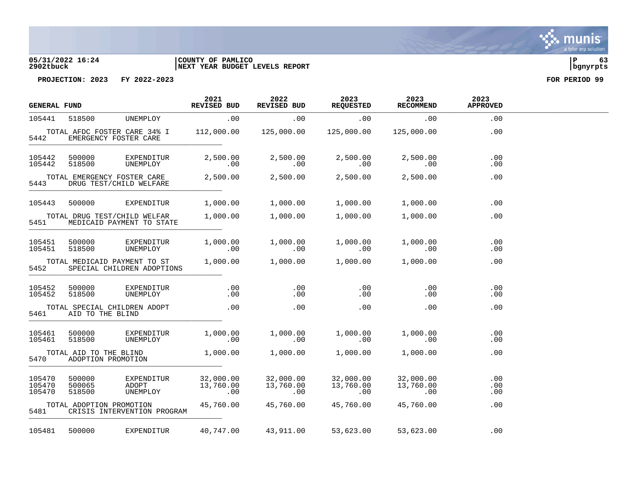### **05/31/2022 16:24 |COUNTY OF PAMLICO |P 63 2902tbuck |NEXT YEAR BUDGET LEVELS REPORT |bgnyrpts**

|                                                                | <b>GENERAL FUND</b>                          |                                                            | 2021<br><b>REVISED BUD</b>    | 2022<br>REVISED BUD           | 2023<br><b>REQUESTED</b>      | 2023<br><b>RECOMMEND</b>           | 2023<br><b>APPROVED</b> |  |
|----------------------------------------------------------------|----------------------------------------------|------------------------------------------------------------|-------------------------------|-------------------------------|-------------------------------|------------------------------------|-------------------------|--|
| 105441                                                         | 518500                                       | UNEMPLOY                                                   | .00                           | .00                           | .00                           | .00                                | .00                     |  |
| 5442                                                           |                                              | TOTAL AFDC FOSTER CARE 34% I<br>EMERGENCY FOSTER CARE      | 112,000.00                    | 125,000.00                    | 125,000.00                    | 125,000.00                         | .00                     |  |
| 105442<br>105442                                               | 500000<br>518500                             | EXPENDITUR<br>UNEMPLOY                                     | 2,500.00<br>.00               | 2,500.00<br>.00               | 2,500.00<br>.00               | 2,500.00<br>.00                    | .00<br>.00              |  |
| TOTAL EMERGENCY FOSTER CARE<br>5443<br>DRUG TEST/CHILD WELFARE |                                              | 2,500.00                                                   | 2,500.00                      | 2,500.00                      | 2,500.00                      | .00                                |                         |  |
| 105443                                                         | 500000                                       | EXPENDITUR                                                 | 1,000.00                      | 1,000.00                      | 1,000.00                      | 1,000.00                           | .00                     |  |
| 5451                                                           |                                              | TOTAL DRUG TEST/CHILD WELFAR<br>MEDICAID PAYMENT TO STATE  | 1,000.00                      | 1,000.00                      | 1,000.00                      | 1,000.00                           | .00                     |  |
| 105451<br>105451                                               | 500000<br>518500                             | EXPENDITUR<br>UNEMPLOY                                     | 1,000.00<br>.00               | 1,000.00<br>.00               | 1,000.00<br>.00               | 1,000.00<br>.00                    | .00<br>.00              |  |
| 5452                                                           |                                              | TOTAL MEDICAID PAYMENT TO ST<br>SPECIAL CHILDREN ADOPTIONS | 1,000.00                      | 1,000.00                      | 1,000.00                      | 1,000.00                           | .00                     |  |
| 105452<br>105452                                               | 500000<br>518500                             | EXPENDITUR<br>UNEMPLOY                                     | .00<br>.00                    | .00<br>.00                    | .00<br>.00                    | .00<br>.00                         | .00<br>.00              |  |
| 5461                                                           | AID TO THE BLIND                             | TOTAL SPECIAL CHILDREN ADOPT                               | .00                           | .00                           | .00                           | $.00 \,$                           | .00                     |  |
| 105461<br>105461                                               | 500000<br>518500                             | EXPENDITUR<br>UNEMPLOY                                     | 1,000.00<br>.00               | 1,000.00<br>.00               | 1,000.00<br>.00               | 1,000.00<br>.00                    | .00<br>.00              |  |
| 5470                                                           | TOTAL AID TO THE BLIND<br>ADOPTION PROMOTION |                                                            | 1,000.00                      | 1,000.00                      | 1,000.00                      | 1,000.00                           | .00                     |  |
| 105470<br>105470<br>105470                                     | 500000<br>500065<br>518500                   | EXPENDITUR<br>ADOPT<br>UNEMPLOY                            | 32,000.00<br>13,760.00<br>.00 | 32,000.00<br>13,760.00<br>.00 | 32,000.00<br>13,760.00<br>.00 | 32,000.00<br>13,760.00<br>$.00 \,$ | .00<br>.00<br>.00       |  |
| 5481                                                           | TOTAL ADOPTION PROMOTION                     | CRISIS INTERVENTION PROGRAM                                | 45,760.00                     | 45,760.00                     | 45,760.00                     | 45,760.00                          | .00                     |  |
| 105481                                                         | 500000                                       | EXPENDITUR                                                 | 40,747.00                     | 43,911.00                     | 53,623.00                     | 53,623.00                          | .00                     |  |

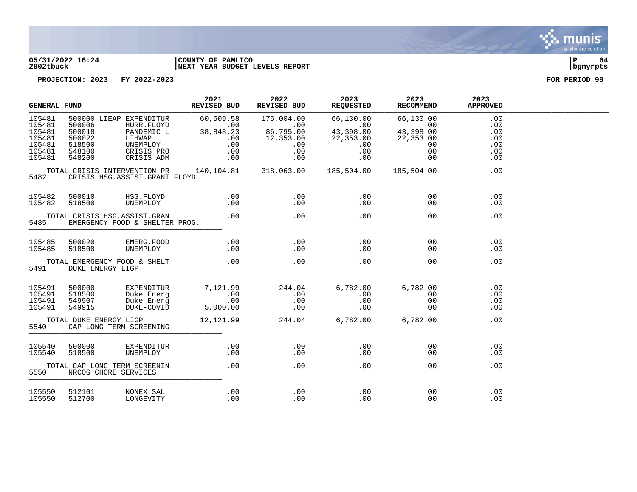

### **05/31/2022 16:24 |COUNTY OF PAMLICO |P 64 2902tbuck |NEXT YEAR BUDGET LEVELS REPORT |bgnyrpts**

| <b>GENERAL FUND</b>                                                |                                                          | 2021<br><b>REVISED BUD</b>                                                                            | 2022<br>REVISED BUD                                                   | 2023<br><b>REQUESTED</b>                                                | 2023<br>RECOMMEND                                                 | 2023<br><b>APPROVED</b>                                               |                                               |  |
|--------------------------------------------------------------------|----------------------------------------------------------|-------------------------------------------------------------------------------------------------------|-----------------------------------------------------------------------|-------------------------------------------------------------------------|-------------------------------------------------------------------|-----------------------------------------------------------------------|-----------------------------------------------|--|
| 105481<br>105481<br>105481<br>105481<br>105481<br>105481<br>105481 | 500006<br>500018<br>500022<br>518500<br>548100<br>548200 | 500000 LIEAP EXPENDITUR<br>HURR.FLOYD<br>PANDEMIC L<br>LIHWAP<br>UNEMPLOY<br>CRISIS PRO<br>CRISIS ADM | 60,509.58<br>$\overline{00}$<br>38,848.23<br>.00<br>.00<br>.00<br>.00 | 175,004.00<br>.00<br>00.<br>86,795.00<br>12,353.00<br>.00<br>.00<br>.00 | 66,130.00<br>$.00$<br>43,398.00<br>22,353.00<br>.00<br>.00<br>.00 | 66,130.00<br>$\sim$ 00<br>43,398.00<br>22,353.00<br>.00<br>.00<br>.00 | .00<br>.00<br>.00<br>.00<br>.00<br>.00<br>.00 |  |
| 5482                                                               |                                                          | TOTAL CRISIS INTERVENTION PR<br>CRISIS HSG.ASSIST.GRANT FLOYD                                         | 140, 104.81 318, 063.00                                               |                                                                         | 185,504.00                                                        | 185,504.00                                                            | .00                                           |  |
| 105482<br>105482                                                   | 500010<br>518500                                         | HSG.FLOYD<br>UNEMPLOY                                                                                 | .00<br>.00                                                            | .00<br>.00                                                              | .00<br>.00                                                        | .00<br>.00                                                            | .00<br>.00                                    |  |
| 5485                                                               |                                                          | TOTAL CRISIS HSG.ASSIST.GRAN<br>EMERGENCY FOOD & SHELTER PROG.                                        | .00                                                                   | $\sim$ 00                                                               | .00                                                               | .00                                                                   | .00                                           |  |
| 105485<br>105485                                                   | 500020<br>518500                                         | EMERG.FOOD<br>UNEMPLOY                                                                                | .00<br>.00                                                            | .00<br>.00                                                              | .00<br>.00                                                        | .00<br>.00                                                            | .00<br>.00                                    |  |
| 5491                                                               | DUKE ENERGY LIGP                                         | TOTAL EMERGENCY FOOD & SHELT                                                                          | $\sim$ 00                                                             | $\sim$ 00                                                               | .00                                                               | .00                                                                   | .00                                           |  |
| 105491<br>105491<br>105491<br>105491                               | 500000<br>518500<br>549907<br>549915                     | EXPENDITUR<br>Duke Energ<br>Duke Energ<br>DUKE-COVID                                                  | 7,121.99<br>$00$ .<br>00.<br>5,000.00                                 | 244.04<br>.00<br>$\begin{array}{c} 0.00 \\ -0.00 \end{array}$           | 6,782.00<br>.00<br>.00<br>.00                                     | 6,782.00<br>.00<br>.00<br>.00                                         | .00<br>.00<br>.00<br>.00                      |  |
| 5540                                                               | TOTAL DUKE ENERGY LIGP                                   | CAP LONG TERM SCREENING                                                                               | 12,121.99                                                             | 244.04 6,782.00                                                         |                                                                   | 6,782.00                                                              | .00                                           |  |
| 105540<br>105540                                                   | 500000<br>518500                                         | EXPENDITUR<br>UNEMPLOY                                                                                | .00<br>.00                                                            | .00<br>.00                                                              | .00<br>.00                                                        | $.00\,$<br>.00                                                        | .00<br>.00                                    |  |
| 5550                                                               | NRCOG CHORE SERVICES                                     | TOTAL CAP LONG TERM SCREENIN                                                                          | .00                                                                   | .00                                                                     | .00                                                               | .00                                                                   | .00                                           |  |
| 105550<br>105550                                                   | 512101<br>512700                                         | NONEX SAL<br>LONGEVITY                                                                                | .00<br>.00                                                            | .00<br>.00                                                              | .00<br>.00                                                        | .00<br>.00                                                            | .00<br>.00                                    |  |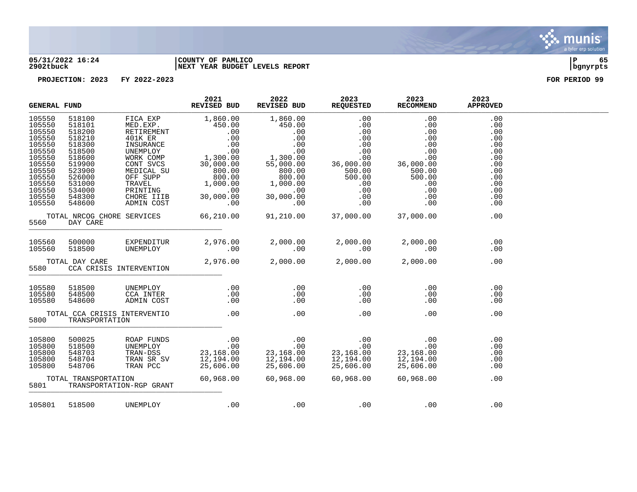

### **05/31/2022 16:24 |COUNTY OF PAMLICO |P 65 2902tbuck |NEXT YEAR BUDGET LEVELS REPORT |bgnyrpts**

|                                                                                                                                          | <b>GENERAL FUND</b>                            |  | 2021<br>REVISED BUD                                         | 2022<br>REVISED BUD                                                                                                                                                                                                                                                                    | 2023<br><b>REQUESTED</b> | 2023<br><b>RECOMMEND</b> | 2023<br><b>APPROVED</b>                                                                        |  |
|------------------------------------------------------------------------------------------------------------------------------------------|------------------------------------------------|--|-------------------------------------------------------------|----------------------------------------------------------------------------------------------------------------------------------------------------------------------------------------------------------------------------------------------------------------------------------------|--------------------------|--------------------------|------------------------------------------------------------------------------------------------|--|
| 105550<br>105550<br>105550<br>105550<br>105550<br>105550<br>105550<br>105550<br>105550<br>105550<br>105550<br>105550<br>105550<br>105550 |                                                |  |                                                             | $\begin{tabular}{l cccc} \hline 1550 & 518100 & FICA EXP & 1,860.00 & 1.860.00 & 0.00 & 0.00 & 0.00 & 0.00 & 0.00 & 0.00 & 0.00 & 0.00 & 0.00 & 0.00 & 0.00 & 0.00 & 0.00 & 0.00 & 0.00 & 0.00 & 0.00 & 0.00 & 0.00 & 0.00 & 0.00 & 0.00 & 0.00 & 0.00 & 0.00 & 0.00 & 0.00 & 0.00 & $ |                          |                          | .00<br>.00<br>.00<br>.00<br>.00<br>.00<br>.00<br>.00<br>.00<br>.00<br>.00<br>.00<br>.00<br>.00 |  |
| 5560                                                                                                                                     | DAY CARE                                       |  |                                                             |                                                                                                                                                                                                                                                                                        |                          |                          | .00                                                                                            |  |
| 105560<br>105560                                                                                                                         | 500000<br>518500                               |  |                                                             | EXPENDITUR 2,976.00 2,000.00 2,000.00<br>10 .00 00 00 00 00 00                                                                                                                                                                                                                         |                          | 2,000.00 2,000.00<br>.00 | .00<br>.00                                                                                     |  |
| TOTAL DAY CARE<br>5580 CCA CRISIS INTERVENTION                                                                                           |                                                |  | $2,976.00$ $2,000.00$ $2,000.00$ $2,000.00$                 |                                                                                                                                                                                                                                                                                        |                          | .00                      |                                                                                                |  |
| 105580<br>105580<br>105580                                                                                                               | 518500<br>548500<br>548600                     |  |                                                             | UNEMPLOY .00 .00<br>CCA INTER .00 .00<br>ADMIN COST .00 .00                                                                                                                                                                                                                            | .00<br>.00<br>.00        | .00<br>.00<br>.00        | .00<br>.00<br>.00                                                                              |  |
| 5800                                                                                                                                     | TOTAL CCA CRISIS INTERVENTIO<br>TRANSPORTATION |  | $\overline{00}$ . $\overline{00}$ . $\overline{00}$         |                                                                                                                                                                                                                                                                                        | .00                      | .00                      | .00                                                                                            |  |
| 105800<br>105800<br>105800<br>105800<br>105800                                                                                           | 500025<br>518500<br>548703<br>548704<br>548706 |  |                                                             | ROAP FUNDS $\begin{array}{cccc} 0.00 & 0.00 & 0.00 & 0.00 \\ 0.00 & 0.00 & 0.00 & 0.00 \\ 0.00 & 0.00 & 0.00 & 0.00 \\ 0.00 & 0.00 & 0.00 & 0.00 \\ 0.00 & 0.00 & 0.00 & 0.00 \\ 0.00 & 0.00 & 0.00 & 0.00 \\ 0.00 & 0.00 & 0.00 & 0.00 \\ 0.00 & 0.00 & 0.00 & 0.00 \\ 0.00 & 0.00$   |                          | 23,168.00<br>12,194.00   | .00<br>.00<br>.00<br>.00<br>.00                                                                |  |
| TOTAL TRANSPORTATION<br>5801<br>TRANSPORTATION-RGP GRANT                                                                                 |                                                |  | $60,968.00$ $60,968.00$ $60,968.00$ $60,968.00$ $60,968.00$ |                                                                                                                                                                                                                                                                                        |                          | .00                      |                                                                                                |  |
|                                                                                                                                          | 105801 518500 UNEMPLOY                         |  |                                                             | $100$ . $00$ . $00$ . $00$ . $00$                                                                                                                                                                                                                                                      |                          |                          | .00                                                                                            |  |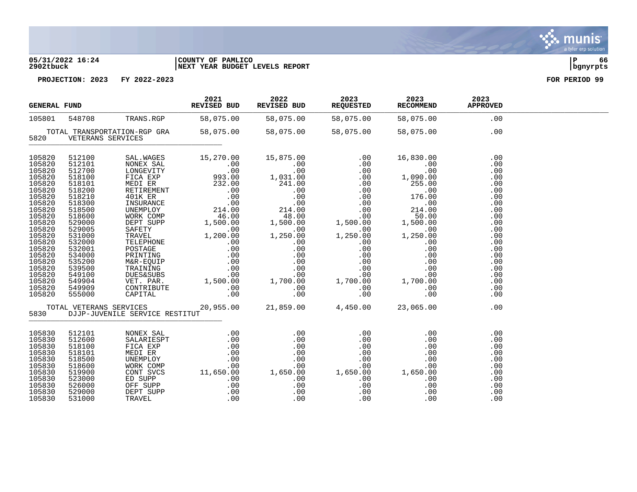### **05/31/2022 16:24 |COUNTY OF PAMLICO |P 66 2902tbuck |NEXT YEAR BUDGET LEVELS REPORT |bgnyrpts**

| 2021 2022 2023<br>REVISED BUD REVISED BUD REQUESTED<br>548708 TRANS.RGP 58,075.00 58,075.00 58,075.00<br><b>GENERAL FUND</b>                                                                                             |                                                                                                                                                                                                                          |                                                                                                       | 2023<br>RECOMMEND APPROVED | 2023          |                                                                                                                                                        |  |
|--------------------------------------------------------------------------------------------------------------------------------------------------------------------------------------------------------------------------|--------------------------------------------------------------------------------------------------------------------------------------------------------------------------------------------------------------------------|-------------------------------------------------------------------------------------------------------|----------------------------|---------------|--------------------------------------------------------------------------------------------------------------------------------------------------------|--|
| 105801                                                                                                                                                                                                                   |                                                                                                                                                                                                                          |                                                                                                       |                            | 58,075.00 .00 |                                                                                                                                                        |  |
|                                                                                                                                                                                                                          | 5820 VETERANS SERVICES                                                                                                                                                                                                   | 00. TOTAL TRANSPORTATION-RGP GRA 58,075.00 58,075.00 58,075.00 58,075.00                              |                            |               |                                                                                                                                                        |  |
| 105820<br>105820<br>105820<br>105820<br>105820<br>105820<br>105820<br>105820<br>105820<br>105820<br>105820<br>105820<br>105820<br>105820<br>105820<br>105820<br>105820<br>105820<br>105820<br>105820<br>105820<br>105820 | 512100<br>512101<br>512700<br>518100<br>518101<br>518200<br>518210<br>518300<br>518500<br>518600<br>529000<br>529005<br>531000<br>532000<br>532001<br>534000<br>535200<br>539500<br>549100<br>549904<br>549909<br>555000 |                                                                                                       |                            |               | .00<br>.00<br>.00<br>.00<br>.00<br>.00<br>.00<br>.00<br>.00<br>.00<br>.00<br>.00<br>.00<br>.00<br>.00<br>.00<br>.00<br>.00<br>.00<br>.00<br>.00<br>.00 |  |
|                                                                                                                                                                                                                          |                                                                                                                                                                                                                          | TOTAL VETERANS SERVICES 20,955.00 21,859.00 4,450.00 23,065.00<br>5830 DJJP-JUVENILE SERVICE RESTITUT |                            |               | .00                                                                                                                                                    |  |
| 105830<br>105830<br>105830<br>105830<br>105830<br>105830<br>105830<br>105830<br>105830<br>105830<br>105830                                                                                                               | 512101<br>512600<br>518100<br>518101<br>518500<br>518600<br>519900<br>523000<br>526000<br>529000<br>531000                                                                                                               |                                                                                                       |                            |               | .00<br>.00<br>.00<br>.00<br>.00<br>.00<br>.00<br>.00<br>.00<br>.00<br>.00                                                                              |  |

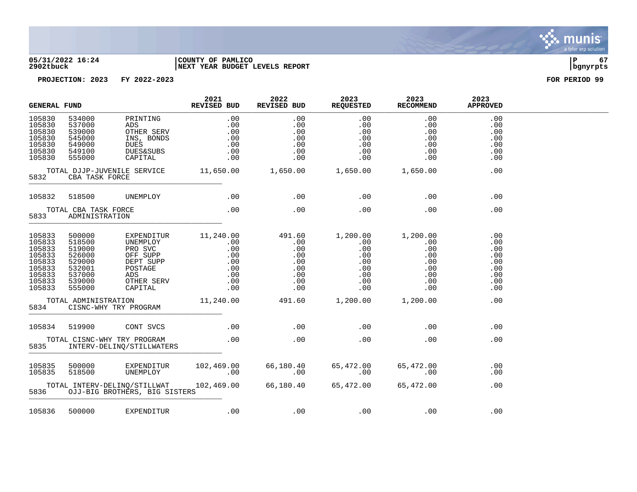

# **05/31/2022 16:24 |COUNTY OF PAMLICO |P 67 2902tbuck |NEXT YEAR BUDGET LEVELS REPORT |bgnyrpts**

| <b>GENERAL FUND</b>                                                                    |                                                                                        | 2021<br>REVISED BUD                                                                                           | 2022<br>REVISED BUD                                                                  | 2023<br><b>REQUESTED</b>                                              | 2023<br>RECOMMEND                                     | 2023<br><b>APPROVED</b>                                                                    |                                                             |  |
|----------------------------------------------------------------------------------------|----------------------------------------------------------------------------------------|---------------------------------------------------------------------------------------------------------------|--------------------------------------------------------------------------------------|-----------------------------------------------------------------------|-------------------------------------------------------|--------------------------------------------------------------------------------------------|-------------------------------------------------------------|--|
| 105830<br>105830<br>105830<br>105830<br>105830<br>105830<br>105830                     | 534000<br>537000<br>539000<br>545000<br>549000<br>549100<br>555000                     | PRINTING<br>ADS<br>OTHER SERV<br>INS, BONDS<br><b>DUES</b><br><b>DUES&amp;SUBS</b><br>CAPITAL                 | $\begin{array}{c} .00\ 0.00\ .00\ 0.00\ .00\ .00\ .00\ .00\ .00\ \end{array}$<br>.00 | .00<br>.00<br>.00<br>.00<br>.00<br>.00                                | $.00$ $.00$<br>.00<br>.00<br>.00<br>.00<br>.00<br>.00 | .00<br>.00<br>.00<br>.00<br>.00<br>.00<br>.00                                              | .00<br>.00<br>.00<br>.00<br>.00<br>.00<br>.00               |  |
| 5832                                                                                   | CBA TASK FORCE                                                                         | TOTAL DJJP-JUVENILE SERVICE 11,650.00 1,650.00 1,650.00 1,650.00                                              |                                                                                      |                                                                       |                                                       |                                                                                            | .00                                                         |  |
|                                                                                        |                                                                                        | 105832 518500 UNEMPLOY                                                                                        |                                                                                      | $\sim$ 00 $\sim$ 00 $\sim$ 00 $\sim$ 00 $\sim$                        |                                                       | .00                                                                                        | .00                                                         |  |
| TOTAL CBA TASK FORCE<br>5833<br>ADMINISTRATION                                         |                                                                                        | .00                                                                                                           | $\sim$ 00                                                                            | .00                                                                   | .00                                                   | .00                                                                                        |                                                             |  |
| 105833<br>105833<br>105833<br>105833<br>105833<br>105833<br>105833<br>105833<br>105833 | 500000<br>518500<br>519000<br>526000<br>529000<br>532001<br>537000<br>539000<br>555000 | EXPENDITUR<br>UNEMPLOY<br>PRO SVC<br>OFF SUPP<br>DEPT SUPP<br>POSTAGE<br>POST<br>ADS<br>OTHER SERV<br>CAPITAL |                                                                                      | $11, 240.00$ $491.60$ $1, 200.00$ $1, 200.00$                         | .00<br>.00<br>.00<br>.00<br>.00<br>.00<br>.00<br>.00  | .00<br>.00<br>$\begin{array}{c} .00\ .00\ .00\ .00\ .00\ .00\ . \end{array}$<br>.00<br>.00 | .00<br>.00<br>.00<br>.00<br>.00<br>.00<br>.00<br>.00<br>.00 |  |
| 5834                                                                                   |                                                                                        | TOTAL ADMINISTRATION<br>CISNC-WHY TRY PROGRAM                                                                 |                                                                                      | 11,240.00  491.60  1,200.00  1,200.00                                 |                                                       |                                                                                            | .00                                                         |  |
|                                                                                        | 105834 519900                                                                          | CONT SVCS                                                                                                     | $\sim$ 00                                                                            | .00                                                                   | .00                                                   | .00                                                                                        | .00                                                         |  |
| 5835                                                                                   |                                                                                        | TOTAL CISNC-WHY TRY PROGRAM<br>INTERV-DELINQ/STILLWATERS                                                      | .00                                                                                  | $\sim$ 00                                                             | .00                                                   | .00                                                                                        | .00                                                         |  |
| 105835<br>105835                                                                       | 500000<br>518500                                                                       |                                                                                                               | UNEMPLOY 00                                                                          | EXPENDITUR 102,469.00 66,180.40 65,4<br>UNEMPLOY .00 .00<br>$\sim$ 00 | 65,472.00<br>00.<br>.00                               | 65,472.00<br>.00                                                                           | .00<br>.00                                                  |  |
|                                                                                        |                                                                                        | TOTAL INTERV-DELINQ/STILLWAT $102,469.00$ $66,180.40$ $65,472.00$<br>5836 OJJ-BIG BROTHERS, BIG SISTERS       |                                                                                      |                                                                       |                                                       | 65,472.00                                                                                  | .00                                                         |  |
|                                                                                        |                                                                                        | 105836 500000 EXPENDITUR                                                                                      | .00                                                                                  |                                                                       | $00$ . $00$ . $00$ . $00$                             |                                                                                            | .00                                                         |  |

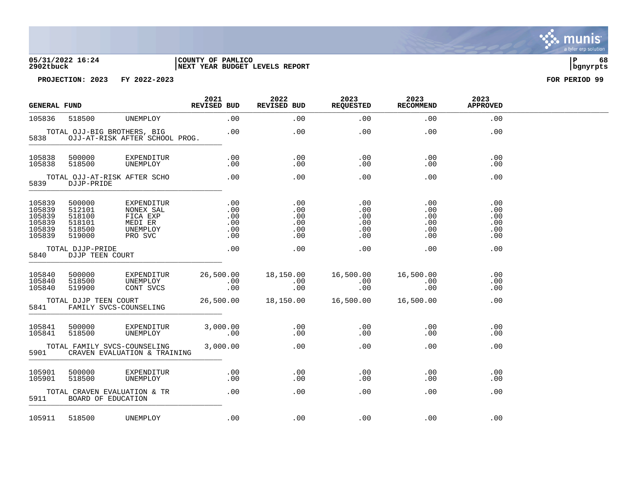

| <b>GENERAL FUND</b>                                      |                                                          | 2021<br>REVISED BUD                                                   | 2022<br>REVISED BUD                    | 2023<br><b>REQUESTED</b>               | 2023<br><b>RECOMMEND</b>               | 2023<br><b>APPROVED</b>                |                                        |  |
|----------------------------------------------------------|----------------------------------------------------------|-----------------------------------------------------------------------|----------------------------------------|----------------------------------------|----------------------------------------|----------------------------------------|----------------------------------------|--|
| 105836                                                   | 518500                                                   | UNEMPLOY                                                              | .00                                    | .00                                    | .00                                    | .00                                    | .00                                    |  |
| 5838                                                     |                                                          | TOTAL OJJ-BIG BROTHERS, BIG<br>OJJ-AT-RISK AFTER SCHOOL PROG.         | .00                                    | .00                                    | .00                                    | .00                                    | .00                                    |  |
| 105838<br>105838                                         | 500000<br>518500                                         | EXPENDITUR<br>UNEMPLOY                                                | .00<br>.00                             | .00<br>.00                             | .00<br>.00                             | .00<br>.00                             | .00<br>.00                             |  |
| TOTAL OJJ-AT-RISK AFTER SCHO<br>5839<br>DJJP-PRIDE       |                                                          | .00                                                                   | .00                                    | .00                                    | $.00 \,$                               | .00                                    |                                        |  |
| 105839<br>105839<br>105839<br>105839<br>105839<br>105839 | 500000<br>512101<br>518100<br>518101<br>518500<br>519000 | EXPENDITUR<br>NONEX SAL<br>FICA EXP<br>MEDI ER<br>UNEMPLOY<br>PRO SVC | .00<br>.00<br>.00<br>.00<br>.00<br>.00 | .00<br>.00<br>.00<br>.00<br>.00<br>.00 | .00<br>.00<br>.00<br>.00<br>.00<br>.00 | .00<br>.00<br>.00<br>.00<br>.00<br>.00 | .00<br>.00<br>.00<br>.00<br>.00<br>.00 |  |
| 5840                                                     | TOTAL DJJP-PRIDE<br>DJJP TEEN COURT                      |                                                                       | .00                                    | .00                                    | .00                                    | .00                                    | .00                                    |  |
| 105840<br>105840<br>105840                               | 500000<br>518500<br>519900                               | EXPENDITUR<br>UNEMPLOY<br>CONT SVCS                                   | 26,500.00<br>.00<br>.00                | 18,150.00<br>.00<br>.00                | 16,500.00<br>.00<br>.00                | 16,500.00<br>.00<br>.00                | .00<br>.00<br>.00                      |  |
| 5841                                                     | TOTAL DJJP TEEN COURT                                    | FAMILY SVCS-COUNSELING                                                | 26,500.00                              | 18,150.00   16,500.00   16,500.00      |                                        |                                        | .00                                    |  |
| 105841<br>105841                                         | 500000<br>518500                                         | EXPENDITUR<br>UNEMPLOY                                                | 3,000.00<br>.00                        | .00<br>.00                             | .00<br>.00                             | .00<br>.00                             | .00<br>.00                             |  |
| 5901                                                     |                                                          | TOTAL FAMILY SVCS-COUNSELING<br>CRAVEN EVALUATION & TRAINING          | 3,000.00                               | .00                                    | .00                                    | $.00 \,$                               | .00                                    |  |
| 105901<br>105901                                         | 500000<br>518500                                         | EXPENDITUR<br>UNEMPLOY                                                | .00<br>.00                             | .00<br>.00                             | .00<br>.00                             | .00<br>.00                             | .00<br>.00                             |  |
| 5911                                                     |                                                          | TOTAL CRAVEN EVALUATION & TR<br>BOARD OF EDUCATION                    | .00                                    | .00                                    | .00                                    | .00                                    | .00                                    |  |
| 105911                                                   | 518500                                                   | UNEMPLOY                                                              | .00                                    | .00                                    | .00                                    | .00                                    | .00                                    |  |

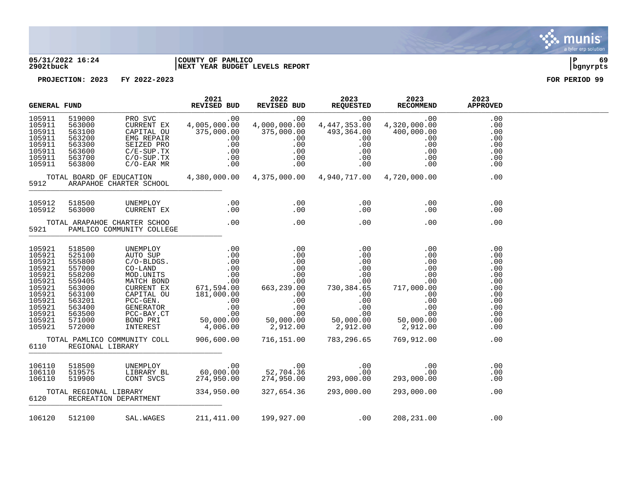

### **05/31/2022 16:24 |COUNTY OF PAMLICO |P 69 2902tbuck |NEXT YEAR BUDGET LEVELS REPORT |bgnyrpts**

| <b>GENERAL FUND</b>                                                                                                            |                                                                                                                                                         |  | 2021<br>REVISED BUD |  | 2022 2023 2023 2023<br>REVISED BUD REQUESTED RECOMMEND APPROVED                                                                                                                                                                                                                                                                                                                                                                      |            |  |
|--------------------------------------------------------------------------------------------------------------------------------|---------------------------------------------------------------------------------------------------------------------------------------------------------|--|---------------------|--|--------------------------------------------------------------------------------------------------------------------------------------------------------------------------------------------------------------------------------------------------------------------------------------------------------------------------------------------------------------------------------------------------------------------------------------|------------|--|
| 105911<br>105911<br>105911<br>105911<br>105911<br>105911<br>105911<br>105911                                                   |                                                                                                                                                         |  |                     |  | $\begin{tabular}{l cccc} \textbf{SRAL FUND} & \textbf{REV-DED} & \textbf{REV-DED} & \textbf{NLO} & \textbf{NLO} & \textbf{NLO} & \textbf{NLO} & \textbf{NLO} & \textbf{NLO} & \textbf{NLO} & \textbf{NLO} & \textbf{NLO} & \textbf{NLO} & \textbf{NLO} & \textbf{NLO} & \textbf{NLO} & \textbf{NLO} & \textbf{NLO} & \textbf{NLO} & \textbf{NLO} & \textbf{NLO} & \textbf{NLO} & \textbf{NLO} & \textbf{NLO} & \textbf{NLO} & \text$ |            |  |
| 5912 ARAPAHOE CHARTER SCHOOL                                                                                                   |                                                                                                                                                         |  |                     |  |                                                                                                                                                                                                                                                                                                                                                                                                                                      |            |  |
|                                                                                                                                | 105912 518500<br>105912 563000                                                                                                                          |  |                     |  |                                                                                                                                                                                                                                                                                                                                                                                                                                      | .00<br>.00 |  |
|                                                                                                                                |                                                                                                                                                         |  |                     |  |                                                                                                                                                                                                                                                                                                                                                                                                                                      |            |  |
| 105921<br>105921<br>105921<br>105921<br>105921<br>105921<br>105921<br>105921<br>105921<br>105921<br>105921<br>105921<br>105921 | 518500<br>525100<br>555800<br>557000<br>558200<br>559405<br>563000<br>563100<br>563201<br>563400<br>563500<br>571000<br>572000<br>6110 REGIONAL LIBRARY |  |                     |  | TOTAL PAMLICO COMMUNITY COLL 906,600.00 716,151.00 783,296.65 769,912.00 00                                                                                                                                                                                                                                                                                                                                                          |            |  |
| 106110<br>106110<br>106110                                                                                                     | 518500<br>519575<br>519900                                                                                                                              |  |                     |  |                                                                                                                                                                                                                                                                                                                                                                                                                                      |            |  |
|                                                                                                                                | 6120 RECREATION DEPARTMENT                                                                                                                              |  |                     |  | TOTAL REGIONAL LIBRARY 334,950.00 327,654.36 293,000.00 293,000.00                                                                                                                                                                                                                                                                                                                                                                   | .00        |  |
|                                                                                                                                |                                                                                                                                                         |  |                     |  | 106120 512100 SAL.WAGES 211,411.00 199,927.00 .00 208,231.00 .00                                                                                                                                                                                                                                                                                                                                                                     |            |  |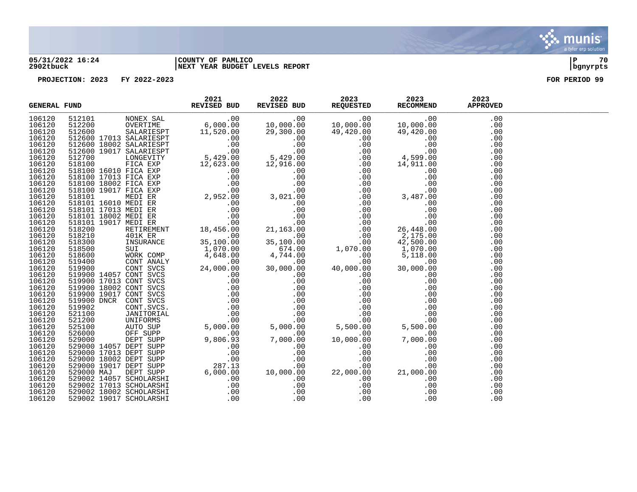

### **05/31/2022 16:24 |COUNTY OF PAMLICO |P 70 2902tbuck |NEXT YEAR BUDGET LEVELS REPORT |bgnyrpts**

|        | $\begin{tabular}{l c c c c} \textbf{FUND} & \textbf{RAVTORB} & \textbf{RAVTORB} & \textbf{RAVTORB} & \textbf{RAVTORB} & \textbf{RAVTORB} & \textbf{RAVTORB} & \textbf{RAVTORB} & \textbf{RAVTORB} & \textbf{RAVTORB} & \textbf{RAVTORB} & \textbf{RAVTORB} & \textbf{RAVTORB} & \textbf{RAVTORB} & \textbf{RAVTORB} & \textbf{RAVTORB} & \textbf{RAVTORB} & \textbf{RAVRORB} & \textbf{RAVRORB$<br><b>GENERAL FUND</b> |  |  |  |  |
|--------|------------------------------------------------------------------------------------------------------------------------------------------------------------------------------------------------------------------------------------------------------------------------------------------------------------------------------------------------------------------------------------------------------------------------|--|--|--|--|
| 106120 |                                                                                                                                                                                                                                                                                                                                                                                                                        |  |  |  |  |
| 106120 |                                                                                                                                                                                                                                                                                                                                                                                                                        |  |  |  |  |
| 106120 |                                                                                                                                                                                                                                                                                                                                                                                                                        |  |  |  |  |
| 106120 |                                                                                                                                                                                                                                                                                                                                                                                                                        |  |  |  |  |
| 106120 |                                                                                                                                                                                                                                                                                                                                                                                                                        |  |  |  |  |
| 106120 |                                                                                                                                                                                                                                                                                                                                                                                                                        |  |  |  |  |
| 106120 |                                                                                                                                                                                                                                                                                                                                                                                                                        |  |  |  |  |
| 106120 |                                                                                                                                                                                                                                                                                                                                                                                                                        |  |  |  |  |
| 106120 |                                                                                                                                                                                                                                                                                                                                                                                                                        |  |  |  |  |
| 106120 |                                                                                                                                                                                                                                                                                                                                                                                                                        |  |  |  |  |
| 106120 |                                                                                                                                                                                                                                                                                                                                                                                                                        |  |  |  |  |
| 106120 |                                                                                                                                                                                                                                                                                                                                                                                                                        |  |  |  |  |
| 106120 |                                                                                                                                                                                                                                                                                                                                                                                                                        |  |  |  |  |
| 106120 |                                                                                                                                                                                                                                                                                                                                                                                                                        |  |  |  |  |
| 106120 |                                                                                                                                                                                                                                                                                                                                                                                                                        |  |  |  |  |
| 106120 |                                                                                                                                                                                                                                                                                                                                                                                                                        |  |  |  |  |
| 106120 |                                                                                                                                                                                                                                                                                                                                                                                                                        |  |  |  |  |
| 106120 |                                                                                                                                                                                                                                                                                                                                                                                                                        |  |  |  |  |
| 106120 |                                                                                                                                                                                                                                                                                                                                                                                                                        |  |  |  |  |
| 106120 |                                                                                                                                                                                                                                                                                                                                                                                                                        |  |  |  |  |
| 106120 |                                                                                                                                                                                                                                                                                                                                                                                                                        |  |  |  |  |
| 106120 |                                                                                                                                                                                                                                                                                                                                                                                                                        |  |  |  |  |
| 106120 |                                                                                                                                                                                                                                                                                                                                                                                                                        |  |  |  |  |
| 106120 |                                                                                                                                                                                                                                                                                                                                                                                                                        |  |  |  |  |
| 106120 |                                                                                                                                                                                                                                                                                                                                                                                                                        |  |  |  |  |
| 106120 |                                                                                                                                                                                                                                                                                                                                                                                                                        |  |  |  |  |
| 106120 |                                                                                                                                                                                                                                                                                                                                                                                                                        |  |  |  |  |
| 106120 |                                                                                                                                                                                                                                                                                                                                                                                                                        |  |  |  |  |
| 106120 |                                                                                                                                                                                                                                                                                                                                                                                                                        |  |  |  |  |
| 106120 |                                                                                                                                                                                                                                                                                                                                                                                                                        |  |  |  |  |
| 106120 |                                                                                                                                                                                                                                                                                                                                                                                                                        |  |  |  |  |
| 106120 |                                                                                                                                                                                                                                                                                                                                                                                                                        |  |  |  |  |
| 106120 |                                                                                                                                                                                                                                                                                                                                                                                                                        |  |  |  |  |
| 106120 |                                                                                                                                                                                                                                                                                                                                                                                                                        |  |  |  |  |
| 106120 |                                                                                                                                                                                                                                                                                                                                                                                                                        |  |  |  |  |
| 106120 |                                                                                                                                                                                                                                                                                                                                                                                                                        |  |  |  |  |
| 106120 |                                                                                                                                                                                                                                                                                                                                                                                                                        |  |  |  |  |
| 106120 |                                                                                                                                                                                                                                                                                                                                                                                                                        |  |  |  |  |
| 106120 |                                                                                                                                                                                                                                                                                                                                                                                                                        |  |  |  |  |
| 106120 |                                                                                                                                                                                                                                                                                                                                                                                                                        |  |  |  |  |
| 106120 |                                                                                                                                                                                                                                                                                                                                                                                                                        |  |  |  |  |
| 106120 |                                                                                                                                                                                                                                                                                                                                                                                                                        |  |  |  |  |
| 106120 |                                                                                                                                                                                                                                                                                                                                                                                                                        |  |  |  |  |
| 106120 |                                                                                                                                                                                                                                                                                                                                                                                                                        |  |  |  |  |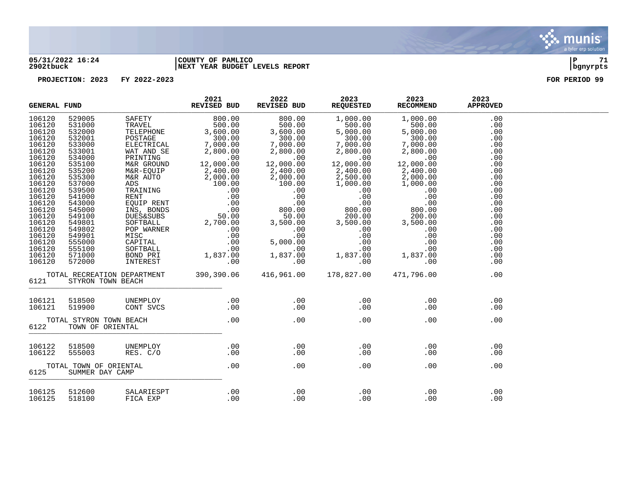

### **05/31/2022 16:24 |COUNTY OF PAMLICO |P 71 2902tbuck |NEXT YEAR BUDGET LEVELS REPORT |bgnyrpts**

|        | <b>GENERAL FUND</b>                         |                             | 2021<br><b>REVISED BUD</b> | 2022<br>REVISED BUD | 2023<br><b>REQUESTED</b> | 2023<br><b>RECOMMEND</b> | 2023<br><b>APPROVED</b> |  |
|--------|---------------------------------------------|-----------------------------|----------------------------|---------------------|--------------------------|--------------------------|-------------------------|--|
| 106120 | 529005                                      | SAFETY                      | 800.00                     | 800.00              | 1,000.00                 | 1,000.00                 | .00                     |  |
| 106120 | 531000                                      | TRAVEL                      | 500.00                     | 500.00              | 500.00                   | 500.00                   | .00                     |  |
| 106120 | 532000                                      | TELEPHONE                   | 3,600.00                   | 3,600.00            | 5,000.00                 | 5,000.00                 | .00                     |  |
| 106120 | 532001                                      | POSTAGE                     | 300.00                     | 300.00              | 300.00                   | 300.00                   | .00                     |  |
| 106120 | 533000                                      | ELECTRICAL                  | 7,000.00                   | 7,000.00            | 7,000.00                 | 7,000.00                 | .00                     |  |
| 106120 | 533001                                      | WAT AND SE                  | 2,800.00                   | 2,800.00            | 2,800.00                 | 2,800.00                 | .00                     |  |
| 106120 | 534000                                      | PRINTING                    | .00                        | .00                 | .00                      | .00                      | .00                     |  |
| 106120 | 535100                                      | M&R GROUND                  | 12,000.00                  | 12,000.00           | 12,000.00                | 12,000.00                | .00                     |  |
| 106120 | 535200                                      | M&R-EQUIP                   | 2,400.00                   | 2,400.00            | 2,400.00                 | 2,400.00                 | .00                     |  |
| 106120 | 535300                                      | M&R AUTO                    | 2,000.00                   | 2,000.00            | 2,500.00                 | 2,000.00                 | .00                     |  |
| 106120 | 537000                                      | ADS                         | 100.00                     | 100.00              | 1,000.00                 | 1,000.00                 | .00                     |  |
| 106120 | 539500                                      | TRAINING                    | .00                        | .00                 | .00                      | .00                      | .00                     |  |
| 106120 | 541000                                      | <b>RENT</b>                 | .00                        | .00                 | .00                      | .00                      | .00                     |  |
| 106120 | 543000                                      | EOUIP RENT                  | .00                        | .00                 | .00                      | .00                      | .00                     |  |
| 106120 | 545000                                      | INS, BONDS                  | .00                        | 800.00              | 800.00                   | 800.00                   | .00                     |  |
| 106120 | 549100                                      | <b>DUES&amp;SUBS</b>        | 50.00                      | 50.00               | 200.00                   | 200.00                   | .00                     |  |
| 106120 | 549801                                      | SOFTBALL                    | 2,700.00                   | 3,500.00            | 3,500.00                 | 3,500.00                 | .00                     |  |
| 106120 | 549802                                      | POP WARNER                  | .00                        | .00                 | .00                      | .00                      | .00                     |  |
| 106120 | 549901                                      | MISC                        | .00                        | .00                 | .00                      | .00                      | .00                     |  |
| 106120 | 555000                                      | CAPITAL                     | .00                        | 5,000.00            | .00                      | .00                      | .00                     |  |
| 106120 | 555100                                      | SOFTBALL                    | .00                        | .00                 | .00                      | .00                      | .00                     |  |
| 106120 | 571000                                      | BOND PRI                    | 1,837.00                   | 1,837.00            | 1,837.00                 | 1,837.00                 | .00                     |  |
| 106120 | 572000                                      | INTEREST                    | .00                        | .00                 | .00                      | .00                      | .00                     |  |
| 6121   | STYRON TOWN BEACH                           | TOTAL RECREATION DEPARTMENT | 390,390.06                 | 416,961.00          | 178,827.00               | 471,796.00               | .00                     |  |
| 106121 | 518500                                      | UNEMPLOY                    | .00                        | .00                 | .00                      | .00                      | .00                     |  |
| 106121 | 519900                                      | CONT SVCS                   | .00                        | .00                 | .00                      | .00                      | .00                     |  |
| 6122   | TOTAL STYRON TOWN BEACH<br>TOWN OF ORIENTAL |                             | .00                        | .00                 | .00                      | .00                      | .00                     |  |
| 106122 | 518500                                      | UNEMPLOY                    | .00                        | .00                 | .00                      | .00                      | .00                     |  |
| 106122 | 555003                                      | RES. C/O                    | .00                        | .00                 | .00                      | .00                      | .00                     |  |
| 6125   | TOTAL TOWN OF ORIENTAL<br>SUMMER DAY CAMP   |                             | .00                        | .00                 | .00                      | .00                      | .00                     |  |
| 106125 | 512600                                      | SALARIESPT                  | .00                        | .00                 | .00                      | .00                      | .00                     |  |
| 106125 | 518100                                      | FICA EXP                    | .00                        | .00                 | .00                      | .00                      | .00                     |  |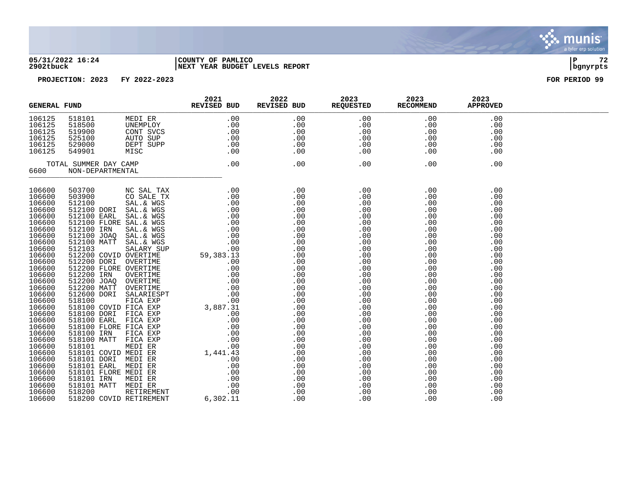

### **05/31/2022 16:24 |COUNTY OF PAMLICO |P 72 2902tbuck |NEXT YEAR BUDGET LEVELS REPORT |bgnyrpts**

| <b>GENERAL FUND</b>                                                                                                                                                                                                                          |                                                          | 2021<br>REVISED BUD | 2022 | 2023 2020<br>EUZS 2023<br>REVISED BUD REQUESTED RECOMMEND | 2023 | 2023<br><b>APPROVED</b> |  |
|----------------------------------------------------------------------------------------------------------------------------------------------------------------------------------------------------------------------------------------------|----------------------------------------------------------|---------------------|------|-----------------------------------------------------------|------|-------------------------|--|
| 106125<br>106125<br>106125<br>106125<br>106125<br>106125                                                                                                                                                                                     | 518101<br>518500<br>519900<br>525100<br>529000<br>549901 |                     |      |                                                           |      |                         |  |
|                                                                                                                                                                                                                                              | TOTAL SUMMER DAY CAMP<br>6600 NON-DEPARTMENTAL           |                     |      |                                                           |      |                         |  |
| 106600<br>106600<br>106600<br>106600<br>106600<br>106600<br>106600<br>106600<br>106600<br>106600<br>106600<br>106600<br>106600<br>106600<br>106600<br>106600<br>106600<br>106600<br>106600<br>106600<br>106600<br>106600<br>106600<br>106600 |                                                          |                     |      |                                                           |      |                         |  |
| 106600<br>106600<br>106600<br>106600<br>106600<br>106600<br>106600                                                                                                                                                                           |                                                          |                     |      |                                                           |      |                         |  |
| 106600<br>106600                                                                                                                                                                                                                             |                                                          |                     |      |                                                           |      |                         |  |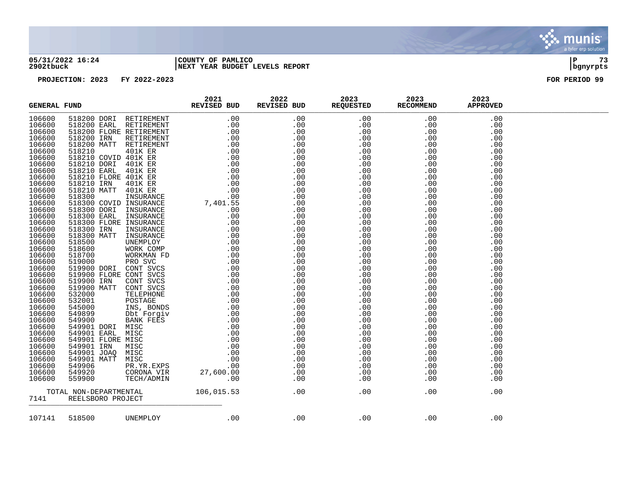### **05/31/2022 16:24 |COUNTY OF PAMLICO |P 73 2902tbuck |NEXT YEAR BUDGET LEVELS REPORT |bgnyrpts**

| $\begin{tabular}{cccccccc} \textbf{0.0833.} & \textbf{0.0943.} & \textbf{0.0043.} & \textbf{0.0043.} & \textbf{0.0043.} & \textbf{0.0043.} & \textbf{0.0043.} & \textbf{0.0043.} & \textbf{0.0043.} & \textbf{0.0043.} & \textbf{0.0043.} & \textbf{0.0043.} & \textbf{0.0043.} & \textbf{0.0043.} & \textbf{0.0043.} & \textbf{0.0043.} & \textbf$<br>106600<br>106600<br>106600<br>106600<br>106600<br>106600<br>106600<br>106600<br>106600<br>106600<br>106600<br>106600<br>106600<br>106600<br>106600<br>106600<br>106600<br>106600<br>106600 |  |
|---------------------------------------------------------------------------------------------------------------------------------------------------------------------------------------------------------------------------------------------------------------------------------------------------------------------------------------------------------------------------------------------------------------------------------------------------------------------------------------------------------------------------------------------------|--|
|                                                                                                                                                                                                                                                                                                                                                                                                                                                                                                                                                   |  |
|                                                                                                                                                                                                                                                                                                                                                                                                                                                                                                                                                   |  |
|                                                                                                                                                                                                                                                                                                                                                                                                                                                                                                                                                   |  |
|                                                                                                                                                                                                                                                                                                                                                                                                                                                                                                                                                   |  |
|                                                                                                                                                                                                                                                                                                                                                                                                                                                                                                                                                   |  |
|                                                                                                                                                                                                                                                                                                                                                                                                                                                                                                                                                   |  |
|                                                                                                                                                                                                                                                                                                                                                                                                                                                                                                                                                   |  |
|                                                                                                                                                                                                                                                                                                                                                                                                                                                                                                                                                   |  |
|                                                                                                                                                                                                                                                                                                                                                                                                                                                                                                                                                   |  |
|                                                                                                                                                                                                                                                                                                                                                                                                                                                                                                                                                   |  |
|                                                                                                                                                                                                                                                                                                                                                                                                                                                                                                                                                   |  |
|                                                                                                                                                                                                                                                                                                                                                                                                                                                                                                                                                   |  |
|                                                                                                                                                                                                                                                                                                                                                                                                                                                                                                                                                   |  |
|                                                                                                                                                                                                                                                                                                                                                                                                                                                                                                                                                   |  |
|                                                                                                                                                                                                                                                                                                                                                                                                                                                                                                                                                   |  |
|                                                                                                                                                                                                                                                                                                                                                                                                                                                                                                                                                   |  |
|                                                                                                                                                                                                                                                                                                                                                                                                                                                                                                                                                   |  |
|                                                                                                                                                                                                                                                                                                                                                                                                                                                                                                                                                   |  |
|                                                                                                                                                                                                                                                                                                                                                                                                                                                                                                                                                   |  |
| 106600                                                                                                                                                                                                                                                                                                                                                                                                                                                                                                                                            |  |
| 106600<br>106600                                                                                                                                                                                                                                                                                                                                                                                                                                                                                                                                  |  |
| 106600                                                                                                                                                                                                                                                                                                                                                                                                                                                                                                                                            |  |
| 106600                                                                                                                                                                                                                                                                                                                                                                                                                                                                                                                                            |  |
| 106600                                                                                                                                                                                                                                                                                                                                                                                                                                                                                                                                            |  |
| 106600                                                                                                                                                                                                                                                                                                                                                                                                                                                                                                                                            |  |
| 106600                                                                                                                                                                                                                                                                                                                                                                                                                                                                                                                                            |  |
| 106600                                                                                                                                                                                                                                                                                                                                                                                                                                                                                                                                            |  |
| 106600                                                                                                                                                                                                                                                                                                                                                                                                                                                                                                                                            |  |
| 106600                                                                                                                                                                                                                                                                                                                                                                                                                                                                                                                                            |  |
| 106600                                                                                                                                                                                                                                                                                                                                                                                                                                                                                                                                            |  |
| 106600                                                                                                                                                                                                                                                                                                                                                                                                                                                                                                                                            |  |
| 106600                                                                                                                                                                                                                                                                                                                                                                                                                                                                                                                                            |  |
| 106600                                                                                                                                                                                                                                                                                                                                                                                                                                                                                                                                            |  |
| 106600                                                                                                                                                                                                                                                                                                                                                                                                                                                                                                                                            |  |
| 106600                                                                                                                                                                                                                                                                                                                                                                                                                                                                                                                                            |  |
| 106600                                                                                                                                                                                                                                                                                                                                                                                                                                                                                                                                            |  |
| 106600                                                                                                                                                                                                                                                                                                                                                                                                                                                                                                                                            |  |
| 106600                                                                                                                                                                                                                                                                                                                                                                                                                                                                                                                                            |  |
| 106600                                                                                                                                                                                                                                                                                                                                                                                                                                                                                                                                            |  |
| 106600                                                                                                                                                                                                                                                                                                                                                                                                                                                                                                                                            |  |
|                                                                                                                                                                                                                                                                                                                                                                                                                                                                                                                                                   |  |
| 7141                                                                                                                                                                                                                                                                                                                                                                                                                                                                                                                                              |  |
| .00<br>.00<br>518500 UNEMPLOY<br>.00<br>.00<br>107141<br>.00                                                                                                                                                                                                                                                                                                                                                                                                                                                                                      |  |

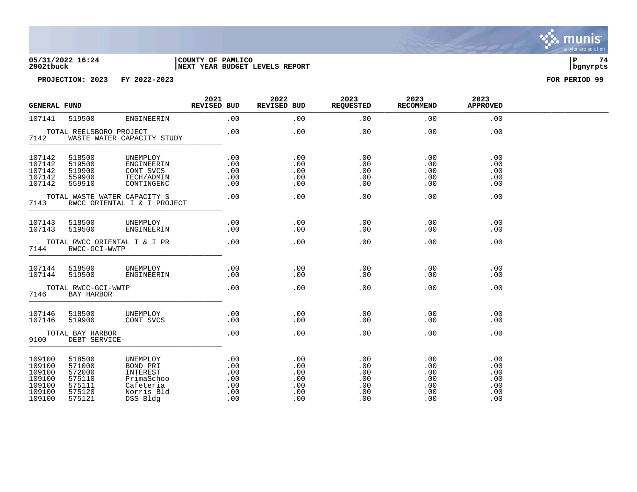**05/31/2022 16:24 |COUNTY OF PAMLICO |P 74 2902tbuck |NEXT YEAR BUDGET LEVELS REPORT |bgnyrpts**

| <b>GENERAL FUND</b>                                                 |                                                                    |                                                                                       | 2021<br>REVISED BUD                           | 2022<br>REVISED BUD                           | 2023<br><b>REQUESTED</b>                      | 2023<br><b>RECOMMEND</b>                      | 2023<br><b>APPROVED</b>                       |  |
|---------------------------------------------------------------------|--------------------------------------------------------------------|---------------------------------------------------------------------------------------|-----------------------------------------------|-----------------------------------------------|-----------------------------------------------|-----------------------------------------------|-----------------------------------------------|--|
| 107141                                                              | 519500                                                             | ENGINEERIN                                                                            | .00                                           | .00                                           | .00                                           | .00                                           | .00                                           |  |
| 7142                                                                | TOTAL REELSBORO PROJECT                                            | WASTE WATER CAPACITY STUDY                                                            | .00                                           | .00                                           | .00                                           | .00                                           | .00                                           |  |
| 107142<br>107142<br>107142<br>107142<br>107142                      | 518500<br>519500<br>519900<br>559900<br>559910                     | UNEMPLOY<br>ENGINEERIN<br>CONT SVCS<br>TECH/ADMIN<br>CONTINGENC                       | .00<br>.00<br>.00<br>.00<br>.00               | .00<br>.00<br>.00<br>.00<br>.00               | .00<br>.00<br>.00<br>.00<br>.00               | .00<br>.00<br>.00<br>.00<br>.00               | .00<br>.00<br>.00<br>.00<br>.00               |  |
| TOTAL WASTE WATER CAPACITY S<br>7143<br>RWCC ORIENTAL I & I PROJECT |                                                                    |                                                                                       | .00                                           | .00                                           | .00                                           | .00                                           | .00                                           |  |
| 107143<br>107143                                                    | 518500<br>519500                                                   | UNEMPLOY<br>ENGINEERIN                                                                | .00<br>.00                                    | .00<br>.00                                    | .00<br>.00                                    | .00<br>.00                                    | .00<br>.00                                    |  |
| TOTAL RWCC ORIENTAL I & I PR<br>7144<br>RWCC-GCI-WWTP               |                                                                    | .00                                                                                   | .00                                           | .00                                           | .00                                           | .00                                           |                                               |  |
| 107144<br>107144                                                    | 518500<br>519500                                                   | UNEMPLOY<br>ENGINEERIN                                                                | .00<br>.00                                    | .00<br>.00                                    | .00<br>.00                                    | .00<br>.00                                    | .00<br>.00                                    |  |
| 7146                                                                | TOTAL RWCC-GCI-WWTP<br>BAY HARBOR                                  |                                                                                       | .00                                           | .00                                           | .00                                           | .00                                           | .00                                           |  |
| 107146<br>107146                                                    | 518500<br>519900                                                   | UNEMPLOY<br>CONT SVCS                                                                 | .00<br>.00                                    | .00<br>.00                                    | .00<br>.00                                    | .00<br>.00                                    | .00<br>.00                                    |  |
| 9100                                                                | TOTAL BAY HARBOR<br>DEBT SERVICE-                                  |                                                                                       | .00                                           | .00                                           | .00                                           | .00                                           | .00                                           |  |
| 109100<br>109100<br>109100<br>109100<br>109100<br>109100<br>109100  | 518500<br>571000<br>572000<br>575110<br>575111<br>575120<br>575121 | UNEMPLOY<br>BOND PRI<br>INTEREST<br>PrimaSchoo<br>Cafeteria<br>Norris Bld<br>DSS Bldg | .00<br>.00<br>.00<br>.00<br>.00<br>.00<br>.00 | .00<br>.00<br>.00<br>.00<br>.00<br>.00<br>.00 | .00<br>.00<br>.00<br>.00<br>.00<br>.00<br>.00 | .00<br>.00<br>.00<br>.00<br>.00<br>.00<br>.00 | .00<br>.00<br>.00<br>.00<br>.00<br>.00<br>.00 |  |

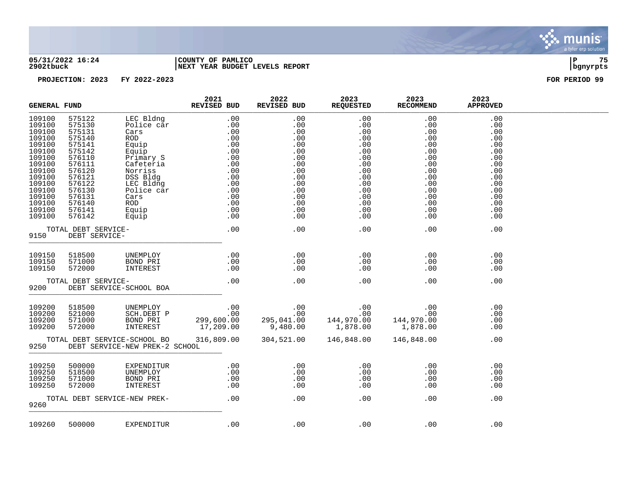

### **05/31/2022 16:24 |COUNTY OF PAMLICO |P 75 2902tbuck |NEXT YEAR BUDGET LEVELS REPORT |bgnyrpts**

| <b>GENERAL FUND</b>                                                                                                                                |                                                                                                                                                    |                                                                                                                                                                     | 2021<br>REVISED BUD                                                                                                                                                        | 2022<br>REVISED BUD                                                                                   | 2023<br>REQUESTED                                                                                     | 2023<br><b>RECOMMEND</b>                                                                              | 2023<br><b>APPROVED</b>                                                                               |  |
|----------------------------------------------------------------------------------------------------------------------------------------------------|----------------------------------------------------------------------------------------------------------------------------------------------------|---------------------------------------------------------------------------------------------------------------------------------------------------------------------|----------------------------------------------------------------------------------------------------------------------------------------------------------------------------|-------------------------------------------------------------------------------------------------------|-------------------------------------------------------------------------------------------------------|-------------------------------------------------------------------------------------------------------|-------------------------------------------------------------------------------------------------------|--|
| 109100<br>109100<br>109100<br>109100<br>109100<br>109100<br>109100<br>109100<br>109100<br>109100<br>109100<br>109100<br>109100<br>109100<br>109100 | 575122<br>575130<br>575131<br>575140<br>575141<br>575142<br>576110<br>576111<br>576120<br>576121<br>576122<br>576130<br>576131<br>576140<br>576141 | LEC Bldng<br>Police car<br>Cars<br>ROD<br>Equip<br>Equip<br>Primary S<br>Cafeteria<br>Norriss<br>DSS Bldg<br>LEC Bldng<br>Police car<br>Cars<br><b>ROD</b><br>Equip | .00<br>.00<br>.00<br>$\begin{array}{r} .00\ 0.00\ 0.00\ 0.00\ 0.00\ 0.00\ 0.00\ 0.00\ 0.00\ 0.00\ 0.00\ 0.00\ 0.00\ 0.00\ 0.00\ 0.00\ 0.00\ 0.00\ 0.00\ 0.00\ \end{array}$ | .00<br>.00<br>.00<br>.00<br>.00<br>.00<br>.00<br>.00<br>.00<br>.00<br>.00<br>.00<br>.00<br>.00<br>.00 | .00<br>.00<br>.00<br>.00<br>.00<br>.00<br>.00<br>.00<br>.00<br>.00<br>.00<br>.00<br>.00<br>.00<br>.00 | .00<br>.00<br>.00<br>.00<br>.00<br>.00<br>.00<br>.00<br>.00<br>.00<br>.00<br>.00<br>.00<br>.00<br>.00 | .00<br>.00<br>.00<br>.00<br>.00<br>.00<br>.00<br>.00<br>.00<br>.00<br>.00<br>.00<br>.00<br>.00<br>.00 |  |
| 109100                                                                                                                                             | 576142<br>TOTAL DEBT SERVICE-                                                                                                                      | Equip                                                                                                                                                               | .00                                                                                                                                                                        | .00<br>.00                                                                                            | .00<br>.00                                                                                            | .00<br>.00                                                                                            | $.00 \ \rm$<br>.00                                                                                    |  |
| 9150                                                                                                                                               | DEBT SERVICE-                                                                                                                                      |                                                                                                                                                                     |                                                                                                                                                                            |                                                                                                       |                                                                                                       |                                                                                                       |                                                                                                       |  |
| 109150<br>109150<br>109150                                                                                                                         | 518500<br>571000<br>572000                                                                                                                         | UNEMPLOY<br>BOND PRI<br>INTEREST                                                                                                                                    | .00<br>.00<br>.00                                                                                                                                                          | .00<br>.00<br>.00                                                                                     | .00<br>.00<br>.00                                                                                     | .00<br>.00<br>.00                                                                                     | .00<br>.00<br>.00                                                                                     |  |
| 9200                                                                                                                                               | TOTAL DEBT SERVICE-                                                                                                                                | DEBT SERVICE-SCHOOL BOA                                                                                                                                             | .00                                                                                                                                                                        | .00                                                                                                   | .00                                                                                                   | .00                                                                                                   | .00                                                                                                   |  |
| 109200<br>109200<br>109200<br>109200                                                                                                               | 518500<br>521000<br>571000<br>572000                                                                                                               | UNEMPLOY<br>SCH.DEBT P<br>BOND PRI<br>INTEREST                                                                                                                      | .00<br>.00<br>299,600.00<br>17,209.00                                                                                                                                      | $\frac{.00}{.00}$<br>.00<br>295,041.00<br>9,480.00                                                    | .00<br>.00<br>144,970.00<br>1,878.00                                                                  | .00<br>.00<br>144,970.00<br>1,878.00                                                                  | .00<br>.00<br>$.00 \ \rm$<br>.00                                                                      |  |
| 9250                                                                                                                                               |                                                                                                                                                    | TOTAL DEBT SERVICE-SCHOOL BO<br>DEBT SERVICE-NEW PREK-2 SCHOOL                                                                                                      | 316,809.00                                                                                                                                                                 | 304,521.00                                                                                            | 146,848.00                                                                                            | 146,848.00                                                                                            | .00                                                                                                   |  |
| 109250<br>109250<br>109250<br>109250                                                                                                               | 500000<br>518500<br>571000<br>572000                                                                                                               | EXPENDITUR<br>UNEMPLOY<br>BOND PRI<br>INTEREST                                                                                                                      | .00<br>$.00 \,$<br>$\begin{array}{c} .00 \\ .00 \end{array}$                                                                                                               | .00<br>.00<br>.00<br>.00                                                                              | .00<br>.00<br>.00<br>.00                                                                              | .00<br>.00<br>.00<br>.00                                                                              | .00<br>.00<br>.00<br>$.00 \ \rm$                                                                      |  |
| 9260                                                                                                                                               |                                                                                                                                                    | TOTAL DEBT SERVICE-NEW PREK-                                                                                                                                        | .00                                                                                                                                                                        | .00                                                                                                   | .00                                                                                                   | .00                                                                                                   | .00                                                                                                   |  |
| 109260                                                                                                                                             | 500000                                                                                                                                             | EXPENDITUR                                                                                                                                                          | .00                                                                                                                                                                        | .00                                                                                                   | .00                                                                                                   | .00                                                                                                   | .00                                                                                                   |  |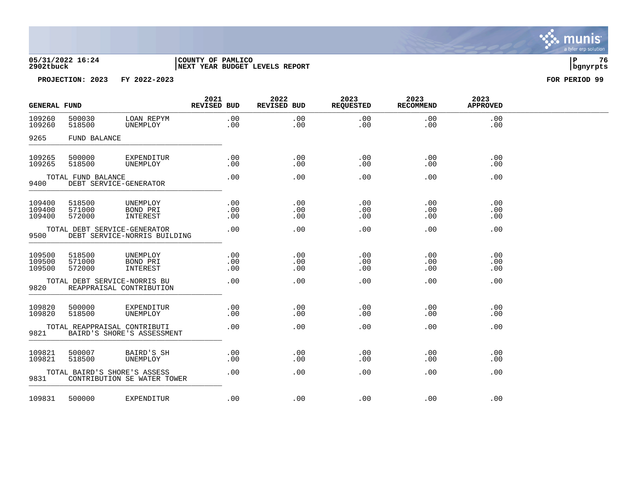

| <b>GENERAL FUND</b>        |                            |                                                              | 2021<br><b>REVISED BUD</b> | 2022<br><b>REVISED BUD</b> | 2023<br><b>REQUESTED</b> | 2023<br><b>RECOMMEND</b> | 2023<br><b>APPROVED</b> |  |
|----------------------------|----------------------------|--------------------------------------------------------------|----------------------------|----------------------------|--------------------------|--------------------------|-------------------------|--|
| 109260<br>109260           | 500030<br>518500           | LOAN REPYM<br>UNEMPLOY                                       | .00<br>.00                 | .00<br>.00                 | .00<br>.00               | .00<br>.00               | .00<br>.00              |  |
| 9265                       | FUND BALANCE               |                                                              |                            |                            |                          |                          |                         |  |
| 109265<br>109265           | 500000<br>518500           | EXPENDITUR<br>UNEMPLOY                                       | .00<br>.00                 | .00<br>.00                 | .00<br>.00               | .00<br>.00               | .00<br>.00              |  |
| 9400                       | TOTAL FUND BALANCE         | DEBT SERVICE-GENERATOR                                       | .00                        | .00                        | .00                      | .00                      | .00                     |  |
| 109400<br>109400<br>109400 | 518500<br>571000<br>572000 | UNEMPLOY<br>BOND PRI<br>INTEREST                             | .00<br>.00<br>.00          | .00<br>.00<br>.00          | .00<br>.00<br>.00        | .00<br>.00<br>.00        | .00<br>.00<br>.00       |  |
| 9500                       |                            | TOTAL DEBT SERVICE-GENERATOR<br>DEBT SERVICE-NORRIS BUILDING | .00                        | .00                        | .00                      | .00                      | .00                     |  |
| 109500<br>109500<br>109500 | 518500<br>571000<br>572000 | UNEMPLOY<br>BOND PRI<br>INTEREST                             | .00<br>.00<br>.00          | .00<br>.00<br>.00          | .00<br>.00<br>.00        | .00<br>.00<br>.00        | .00<br>.00<br>.00       |  |
| 9820                       |                            | TOTAL DEBT SERVICE-NORRIS BU<br>REAPPRAISAL CONTRIBUTION     | .00                        | .00                        | .00                      | .00                      | .00                     |  |
| 109820<br>109820           | 500000<br>518500           | EXPENDITUR<br>UNEMPLOY                                       | .00<br>.00                 | .00<br>.00                 | .00<br>.00               | .00<br>.00               | .00<br>.00              |  |
| 9821                       |                            | TOTAL REAPPRAISAL CONTRIBUTI<br>BAIRD'S SHORE'S ASSESSMENT   | .00                        | .00                        | .00                      | .00                      | .00                     |  |
| 109821<br>109821           | 500007<br>518500           | BAIRD'S SH<br>UNEMPLOY                                       | .00<br>.00                 | .00<br>.00                 | .00<br>.00               | .00<br>.00               | .00<br>.00              |  |
| 9831                       |                            | TOTAL BAIRD'S SHORE'S ASSESS<br>CONTRIBUTION SE WATER TOWER  | .00                        | .00.                       | .00                      | .00                      | .00                     |  |
| 109831                     | 500000                     | EXPENDITUR                                                   | .00                        | .00                        | .00                      | .00                      | .00                     |  |

. munis<sup>.</sup> a tyler erp solution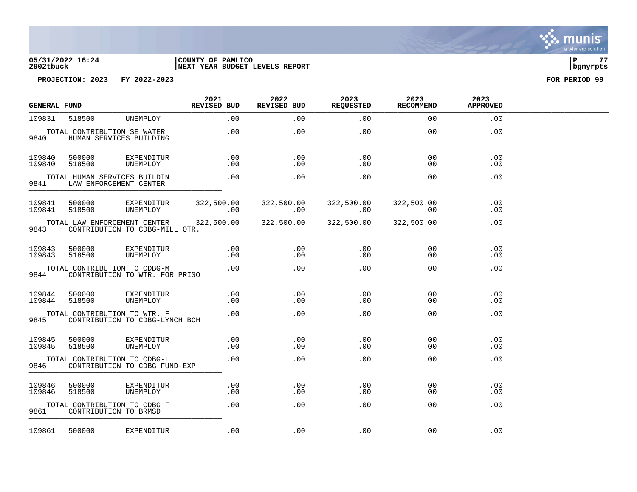## **05/31/2022 16:24 |COUNTY OF PAMLICO |P 77 2902tbuck |NEXT YEAR BUDGET LEVELS REPORT |bgnyrpts**

| <b>GENERAL FUND</b> |                  |                                                                | 2021<br><b>REVISED BUD</b> | 2022<br><b>REVISED BUD</b> | 2023<br><b>REQUESTED</b> | 2023<br><b>RECOMMEND</b> | 2023<br><b>APPROVED</b> |  |
|---------------------|------------------|----------------------------------------------------------------|----------------------------|----------------------------|--------------------------|--------------------------|-------------------------|--|
| 109831              | 518500           | UNEMPLOY                                                       | .00                        | .00                        | .00                      | .00                      | .00                     |  |
| 9840                |                  | TOTAL CONTRIBUTION SE WATER<br>HUMAN SERVICES BUILDING         | $.00 \,$                   | $.00 \,$                   | $.00 \,$                 | $.00 \,$                 | .00                     |  |
| 109840<br>109840    | 500000<br>518500 | EXPENDITUR<br>UNEMPLOY                                         | .00<br>.00                 | .00<br>.00                 | .00<br>.00               | .00<br>.00               | .00<br>.00              |  |
| 9841                |                  | TOTAL HUMAN SERVICES BUILDIN<br>LAW ENFORCEMENT CENTER         | .00                        | .00                        | .00                      | .00                      | .00                     |  |
| 109841<br>109841    | 500000<br>518500 | EXPENDITUR<br>UNEMPLOY                                         | 322,500.00<br>$\sim 00$    | 322,500.00<br>$\sim 00$    | 322,500.00<br>$\sim 00$  | 322,500.00<br>$\sim 00$  | .00<br>.00.             |  |
| 9843                |                  | TOTAL LAW ENFORCEMENT CENTER<br>CONTRIBUTION TO CDBG-MILL OTR. | 322,500.00                 | 322,500.00                 | 322,500.00               | 322,500.00               | .00                     |  |
| 109843<br>109843    | 500000<br>518500 | EXPENDITUR<br>UNEMPLOY                                         | $.00 \,$<br>$.00 \,$       | $.00\,$<br>$.00\,$         | .00<br>$.00 \,$          | $.00 \,$<br>$.00 \,$     | .00<br>.00              |  |
| 9844                |                  | TOTAL CONTRIBUTION TO CDBG-M<br>CONTRIBUTION TO WTR. FOR PRISO | .00                        | .00                        | .00                      | .00                      | .00                     |  |
| 109844<br>109844    | 500000<br>518500 | EXPENDITUR<br>UNEMPLOY                                         | $.00 \,$<br>.00            | $.00 \,$<br>$.00 \,$       | $.00 \,$<br>.00          | $.00 \,$<br>.00          | .00<br>.00              |  |
| 9845                |                  | TOTAL CONTRIBUTION TO WTR. F<br>CONTRIBUTION TO CDBG-LYNCH BCH | .00                        | .00                        | .00                      | .00                      | .00                     |  |
| 109845<br>109845    | 500000<br>518500 | EXPENDITUR<br>UNEMPLOY                                         | .00<br>.00                 | .00<br>.00                 | $.00 \,$<br>.00          | $.00 \,$<br>.00          | .00<br>.00              |  |
| 9846                |                  | TOTAL CONTRIBUTION TO CDBG-L<br>CONTRIBUTION TO CDBG FUND-EXP  | .00                        | .00                        | .00                      | .00                      | .00                     |  |
| 109846<br>109846    | 500000<br>518500 | EXPENDITUR<br>UNEMPLOY                                         | .00<br>.00                 | .00<br>.00                 | .00<br>.00               | .00<br>.00               | .00<br>.00              |  |
| 9861                |                  | TOTAL CONTRIBUTION TO CDBG F<br>CONTRIBUTION TO BRMSD          | $.00 \,$                   | .00                        | .00                      | .00                      | .00                     |  |
| 109861              | 500000           | EXPENDITUR                                                     | .00                        | .00                        | .00                      | .00                      | .00                     |  |

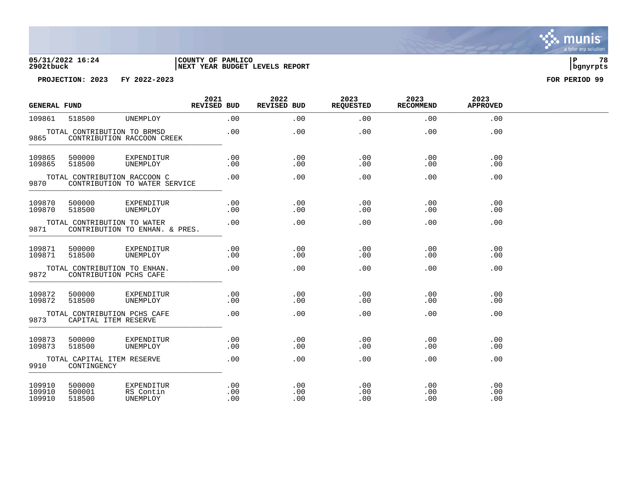

| <b>GENERAL FUND</b>        |                                                        |                                     | 2021<br>REVISED BUD | 2022<br>REVISED BUD | 2023<br><b>REQUESTED</b> | 2023<br><b>RECOMMEND</b> | 2023<br><b>APPROVED</b> |  |
|----------------------------|--------------------------------------------------------|-------------------------------------|---------------------|---------------------|--------------------------|--------------------------|-------------------------|--|
| 109861                     | 518500                                                 | UNEMPLOY                            | .00                 | .00                 | .00                      | .00                      | .00                     |  |
| 9865                       | TOTAL CONTRIBUTION TO BRMSD                            | CONTRIBUTION RACCOON CREEK          | .00                 | .00                 | .00                      | .00                      | .00                     |  |
| 109865<br>109865           | 500000<br>518500                                       | EXPENDITUR<br>UNEMPLOY              | .00<br>.00          | .00<br>.00          | .00<br>.00               | .00<br>.00               | .00<br>.00.             |  |
| 9870                       | TOTAL CONTRIBUTION RACCOON C                           | CONTRIBUTION TO WATER SERVICE       | .00                 | .00                 | .00                      | .00                      | .00                     |  |
| 109870<br>109870           | 500000<br>518500                                       | EXPENDITUR<br>UNEMPLOY              | .00<br>.00          | .00<br>.00          | .00<br>.00               | .00<br>.00               | .00<br>.00              |  |
| 9871                       | TOTAL CONTRIBUTION TO WATER                            | CONTRIBUTION TO ENHAN. & PRES.      | .00                 | .00                 | .00                      | .00                      | .00                     |  |
| 109871<br>109871           | 500000<br>518500                                       | EXPENDITUR<br>UNEMPLOY              | .00<br>.00          | .00<br>.00          | .00<br>.00               | .00<br>.00               | .00<br>.00              |  |
| 9872                       | TOTAL CONTRIBUTION TO ENHAN.<br>CONTRIBUTION PCHS CAFE |                                     | .00                 | .00                 | .00                      | .00                      | .00                     |  |
| 109872<br>109872           | 500000<br>518500                                       | EXPENDITUR<br>UNEMPLOY              | .00<br>.00          | .00<br>.00          | .00<br>.00               | .00<br>.00               | .00<br>.00              |  |
| 9873                       | TOTAL CONTRIBUTION PCHS CAFE<br>CAPITAL ITEM RESERVE   |                                     | .00                 | .00                 | .00                      | .00                      | .00                     |  |
| 109873<br>109873           | 500000<br>518500                                       | EXPENDITUR<br>UNEMPLOY              | .00<br>.00          | .00<br>.00          | .00<br>.00               | .00<br>.00               | .00<br>.00              |  |
| 9910                       | TOTAL CAPITAL ITEM RESERVE<br>CONTINGENCY              |                                     | .00                 | .00                 | .00                      | .00                      | .00                     |  |
| 109910<br>109910<br>109910 | 500000<br>500001<br>518500                             | EXPENDITUR<br>RS Contin<br>UNEMPLOY | .00<br>.00<br>.00   | .00<br>.00<br>.00   | .00<br>.00<br>.00        | .00<br>.00<br>.00        | .00<br>.00<br>.00       |  |

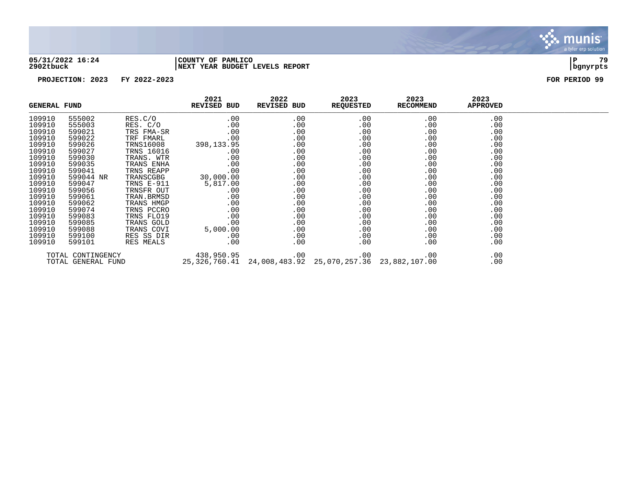

### **05/31/2022 16:24 |COUNTY OF PAMLICO |P 79 2902tbuck |NEXT YEAR BUDGET LEVELS REPORT |bgnyrpts**

| <b>GENERAL FUND</b> |                   |                  | 2021<br><b>REVISED BUD</b>                                 | 2022<br>REVISED BUD | 2023<br><b>REQUESTED</b> | 2023<br><b>RECOMMEND</b> | 2023<br><b>APPROVED</b> |  |
|---------------------|-------------------|------------------|------------------------------------------------------------|---------------------|--------------------------|--------------------------|-------------------------|--|
| 109910              | 555002            | RES.C/O          | .00                                                        | .00                 | .00                      | .00                      | .00                     |  |
| 109910              | 555003            | RES. C/O         | .00                                                        | .00                 | .00                      | .00                      | .00                     |  |
| 109910              | 599021            | TRS FMA-SR       | .00                                                        | $.00 \,$            | .00                      | .00                      | .00                     |  |
| 109910              | 599022            | TRF FMARL        | .00                                                        | $.00 \,$            | .00                      | .00                      | .00                     |  |
| 109910              | 599026            | <b>TRNS16008</b> | 398,133.95                                                 | $.00 \,$            | $.00 \,$                 | $.00 \,$                 | .00                     |  |
| 109910              | 599027            | TRNS 16016       | $.00 \,$                                                   | $.00 \,$            | $.00 \,$                 | $.00 \,$                 | .00                     |  |
| 109910              | 599030            | TRANS. WTR       | $.00 \,$                                                   | $.00 \,$            | $.00 \,$                 | .00                      | .00                     |  |
| 109910              | 599035            | TRANS ENHA       | .00                                                        | $.00 \,$            | .00                      | .00                      | .00                     |  |
| 109910              | 599041            | TRNS REAPP       | .00                                                        | .00                 | .00                      | .00                      | .00                     |  |
| 109910              | 599044 NR         | TRANSCGBG        | 30,000.00                                                  | $.00 \,$            | .00                      | .00                      | .00                     |  |
| 109910              | 599047            | TRNS E-911       | 5,817.00                                                   | $.00 \,$            | .00                      | .00                      | .00                     |  |
| 109910              | 599056            | TRNSFR OUT       | $.00 \,$                                                   | $.00 \,$            | $.00 \,$                 | .00                      | .00                     |  |
| 109910              | 599061            | TRAN.BRMSD       | .00                                                        | $.00 \,$            | .00                      | .00                      | .00                     |  |
| 109910              | 599062            | TRANS HMGP       | .00                                                        | .00                 | .00                      | .00                      | .00                     |  |
| 109910              | 599074            | TRNS PCCRO       | .00                                                        | $.00 \,$            | .00                      | .00                      | .00                     |  |
| 109910              | 599083            | TRNS FLO19       | .00                                                        | $.00 \,$            | .00                      | .00                      | .00                     |  |
| 109910              | 599085            | TRANS GOLD       | .00                                                        | .00                 | .00                      | .00                      | .00                     |  |
| 109910              | 599088            | TRANS COVI       | 5,000.00                                                   | $.00 \,$            | .00                      | $.00 \,$                 | .00                     |  |
| 109910              | 599100            | RES SS DIR       | $.00 \,$                                                   | $.00 \,$            | $.00 \,$                 | .00                      | .00                     |  |
| 109910              | 599101            | RES MEALS        | $.00 \ \rm$                                                | $.00 \,$            | .00                      | $.00 \,$                 | .00                     |  |
|                     | TOTAL CONTINGENCY |                  | 438,950.95                                                 | .00                 | .00                      | .00                      | .00                     |  |
| TOTAL GENERAL FUND  |                   |                  | 25,326,760.41  24,008,483.92  25,070,257.36  23,882,107.00 |                     |                          | .00                      |                         |  |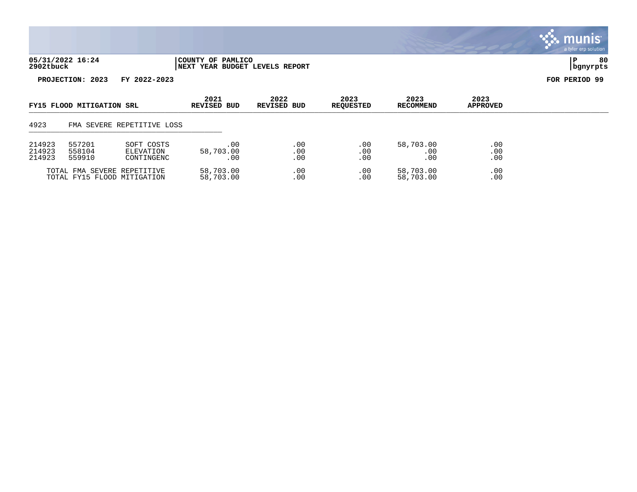| 05/31/2022 16:24 | COUNTY OF PAMLICO               |          | 80 |
|------------------|---------------------------------|----------|----|
| 2902tbuck        | INEXT YEAR BUDGET LEVELS REPORT | banvrpts |    |

| FY15 FLOOD MITIGATION SRL                                  |                                                                     | 2021<br><b>REVISED BUD</b> | 2022<br>REVISED BUD     | 2023<br><b>REQUESTED</b> | 2023<br><b>RECOMMEND</b> | 2023<br><b>APPROVED</b>      |                   |  |
|------------------------------------------------------------|---------------------------------------------------------------------|----------------------------|-------------------------|--------------------------|--------------------------|------------------------------|-------------------|--|
| 4923                                                       |                                                                     | FMA SEVERE REPETITIVE LOSS |                         |                          |                          |                              |                   |  |
| 214923<br>214923<br>214923                                 | 557201<br>SOFT COSTS<br>558104<br>ELEVATION<br>559910<br>CONTINGENC |                            | .00<br>58,703.00<br>.00 | .00<br>.00<br>.00        | .00<br>.00<br>.00        | 58,703.00<br>.00<br>$.00 \,$ | .00<br>.00<br>.00 |  |
| TOTAL FMA SEVERE REPETITIVE<br>TOTAL FY15 FLOOD MITIGATION |                                                                     | 58,703.00<br>58,703.00     | .00<br>.00              | .00<br>.00               | 58,703.00<br>58,703.00   | .00<br>$.00 \,$              |                   |  |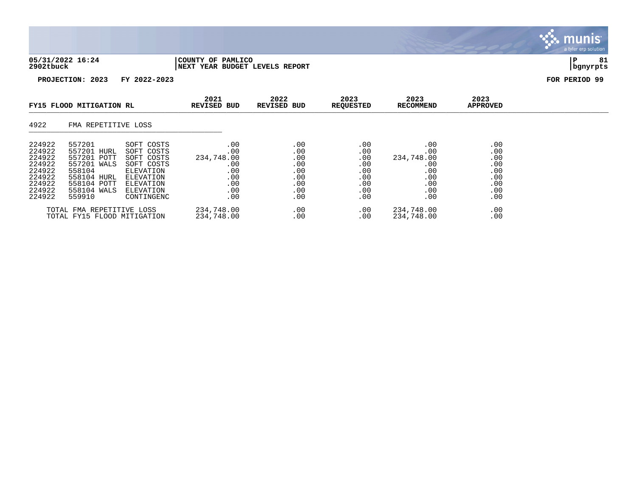| 05/31/2022 16:24 | COUNTY OF PAMLICO                    |          | o 1 |
|------------------|--------------------------------------|----------|-----|
| 2902tbuck        | REPORT<br>YEAR BUDGET LEVELS<br>NEXT | banvrpts |     |

| FY15 FLOOD MITIGATION RL                                                               |                                                                                                                      |                                                                                                                        |                                                                    |                                                             |                                                             | 2021                                                               | 2022<br><b>REVISED BUD</b><br><b>REVISED BUD</b>            | 2023<br><b>REQUESTED</b> | 2023<br>RECOMMEND | 2023<br><b>APPROVED</b> |  |
|----------------------------------------------------------------------------------------|----------------------------------------------------------------------------------------------------------------------|------------------------------------------------------------------------------------------------------------------------|--------------------------------------------------------------------|-------------------------------------------------------------|-------------------------------------------------------------|--------------------------------------------------------------------|-------------------------------------------------------------|--------------------------|-------------------|-------------------------|--|
| 4922                                                                                   | FMA REPETITIVE LOSS                                                                                                  |                                                                                                                        |                                                                    |                                                             |                                                             |                                                                    |                                                             |                          |                   |                         |  |
| 224922<br>224922<br>224922<br>224922<br>224922<br>224922<br>224922<br>224922<br>224922 | 557201<br>557201 HURL<br>557201 POTT<br>557201 WALS<br>558104<br>558104 HURL<br>558104 POTT<br>558104 WALS<br>559910 | SOFT COSTS<br>SOFT COSTS<br>SOFT COSTS<br>SOFT COSTS<br>ELEVATION<br>ELEVATION<br>ELEVATION<br>ELEVATION<br>CONTINGENC | .00<br>.00<br>234,748.00<br>.00<br>.00<br>.00<br>.00<br>.00<br>.00 | .00<br>.00<br>.00<br>.00<br>.00<br>.00<br>.00<br>.00<br>.00 | .00<br>.00<br>.00<br>.00<br>.00<br>.00<br>.00<br>.00<br>.00 | .00<br>.00<br>234,748.00<br>.00<br>.00<br>.00<br>.00<br>.00<br>.00 | .00<br>.00<br>.00<br>.00<br>.00<br>.00<br>.00<br>.00<br>.00 |                          |                   |                         |  |
|                                                                                        | TOTAL FMA REPETITIVE LOSS<br>TOTAL FY15 FLOOD MITIGATION                                                             |                                                                                                                        | 234,748.00<br>234,748.00                                           | .00<br>.00                                                  | .00<br>.00                                                  | 234,748.00<br>234,748.00                                           | .00<br>.00                                                  |                          |                   |                         |  |

, munis<sup>.</sup> a tyler erp solution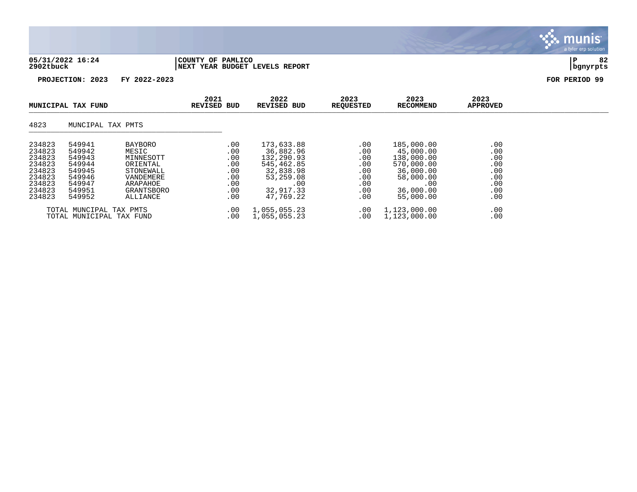| 05/31/2022 16:24 | COUNTY OF PAMLICO              |          | $\sim$ |
|------------------|--------------------------------|----------|--------|
| 2902tbuck        | NEXT YEAR BUDGET LEVELS REPORT | bgnyrpts |        |

| MUNICIPAL TAX FUND                                                                     |                                                                                        | 2021<br><b>REVISED BUD</b>                                                                                       | 2022<br><b>REVISED BUD</b>                                  | 2023<br>REQUESTED                                                                                              | 2023<br>RECOMMEND                                           | 2023<br>APPROVED                                                                                               |                                                             |  |
|----------------------------------------------------------------------------------------|----------------------------------------------------------------------------------------|------------------------------------------------------------------------------------------------------------------|-------------------------------------------------------------|----------------------------------------------------------------------------------------------------------------|-------------------------------------------------------------|----------------------------------------------------------------------------------------------------------------|-------------------------------------------------------------|--|
| 4823                                                                                   | MUNCIPAL TAX PMTS                                                                      |                                                                                                                  |                                                             |                                                                                                                |                                                             |                                                                                                                |                                                             |  |
| 234823<br>234823<br>234823<br>234823<br>234823<br>234823<br>234823<br>234823<br>234823 | 549941<br>549942<br>549943<br>549944<br>549945<br>549946<br>549947<br>549951<br>549952 | <b>BAYBORO</b><br>MESIC<br>MINNESOTT<br>ORIENTAL<br>STONEWALL<br>VANDEMERE<br>ARAPAHOE<br>GRANTSBORO<br>ALLIANCE | .00<br>.00<br>.00<br>.00<br>.00<br>.00<br>.00<br>.00<br>.00 | 173,633.88<br>36,882.96<br>132,290.93<br>545,462.85<br>32,838.98<br>53,259.08<br>.00<br>32,917.33<br>47,769.22 | .00<br>.00<br>.00<br>.00<br>.00<br>.00<br>.00<br>.00<br>.00 | 185,000.00<br>45,000.00<br>138,000.00<br>570,000.00<br>36,000.00<br>58,000.00<br>.00<br>36,000.00<br>55,000.00 | .00<br>.00<br>.00<br>.00<br>.00<br>.00<br>.00<br>.00<br>.00 |  |
|                                                                                        | TOTAL MUNCIPAL TAX PMTS<br>TOTAL MUNICIPAL TAX FUND                                    |                                                                                                                  | .00<br>.00                                                  | 1,055,055.23<br>1,055,055.23                                                                                   | .00<br>.00                                                  | 1,123,000.00<br>1,123,000.00                                                                                   | .00<br>.00                                                  |  |

# munis<sup>.</sup> a tyler erp solution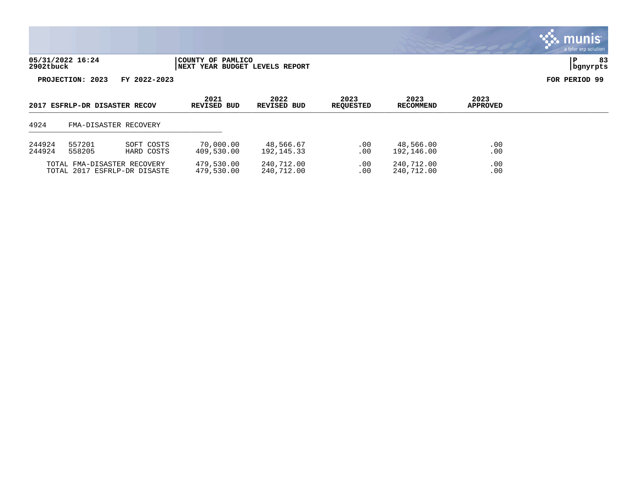| 05/31/2022 16:24 | COUNTY OF PAMLICO                   |                  | $\sim$ |
|------------------|-------------------------------------|------------------|--------|
| 2902tbuck        | YEAR BUDGET LEVELS REPORT<br>  NEXT | <u>Ibanvrpts</u> |        |

| 2017 ESFRLP-DR DISASTER RECOV                               |                                              |                          |                          |                         |                          |                         |            |  |  | 2021<br>2022<br>2023<br>2023<br><b>REVISED BUD</b><br>REVISED BUD<br>RECOMMEND<br><b>REOUESTED</b> |  | 2023<br><b>APPROVED</b> |  |
|-------------------------------------------------------------|----------------------------------------------|--------------------------|--------------------------|-------------------------|--------------------------|-------------------------|------------|--|--|----------------------------------------------------------------------------------------------------|--|-------------------------|--|
| 4924                                                        |                                              | FMA-DISASTER RECOVERY    |                          |                         |                          |                         |            |  |  |                                                                                                    |  |                         |  |
| 244924<br>244924                                            | 557201<br>SOFT COSTS<br>558205<br>HARD COSTS |                          | 70,000.00<br>409,530.00  | 48,566.67<br>192,145.33 | .00<br>.00               | 48,566.00<br>192,146.00 | .00<br>.00 |  |  |                                                                                                    |  |                         |  |
| TOTAL FMA-DISASTER RECOVERY<br>TOTAL 2017 ESFRLP-DR DISASTE |                                              | 479,530.00<br>479,530.00 | 240,712.00<br>240.712.00 | .00<br>$.00 \,$         | 240.712.00<br>240.712.00 | .00<br>.00              |            |  |  |                                                                                                    |  |                         |  |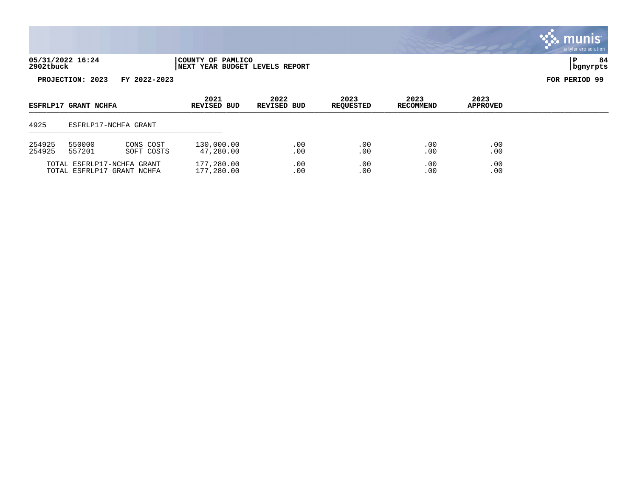| 05/31/2022 16:24 | COUNTY OF PAMLICO              |          |  |
|------------------|--------------------------------|----------|--|
| 2902tbuck        | NEXT YEAR BUDGET LEVELS REPORT | bgnyrpts |  |

| ESFRLP17 GRANT NCHFA |                                             | 2021<br>REVISED BUD                                      | 2022<br>REVISED BUD      | 2023<br><b>REOUESTED</b> | 2023<br>RECOMMEND    | 2023<br><b>APPROVED</b> |            |  |
|----------------------|---------------------------------------------|----------------------------------------------------------|--------------------------|--------------------------|----------------------|-------------------------|------------|--|
| 4925                 |                                             | ESFRLP17-NCHFA GRANT                                     |                          |                          |                      |                         |            |  |
| 254925<br>254925     | 550000<br>CONS COST<br>557201<br>SOFT COSTS |                                                          | 130,000.00<br>47,280.00  | .00<br>.00               | $.00 \,$<br>$.00 \,$ | .00<br>$.00 \,$         | .00<br>.00 |  |
|                      |                                             | TOTAL ESFRLP17-NCHFA GRANT<br>TOTAL ESFRLP17 GRANT NCHFA | 177,280.00<br>177,280.00 | .00<br>.00               | $.00 \,$<br>.00      | .00<br>$.00 \,$         | .00<br>.00 |  |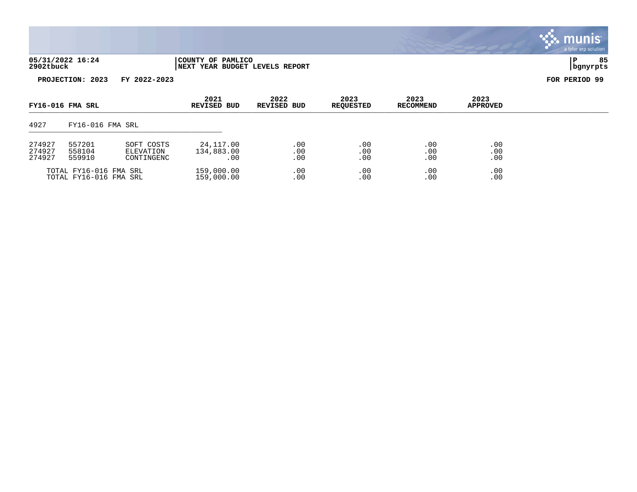| 05/31/2022 16:24 | COUNTY OF PAMLICO              |          | 85 |
|------------------|--------------------------------|----------|----|
| 2902tbuck        | NEXT YEAR BUDGET LEVELS REPORT | bgnyrpts |    |

| FY16-016 FMA SRL           |                                                                     | 2021<br><b>REVISED BUD</b> | 2022<br><b>REVISED BUD</b>     | 2023<br><b>REQUESTED</b> | 2023<br><b>RECOMMEND</b> | 2023<br><b>APPROVED</b> |                   |  |
|----------------------------|---------------------------------------------------------------------|----------------------------|--------------------------------|--------------------------|--------------------------|-------------------------|-------------------|--|
| 4927                       | FY16-016 FMA SRL                                                    |                            |                                |                          |                          |                         |                   |  |
| 274927<br>274927<br>274927 | 557201<br>SOFT COSTS<br>558104<br>ELEVATION<br>559910<br>CONTINGENC |                            | 24,117.00<br>134,883.00<br>.00 | .00<br>.00<br>.00        | .00<br>.00<br>.00        | .00<br>.00<br>.00       | .00<br>.00<br>.00 |  |
|                            | TOTAL FY16-016 FMA SRL<br>TOTAL FY16-016 FMA SRL                    |                            | 159,000.00<br>159,000.00       | .00<br>.00               | .00<br>.00               | .00<br>.00              | .00<br>.00        |  |

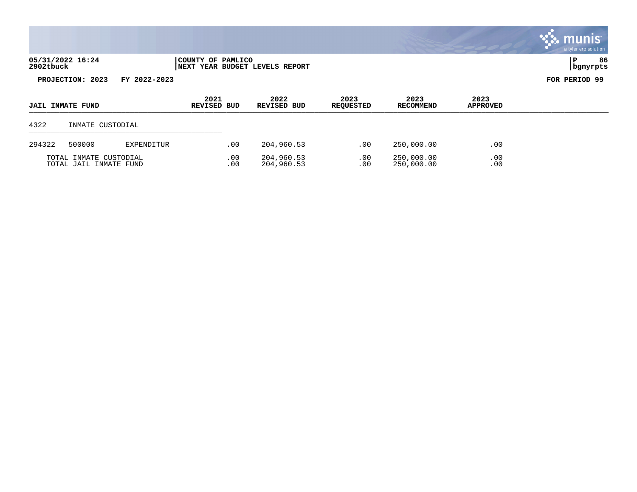| 05/31/2022 16:24 | COUNTY OF PAMLICO               |          | 86 |
|------------------|---------------------------------|----------|----|
| 2902tbuck        | INEXT YEAR BUDGET LEVELS REPORT | bgnyrpts |    |



| <b>JAIL INMATE FUND</b>                          |                  |            | 2021<br><b>REVISED BUD</b> | 2022<br>REVISED BUD | 2023<br><b>REQUESTED</b> | 2023<br>RECOMMEND | 2023<br><b>APPROVED</b> |  |
|--------------------------------------------------|------------------|------------|----------------------------|---------------------|--------------------------|-------------------|-------------------------|--|
| 4322                                             | INMATE CUSTODIAL |            |                            |                     |                          |                   |                         |  |
| 294322                                           | 500000           | EXPENDITUR | .00                        | 204,960.53          | .00                      | 250,000.00        | .00                     |  |
| TOTAL INMATE CUSTODIAL<br>TOTAL JAIL INMATE FUND |                  | .00<br>.00 | 204,960.53<br>204,960.53   | .00<br>.00          | 250,000.00<br>250,000.00 | .00<br>.00        |                         |  |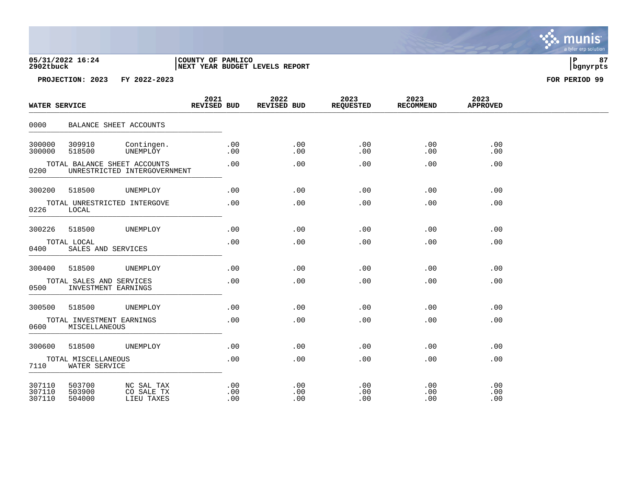### **05/31/2022 16:24 |COUNTY OF PAMLICO |P 87 2902tbuck |NEXT YEAR BUDGET LEVELS REPORT |bgnyrpts**

| WATER SERVICE                                |                                                 |                                        | 2021<br>REVISED BUD |                        | 2022<br>REVISED BUD    | 2023<br>REQUESTED | 2023<br><b>RECOMMEND</b> | 2023<br><b>APPROVED</b> |  |
|----------------------------------------------|-------------------------------------------------|----------------------------------------|---------------------|------------------------|------------------------|-------------------|--------------------------|-------------------------|--|
| 0000                                         | BALANCE SHEET ACCOUNTS                          |                                        |                     |                        |                        |                   |                          |                         |  |
| 300000<br>300000                             | 309910<br>518500                                | Contingen.<br>UNEMPLOY                 |                     | .00<br>.00             | $.00 \,$<br>.00        | .00<br>.00        | .00<br>.00               | .00<br>$.00 \,$         |  |
| 0200                                         | TOTAL BALANCE SHEET ACCOUNTS                    | UNRESTRICTED INTERGOVERNMENT           |                     | .00                    | .00                    | .00               | .00                      | .00                     |  |
| 300200                                       | 518500                                          | UNEMPLOY                               |                     | .00                    | .00                    | .00               | .00                      | .00                     |  |
| 0226                                         | TOTAL UNRESTRICTED INTERGOVE<br>LOCAL           |                                        |                     | .00                    | .00                    | .00               | .00                      | .00                     |  |
| 300226                                       | 518500                                          | UNEMPLOY                               |                     | .00                    | .00                    | .00               | .00                      | .00                     |  |
| 0400                                         | TOTAL LOCAL<br>SALES AND SERVICES               |                                        |                     | .00                    | .00                    | .00               | .00                      | .00                     |  |
| 300400                                       | 518500                                          | UNEMPLOY                               |                     | .00                    | .00                    | .00               | .00                      | .00                     |  |
| 0500                                         | TOTAL SALES AND SERVICES<br>INVESTMENT EARNINGS |                                        |                     | .00                    | .00                    | .00               | .00                      | .00                     |  |
| 300500                                       | 518500                                          | UNEMPLOY                               |                     | .00                    | .00                    | .00               | .00                      | .00                     |  |
| 0600                                         | TOTAL INVESTMENT EARNINGS<br>MISCELLANEOUS      |                                        |                     | .00                    | .00                    | .00               | .00                      | .00                     |  |
| 300600                                       | 518500                                          | UNEMPLOY                               |                     | .00                    | .00                    | .00               | .00                      | .00                     |  |
| TOTAL MISCELLANEOUS<br>7110<br>WATER SERVICE |                                                 |                                        |                     | .00                    | .00                    | .00               | .00                      | .00                     |  |
| 307110<br>307110<br>307110                   | 503700<br>503900<br>504000                      | NC SAL TAX<br>CO SALE TX<br>LIEU TAXES |                     | $.00 \,$<br>.00<br>.00 | $.00 \,$<br>.00<br>.00 | .00<br>.00<br>.00 | .00<br>.00<br>.00        | .00<br>.00<br>.00       |  |

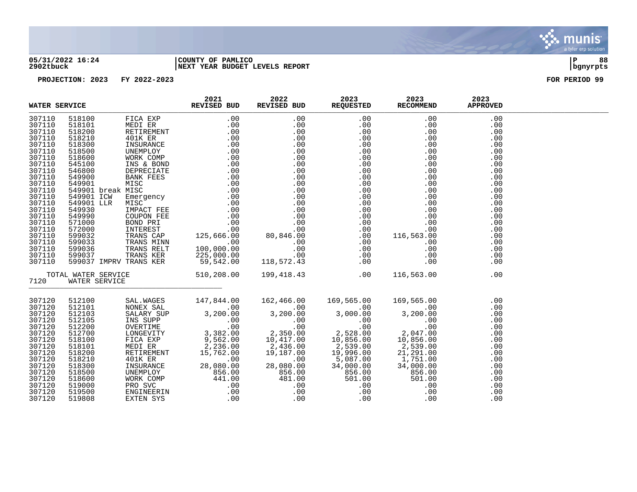

### **05/31/2022 16:24 |COUNTY OF PAMLICO |P 88 2902tbuck |NEXT YEAR BUDGET LEVELS REPORT |bgnyrpts**

| WATER SERVICE |        | 2021<br>REVISED BUD | 2022 | 2023<br>REVISED BUD REQUESTED RECOMMEND | 2023                                                                                                                                                                                                                                                                                                                                     | 2023<br><b>APPROVED</b> |  |
|---------------|--------|---------------------|------|-----------------------------------------|------------------------------------------------------------------------------------------------------------------------------------------------------------------------------------------------------------------------------------------------------------------------------------------------------------------------------------------|-------------------------|--|
| 307110        |        |                     |      |                                         |                                                                                                                                                                                                                                                                                                                                          | .00                     |  |
| 307110        |        |                     |      |                                         |                                                                                                                                                                                                                                                                                                                                          | .00                     |  |
| 307110        |        |                     |      |                                         |                                                                                                                                                                                                                                                                                                                                          | .00                     |  |
| 307110        |        |                     |      |                                         |                                                                                                                                                                                                                                                                                                                                          | .00                     |  |
| 307110        |        |                     |      |                                         |                                                                                                                                                                                                                                                                                                                                          | .00                     |  |
| 307110        |        |                     |      |                                         |                                                                                                                                                                                                                                                                                                                                          | .00                     |  |
| 307110        |        |                     |      |                                         |                                                                                                                                                                                                                                                                                                                                          | .00                     |  |
| 307110        |        |                     |      |                                         |                                                                                                                                                                                                                                                                                                                                          | .00                     |  |
| 307110        |        |                     |      |                                         |                                                                                                                                                                                                                                                                                                                                          | .00                     |  |
| 307110        |        |                     |      |                                         |                                                                                                                                                                                                                                                                                                                                          | .00                     |  |
| 307110        |        |                     |      |                                         |                                                                                                                                                                                                                                                                                                                                          | .00                     |  |
| 307110        |        |                     |      |                                         |                                                                                                                                                                                                                                                                                                                                          | .00                     |  |
| 307110        |        |                     |      |                                         |                                                                                                                                                                                                                                                                                                                                          | .00                     |  |
| 307110        |        |                     |      |                                         |                                                                                                                                                                                                                                                                                                                                          | .00                     |  |
| 307110        |        |                     |      |                                         |                                                                                                                                                                                                                                                                                                                                          | .00                     |  |
| 307110        |        |                     |      |                                         |                                                                                                                                                                                                                                                                                                                                          | .00                     |  |
| 307110        |        |                     |      |                                         |                                                                                                                                                                                                                                                                                                                                          | .00                     |  |
| 307110        |        |                     |      |                                         |                                                                                                                                                                                                                                                                                                                                          | .00                     |  |
| 307110        |        |                     |      |                                         |                                                                                                                                                                                                                                                                                                                                          | .00                     |  |
| 307110        |        |                     |      |                                         |                                                                                                                                                                                                                                                                                                                                          | .00                     |  |
| 307110        |        |                     |      |                                         |                                                                                                                                                                                                                                                                                                                                          | .00                     |  |
| 307110        |        |                     |      |                                         |                                                                                                                                                                                                                                                                                                                                          | .00                     |  |
| 307110        |        |                     |      |                                         |                                                                                                                                                                                                                                                                                                                                          | .00                     |  |
|               |        |                     |      |                                         |                                                                                                                                                                                                                                                                                                                                          | .00                     |  |
| 7120          |        |                     |      |                                         | $\begin{tabular}{l c c c c c} \hline \texttt{ERWISTED BUD} & \texttt{REVISEED BUD} & \texttt{REVISEB DUD} & \texttt{REQUBISTED} & \texttt{REQUBISTED} & \texttt{REQODOHEND} \\ \hline 7110 & 518100 & 7100 & 7100 & 0.00 & 0.00 & 0.00 & 0.00 & 0.00 & 0.00 & 0.00 & 0.00 & 0.00 & 0.00 & 0.00 & 0.00 & 0.00 & 0.00 & 0.00 & 0.00 & 0.0$ |                         |  |
| 307120        | 512100 |                     |      |                                         |                                                                                                                                                                                                                                                                                                                                          | .00                     |  |
| 307120        | 512101 |                     |      |                                         |                                                                                                                                                                                                                                                                                                                                          | .00                     |  |
| 307120        | 512103 |                     |      |                                         |                                                                                                                                                                                                                                                                                                                                          | .00                     |  |
| 307120        | 512105 |                     |      |                                         |                                                                                                                                                                                                                                                                                                                                          | .00                     |  |
| 307120        | 512200 |                     |      |                                         |                                                                                                                                                                                                                                                                                                                                          | .00                     |  |
| 307120        | 512700 |                     |      |                                         |                                                                                                                                                                                                                                                                                                                                          | .00                     |  |
| 307120        | 518100 |                     |      |                                         |                                                                                                                                                                                                                                                                                                                                          | .00                     |  |
| 307120        | 518101 |                     |      |                                         |                                                                                                                                                                                                                                                                                                                                          | .00                     |  |
| 307120        | 518200 |                     |      |                                         |                                                                                                                                                                                                                                                                                                                                          | .00                     |  |
| 307120        | 518210 |                     |      |                                         |                                                                                                                                                                                                                                                                                                                                          | .00                     |  |
| 307120        | 518300 |                     |      |                                         |                                                                                                                                                                                                                                                                                                                                          | .00                     |  |
| 307120        | 518500 |                     |      |                                         |                                                                                                                                                                                                                                                                                                                                          | .00                     |  |
| 307120        | 518600 |                     |      |                                         |                                                                                                                                                                                                                                                                                                                                          | .00                     |  |
| 307120        | 519000 |                     |      |                                         |                                                                                                                                                                                                                                                                                                                                          | .00                     |  |
| 307120        | 519500 |                     |      |                                         |                                                                                                                                                                                                                                                                                                                                          | .00                     |  |
| 307120        | 519808 |                     |      |                                         |                                                                                                                                                                                                                                                                                                                                          | .00                     |  |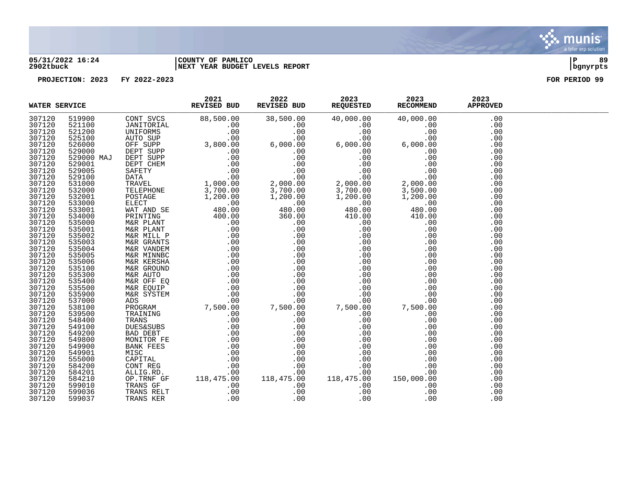

### **05/31/2022 16:24 |COUNTY OF PAMLICO |P 89 2902tbuck |NEXT YEAR BUDGET LEVELS REPORT |bgnyrpts**

| WATER SERVICE    |                  | 2021<br>REVISED BUD | 2022<br>REVISED BUD | 2023<br>REQUESTED | 2023<br>RECOMMEND | 2023<br><b>APPROVED</b> |  |
|------------------|------------------|---------------------|---------------------|-------------------|-------------------|-------------------------|--|
| 307120           | 519900           |                     |                     |                   |                   | .00                     |  |
| 307120           | 521100           |                     |                     |                   |                   | .00                     |  |
| 307120           | 521200           |                     |                     |                   |                   | .00                     |  |
| 307120           | 525100           |                     |                     |                   |                   | .00                     |  |
| 307120           | 526000           |                     |                     |                   |                   | .00                     |  |
| 307120           | 529000           |                     |                     |                   |                   | .00                     |  |
| 307120           | 529000 MAJ       |                     |                     |                   |                   | .00                     |  |
| 307120           | 529001           |                     |                     |                   |                   | .00                     |  |
| 307120           | 529005           |                     |                     |                   |                   | .00                     |  |
| 307120           | 529100           |                     |                     |                   |                   | .00                     |  |
| 307120           | 531000           |                     |                     |                   |                   | .00                     |  |
| 307120           | 532000           |                     |                     |                   |                   | .00                     |  |
| 307120           | 532001           |                     |                     |                   |                   | .00                     |  |
| 307120           | 533000           |                     |                     |                   |                   | .00                     |  |
| 307120           | 533001           |                     |                     |                   |                   | .00                     |  |
| 307120           | 534000           |                     |                     |                   |                   | .00                     |  |
| 307120           | 535000           |                     |                     |                   |                   | .00                     |  |
| 307120           | 535001           |                     |                     |                   |                   | .00                     |  |
| 307120           | 535002           |                     |                     |                   |                   | .00                     |  |
| 307120           | 535003           |                     |                     |                   |                   | .00                     |  |
| 307120           | 535004           |                     |                     |                   |                   | .00                     |  |
| 307120           | 535005           |                     |                     |                   |                   | .00                     |  |
| 307120           | 535006           |                     |                     |                   |                   | .00                     |  |
| 307120           | 535100           |                     |                     |                   |                   | .00                     |  |
| 307120           | 535300           |                     |                     |                   |                   | .00                     |  |
| 307120           | 535400           |                     |                     |                   |                   | .00                     |  |
| 307120           | 535500           |                     |                     |                   |                   | .00                     |  |
| 307120           | 535900           |                     |                     |                   |                   | .00                     |  |
| 307120           | 537000           |                     |                     |                   |                   | .00                     |  |
| 307120           | 538100           |                     |                     |                   |                   | .00                     |  |
| 307120           | 539500           |                     |                     |                   |                   | .00                     |  |
| 307120           | 548400           |                     |                     |                   |                   | .00                     |  |
| 307120           | 549100           |                     |                     |                   |                   | .00                     |  |
| 307120           | 549200           |                     |                     |                   |                   | .00                     |  |
| 307120           | 549800           |                     |                     |                   |                   | .00                     |  |
| 307120           | 549900           |                     |                     |                   |                   | .00                     |  |
| 307120           | 549901           |                     |                     |                   |                   | .00                     |  |
| 307120           | 555000           |                     |                     |                   |                   | .00                     |  |
| 307120           | 584200           |                     |                     |                   |                   | .00                     |  |
| 307120           | 584201           |                     |                     |                   |                   | .00                     |  |
| 307120           | 584210           |                     |                     |                   |                   | .00                     |  |
| 307120<br>307120 | 599010<br>599036 |                     |                     |                   |                   | .00                     |  |
| 307120           | 599037           |                     |                     |                   |                   | .00                     |  |
|                  |                  |                     |                     |                   |                   | .00                     |  |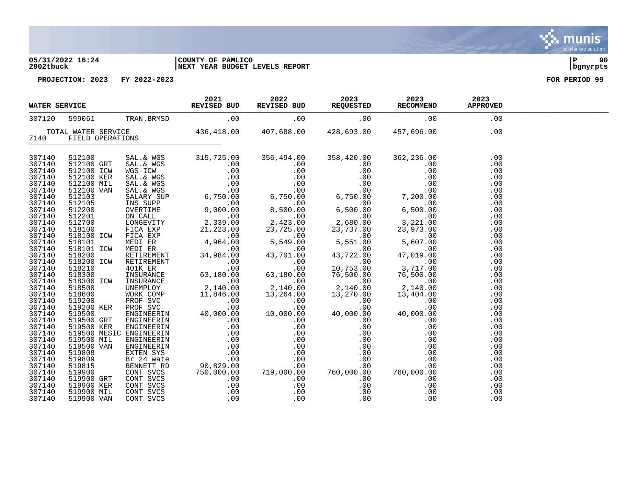### **05/31/2022 16:24 |COUNTY OF PAMLICO |P 90 2902tbuck |NEXT YEAR BUDGET LEVELS REPORT |bgnyrpts**

| WATER SERVICE    |  |  | <b>EVICE</b><br><b>EVISED BUD</b><br><b>EVISED BUD</b><br><b>EVISED BUD</b><br><b>EVISED BUD</b><br><b>EVISED BUD</b><br><b>EVISED BUD</b><br><b>EVISED BUD</b><br><b>EVISED BUD</b><br><b>EVISED BUD</b><br><b>EVISED BUD</b><br><b>EVISED REQUESTED</b><br><b>EXCOMMEND</b><br><b>EXCOMMEND</b><br><b>EXCOMMEND</b><br><b>EXPROVED</b><br><b>E</b> |  |
|------------------|--|--|------------------------------------------------------------------------------------------------------------------------------------------------------------------------------------------------------------------------------------------------------------------------------------------------------------------------------------------------------|--|
| 307120           |  |  |                                                                                                                                                                                                                                                                                                                                                      |  |
|                  |  |  | TOTAL WATER SERVICE 436,418.00 407,688.00 428,693.00 457,696.00 00 00 00 00 140 457,696.00 00 00 00 140 140 6                                                                                                                                                                                                                                        |  |
|                  |  |  |                                                                                                                                                                                                                                                                                                                                                      |  |
| 307140           |  |  |                                                                                                                                                                                                                                                                                                                                                      |  |
| 307140           |  |  |                                                                                                                                                                                                                                                                                                                                                      |  |
| 307140           |  |  |                                                                                                                                                                                                                                                                                                                                                      |  |
| 307140           |  |  |                                                                                                                                                                                                                                                                                                                                                      |  |
| 307140           |  |  |                                                                                                                                                                                                                                                                                                                                                      |  |
| 307140           |  |  |                                                                                                                                                                                                                                                                                                                                                      |  |
| 307140           |  |  |                                                                                                                                                                                                                                                                                                                                                      |  |
| 307140           |  |  |                                                                                                                                                                                                                                                                                                                                                      |  |
| 307140           |  |  |                                                                                                                                                                                                                                                                                                                                                      |  |
| 307140           |  |  |                                                                                                                                                                                                                                                                                                                                                      |  |
| 307140           |  |  |                                                                                                                                                                                                                                                                                                                                                      |  |
| 307140           |  |  |                                                                                                                                                                                                                                                                                                                                                      |  |
| 307140           |  |  |                                                                                                                                                                                                                                                                                                                                                      |  |
| 307140           |  |  |                                                                                                                                                                                                                                                                                                                                                      |  |
| 307140           |  |  |                                                                                                                                                                                                                                                                                                                                                      |  |
| 307140           |  |  |                                                                                                                                                                                                                                                                                                                                                      |  |
| 307140           |  |  |                                                                                                                                                                                                                                                                                                                                                      |  |
| 307140           |  |  |                                                                                                                                                                                                                                                                                                                                                      |  |
| 307140           |  |  |                                                                                                                                                                                                                                                                                                                                                      |  |
| 307140<br>307140 |  |  |                                                                                                                                                                                                                                                                                                                                                      |  |
| 307140           |  |  |                                                                                                                                                                                                                                                                                                                                                      |  |
| 307140           |  |  |                                                                                                                                                                                                                                                                                                                                                      |  |
| 307140           |  |  |                                                                                                                                                                                                                                                                                                                                                      |  |
| 307140           |  |  |                                                                                                                                                                                                                                                                                                                                                      |  |
| 307140           |  |  |                                                                                                                                                                                                                                                                                                                                                      |  |
| 307140           |  |  |                                                                                                                                                                                                                                                                                                                                                      |  |
| 307140           |  |  |                                                                                                                                                                                                                                                                                                                                                      |  |
| 307140           |  |  |                                                                                                                                                                                                                                                                                                                                                      |  |
| 307140           |  |  |                                                                                                                                                                                                                                                                                                                                                      |  |
| 307140           |  |  |                                                                                                                                                                                                                                                                                                                                                      |  |
| 307140           |  |  |                                                                                                                                                                                                                                                                                                                                                      |  |
| 307140           |  |  |                                                                                                                                                                                                                                                                                                                                                      |  |
| 307140           |  |  |                                                                                                                                                                                                                                                                                                                                                      |  |
| 307140           |  |  |                                                                                                                                                                                                                                                                                                                                                      |  |
| 307140           |  |  |                                                                                                                                                                                                                                                                                                                                                      |  |
| 307140           |  |  |                                                                                                                                                                                                                                                                                                                                                      |  |
| 307140           |  |  |                                                                                                                                                                                                                                                                                                                                                      |  |

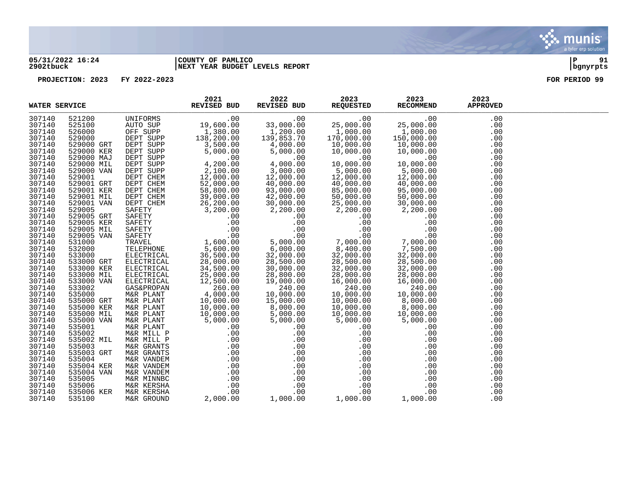

### **05/31/2022 16:24 |COUNTY OF PAMLICO |P 91 2902tbuck |NEXT YEAR BUDGET LEVELS REPORT |bgnyrpts**

| 307140<br>521200<br>.00<br>.00<br>UNIFORMS<br>.00<br>.00<br>.00<br>$[19,600]$ $[1,380.00]$ $[138,200.00]$ $[3,500.00]$<br>33,000.00<br>307140<br>525100<br>AUTO SUP<br>25,000.00<br>25,000.00<br>.00<br>1,200.00<br>1,000.00<br>1,000.00<br>307140<br>526000<br>OFF SUPP<br>.00<br>307140<br>DEPT SUPP<br>139,853.70<br>170,000.00<br>150,000.00<br>529000<br>.00<br>307140<br>529000 GRT<br>DEPT SUPP<br>$\begin{array}{r} 3,500.000 \ 5,000.00 \ 5,000.00 \ 2,100.00 \ 22,000.00 \ 52,000.00 \ 58,800.00 \ 39,000.00 \end{array}$<br>4,000.00<br>10,000.00<br>10,000.00<br>10,000.00<br>10,000<br>.00<br>307140<br>DEPT SUPP<br>529000 KER<br>5,000.00<br>10,000.00<br>10,000.00<br>.00<br>307140<br>529000 MAJ<br>DEPT SUPP<br>.00<br>.00<br>.00<br>.00<br>4,000.00<br>307140<br>529000 MIL<br>DEPT SUPP<br>10,000.00<br>10,000.00<br>.00<br>$\frac{3}{3},000.00$<br>$12,000.00$<br>$40,000.00$<br>$\begin{array}{r} 5,000.00\ 12,000.00\ 40,000.00 \end{array}$<br>$\frac{5,000.00}{12,000.00}$<br>$\frac{12,000.00}{40,000.00}$<br>DEPT SUPP<br>307140<br>529000 VAN<br>.00<br>DEPT CHEM<br>307140<br>529001<br>.00<br>307140<br>529001 GRT<br>DEPT CHEM<br>40,000.00<br>.00<br>307140<br>529001 KER<br>DEPT CHEM<br>93,000.00<br>85,000.00<br>95,000.00<br>.00<br>307140<br>529001 MIL<br>42,000.00<br>50,000.00<br>50,000.00<br>.00<br>M 39, 000.<br>EM 26, 200.00<br>TY 3, 200.00<br>TY .00<br>TY .00<br>FETY .00<br>AFETY .00<br>RAVEL 1, 600.00<br>TELEPHONE 5, 600.00<br>ELECTRICAL 36, 500.00<br>THICAL 28, 000.07<br>34, 500.7<br>25, 000<br>307140<br>529001 VAN<br>30,000.00<br>25,000.00<br>30,000.00<br>.00<br>307140<br>529005<br>2,200.00<br>2,200.00<br>.00<br>$\begin{bmatrix} 30,000 \\ 00 & 2,200 \\ 0 & .0 \\ 0 & .0 \\ 7 & .00 \\ 5,000.00 \\ 6,000.00 \\ 32,000.00 \\ 28,500.00 \\ 30,000.00 \end{bmatrix}$<br>307140<br>529005 GRT<br>.00<br>.00<br>.00<br>529005 KER<br>307140<br>.00<br>.00<br>.00<br>307140<br>529005 MIL<br>.00<br>.00<br>.00<br>$\begin{array}{c} .00\ 0.00\ 7,000.00\ 8,400.00\ 32,000.00\ 28,500.00\ \end{array}$<br>529005 VAN<br>.00<br>307140<br>.00<br>7,000.00<br>307140<br>531000<br>.00<br>7,500.00<br>307140<br>532000<br>.00<br>307140<br>32,000.00<br>533000<br>.00<br>307140<br>533000 GRT<br>28,500.00<br>.00<br>307140<br>533000 KER<br>32,000.00<br>32,000.00<br>.00<br>307140<br>533000 MIL<br>ELECTRICAL<br>28,800.00<br>25,000.00<br>28,000.00<br>28,000.00<br>.00<br>307140<br>533000 VAN<br>ELECTRICAL<br>12,500.00<br>19,000.00<br>16,000.00<br>16,000.00<br>.00<br>260.00<br>240.00<br>240.00<br>240.00<br>307140<br>533002<br><b>GAS&amp;PROPAN</b><br>.00<br>260.00<br>4,000.00<br>10,000.00<br>10,000.00<br>307140<br>535000<br>M&R PLANT<br>10,000.00<br>.00<br>307140<br>10,000.00<br>15,000.00<br>10,000.00<br>8,000.00<br>535000 GRT<br>.00<br>M&R PLANT<br>307140<br>535000 KER<br>10,000.00<br>M&R PLANT<br>8,000.00<br>10,000.00<br>8,000.00<br>.00<br>$\begin{array}{cccc} 10\, , 000\, .00 & 8\, , 000\, \ 10\, , 000\, .00 & 5\, , 000\, \ 5\, , 000\, .00 & 5\, , 000\, \ 0 & .00\, \ 0 & .00\, \ 0 & .00\, \ 0 & .00\, \ 0 & .00\, \ 0 & .00\, \ 0 & .00\, \ 0 & .00\, \ 0 & .00\, \ 0 & .00\, \ 0 & .00\, \ 0 & .00\, \ 0 & 1\, ,000\, \ \end{array}$<br>307140<br>535000 MIL<br>M&R PLANT<br>5,000.00<br>10,000.00<br>10,000.00<br>.00<br>307140<br>535000 VAN<br>5,000.00<br>M&R PLANT<br>5,000.00<br>5,000.00<br>.00 |
|----------------------------------------------------------------------------------------------------------------------------------------------------------------------------------------------------------------------------------------------------------------------------------------------------------------------------------------------------------------------------------------------------------------------------------------------------------------------------------------------------------------------------------------------------------------------------------------------------------------------------------------------------------------------------------------------------------------------------------------------------------------------------------------------------------------------------------------------------------------------------------------------------------------------------------------------------------------------------------------------------------------------------------------------------------------------------------------------------------------------------------------------------------------------------------------------------------------------------------------------------------------------------------------------------------------------------------------------------------------------------------------------------------------------------------------------------------------------------------------------------------------------------------------------------------------------------------------------------------------------------------------------------------------------------------------------------------------------------------------------------------------------------------------------------------------------------------------------------------------------------------------------------------------------------------------------------------------------------------------------------------------------------------------------------------------------------------------------------------------------------------------------------------------------------------------------------------------------------------------------------------------------------------------------------------------------------------------------------------------------------------------------------------------------------------------------------------------------------------------------------------------------------------------------------------------------------------------------------------------------------------------------------------------------------------------------------------------------------------------------------------------------------------------------------------------------------------------------------------------------------------------------------------------------------------------------------------------------------------------------------------------------------------------------------------------------------------------------------------------------------------------------------------------------------------------------------------------------------------------------------------------------------------------------------------------------------------------------------------------------------------------------------------------|
|                                                                                                                                                                                                                                                                                                                                                                                                                                                                                                                                                                                                                                                                                                                                                                                                                                                                                                                                                                                                                                                                                                                                                                                                                                                                                                                                                                                                                                                                                                                                                                                                                                                                                                                                                                                                                                                                                                                                                                                                                                                                                                                                                                                                                                                                                                                                                                                                                                                                                                                                                                                                                                                                                                                                                                                                                                                                                                                                                                                                                                                                                                                                                                                                                                                                                                                                                                                                                |
|                                                                                                                                                                                                                                                                                                                                                                                                                                                                                                                                                                                                                                                                                                                                                                                                                                                                                                                                                                                                                                                                                                                                                                                                                                                                                                                                                                                                                                                                                                                                                                                                                                                                                                                                                                                                                                                                                                                                                                                                                                                                                                                                                                                                                                                                                                                                                                                                                                                                                                                                                                                                                                                                                                                                                                                                                                                                                                                                                                                                                                                                                                                                                                                                                                                                                                                                                                                                                |
|                                                                                                                                                                                                                                                                                                                                                                                                                                                                                                                                                                                                                                                                                                                                                                                                                                                                                                                                                                                                                                                                                                                                                                                                                                                                                                                                                                                                                                                                                                                                                                                                                                                                                                                                                                                                                                                                                                                                                                                                                                                                                                                                                                                                                                                                                                                                                                                                                                                                                                                                                                                                                                                                                                                                                                                                                                                                                                                                                                                                                                                                                                                                                                                                                                                                                                                                                                                                                |
|                                                                                                                                                                                                                                                                                                                                                                                                                                                                                                                                                                                                                                                                                                                                                                                                                                                                                                                                                                                                                                                                                                                                                                                                                                                                                                                                                                                                                                                                                                                                                                                                                                                                                                                                                                                                                                                                                                                                                                                                                                                                                                                                                                                                                                                                                                                                                                                                                                                                                                                                                                                                                                                                                                                                                                                                                                                                                                                                                                                                                                                                                                                                                                                                                                                                                                                                                                                                                |
|                                                                                                                                                                                                                                                                                                                                                                                                                                                                                                                                                                                                                                                                                                                                                                                                                                                                                                                                                                                                                                                                                                                                                                                                                                                                                                                                                                                                                                                                                                                                                                                                                                                                                                                                                                                                                                                                                                                                                                                                                                                                                                                                                                                                                                                                                                                                                                                                                                                                                                                                                                                                                                                                                                                                                                                                                                                                                                                                                                                                                                                                                                                                                                                                                                                                                                                                                                                                                |
|                                                                                                                                                                                                                                                                                                                                                                                                                                                                                                                                                                                                                                                                                                                                                                                                                                                                                                                                                                                                                                                                                                                                                                                                                                                                                                                                                                                                                                                                                                                                                                                                                                                                                                                                                                                                                                                                                                                                                                                                                                                                                                                                                                                                                                                                                                                                                                                                                                                                                                                                                                                                                                                                                                                                                                                                                                                                                                                                                                                                                                                                                                                                                                                                                                                                                                                                                                                                                |
|                                                                                                                                                                                                                                                                                                                                                                                                                                                                                                                                                                                                                                                                                                                                                                                                                                                                                                                                                                                                                                                                                                                                                                                                                                                                                                                                                                                                                                                                                                                                                                                                                                                                                                                                                                                                                                                                                                                                                                                                                                                                                                                                                                                                                                                                                                                                                                                                                                                                                                                                                                                                                                                                                                                                                                                                                                                                                                                                                                                                                                                                                                                                                                                                                                                                                                                                                                                                                |
|                                                                                                                                                                                                                                                                                                                                                                                                                                                                                                                                                                                                                                                                                                                                                                                                                                                                                                                                                                                                                                                                                                                                                                                                                                                                                                                                                                                                                                                                                                                                                                                                                                                                                                                                                                                                                                                                                                                                                                                                                                                                                                                                                                                                                                                                                                                                                                                                                                                                                                                                                                                                                                                                                                                                                                                                                                                                                                                                                                                                                                                                                                                                                                                                                                                                                                                                                                                                                |
|                                                                                                                                                                                                                                                                                                                                                                                                                                                                                                                                                                                                                                                                                                                                                                                                                                                                                                                                                                                                                                                                                                                                                                                                                                                                                                                                                                                                                                                                                                                                                                                                                                                                                                                                                                                                                                                                                                                                                                                                                                                                                                                                                                                                                                                                                                                                                                                                                                                                                                                                                                                                                                                                                                                                                                                                                                                                                                                                                                                                                                                                                                                                                                                                                                                                                                                                                                                                                |
|                                                                                                                                                                                                                                                                                                                                                                                                                                                                                                                                                                                                                                                                                                                                                                                                                                                                                                                                                                                                                                                                                                                                                                                                                                                                                                                                                                                                                                                                                                                                                                                                                                                                                                                                                                                                                                                                                                                                                                                                                                                                                                                                                                                                                                                                                                                                                                                                                                                                                                                                                                                                                                                                                                                                                                                                                                                                                                                                                                                                                                                                                                                                                                                                                                                                                                                                                                                                                |
|                                                                                                                                                                                                                                                                                                                                                                                                                                                                                                                                                                                                                                                                                                                                                                                                                                                                                                                                                                                                                                                                                                                                                                                                                                                                                                                                                                                                                                                                                                                                                                                                                                                                                                                                                                                                                                                                                                                                                                                                                                                                                                                                                                                                                                                                                                                                                                                                                                                                                                                                                                                                                                                                                                                                                                                                                                                                                                                                                                                                                                                                                                                                                                                                                                                                                                                                                                                                                |
|                                                                                                                                                                                                                                                                                                                                                                                                                                                                                                                                                                                                                                                                                                                                                                                                                                                                                                                                                                                                                                                                                                                                                                                                                                                                                                                                                                                                                                                                                                                                                                                                                                                                                                                                                                                                                                                                                                                                                                                                                                                                                                                                                                                                                                                                                                                                                                                                                                                                                                                                                                                                                                                                                                                                                                                                                                                                                                                                                                                                                                                                                                                                                                                                                                                                                                                                                                                                                |
|                                                                                                                                                                                                                                                                                                                                                                                                                                                                                                                                                                                                                                                                                                                                                                                                                                                                                                                                                                                                                                                                                                                                                                                                                                                                                                                                                                                                                                                                                                                                                                                                                                                                                                                                                                                                                                                                                                                                                                                                                                                                                                                                                                                                                                                                                                                                                                                                                                                                                                                                                                                                                                                                                                                                                                                                                                                                                                                                                                                                                                                                                                                                                                                                                                                                                                                                                                                                                |
|                                                                                                                                                                                                                                                                                                                                                                                                                                                                                                                                                                                                                                                                                                                                                                                                                                                                                                                                                                                                                                                                                                                                                                                                                                                                                                                                                                                                                                                                                                                                                                                                                                                                                                                                                                                                                                                                                                                                                                                                                                                                                                                                                                                                                                                                                                                                                                                                                                                                                                                                                                                                                                                                                                                                                                                                                                                                                                                                                                                                                                                                                                                                                                                                                                                                                                                                                                                                                |
|                                                                                                                                                                                                                                                                                                                                                                                                                                                                                                                                                                                                                                                                                                                                                                                                                                                                                                                                                                                                                                                                                                                                                                                                                                                                                                                                                                                                                                                                                                                                                                                                                                                                                                                                                                                                                                                                                                                                                                                                                                                                                                                                                                                                                                                                                                                                                                                                                                                                                                                                                                                                                                                                                                                                                                                                                                                                                                                                                                                                                                                                                                                                                                                                                                                                                                                                                                                                                |
|                                                                                                                                                                                                                                                                                                                                                                                                                                                                                                                                                                                                                                                                                                                                                                                                                                                                                                                                                                                                                                                                                                                                                                                                                                                                                                                                                                                                                                                                                                                                                                                                                                                                                                                                                                                                                                                                                                                                                                                                                                                                                                                                                                                                                                                                                                                                                                                                                                                                                                                                                                                                                                                                                                                                                                                                                                                                                                                                                                                                                                                                                                                                                                                                                                                                                                                                                                                                                |
|                                                                                                                                                                                                                                                                                                                                                                                                                                                                                                                                                                                                                                                                                                                                                                                                                                                                                                                                                                                                                                                                                                                                                                                                                                                                                                                                                                                                                                                                                                                                                                                                                                                                                                                                                                                                                                                                                                                                                                                                                                                                                                                                                                                                                                                                                                                                                                                                                                                                                                                                                                                                                                                                                                                                                                                                                                                                                                                                                                                                                                                                                                                                                                                                                                                                                                                                                                                                                |
|                                                                                                                                                                                                                                                                                                                                                                                                                                                                                                                                                                                                                                                                                                                                                                                                                                                                                                                                                                                                                                                                                                                                                                                                                                                                                                                                                                                                                                                                                                                                                                                                                                                                                                                                                                                                                                                                                                                                                                                                                                                                                                                                                                                                                                                                                                                                                                                                                                                                                                                                                                                                                                                                                                                                                                                                                                                                                                                                                                                                                                                                                                                                                                                                                                                                                                                                                                                                                |
|                                                                                                                                                                                                                                                                                                                                                                                                                                                                                                                                                                                                                                                                                                                                                                                                                                                                                                                                                                                                                                                                                                                                                                                                                                                                                                                                                                                                                                                                                                                                                                                                                                                                                                                                                                                                                                                                                                                                                                                                                                                                                                                                                                                                                                                                                                                                                                                                                                                                                                                                                                                                                                                                                                                                                                                                                                                                                                                                                                                                                                                                                                                                                                                                                                                                                                                                                                                                                |
|                                                                                                                                                                                                                                                                                                                                                                                                                                                                                                                                                                                                                                                                                                                                                                                                                                                                                                                                                                                                                                                                                                                                                                                                                                                                                                                                                                                                                                                                                                                                                                                                                                                                                                                                                                                                                                                                                                                                                                                                                                                                                                                                                                                                                                                                                                                                                                                                                                                                                                                                                                                                                                                                                                                                                                                                                                                                                                                                                                                                                                                                                                                                                                                                                                                                                                                                                                                                                |
|                                                                                                                                                                                                                                                                                                                                                                                                                                                                                                                                                                                                                                                                                                                                                                                                                                                                                                                                                                                                                                                                                                                                                                                                                                                                                                                                                                                                                                                                                                                                                                                                                                                                                                                                                                                                                                                                                                                                                                                                                                                                                                                                                                                                                                                                                                                                                                                                                                                                                                                                                                                                                                                                                                                                                                                                                                                                                                                                                                                                                                                                                                                                                                                                                                                                                                                                                                                                                |
|                                                                                                                                                                                                                                                                                                                                                                                                                                                                                                                                                                                                                                                                                                                                                                                                                                                                                                                                                                                                                                                                                                                                                                                                                                                                                                                                                                                                                                                                                                                                                                                                                                                                                                                                                                                                                                                                                                                                                                                                                                                                                                                                                                                                                                                                                                                                                                                                                                                                                                                                                                                                                                                                                                                                                                                                                                                                                                                                                                                                                                                                                                                                                                                                                                                                                                                                                                                                                |
|                                                                                                                                                                                                                                                                                                                                                                                                                                                                                                                                                                                                                                                                                                                                                                                                                                                                                                                                                                                                                                                                                                                                                                                                                                                                                                                                                                                                                                                                                                                                                                                                                                                                                                                                                                                                                                                                                                                                                                                                                                                                                                                                                                                                                                                                                                                                                                                                                                                                                                                                                                                                                                                                                                                                                                                                                                                                                                                                                                                                                                                                                                                                                                                                                                                                                                                                                                                                                |
|                                                                                                                                                                                                                                                                                                                                                                                                                                                                                                                                                                                                                                                                                                                                                                                                                                                                                                                                                                                                                                                                                                                                                                                                                                                                                                                                                                                                                                                                                                                                                                                                                                                                                                                                                                                                                                                                                                                                                                                                                                                                                                                                                                                                                                                                                                                                                                                                                                                                                                                                                                                                                                                                                                                                                                                                                                                                                                                                                                                                                                                                                                                                                                                                                                                                                                                                                                                                                |
|                                                                                                                                                                                                                                                                                                                                                                                                                                                                                                                                                                                                                                                                                                                                                                                                                                                                                                                                                                                                                                                                                                                                                                                                                                                                                                                                                                                                                                                                                                                                                                                                                                                                                                                                                                                                                                                                                                                                                                                                                                                                                                                                                                                                                                                                                                                                                                                                                                                                                                                                                                                                                                                                                                                                                                                                                                                                                                                                                                                                                                                                                                                                                                                                                                                                                                                                                                                                                |
|                                                                                                                                                                                                                                                                                                                                                                                                                                                                                                                                                                                                                                                                                                                                                                                                                                                                                                                                                                                                                                                                                                                                                                                                                                                                                                                                                                                                                                                                                                                                                                                                                                                                                                                                                                                                                                                                                                                                                                                                                                                                                                                                                                                                                                                                                                                                                                                                                                                                                                                                                                                                                                                                                                                                                                                                                                                                                                                                                                                                                                                                                                                                                                                                                                                                                                                                                                                                                |
|                                                                                                                                                                                                                                                                                                                                                                                                                                                                                                                                                                                                                                                                                                                                                                                                                                                                                                                                                                                                                                                                                                                                                                                                                                                                                                                                                                                                                                                                                                                                                                                                                                                                                                                                                                                                                                                                                                                                                                                                                                                                                                                                                                                                                                                                                                                                                                                                                                                                                                                                                                                                                                                                                                                                                                                                                                                                                                                                                                                                                                                                                                                                                                                                                                                                                                                                                                                                                |
|                                                                                                                                                                                                                                                                                                                                                                                                                                                                                                                                                                                                                                                                                                                                                                                                                                                                                                                                                                                                                                                                                                                                                                                                                                                                                                                                                                                                                                                                                                                                                                                                                                                                                                                                                                                                                                                                                                                                                                                                                                                                                                                                                                                                                                                                                                                                                                                                                                                                                                                                                                                                                                                                                                                                                                                                                                                                                                                                                                                                                                                                                                                                                                                                                                                                                                                                                                                                                |
|                                                                                                                                                                                                                                                                                                                                                                                                                                                                                                                                                                                                                                                                                                                                                                                                                                                                                                                                                                                                                                                                                                                                                                                                                                                                                                                                                                                                                                                                                                                                                                                                                                                                                                                                                                                                                                                                                                                                                                                                                                                                                                                                                                                                                                                                                                                                                                                                                                                                                                                                                                                                                                                                                                                                                                                                                                                                                                                                                                                                                                                                                                                                                                                                                                                                                                                                                                                                                |
|                                                                                                                                                                                                                                                                                                                                                                                                                                                                                                                                                                                                                                                                                                                                                                                                                                                                                                                                                                                                                                                                                                                                                                                                                                                                                                                                                                                                                                                                                                                                                                                                                                                                                                                                                                                                                                                                                                                                                                                                                                                                                                                                                                                                                                                                                                                                                                                                                                                                                                                                                                                                                                                                                                                                                                                                                                                                                                                                                                                                                                                                                                                                                                                                                                                                                                                                                                                                                |
|                                                                                                                                                                                                                                                                                                                                                                                                                                                                                                                                                                                                                                                                                                                                                                                                                                                                                                                                                                                                                                                                                                                                                                                                                                                                                                                                                                                                                                                                                                                                                                                                                                                                                                                                                                                                                                                                                                                                                                                                                                                                                                                                                                                                                                                                                                                                                                                                                                                                                                                                                                                                                                                                                                                                                                                                                                                                                                                                                                                                                                                                                                                                                                                                                                                                                                                                                                                                                |
|                                                                                                                                                                                                                                                                                                                                                                                                                                                                                                                                                                                                                                                                                                                                                                                                                                                                                                                                                                                                                                                                                                                                                                                                                                                                                                                                                                                                                                                                                                                                                                                                                                                                                                                                                                                                                                                                                                                                                                                                                                                                                                                                                                                                                                                                                                                                                                                                                                                                                                                                                                                                                                                                                                                                                                                                                                                                                                                                                                                                                                                                                                                                                                                                                                                                                                                                                                                                                |
| 307140<br>535001<br>M&R PLANT<br>.00<br>.00<br>.00<br>.00                                                                                                                                                                                                                                                                                                                                                                                                                                                                                                                                                                                                                                                                                                                                                                                                                                                                                                                                                                                                                                                                                                                                                                                                                                                                                                                                                                                                                                                                                                                                                                                                                                                                                                                                                                                                                                                                                                                                                                                                                                                                                                                                                                                                                                                                                                                                                                                                                                                                                                                                                                                                                                                                                                                                                                                                                                                                                                                                                                                                                                                                                                                                                                                                                                                                                                                                                      |
| 307140<br>.00<br>535002<br>M&R MILL P<br>.00<br>.00<br>.00                                                                                                                                                                                                                                                                                                                                                                                                                                                                                                                                                                                                                                                                                                                                                                                                                                                                                                                                                                                                                                                                                                                                                                                                                                                                                                                                                                                                                                                                                                                                                                                                                                                                                                                                                                                                                                                                                                                                                                                                                                                                                                                                                                                                                                                                                                                                                                                                                                                                                                                                                                                                                                                                                                                                                                                                                                                                                                                                                                                                                                                                                                                                                                                                                                                                                                                                                     |
| 307140<br>535002 MIL<br>M&R MILL P<br>.00<br>.00<br>.00<br>.00                                                                                                                                                                                                                                                                                                                                                                                                                                                                                                                                                                                                                                                                                                                                                                                                                                                                                                                                                                                                                                                                                                                                                                                                                                                                                                                                                                                                                                                                                                                                                                                                                                                                                                                                                                                                                                                                                                                                                                                                                                                                                                                                                                                                                                                                                                                                                                                                                                                                                                                                                                                                                                                                                                                                                                                                                                                                                                                                                                                                                                                                                                                                                                                                                                                                                                                                                 |
| .00<br>.00<br>307140<br>535003<br>.00<br>M&R GRANTS<br>.00                                                                                                                                                                                                                                                                                                                                                                                                                                                                                                                                                                                                                                                                                                                                                                                                                                                                                                                                                                                                                                                                                                                                                                                                                                                                                                                                                                                                                                                                                                                                                                                                                                                                                                                                                                                                                                                                                                                                                                                                                                                                                                                                                                                                                                                                                                                                                                                                                                                                                                                                                                                                                                                                                                                                                                                                                                                                                                                                                                                                                                                                                                                                                                                                                                                                                                                                                     |
| .00<br>307140<br>535003 GRT<br>.00<br>.00<br>M&R GRANTS<br>.00                                                                                                                                                                                                                                                                                                                                                                                                                                                                                                                                                                                                                                                                                                                                                                                                                                                                                                                                                                                                                                                                                                                                                                                                                                                                                                                                                                                                                                                                                                                                                                                                                                                                                                                                                                                                                                                                                                                                                                                                                                                                                                                                                                                                                                                                                                                                                                                                                                                                                                                                                                                                                                                                                                                                                                                                                                                                                                                                                                                                                                                                                                                                                                                                                                                                                                                                                 |
| 307140<br>535004<br>.00<br>.00<br>.00<br>M&R VANDEM<br>.00                                                                                                                                                                                                                                                                                                                                                                                                                                                                                                                                                                                                                                                                                                                                                                                                                                                                                                                                                                                                                                                                                                                                                                                                                                                                                                                                                                                                                                                                                                                                                                                                                                                                                                                                                                                                                                                                                                                                                                                                                                                                                                                                                                                                                                                                                                                                                                                                                                                                                                                                                                                                                                                                                                                                                                                                                                                                                                                                                                                                                                                                                                                                                                                                                                                                                                                                                     |
| 307140<br>535004 KER<br>.00<br>M&R VANDEM<br>.00<br>.00<br>.00                                                                                                                                                                                                                                                                                                                                                                                                                                                                                                                                                                                                                                                                                                                                                                                                                                                                                                                                                                                                                                                                                                                                                                                                                                                                                                                                                                                                                                                                                                                                                                                                                                                                                                                                                                                                                                                                                                                                                                                                                                                                                                                                                                                                                                                                                                                                                                                                                                                                                                                                                                                                                                                                                                                                                                                                                                                                                                                                                                                                                                                                                                                                                                                                                                                                                                                                                 |
| 307140<br>535004 VAN<br>M&R VANDEM<br>.00<br>.00<br>.00<br>.00                                                                                                                                                                                                                                                                                                                                                                                                                                                                                                                                                                                                                                                                                                                                                                                                                                                                                                                                                                                                                                                                                                                                                                                                                                                                                                                                                                                                                                                                                                                                                                                                                                                                                                                                                                                                                                                                                                                                                                                                                                                                                                                                                                                                                                                                                                                                                                                                                                                                                                                                                                                                                                                                                                                                                                                                                                                                                                                                                                                                                                                                                                                                                                                                                                                                                                                                                 |
| 307140<br>535005<br>.00<br>.00<br>M&R MINNBC<br>.00<br>.00                                                                                                                                                                                                                                                                                                                                                                                                                                                                                                                                                                                                                                                                                                                                                                                                                                                                                                                                                                                                                                                                                                                                                                                                                                                                                                                                                                                                                                                                                                                                                                                                                                                                                                                                                                                                                                                                                                                                                                                                                                                                                                                                                                                                                                                                                                                                                                                                                                                                                                                                                                                                                                                                                                                                                                                                                                                                                                                                                                                                                                                                                                                                                                                                                                                                                                                                                     |
| 307140<br>535006<br>M&R KERSHA<br>.00<br>.00<br>.00<br>.00                                                                                                                                                                                                                                                                                                                                                                                                                                                                                                                                                                                                                                                                                                                                                                                                                                                                                                                                                                                                                                                                                                                                                                                                                                                                                                                                                                                                                                                                                                                                                                                                                                                                                                                                                                                                                                                                                                                                                                                                                                                                                                                                                                                                                                                                                                                                                                                                                                                                                                                                                                                                                                                                                                                                                                                                                                                                                                                                                                                                                                                                                                                                                                                                                                                                                                                                                     |
| 535006 KER<br>.00<br>.00<br>307140<br>M&R KERSHA<br>.00<br>.00                                                                                                                                                                                                                                                                                                                                                                                                                                                                                                                                                                                                                                                                                                                                                                                                                                                                                                                                                                                                                                                                                                                                                                                                                                                                                                                                                                                                                                                                                                                                                                                                                                                                                                                                                                                                                                                                                                                                                                                                                                                                                                                                                                                                                                                                                                                                                                                                                                                                                                                                                                                                                                                                                                                                                                                                                                                                                                                                                                                                                                                                                                                                                                                                                                                                                                                                                 |
| 2,000.00<br>307140<br>1,000.00<br>1,000.00<br>1,000.00<br>.00<br>535100<br>M&R GROUND                                                                                                                                                                                                                                                                                                                                                                                                                                                                                                                                                                                                                                                                                                                                                                                                                                                                                                                                                                                                                                                                                                                                                                                                                                                                                                                                                                                                                                                                                                                                                                                                                                                                                                                                                                                                                                                                                                                                                                                                                                                                                                                                                                                                                                                                                                                                                                                                                                                                                                                                                                                                                                                                                                                                                                                                                                                                                                                                                                                                                                                                                                                                                                                                                                                                                                                          |

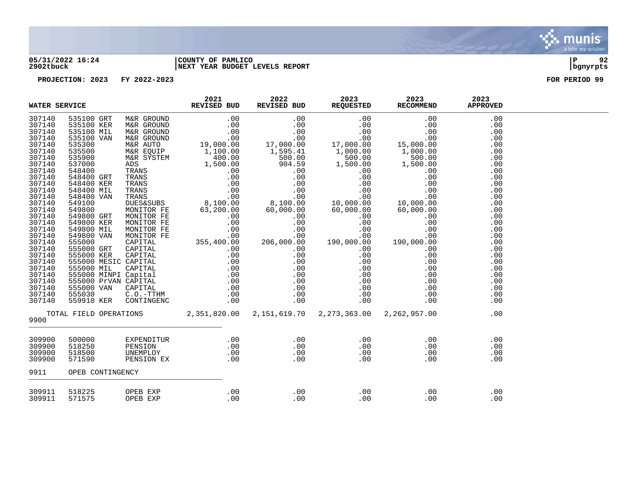

### **05/31/2022 16:24 |COUNTY OF PAMLICO |P 92 2902tbuck |NEXT YEAR BUDGET LEVELS REPORT |bgnyrpts**

| WATER SERVICE                                                                                                                                                                                                                                                    |                                      |                      | 2021 | 2022 2023 2023<br>REVISED BUD REQUESTED RECOMMEND |                                                                                                                                                                                                                                                                                                                                                                                | 2023       |  |
|------------------------------------------------------------------------------------------------------------------------------------------------------------------------------------------------------------------------------------------------------------------|--------------------------------------|----------------------|------|---------------------------------------------------|--------------------------------------------------------------------------------------------------------------------------------------------------------------------------------------------------------------------------------------------------------------------------------------------------------------------------------------------------------------------------------|------------|--|
| 307140<br>307140<br>307140<br>307140<br>307140<br>307140<br>307140<br>307140<br>307140<br>307140<br>307140<br>307140<br>307140<br>307140<br>307140<br>307140<br>307140<br>307140<br>307140<br>307140<br>307140<br>307140<br>307140<br>307140<br>307140<br>307140 |                                      |                      |      |                                                   |                                                                                                                                                                                                                                                                                                                                                                                |            |  |
| 307140<br>307140<br>307140                                                                                                                                                                                                                                       |                                      |                      |      |                                                   |                                                                                                                                                                                                                                                                                                                                                                                |            |  |
| 9900                                                                                                                                                                                                                                                             |                                      |                      |      |                                                   | TOTAL FIELD OPERATIONS $2,351,820.00$ $2,151,619.70$ $2,273,363.00$ $2,262,957.00$ .00                                                                                                                                                                                                                                                                                         |            |  |
| 309900<br>309900<br>309900<br>309900                                                                                                                                                                                                                             | 500000<br>518250<br>518500<br>571590 |                      |      |                                                   |                                                                                                                                                                                                                                                                                                                                                                                |            |  |
| 9911                                                                                                                                                                                                                                                             | OPEB CONTINGENCY                     |                      |      |                                                   |                                                                                                                                                                                                                                                                                                                                                                                |            |  |
| 309911<br>309911                                                                                                                                                                                                                                                 | 518225<br>571575                     | OPEB EXP<br>OPEB EXP |      |                                                   | $\begin{array}{cccc} . & 00 & . & 00 & . & . & 00 & . & . & 00 & . & . & 00 & . & . & 00 & . & . & 00 & . & . & 00 & . & . & 00 & . & . & 00 & . & . & 00 & . & . & 00 & . & . & 00 & . & . & 00 & . & . & 00 & . & . & 00 & . & . & 00 & . & . & 00 & . & . & 00 & . & . & 00 & . & . & 00 & . & . & 00 & . & . & 00 & . & . & 00 & . & . & 00 & . & . & 00 & . & . & 00 & .$ | .00<br>.00 |  |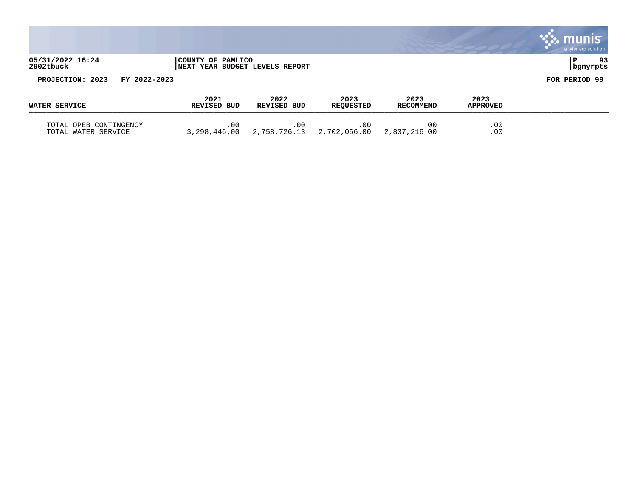|                               |              |                                                             |      |      |      |      | $\sim$ $\sim$ munis<br>a tyler erp solution |
|-------------------------------|--------------|-------------------------------------------------------------|------|------|------|------|---------------------------------------------|
| 05/31/2022 16:24<br>2902tbuck |              | COUNTY OF PAMLICO<br><b>INEXT YEAR BUDGET LEVELS REPORT</b> |      |      |      |      | 93<br>  bgnyrpts                            |
| PROJECTION: 2023              | FY 2022-2023 |                                                             |      |      |      |      | FOR PERIOD 99                               |
|                               |              | 2021                                                        | 2022 | 2023 | 2023 | 2023 |                                             |

 $\mathcal{L}$ 

| WATER SERVICE                                    | <b>REVISED BUD</b>  | <b>REVISED BUD</b> | <b>REOUESTED</b> | <b>RECOMMEND</b> | <b>APPROVED</b> |
|--------------------------------------------------|---------------------|--------------------|------------------|------------------|-----------------|
| OPEB CONTINGENCY<br>TOTAL<br>TOTAL WATER SERVICE | 0 C<br>3,298,446.00 |                    |                  |                  | .00<br>.00      |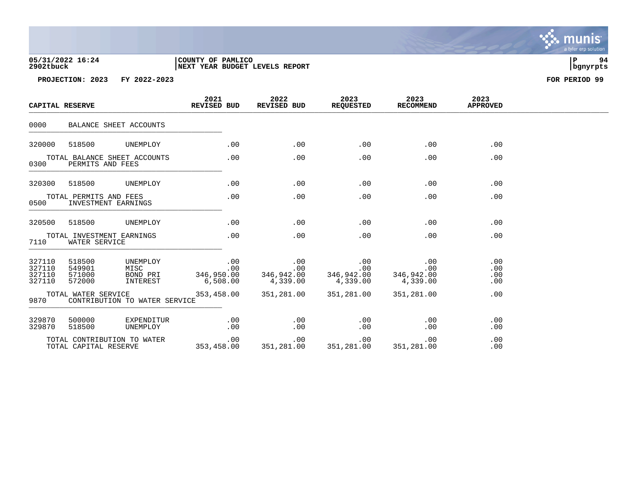# **05/31/2022 16:24 |COUNTY OF PAMLICO |P 94 2902tbuck |NEXT YEAR BUDGET LEVELS REPORT |bgnyrpts**

**PROJECTION: 2023 FY 2022-2023 FOR PERIOD 99**

| CAPITAL RESERVE                      |                                                                                  | 2021<br>REVISED BUD                     | 2022<br>REVISED BUD                                                                 | 2023<br><b>REQUESTED</b>                                               | 2023<br>RECOMMEND | 2023<br><b>APPROVED</b>  |  |
|--------------------------------------|----------------------------------------------------------------------------------|-----------------------------------------|-------------------------------------------------------------------------------------|------------------------------------------------------------------------|-------------------|--------------------------|--|
| 0000                                 | BALANCE SHEET ACCOUNTS                                                           |                                         |                                                                                     |                                                                        |                   |                          |  |
| 320000                               | 518500<br>UNEMPLOY                                                               | .00                                     | .00                                                                                 | .00                                                                    | .00               | .00                      |  |
| 0300                                 | TOTAL BALANCE SHEET ACCOUNTS<br>PERMITS AND FEES                                 | .00                                     | .00                                                                                 | .00                                                                    | .00               | .00                      |  |
| 320300                               | 518500<br>UNEMPLOY                                                               | .00                                     | .00                                                                                 | .00                                                                    | .00               | .00                      |  |
| 0500                                 | TOTAL PERMITS AND FEES<br>INVESTMENT EARNINGS                                    | .00                                     | .00                                                                                 | .00                                                                    | .00               | .00                      |  |
| 320500                               | 518500<br>UNEMPLOY                                                               | .00                                     | .00                                                                                 | .00                                                                    | .00               | .00                      |  |
| 7110                                 | TOTAL INVESTMENT EARNINGS<br>WATER SERVICE                                       | .00                                     | .00                                                                                 | .00                                                                    | .00               | .00                      |  |
| 327110<br>327110<br>327110<br>327110 | 518500<br>UNEMPLOY<br>549901<br>MISC<br>BOND PRI<br>571000<br>INTEREST<br>572000 | .00<br>.00<br>6,508.00                  | $\begin{array}{c} 0.00 \\ -0.00 \end{array}$<br>$346,950.00$<br>6.508.00 $4,339.00$ | .00<br>.00<br>$346,942.00$<br>$4,339.00$<br>$346,942.00$<br>$4,339.00$ | .00<br>.00        | .00<br>.00<br>.00<br>.00 |  |
| 9870                                 | TOTAL WATER SERVICE<br>CONTRIBUTION TO WATER SERVICE                             | 353,458.00                              | 351,281.00                                                                          | 351,281.00                                                             | 351,281.00        | .00                      |  |
| 329870<br>329870                     | 500000<br>EXPENDITUR<br>518500<br>UNEMPLOY                                       | .00<br>.00                              | .00<br>.00                                                                          | .00<br>.00                                                             | .00<br>.00        | .00<br>.00               |  |
|                                      | TOTAL CONTRIBUTION TO WATER<br>TOTAL CAPITAL RESERVE                             | 00 .00<br>353,458.00 351,281.00 354,688 |                                                                                     | .00<br>351,281.00 351,281.00                                           | .00               | .00<br>.00               |  |

. munis<sup>.</sup> a tyler erp solution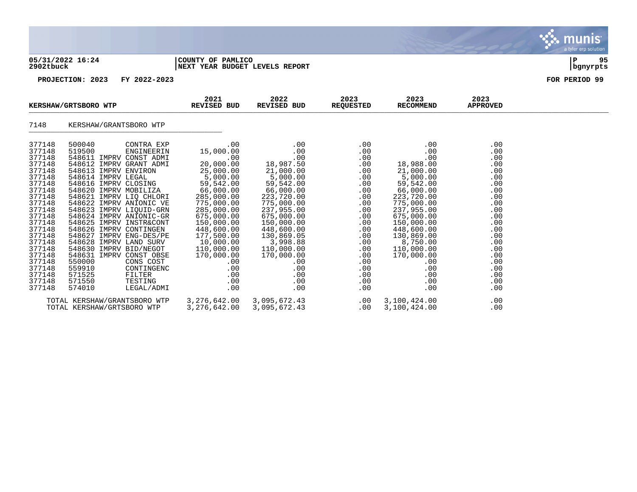### **05/31/2022 16:24 |COUNTY OF PAMLICO |P 95 2902tbuck |NEXT YEAR BUDGET LEVELS REPORT |bgnyrpts**

| KERSHAW/GRTSBORO WTP                                                                                                                                                                                                               |                                                                                                                                                                                                                                                                                                                                                                                                                                                                                                                                                                                              | 2021<br>REVISED BUD                                                                                                                                                                                                                                                                       | 2022<br>REVISED BUD                                                                                                                                                                                                                                                                     | 2023<br><b>REQUESTED</b>                                                                                                                                                  | 2023<br><b>RECOMMEND</b>                                                                                                                                                                                                                                            | 2023<br><b>APPROVED</b>                                                                                                                                       |  |
|------------------------------------------------------------------------------------------------------------------------------------------------------------------------------------------------------------------------------------|----------------------------------------------------------------------------------------------------------------------------------------------------------------------------------------------------------------------------------------------------------------------------------------------------------------------------------------------------------------------------------------------------------------------------------------------------------------------------------------------------------------------------------------------------------------------------------------------|-------------------------------------------------------------------------------------------------------------------------------------------------------------------------------------------------------------------------------------------------------------------------------------------|-----------------------------------------------------------------------------------------------------------------------------------------------------------------------------------------------------------------------------------------------------------------------------------------|---------------------------------------------------------------------------------------------------------------------------------------------------------------------------|---------------------------------------------------------------------------------------------------------------------------------------------------------------------------------------------------------------------------------------------------------------------|---------------------------------------------------------------------------------------------------------------------------------------------------------------|--|
| 7148                                                                                                                                                                                                                               | KERSHAW/GRANTSBORO WTP                                                                                                                                                                                                                                                                                                                                                                                                                                                                                                                                                                       |                                                                                                                                                                                                                                                                                           |                                                                                                                                                                                                                                                                                         |                                                                                                                                                                           |                                                                                                                                                                                                                                                                     |                                                                                                                                                               |  |
| 377148<br>377148<br>377148<br>377148<br>377148<br>377148<br>377148<br>377148<br>377148<br>377148<br>377148<br>377148<br>377148<br>377148<br>377148<br>377148<br>377148<br>377148<br>377148<br>377148<br>377148<br>377148<br>377148 | 500040<br>CONTRA EXP<br>519500<br>ENGINEERIN<br>548611 IMPRV CONST ADMI<br>548612 IMPRV GRANT ADMI<br>548613 IMPRV ENVIRON<br>548614 IMPRV LEGAL<br>548616 IMPRV CLOSING<br>548620 IMPRV MOBILIZA<br>548621 IMPRV LIQ CHLORI<br>548622 IMPRV ANIONIC VE<br>548623 IMPRV LIQUID-GRN<br>548624 IMPRV ANIONIC-GR<br>548625 IMPRV INSTR&CONT<br>548626 IMPRV CONTINGEN<br>548627 IMPRV ENG-DES/PE<br>548628 IMPRV LAND SURV<br>548630 IMPRV BID/NEGOT<br>548631 IMPRV CONST OBSE<br>550000<br>CONS COST<br>559910<br>CONTINGENC<br>571525<br>FILTER<br>571550<br>TESTING<br>574010<br>LEGAL/ADMI | .00<br>15,000.00<br>$.00 \,$<br>20,000.00<br>25,000.00<br>5,000.00<br>59,542.00<br>66,000.00<br>285,000.00<br>775,000.00<br>285,000.00<br>675,000.00<br>150,000.00<br>448,600.00<br>177,500.00<br>10,000.00<br>110,000.00<br>170,000.00<br>$.00 \,$<br>.00<br>$.00 \,$<br>.00<br>$.00 \,$ | $.00 \,$<br>$.00 \,$<br>.00<br>18,987.50<br>21,000.00<br>5,000.00<br>59,542.00<br>66,000.00<br>223,720.00<br>775,000.00<br>237,955.00<br>675,000.00<br>150,000.00<br>448,600.00<br>130,869.05<br>3,998.88<br>110,000.00<br>170,000.00<br>$.00 \,$<br>.00<br>$.00 \,$<br>.00<br>$.00 \,$ | .00<br>$.00 \,$<br>.00<br>.00<br>.00<br>.00<br>.00<br>.00<br>.00<br>.00<br>.00<br>.00<br>.00<br>.00<br>.00<br>.00<br>.00<br>.00<br>.00<br>.00<br>$.00 \ \,$<br>.00<br>.00 | .00<br>.00<br>.00<br>18,988.00<br>21,000.00<br>5,000.00<br>59,542.00<br>66,000.00<br>223,720.00<br>775,000.00<br>237,955.00<br>675,000.00<br>150,000.00<br>448,600.00<br>130,869.00<br>8,750.00<br>110,000.00<br>170,000.00<br>$.00 \,$<br>.00<br>.00<br>.00<br>.00 | .00<br>.00<br>.00<br>.00<br>.00<br>.00<br>.00<br>.00<br>.00<br>.00<br>.00<br>.00<br>.00<br>.00<br>.00<br>.00<br>.00<br>.00<br>.00<br>.00<br>.00<br>.00<br>.00 |  |
|                                                                                                                                                                                                                                    | TOTAL KERSHAW/GRANTSBORO WTP<br>TOTAL KERSHAW/GRTSBORO WTP                                                                                                                                                                                                                                                                                                                                                                                                                                                                                                                                   | 3,276,642.00<br>3,276,642.00                                                                                                                                                                                                                                                              | 3,095,672.43<br>3,095,672.43                                                                                                                                                                                                                                                            | .00<br>$.00 \,$                                                                                                                                                           | 3,100,424.00<br>3,100,424.00                                                                                                                                                                                                                                        | .00<br>.00                                                                                                                                                    |  |

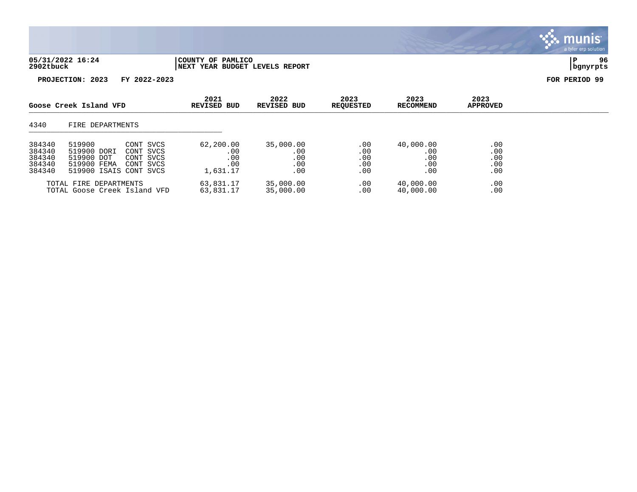| 05/31/2022 16:24 | COUNTY OF PAMLICO               |          | 96 |
|------------------|---------------------------------|----------|----|
| 2902tbuck        | INEXT YEAR BUDGET LEVELS REPORT | bgnyrpts |    |

| Goose Creek Island VFD                         |                                                                              | 2021<br>REVISED BUD                              | 2022<br>REVISED BUD                        | 2023<br><b>REOUESTED</b>              | 2023<br><b>RECOMMEND</b>        | 2023<br><b>APPROVED</b>               |                                 |  |
|------------------------------------------------|------------------------------------------------------------------------------|--------------------------------------------------|--------------------------------------------|---------------------------------------|---------------------------------|---------------------------------------|---------------------------------|--|
| 4340                                           | FIRE DEPARTMENTS                                                             |                                                  |                                            |                                       |                                 |                                       |                                 |  |
| 384340<br>384340<br>384340<br>384340<br>384340 | 519900<br>519900 DORI<br>519900 DOT<br>519900 FEMA<br>519900 ISAIS CONT SVCS | CONT SVCS<br>CONT SVCS<br>CONT SVCS<br>CONT SVCS | 62,200.00<br>.00<br>.00<br>.00<br>1,631.17 | 35,000.00<br>.00<br>.00<br>.00<br>.00 | .00<br>.00<br>.00<br>.00<br>.00 | 40,000.00<br>.00<br>.00<br>.00<br>.00 | .00<br>.00<br>.00<br>.00<br>.00 |  |
|                                                | TOTAL FIRE DEPARTMENTS<br>TOTAL Goose Creek Island VFD                       |                                                  | 63,831.17<br>63,831.17                     | 35,000.00<br>35,000.00                | .00<br>.00                      | 40,000.00<br>40,000.00                | .00<br>.00                      |  |

, munis<sup>.</sup> a tyler erp solution

 $\ddot{\cdot}$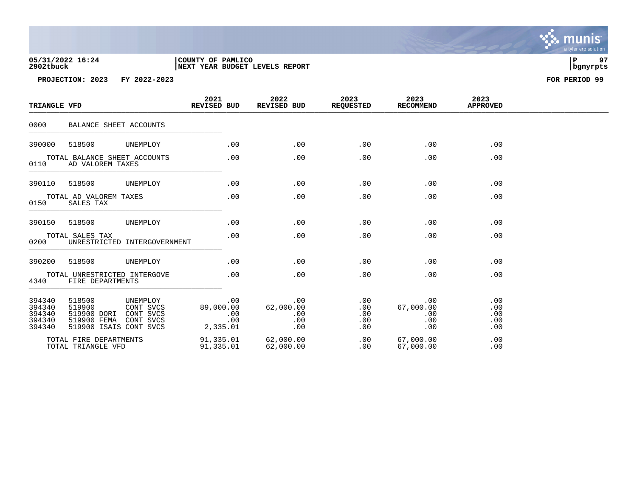# **05/31/2022 16:24 |COUNTY OF PAMLICO |P 97 2902tbuck |NEXT YEAR BUDGET LEVELS REPORT |bgnyrpts**

**PROJECTION: 2023 FY 2022-2023 FOR PERIOD 99**

| TRIANGLE VFD                                   |                                                                          |                                                 | 2021<br>REVISED BUD    |                   | 2022<br>REVISED BUD                   | 2023<br><b>REQUESTED</b>        | 2023<br><b>RECOMMEND</b>              | 2023<br><b>APPROVED</b>         |  |
|------------------------------------------------|--------------------------------------------------------------------------|-------------------------------------------------|------------------------|-------------------|---------------------------------------|---------------------------------|---------------------------------------|---------------------------------|--|
| 0000                                           | BALANCE SHEET ACCOUNTS                                                   |                                                 |                        |                   |                                       |                                 |                                       |                                 |  |
| 390000                                         | 518500                                                                   | UNEMPLOY                                        |                        | .00               | .00                                   | .00                             | .00                                   | .00                             |  |
| 0110                                           | TOTAL BALANCE SHEET ACCOUNTS<br>AD VALOREM TAXES                         |                                                 |                        | .00               | .00                                   | .00                             | .00                                   | .00                             |  |
| 390110                                         | 518500                                                                   | UNEMPLOY                                        |                        | .00               | .00                                   | .00                             | .00                                   | .00                             |  |
| 0150                                           | TOTAL AD VALOREM TAXES<br>SALES TAX                                      |                                                 |                        | .00               | .00                                   | .00                             | .00                                   | .00                             |  |
| 390150                                         | 518500                                                                   | UNEMPLOY                                        |                        | .00               | .00                                   | .00                             | .00                                   | .00                             |  |
| 0200                                           | TOTAL SALES TAX                                                          | UNRESTRICTED INTERGOVERNMENT                    |                        | .00               | .00                                   | .00                             | .00                                   | .00                             |  |
| 390200                                         | 518500                                                                   | UNEMPLOY                                        |                        | .00               | .00                                   | .00                             | .00                                   | .00                             |  |
| 4340                                           | TOTAL UNRESTRICTED INTERGOVE<br>FIRE DEPARTMENTS                         |                                                 |                        | .00               | .00                                   | .00                             | .00                                   | .00                             |  |
| 394340<br>394340<br>394340<br>394340<br>394340 | 518500<br>519900<br>519900 DORI<br>519900 FEMA<br>519900 ISAIS CONT SVCS | UNEMPLOY<br>CONT SVCS<br>CONT SVCS<br>CONT SVCS | 89,000.00<br>2,335.01  | .00<br>.00<br>.00 | .00<br>62,000.00<br>.00<br>.00<br>.00 | .00<br>.00<br>.00<br>.00<br>.00 | .00<br>67,000.00<br>.00<br>.00<br>.00 | .00<br>.00<br>.00<br>.00<br>.00 |  |
|                                                | TOTAL FIRE DEPARTMENTS<br>TOTAL TRIANGLE VFD                             |                                                 | 91,335.01<br>91,335.01 |                   | 62,000.00<br>62,000.00                | .00<br>.00                      | 67,000.00<br>67,000.00                | .00<br>.00                      |  |

. munis<sup>.</sup> a tyler erp solution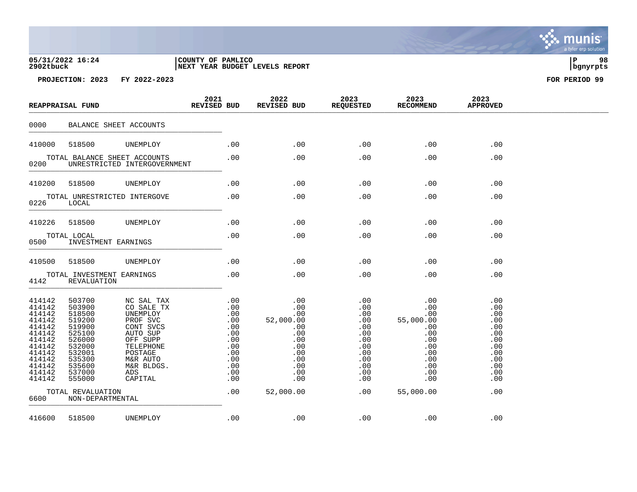# **05/31/2022 16:24 |COUNTY OF PAMLICO |P 98 2902tbuck |NEXT YEAR BUDGET LEVELS REPORT |bgnyrpts**

|                                                                                                                                | REAPPRAISAL FUND                                                                                                               |                                                                                                                                                           | 2021<br><b>REVISED BUD</b> |                                                      | 2022<br>REVISED BUD |                                                           | 2023<br><b>REQUESTED</b>                                                                | 2023<br><b>RECOMMEND</b>                                                                      | 2023<br><b>APPROVED</b>                                                                 |  |
|--------------------------------------------------------------------------------------------------------------------------------|--------------------------------------------------------------------------------------------------------------------------------|-----------------------------------------------------------------------------------------------------------------------------------------------------------|----------------------------|------------------------------------------------------|---------------------|-----------------------------------------------------------|-----------------------------------------------------------------------------------------|-----------------------------------------------------------------------------------------------|-----------------------------------------------------------------------------------------|--|
| 0000                                                                                                                           | BALANCE SHEET ACCOUNTS                                                                                                         |                                                                                                                                                           |                            |                                                      |                     |                                                           |                                                                                         |                                                                                               |                                                                                         |  |
| 410000                                                                                                                         | 518500                                                                                                                         | UNEMPLOY                                                                                                                                                  |                            | $.00 \,$                                             |                     | .00                                                       | .00                                                                                     | $.00 \,$                                                                                      | .00                                                                                     |  |
| 0200                                                                                                                           | TOTAL BALANCE SHEET ACCOUNTS                                                                                                   | UNRESTRICTED INTERGOVERNMENT                                                                                                                              |                            | .00                                                  |                     | .00                                                       | .00                                                                                     | $.00 \,$                                                                                      | $.00 \,$                                                                                |  |
| 410200                                                                                                                         | 518500                                                                                                                         | UNEMPLOY                                                                                                                                                  |                            | .00                                                  |                     | .00                                                       | .00                                                                                     | .00                                                                                           | .00                                                                                     |  |
| 0226                                                                                                                           | TOTAL UNRESTRICTED INTERGOVE<br>LOCAL                                                                                          |                                                                                                                                                           |                            | .00                                                  |                     | .00                                                       | .00                                                                                     | .00                                                                                           | .00                                                                                     |  |
| 410226                                                                                                                         | 518500                                                                                                                         | UNEMPLOY                                                                                                                                                  |                            | .00                                                  |                     | .00                                                       | .00                                                                                     | .00                                                                                           | .00                                                                                     |  |
| 0500                                                                                                                           | TOTAL LOCAL<br>INVESTMENT EARNINGS                                                                                             |                                                                                                                                                           |                            | .00                                                  |                     | .00                                                       | .00                                                                                     | .00                                                                                           | .00                                                                                     |  |
| 410500                                                                                                                         | 518500                                                                                                                         | UNEMPLOY                                                                                                                                                  |                            | $.00 \,$                                             |                     | .00                                                       | .00                                                                                     | $.00 \,$                                                                                      | .00                                                                                     |  |
| 4142                                                                                                                           | TOTAL INVESTMENT EARNINGS<br>REVALUATION                                                                                       |                                                                                                                                                           |                            | .00                                                  |                     | .00                                                       | .00                                                                                     | .00                                                                                           | .00                                                                                     |  |
| 414142<br>414142<br>414142<br>414142<br>414142<br>414142<br>414142<br>414142<br>414142<br>414142<br>414142<br>414142<br>414142 | 503700<br>503900<br>518500<br>519200<br>519900<br>525100<br>526000<br>532000<br>532001<br>535300<br>535600<br>537000<br>555000 | NC SAL TAX<br>CO SALE TX<br>UNEMPLOY<br>PROF SVC<br>CONT SVCS<br>AUTO SUP<br>OFF SUPP<br>TELEPHONE<br>POSTAGE<br>M&R AUTO<br>M&R BLDGS.<br>ADS<br>CAPITAL |                            | .00<br>.00<br>.00<br>.00<br>.00<br>.00<br>.00<br>.00 |                     | .00<br>.00<br>.00<br>.00<br>.00<br>.00<br>$.00 \,$<br>.00 | .00<br>.00<br>.00<br>.00<br>.00<br>.00<br>.00<br>.00<br>.00<br>.00<br>.00<br>.00<br>.00 | .00<br>.00<br>.00<br>55,000.00<br>.00<br>.00<br>.00<br>.00<br>.00<br>.00<br>.00<br>.00<br>.00 | .00<br>.00<br>.00<br>.00<br>.00<br>.00<br>.00<br>.00<br>.00<br>.00<br>.00<br>.00<br>.00 |  |
| 6600                                                                                                                           | TOTAL REVALUATION<br>NON-DEPARTMENTAL                                                                                          |                                                                                                                                                           |                            | .00                                                  | 52,000.00           |                                                           | .00                                                                                     | 55,000.00                                                                                     | .00                                                                                     |  |
| 416600                                                                                                                         | 518500                                                                                                                         | UNEMPLOY                                                                                                                                                  |                            | .00                                                  |                     | .00                                                       | .00                                                                                     | .00                                                                                           | .00                                                                                     |  |

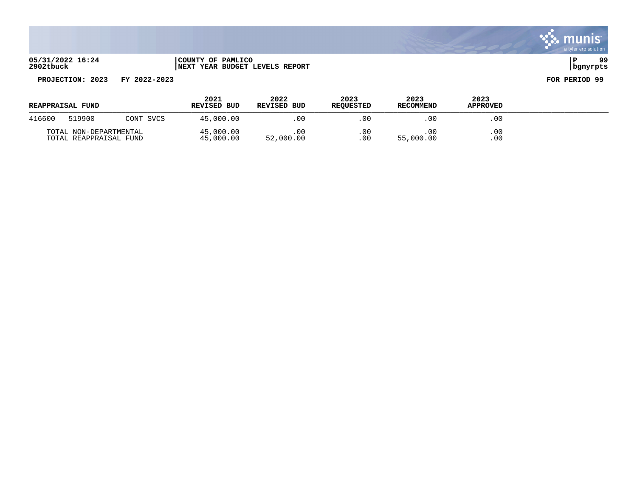**05/31/2022 16:24 |COUNTY OF PAMLICO |P 99 2902tbuck |NEXT YEAR BUDGET LEVELS REPORT |bgnyrpts**

# **PROJECTION: 2023 FY 2022-2023 FOR PERIOD 99**

| <b>REAPPRAISAL FUND</b>                          |        |                        | 2021<br><b>REVISED BUD</b> | 2022<br><b>REVISED BUD</b> | 2023<br><b>REOUESTED</b> | 2023<br><b>RECOMMEND</b> | 2023<br><b>APPROVED</b> |  |
|--------------------------------------------------|--------|------------------------|----------------------------|----------------------------|--------------------------|--------------------------|-------------------------|--|
| 416600                                           | 519900 | CONT SVCS              | 45,000.00                  | .00                        | .00                      | -00                      | .00                     |  |
| TOTAL NON-DEPARTMENTAL<br>TOTAL REAPPRAISAL FUND |        | 45,000.00<br>45,000.00 | . 00<br>52,000.00          | . 00<br>0 <sup>0</sup>     | 55,000.00                | .00<br>.00               |                         |  |

. munis<sup>.</sup> a tyler erp solution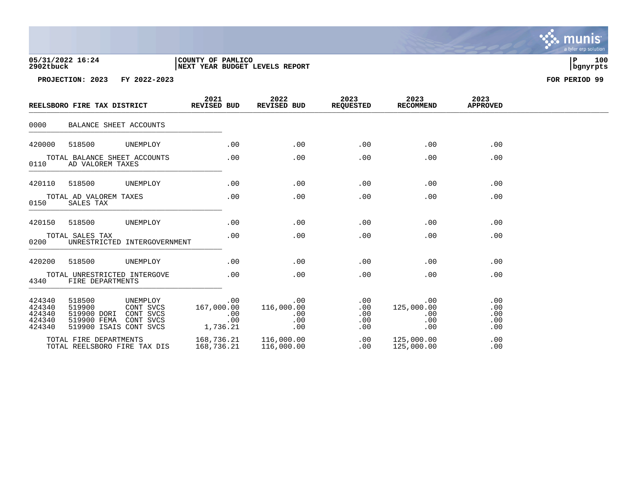| 05/31/2022 16:24 | COUNTY OF PAMLICO               |          | 100 |
|------------------|---------------------------------|----------|-----|
| 2902tbuck        | INEXT YEAR BUDGET LEVELS REPORT | banvrpts |     |

|                                                | REELSBORO FIRE TAX DISTRICT                                              |                                                 | 2021<br>REVISED BUD      |                   | 2022<br><b>REVISED BUD</b>                  | 2023<br><b>REQUESTED</b>        | 2023<br><b>RECOMMEND</b>               | 2023<br><b>APPROVED</b>         |  |
|------------------------------------------------|--------------------------------------------------------------------------|-------------------------------------------------|--------------------------|-------------------|---------------------------------------------|---------------------------------|----------------------------------------|---------------------------------|--|
| 0000                                           | BALANCE SHEET ACCOUNTS                                                   |                                                 |                          |                   |                                             |                                 |                                        |                                 |  |
| 420000                                         | 518500                                                                   | UNEMPLOY                                        |                          | .00               | .00                                         | .00                             | .00                                    | .00                             |  |
| 0110                                           | TOTAL BALANCE SHEET ACCOUNTS<br>AD VALOREM TAXES                         |                                                 |                          | .00               | .00                                         | .00                             | .00                                    | .00                             |  |
| 420110                                         | 518500                                                                   | UNEMPLOY                                        |                          | .00               | .00                                         | .00                             | .00                                    | .00                             |  |
| 0150                                           | TOTAL AD VALOREM TAXES<br>SALES TAX                                      |                                                 |                          | .00               | .00                                         | .00                             | .00                                    | .00                             |  |
| 420150                                         | 518500                                                                   | UNEMPLOY                                        |                          | .00               | .00                                         | .00                             | .00                                    | .00                             |  |
| 0200                                           | TOTAL SALES TAX                                                          | UNRESTRICTED INTERGOVERNMENT                    |                          | .00               | .00                                         | .00                             | .00                                    | .00                             |  |
| 420200                                         | 518500                                                                   | UNEMPLOY                                        |                          | .00               | .00                                         | .00                             | .00                                    | .00                             |  |
| 4340                                           | TOTAL UNRESTRICTED INTERGOVE<br>FIRE DEPARTMENTS                         |                                                 |                          | .00               | .00                                         | .00                             | .00                                    | .00                             |  |
| 424340<br>424340<br>424340<br>424340<br>424340 | 518500<br>519900<br>519900 DORI<br>519900 FEMA<br>519900 ISAIS CONT SVCS | UNEMPLOY<br>CONT SVCS<br>CONT SVCS<br>CONT SVCS | 167,000.00<br>1,736.21   | .00<br>.00<br>.00 | $.00 \,$<br>116,000.00<br>.00<br>.00<br>.00 | .00<br>.00<br>.00<br>.00<br>.00 | .00<br>125,000.00<br>.00<br>.00<br>.00 | .00<br>.00<br>.00<br>.00<br>.00 |  |
|                                                | TOTAL FIRE DEPARTMENTS<br>TOTAL REELSBORO FIRE TAX DIS                   |                                                 | 168,736.21<br>168,736.21 |                   | 116,000.00<br>116,000.00                    | .00<br>.00                      | 125,000.00<br>125,000.00               | .00<br>.00                      |  |

, munis<sup>.</sup> a tyler erp solution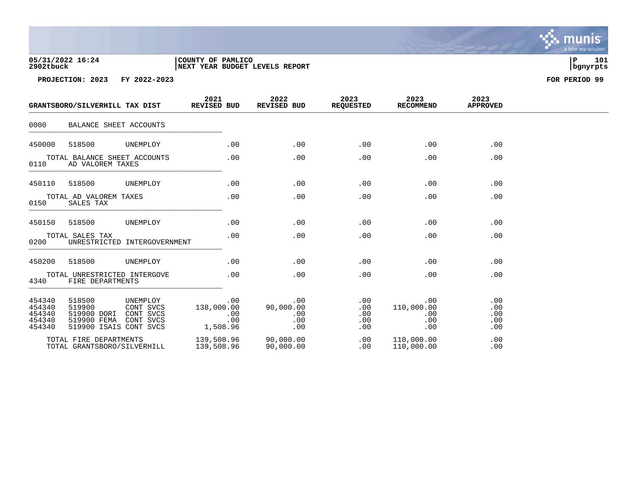| 05/31/2022 16:24 | COUNTY OF PAMLICO              |          | 101 |
|------------------|--------------------------------|----------|-----|
| 2902tbuck        | NEXT YEAR BUDGET LEVELS REPORT | bgnyrpts |     |

|                                                | GRANTSBORO/SILVERHILL TAX DIST                                           |                                                 | 2021<br><b>REVISED BUD</b> |                   | 2022<br><b>REVISED BUD</b>            | 2023<br><b>REQUESTED</b>             | 2023<br><b>RECOMMEND</b>               | 2023<br><b>APPROVED</b>         |  |
|------------------------------------------------|--------------------------------------------------------------------------|-------------------------------------------------|----------------------------|-------------------|---------------------------------------|--------------------------------------|----------------------------------------|---------------------------------|--|
| 0000                                           | BALANCE SHEET ACCOUNTS                                                   |                                                 |                            |                   |                                       |                                      |                                        |                                 |  |
| 450000                                         | 518500                                                                   | UNEMPLOY                                        |                            | .00               | .00                                   | .00                                  | .00                                    | .00                             |  |
| 0110                                           | TOTAL BALANCE SHEET ACCOUNTS<br>AD VALOREM TAXES                         |                                                 |                            | .00               | .00                                   | .00                                  | .00                                    | .00                             |  |
| 450110                                         | 518500                                                                   | UNEMPLOY                                        |                            | .00               | .00                                   | .00                                  | .00                                    | .00                             |  |
| 0150                                           | TOTAL AD VALOREM TAXES<br>SALES TAX                                      |                                                 |                            | .00               | .00                                   | .00                                  | .00                                    | .00                             |  |
| 450150                                         | 518500                                                                   | UNEMPLOY                                        |                            | .00               | .00                                   | .00                                  | .00                                    | .00                             |  |
| 0200                                           | TOTAL SALES TAX                                                          | UNRESTRICTED INTERGOVERNMENT                    |                            | .00               | .00                                   | .00                                  | .00                                    | .00                             |  |
| 450200                                         | 518500                                                                   | UNEMPLOY                                        |                            | .00               | .00                                   | .00                                  | .00                                    | .00                             |  |
| 4340                                           | TOTAL UNRESTRICTED INTERGOVE<br>FIRE DEPARTMENTS                         |                                                 |                            | .00               | .00                                   | .00                                  | .00                                    | .00                             |  |
| 454340<br>454340<br>454340<br>454340<br>454340 | 518500<br>519900<br>519900 DORI<br>519900 FEMA<br>519900 ISAIS CONT SVCS | UNEMPLOY<br>CONT SVCS<br>CONT SVCS<br>CONT SVCS | 138,000.00<br>1,508.96     | .00<br>.00<br>.00 | .00<br>90,000.00<br>.00<br>.00<br>.00 | .00<br>.00<br>.00<br>$.00 \,$<br>.00 | .00<br>110,000.00<br>.00<br>.00<br>.00 | .00<br>.00<br>.00<br>.00<br>.00 |  |
|                                                | TOTAL FIRE DEPARTMENTS<br>TOTAL GRANTSBORO/SILVERHILL                    |                                                 | 139,508.96<br>139,508.96   |                   | 90,000.00<br>90,000.00                | .00<br>.00                           | 110,000.00<br>110,000.00               | .00<br>.00                      |  |

 $\ddot{\cdot}$ munis<sup>.</sup> a tyler erp solution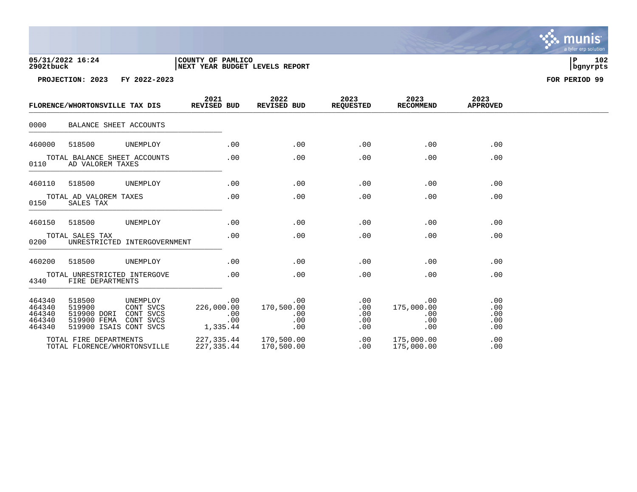| 05/31/2022 16:24 | COUNTY OF PAMLICO              |          | 102 |
|------------------|--------------------------------|----------|-----|
| 2902tbuck        | NEXT YEAR BUDGET LEVELS REPORT | bgnyrpts |     |

|                                                | FLORENCE/WHORTONSVILLE TAX DIS                                                               |                              | 2021<br>REVISED BUD       |                   | 2022<br>REVISED BUD                    | 2023<br><b>REQUESTED</b>        | 2023<br>RECOMMEND                      | 2023<br><b>APPROVED</b>         |  |
|------------------------------------------------|----------------------------------------------------------------------------------------------|------------------------------|---------------------------|-------------------|----------------------------------------|---------------------------------|----------------------------------------|---------------------------------|--|
| 0000                                           | BALANCE SHEET ACCOUNTS                                                                       |                              |                           |                   |                                        |                                 |                                        |                                 |  |
| 460000                                         | 518500                                                                                       | UNEMPLOY                     |                           | .00               | .00                                    | .00                             | .00                                    | .00                             |  |
| 0110                                           | TOTAL BALANCE SHEET ACCOUNTS<br>AD VALOREM TAXES                                             |                              |                           | .00               | .00                                    | .00                             | .00                                    | .00                             |  |
| 460110                                         | 518500                                                                                       | UNEMPLOY                     |                           | .00               | .00                                    | .00                             | .00                                    | .00                             |  |
| 0150                                           | TOTAL AD VALOREM TAXES<br>SALES TAX                                                          |                              |                           | .00               | .00                                    | .00                             | .00                                    | .00                             |  |
| 460150                                         | 518500                                                                                       | UNEMPLOY                     |                           | .00               | .00                                    | .00                             | .00                                    | .00                             |  |
| 0200                                           | TOTAL SALES TAX                                                                              | UNRESTRICTED INTERGOVERNMENT |                           | .00               | .00                                    | .00                             | .00                                    | .00                             |  |
| 460200                                         | 518500                                                                                       | UNEMPLOY                     |                           | .00               | .00                                    | .00                             | .00                                    | .00                             |  |
| 4340                                           | TOTAL UNRESTRICTED INTERGOVE<br>FIRE DEPARTMENTS                                             |                              |                           | .00               | .00                                    | .00                             | .00                                    | .00                             |  |
| 464340<br>464340<br>464340<br>464340<br>464340 | 518500<br>519900<br>519900 DORI CONT SVCS<br>519900 FEMA CONT SVCS<br>519900 ISAIS CONT SVCS | UNEMPLOY<br>CONT SVCS        | 226,000.00<br>1,335.44    | .00<br>.00<br>.00 | .00<br>170,500.00<br>.00<br>.00<br>.00 | .00<br>.00<br>.00<br>.00<br>.00 | .00<br>175,000.00<br>.00<br>.00<br>.00 | .00<br>.00<br>.00<br>.00<br>.00 |  |
|                                                | TOTAL FIRE DEPARTMENTS<br>TOTAL FLORENCE/WHORTONSVILLE                                       |                              | 227,335.44<br>227, 335.44 |                   | 170,500.00<br>170,500.00               | .00<br>$.00 \,$                 | 175,000.00<br>175,000.00               | .00<br>.00                      |  |

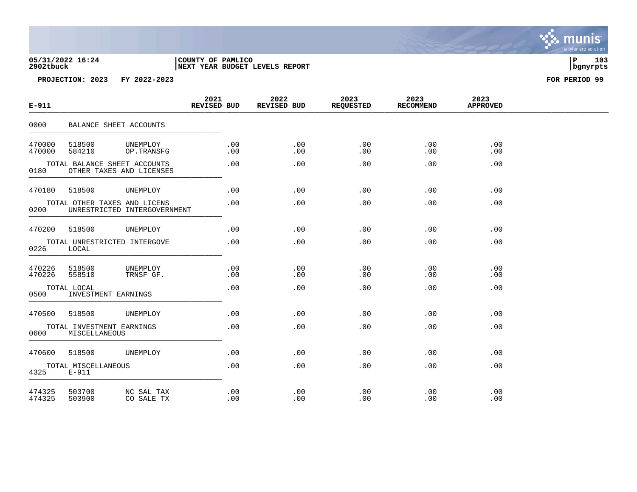# **05/31/2022 16:24 |COUNTY OF PAMLICO |P 103 2902tbuck |NEXT YEAR BUDGET LEVELS REPORT |bgnyrpts**

| $E - 911$        |                                                          |                              | 2021<br>REVISED BUD |            | 2022<br>REVISED BUD |            | 2023<br><b>REQUESTED</b> | 2023<br><b>RECOMMEND</b> |            | 2023<br><b>APPROVED</b> |  |
|------------------|----------------------------------------------------------|------------------------------|---------------------|------------|---------------------|------------|--------------------------|--------------------------|------------|-------------------------|--|
| 0000             | BALANCE SHEET ACCOUNTS                                   |                              |                     |            |                     |            |                          |                          |            |                         |  |
| 470000<br>470000 | 518500<br>584210                                         | UNEMPLOY<br>OP.TRANSFG       |                     | .00<br>.00 |                     | .00<br>.00 | .00<br>.00               |                          | .00<br>.00 | .00<br>$.00 \,$         |  |
| 0180             | TOTAL BALANCE SHEET ACCOUNTS<br>OTHER TAXES AND LICENSES |                              |                     | .00        |                     | .00        | .00                      |                          | .00        | .00                     |  |
| 470180           | 518500                                                   | UNEMPLOY                     |                     | .00        |                     | .00        | .00                      |                          | .00        | .00                     |  |
| 0200             | TOTAL OTHER TAXES AND LICENS                             | UNRESTRICTED INTERGOVERNMENT |                     | .00        |                     | .00        | .00                      |                          | .00        | .00                     |  |
| 470200           | 518500                                                   | UNEMPLOY                     |                     | .00        |                     | .00        | .00                      |                          | .00        | .00                     |  |
| 0226             | TOTAL UNRESTRICTED INTERGOVE<br>LOCAL                    |                              |                     | .00        |                     | .00        | .00                      |                          | .00        | .00                     |  |
| 470226<br>470226 | 518500<br>558510                                         | UNEMPLOY<br>TRNSF GF.        |                     | .00<br>.00 |                     | .00<br>.00 | .00<br>.00               |                          | .00<br>.00 | .00<br>.00              |  |
| 0500             | TOTAL LOCAL<br>INVESTMENT EARNINGS                       |                              |                     | .00        |                     | .00        | .00                      |                          | .00        | .00                     |  |
| 470500           | 518500                                                   | UNEMPLOY                     |                     | .00        |                     | .00        | .00                      |                          | .00        | .00                     |  |
| 0600             | TOTAL INVESTMENT EARNINGS<br>MISCELLANEOUS               |                              |                     | .00        |                     | .00        | .00                      |                          | .00        | .00                     |  |
| 470600           | 518500                                                   | UNEMPLOY                     |                     | .00        |                     | .00        | .00                      |                          | .00        | .00                     |  |
| 4325             | TOTAL MISCELLANEOUS<br>$E-911$                           |                              |                     | .00        |                     | .00        | .00                      |                          | .00        | .00                     |  |
| 474325<br>474325 | 503700<br>503900                                         | NC SAL TAX<br>CO SALE TX     |                     | .00<br>.00 |                     | .00<br>.00 | .00<br>.00               |                          | .00<br>.00 | .00<br>.00              |  |

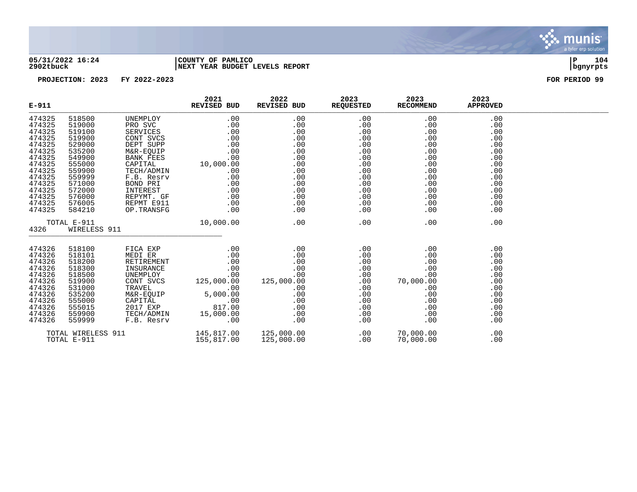

### **05/31/2022 16:24 |COUNTY OF PAMLICO |P 104 2902tbuck |NEXT YEAR BUDGET LEVELS REPORT |bgnyrpts**

| $E - 911$ |                    |            | 2021<br>REVISED BUD | 2022<br>REVISED BUD | 2023<br><b>REQUESTED</b> | 2023<br><b>RECOMMEND</b> | 2023<br><b>APPROVED</b> |  |
|-----------|--------------------|------------|---------------------|---------------------|--------------------------|--------------------------|-------------------------|--|
| 474325    | 518500             | UNEMPLOY   | .00                 | .00                 | .00                      | .00                      | .00                     |  |
| 474325    | 519000             | PRO SVC    | .00                 | .00                 | .00                      | .00                      | .00                     |  |
| 474325    | 519100             | SERVICES   | .00                 | .00                 | .00                      | .00                      | .00                     |  |
| 474325    | 519900             | CONT SVCS  | .00                 | .00                 | .00                      | .00                      | .00                     |  |
| 474325    | 529000             | DEPT SUPP  | .00                 | .00                 | .00                      | .00                      | .00                     |  |
| 474325    | 535200             | M&R-EQUIP  | .00                 | .00                 | .00                      | .00                      | .00                     |  |
| 474325    | 549900             | BANK FEES  | .00                 | .00                 | .00                      | .00                      | .00                     |  |
| 474325    | 555000             | CAPITAL    | 10,000.00           | .00                 | .00                      | .00                      | .00                     |  |
| 474325    | 559900             | TECH/ADMIN | .00                 | .00                 | .00                      | .00                      | .00                     |  |
| 474325    | 559999             | F.B. Resrv | .00                 | .00                 | .00                      | .00                      | .00                     |  |
| 474325    | 571000             | BOND PRI   | .00                 | .00                 | .00                      | .00                      | .00                     |  |
| 474325    | 572000             | INTEREST   | .00                 | .00                 | .00                      | .00                      | .00                     |  |
| 474325    | 576000             | REPYMT. GF | .00                 | .00                 | .00                      | .00                      | .00                     |  |
| 474325    | 576005             | REPMT E911 | .00                 | .00                 | .00                      | .00                      | .00                     |  |
| 474325    | 584210             | OP.TRANSFG | .00                 | .00                 | .00                      | .00                      | .00                     |  |
|           | TOTAL E-911        |            | 10,000.00           | .00                 | .00                      | .00                      | .00                     |  |
| 4326      | WIRELESS 911       |            |                     |                     |                          |                          |                         |  |
| 474326    | 518100             | FICA EXP   | .00                 | .00                 | .00                      | .00                      | .00                     |  |
| 474326    | 518101             | MEDI ER    | .00                 | .00                 | .00                      | .00                      | .00                     |  |
| 474326    | 518200             | RETIREMENT | .00                 | .00                 | .00                      | .00                      | .00                     |  |
| 474326    | 518300             | INSURANCE  | .00                 | .00                 | .00                      | .00                      | .00                     |  |
| 474326    | 518500             | UNEMPLOY   | .00                 | .00                 | $.00 \,$                 | .00                      | .00                     |  |
| 474326    | 519900             | CONT SVCS  | 125,000.00          | 125,000.00          | .00                      | 70,000.00                | .00                     |  |
| 474326    | 531000             | TRAVEL     | .00                 | .00                 | .00                      | .00                      | .00                     |  |
| 474326    | 535200             | M&R-EQUIP  | 5,000.00            | .00                 | .00                      | .00                      | .00                     |  |
| 474326    | 555000             | CAPITAL    | .00                 | .00                 | .00                      | .00                      | .00                     |  |
| 474326    | 555015             | 2017 EXP   | 817.00              | .00                 | .00                      | .00                      | .00                     |  |
| 474326    | 559900             | TECH/ADMIN | 15,000.00           | .00                 | .00                      | .00                      | .00                     |  |
| 474326    | 559999             | F.B. Resrv | .00                 | .00                 | .00                      | .00                      | .00                     |  |
|           | TOTAL WIRELESS 911 |            | 145,817.00          | 125,000.00          | .00                      | 70,000.00                | .00                     |  |
|           | TOTAL E-911        |            | 155,817.00          | 125,000.00          | .00                      | 70,000.00                | .00                     |  |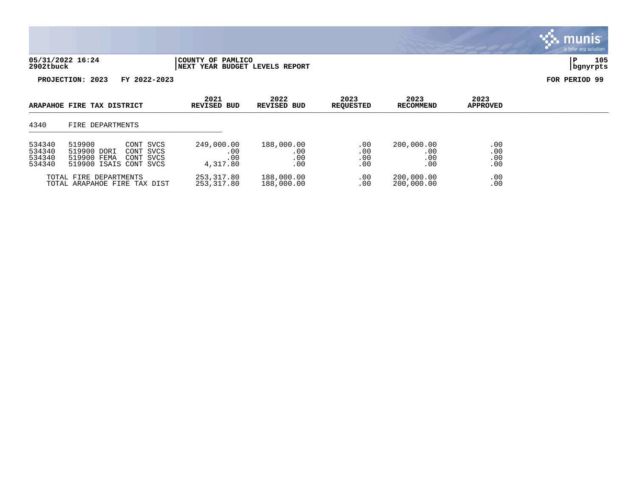| 05/31/2022 16:24 | COUNTY OF PAMLICO                      |          | 105 |
|------------------|----------------------------------------|----------|-----|
| 2902tbuck        | <b>INEXT YEAR BUDGET LEVELS REPORT</b> | bqnyrpts |     |

|                                      | ARAPAHOE FIRE TAX DISTRICT                                                                            | 2021<br>REVISED BUD                  | 2022<br>REVISED BUD             | 2023<br><b>REQUESTED</b> | 2023<br><b>RECOMMEND</b>        | 2023<br><b>APPROVED</b>  |  |
|--------------------------------------|-------------------------------------------------------------------------------------------------------|--------------------------------------|---------------------------------|--------------------------|---------------------------------|--------------------------|--|
| 4340                                 | FIRE DEPARTMENTS                                                                                      |                                      |                                 |                          |                                 |                          |  |
| 534340<br>534340<br>534340<br>534340 | 519900<br>CONT SVCS<br>519900 DORI<br>CONT SVCS<br>519900 FEMA<br>CONT SVCS<br>519900 ISAIS CONT SVCS | 249,000.00<br>.00<br>.00<br>4,317.80 | 188,000.00<br>.00<br>.00<br>.00 | .00<br>.00<br>.00<br>.00 | 200,000.00<br>.00<br>.00<br>.00 | .00<br>.00<br>.00<br>.00 |  |
|                                      | TOTAL FIRE DEPARTMENTS<br>TOTAL ARAPAHOE FIRE TAX DIST                                                | 253,317.80<br>253,317.80             | 188,000.00<br>188,000.00        | .00<br>.00               | 200,000.00<br>200,000.00        | .00<br>.00               |  |

 $\ddot{\mathbf{w}}$  munis a tyler erp solution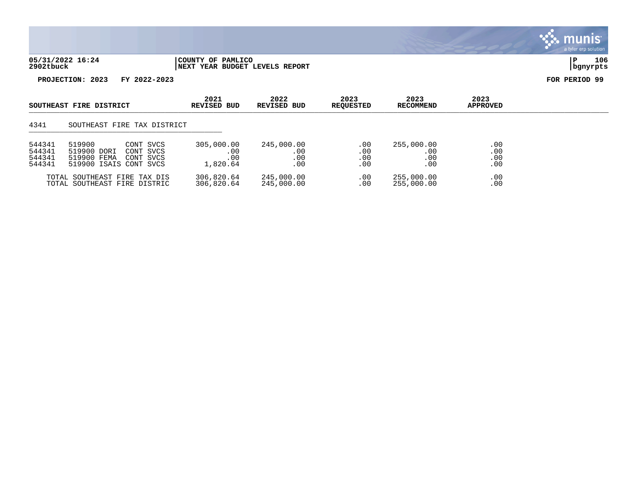

| 05/31/2022 16:24 | <b>PAMLICO</b><br>COUNTY OF                |          | 106 |
|------------------|--------------------------------------------|----------|-----|
| 2902tbuck        | " YEAR BUDGET LEVELS REPORT<br><b>NEXT</b> | banvrpts |     |

|                                      | SOUTHEAST FIRE DISTRICT                                                                               | 2021<br>REVISED BUD                  | 2022<br>REVISED BUD             | 2023<br><b>REQUESTED</b> | 2023<br><b>RECOMMEND</b>             | 2023<br><b>APPROVED</b>  |  |
|--------------------------------------|-------------------------------------------------------------------------------------------------------|--------------------------------------|---------------------------------|--------------------------|--------------------------------------|--------------------------|--|
| 4341                                 | SOUTHEAST FIRE TAX DISTRICT                                                                           |                                      |                                 |                          |                                      |                          |  |
| 544341<br>544341<br>544341<br>544341 | 519900<br>CONT SVCS<br>519900 DORI<br>CONT SVCS<br>519900 FEMA<br>CONT SVCS<br>519900 ISAIS CONT SVCS | 305,000.00<br>.00<br>.00<br>1,820.64 | 245,000.00<br>.00<br>.00<br>.00 | .00<br>.00<br>.00<br>.00 | 255,000.00<br>.00<br>.00<br>$.00 \,$ | .00<br>.00<br>.00<br>.00 |  |
|                                      | TOTAL SOUTHEAST FIRE TAX DIS<br>TOTAL SOUTHEAST FIRE DISTRIC                                          | 306,820.64<br>306,820.64             | 245,000.00<br>245,000.00        | .00<br>.00               | 255,000.00<br>255,000.00             | .00<br>.00               |  |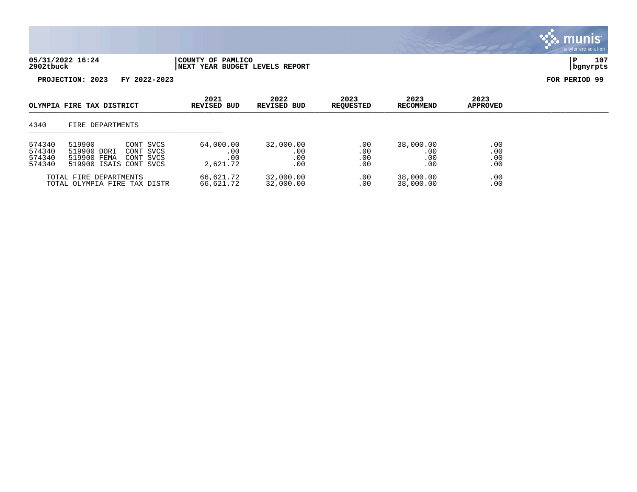| 05/31/2022 16:24 | COUNTY OF PAMLICO              |          | 107 |
|------------------|--------------------------------|----------|-----|
| 2902tbuck        | NEXT YEAR BUDGET LEVELS REPORT | bqnyrpts |     |

| OLYMPIA FIRE TAX DISTRICT            |                                                                                                       | 2021<br>REVISED BUD                 | 2022<br>REVISED BUD            | 2023<br><b>REQUESTED</b> | 2023<br><b>RECOMMEND</b>                | 2023<br><b>APPROVED</b>  |  |
|--------------------------------------|-------------------------------------------------------------------------------------------------------|-------------------------------------|--------------------------------|--------------------------|-----------------------------------------|--------------------------|--|
| 4340                                 | FIRE DEPARTMENTS                                                                                      |                                     |                                |                          |                                         |                          |  |
| 574340<br>574340<br>574340<br>574340 | 519900<br>CONT SVCS<br>519900 DORI<br>CONT SVCS<br>519900 FEMA<br>CONT SVCS<br>519900 ISAIS CONT SVCS | 64,000.00<br>.00<br>.00<br>2,621.72 | 32,000.00<br>.00<br>.00<br>.00 | .00<br>.00<br>.00<br>.00 | 38,000.00<br>$.00\,$<br>.00<br>$.00 \,$ | .00<br>.00<br>.00<br>.00 |  |
|                                      | TOTAL FIRE DEPARTMENTS<br>TOTAL OLYMPIA FIRE TAX DISTR                                                | 66,621.72<br>66,621.72              | 32,000.00<br>32,000.00         | .00<br>.00               | 38,000.00<br>38,000.00                  | .00<br>.00               |  |

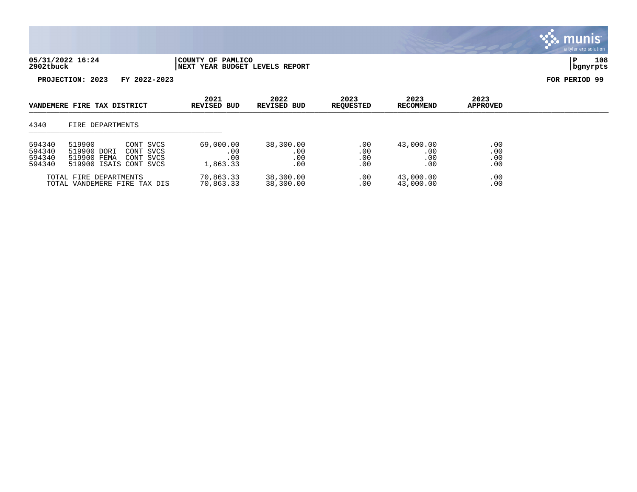

| 05/31/2022 16:24 | COUNTY OF PAMLICO                    |          | 108 |
|------------------|--------------------------------------|----------|-----|
| 2902tbuck        | 'YEAR BUDGET LEVELS REPORT<br>  NEXT | banvrpts |     |

| VANDEMERE FIRE TAX DISTRICT          |                                                                                                       | 2021<br>REVISED BUD                 | 2022<br>REVISED BUD            | 2023<br><b>REOUESTED</b> | 2023<br>RECOMMEND              | 2023<br><b>APPROVED</b>  |  |
|--------------------------------------|-------------------------------------------------------------------------------------------------------|-------------------------------------|--------------------------------|--------------------------|--------------------------------|--------------------------|--|
| 4340                                 | FIRE DEPARTMENTS                                                                                      |                                     |                                |                          |                                |                          |  |
| 594340<br>594340<br>594340<br>594340 | 519900<br>CONT SVCS<br>519900 DORI<br>CONT SVCS<br>519900 FEMA<br>CONT SVCS<br>519900 ISAIS CONT SVCS | 69,000.00<br>.00<br>.00<br>1,863.33 | 38,300.00<br>.00<br>.00<br>.00 | .00<br>.00<br>.00<br>.00 | 43,000.00<br>.00<br>.00<br>.00 | .00<br>.00<br>.00<br>.00 |  |
|                                      | TOTAL FIRE DEPARTMENTS<br>TOTAL VANDEMERE FIRE TAX DIS                                                | 70,863.33<br>70,863.33              | 38,300.00<br>38,300.00         | $.00 \,$<br>$.00 \,$     | 43,000.00<br>43,000.00         | .00<br>.00               |  |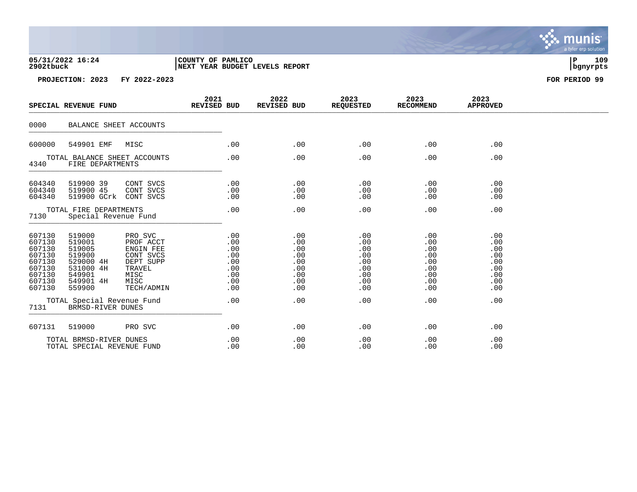## **05/31/2022 16:24 |COUNTY OF PAMLICO |P 109 2902tbuck |NEXT YEAR BUDGET LEVELS REPORT |bgnyrpts**

**PROJECTION: 2023 FY 2022-2023 FOR PERIOD 99**

|                                                                                        | SPECIAL REVENUE FUND                                                                            |                                                                                                     | 2021<br>REVISED BUD |                                                             | 2022<br>REVISED BUD                                         | 2023<br><b>REQUESTED</b>                                    | 2023<br><b>RECOMMEND</b>                                    | 2023<br><b>APPROVED</b>                                     |  |
|----------------------------------------------------------------------------------------|-------------------------------------------------------------------------------------------------|-----------------------------------------------------------------------------------------------------|---------------------|-------------------------------------------------------------|-------------------------------------------------------------|-------------------------------------------------------------|-------------------------------------------------------------|-------------------------------------------------------------|--|
| 0000                                                                                   | BALANCE SHEET ACCOUNTS                                                                          |                                                                                                     |                     |                                                             |                                                             |                                                             |                                                             |                                                             |  |
| 600000                                                                                 | 549901 EMF                                                                                      | MISC                                                                                                |                     | .00                                                         | .00                                                         | .00                                                         | .00                                                         | .00                                                         |  |
| 4340                                                                                   | TOTAL BALANCE SHEET ACCOUNTS<br>FIRE DEPARTMENTS                                                |                                                                                                     |                     | .00                                                         | .00                                                         | .00                                                         | .00                                                         | .00                                                         |  |
| 604340<br>604340<br>604340                                                             | 519900 39<br>519900 45<br>519900 GCrk                                                           | CONT SVCS<br>CONT SVCS<br>CONT SVCS                                                                 |                     | .00<br>.00<br>.00                                           | .00<br>.00<br>.00                                           | .00<br>.00<br>.00                                           | .00<br>.00<br>.00                                           | .00<br>.00<br>.00                                           |  |
| TOTAL FIRE DEPARTMENTS<br>7130<br>Special Revenue Fund                                 |                                                                                                 |                                                                                                     | .00                 | .00                                                         | .00                                                         | .00                                                         | .00                                                         |                                                             |  |
| 607130<br>607130<br>607130<br>607130<br>607130<br>607130<br>607130<br>607130<br>607130 | 519000<br>519001<br>519005<br>519900<br>529000 4H<br>531000 4H<br>549901<br>549901 4H<br>559900 | PRO SVC<br>PROF ACCT<br>ENGIN FEE<br>CONT SVCS<br>DEPT SUPP<br>TRAVEL<br>MISC<br>MISC<br>TECH/ADMIN |                     | .00<br>.00<br>.00<br>.00<br>.00<br>.00<br>.00<br>.00<br>.00 | .00<br>.00<br>.00<br>.00<br>.00<br>.00<br>.00<br>.00<br>.00 | .00<br>.00<br>.00<br>.00<br>.00<br>.00<br>.00<br>.00<br>.00 | .00<br>.00<br>.00<br>.00<br>.00<br>.00<br>.00<br>.00<br>.00 | .00<br>.00<br>.00<br>.00<br>.00<br>.00<br>.00<br>.00<br>.00 |  |
| 7131                                                                                   | TOTAL Special Revenue Fund<br>1        BRMSD-RIVER DUNES                                        |                                                                                                     |                     | .00                                                         | .00                                                         | .00                                                         | .00                                                         | .00                                                         |  |
| 607131                                                                                 | 519000                                                                                          | PRO SVC                                                                                             |                     | .00                                                         | .00                                                         | .00                                                         | .00                                                         | .00                                                         |  |
|                                                                                        | TOTAL BRMSD-RIVER DUNES<br>TOTAL SPECIAL REVENUE FUND                                           |                                                                                                     |                     | .00<br>.00                                                  | .00<br>.00                                                  | .00<br>.00                                                  | .00<br>.00                                                  | .00<br>.00                                                  |  |

. munis<sup>.</sup> a tyler erp solution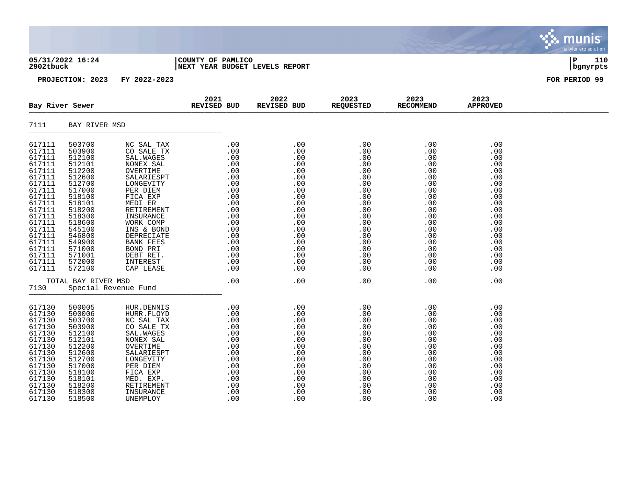### **05/31/2022 16:24 |COUNTY OF PAMLICO |P 110 2902tbuck |NEXT YEAR BUDGET LEVELS REPORT |bgnyrpts**

|                                                                                                                                                    | Bay River Sewer                                                                                                                                    |                                                                                                                                                                                                   | 2021<br>REVISED BUD                                                                                                                                                                                                                            | 2022<br>REVISED BUD                                                                                   | 2023<br><b>REQUESTED</b>                                                                              | 2023<br><b>RECOMMEND</b>                                                                              | 2023<br><b>APPROVED</b>                                                                               |  |
|----------------------------------------------------------------------------------------------------------------------------------------------------|----------------------------------------------------------------------------------------------------------------------------------------------------|---------------------------------------------------------------------------------------------------------------------------------------------------------------------------------------------------|------------------------------------------------------------------------------------------------------------------------------------------------------------------------------------------------------------------------------------------------|-------------------------------------------------------------------------------------------------------|-------------------------------------------------------------------------------------------------------|-------------------------------------------------------------------------------------------------------|-------------------------------------------------------------------------------------------------------|--|
| 7111                                                                                                                                               | BAY RIVER MSD                                                                                                                                      |                                                                                                                                                                                                   |                                                                                                                                                                                                                                                |                                                                                                       |                                                                                                       |                                                                                                       |                                                                                                       |  |
| 617111<br>617111<br>617111<br>617111<br>617111<br>617111<br>617111<br>617111<br>617111<br>617111<br>617111<br>617111<br>617111<br>617111           | 503700<br>503900<br>512100<br>512101<br>512200<br>512600<br>512700<br>517000<br>518100<br>518101<br>518200<br>518300<br>518600<br>545100           | NC SAL TAX<br>CO SALE TX<br>SAL. WAGES<br>NONEX SAL<br>OVERTIME<br>SALARIESPT<br>LONGEVITY<br>PER DIEM<br>FICA EXP<br>MEDI ER<br>RETIREMENT<br>INSURANCE<br>WORK COMP<br>INS & BOND               | .00<br>.00<br>$\begin{array}{r} .00\ 0.00\ 0.00\ 0.00\ .00\ 0.00\ 0.00\ 0.00\ 0.00\ 0.00\ 0.00\ 0.00\ 0.00\ 0.00\ 0.00\ 0.00\ 0.00\ 0.00\ 0.00\ 0.00\ 0.00\ 0.00\ 0.00\ 0.00\ 0.00\ 0.00\ 0.00\ 0.00\ 0.00\ 0.00\ 0.00\ 0.00\ 0.00\end{array}$ | .00<br>.00<br>.00<br>.00<br>.00<br>.00<br>.00<br>.00<br>.00<br>.00<br>.00<br>.00<br>.00<br>.00        | .00<br>.00<br>.00<br>.00<br>.00<br>.00<br>.00<br>.00<br>.00<br>.00<br>.00<br>.00<br>.00<br>.00        | .00<br>.00<br>.00<br>.00<br>.00<br>.00<br>.00<br>.00<br>.00<br>.00<br>.00<br>.00<br>.00<br>.00        | .00<br>.00<br>.00<br>.00<br>.00<br>.00<br>.00<br>.00<br>.00<br>.00<br>.00<br>.00<br>.00<br>.00        |  |
| 617111<br>617111<br>617111<br>617111<br>617111<br>617111                                                                                           | 546800<br>549900<br>571000<br>571001<br>572000<br>572100                                                                                           | DEPRECIATE<br>BANK FEES<br>BOND PRI<br>DEBT RET.<br>INTEREST<br>CAP LEASE                                                                                                                         |                                                                                                                                                                                                                                                | .00<br>.00<br>.00<br>.00<br>.00<br>.00                                                                | .00<br>.00<br>.00<br>.00<br>.00<br>.00                                                                | .00<br>.00<br>.00<br>.00<br>.00<br>.00                                                                | .00<br>.00<br>.00<br>.00<br>.00<br>.00                                                                |  |
| 7130                                                                                                                                               | TOTAL BAY RIVER MSD                                                                                                                                | Special Revenue Fund                                                                                                                                                                              | .00                                                                                                                                                                                                                                            | .00                                                                                                   | .00                                                                                                   | .00                                                                                                   | .00                                                                                                   |  |
| 617130<br>617130<br>617130<br>617130<br>617130<br>617130<br>617130<br>617130<br>617130<br>617130<br>617130<br>617130<br>617130<br>617130<br>617130 | 500005<br>500006<br>503700<br>503900<br>512100<br>512101<br>512200<br>512600<br>512700<br>517000<br>518100<br>518101<br>518200<br>518300<br>518500 | HUR.DENNIS<br>HURR.FLOYD<br>NC SAL TAX<br>CO SALE TX<br>SAL.WAGES<br>NONEX SAL<br>OVERTIME<br>SALARIESPT<br>LONGEVITY<br>PER DIEM<br>FICA EXP<br>MED. EXP.<br>RETIREMENT<br>INSURANCE<br>UNEMPLOY | .00<br>.00<br>.00                                                                                                                                                                                                                              | .00<br>.00<br>.00<br>.00<br>.00<br>.00<br>.00<br>.00<br>.00<br>.00<br>.00<br>.00<br>.00<br>.00<br>.00 | .00<br>.00<br>.00<br>.00<br>.00<br>.00<br>.00<br>.00<br>.00<br>.00<br>.00<br>.00<br>.00<br>.00<br>.00 | .00<br>.00<br>.00<br>.00<br>.00<br>.00<br>.00<br>.00<br>.00<br>.00<br>.00<br>.00<br>.00<br>.00<br>.00 | .00<br>.00<br>.00<br>.00<br>.00<br>.00<br>.00<br>.00<br>.00<br>.00<br>.00<br>.00<br>.00<br>.00<br>.00 |  |

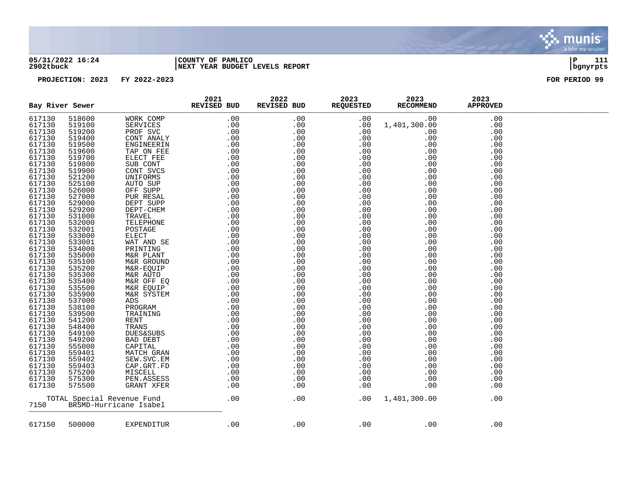

### **05/31/2022 16:24 |COUNTY OF PAMLICO |P 111 2902tbuck |NEXT YEAR BUDGET LEVELS REPORT |bgnyrpts**

|        | Bay River Sewer |                            | 2021<br>REVISED BUD | 2022<br>REVISED BUD | 2023<br><b>REQUESTED</b> | 2023<br><b>RECOMMEND</b> | 2023<br><b>APPROVED</b> |  |
|--------|-----------------|----------------------------|---------------------|---------------------|--------------------------|--------------------------|-------------------------|--|
| 617130 | 518600          | WORK COMP                  | .00                 | .00                 | .00                      | .00                      | .00                     |  |
| 617130 | 519100          | SERVICES                   | .00                 | .00                 | .00                      | 1,401,300.00             | .00                     |  |
| 617130 | 519200          | PROF SVC                   | .00                 | .00                 | .00                      | .00                      | .00                     |  |
| 617130 | 519400          | CONT ANALY                 | .00                 | .00                 | .00                      | .00                      | .00                     |  |
| 617130 | 519500          | ENGINEERIN                 | .00                 | .00                 | .00                      | .00                      | .00                     |  |
| 617130 | 519600          | TAP ON FEE                 |                     | .00                 | .00                      | .00                      | .00                     |  |
| 617130 | 519700          | ELECT FEE                  |                     | .00                 | .00                      | .00                      | .00                     |  |
| 617130 | 519800          | SUB CONT                   |                     | .00                 | .00                      | .00                      | .00                     |  |
| 617130 | 519900          | CONT SVCS                  |                     | .00                 | .00                      | .00                      | .00                     |  |
| 617130 | 521200          | UNIFORMS                   |                     | .00                 | .00                      | .00                      | .00                     |  |
| 617130 | 525100          | AUTO SUP                   |                     | .00                 | .00                      | .00                      | .00                     |  |
| 617130 | 526000          | OFF SUPP                   |                     | .00                 | .00                      | .00                      | .00                     |  |
| 617130 | 527000          | PUR RESAL                  |                     | .00                 | .00                      | .00                      | .00                     |  |
| 617130 | 529000          | DEPT SUPP                  |                     | .00                 | .00                      | .00                      | .00                     |  |
| 617130 | 529200          | $\tt DEPT-CHEM$            |                     | .00                 | .00                      | .00                      | .00                     |  |
| 617130 | 531000          | TRAVEL                     |                     | .00                 | .00                      | .00                      | .00                     |  |
| 617130 | 532000          | TELEPHONE                  |                     | .00                 | .00                      | .00                      | .00                     |  |
| 617130 | 532001          | POSTAGE                    |                     | .00                 | .00                      | .00                      | .00                     |  |
| 617130 | 533000          | <b>ELECT</b>               |                     | .00                 | .00                      | .00                      | .00                     |  |
| 617130 | 533001          | WAT AND SE                 |                     | .00                 | .00                      | .00                      | .00                     |  |
| 617130 | 534000          | PRINTING                   |                     | .00                 | .00                      | .00                      | .00                     |  |
| 617130 | 535000          | M&R PLANT                  |                     | .00                 | .00                      | .00                      | .00                     |  |
| 617130 | 535100          | M&R GROUND                 |                     | .00                 | .00                      | .00                      | .00                     |  |
| 617130 | 535200          | M&R-EQUIP                  |                     | .00                 | .00                      | .00                      | .00                     |  |
| 617130 | 535300          | M&R AUTO                   |                     | .00                 | .00                      | .00                      | .00                     |  |
| 617130 | 535400          | M&R OFF EQ                 |                     | .00                 | .00                      | .00                      | .00                     |  |
| 617130 | 535500          | M&R EQUIP                  |                     | .00                 | .00                      | .00                      | .00                     |  |
| 617130 | 535900          | M&R SYSTEM                 |                     | .00                 | .00                      | .00                      | .00                     |  |
| 617130 | 537000          | ADS                        |                     | .00                 | .00                      | .00                      | .00                     |  |
| 617130 | 538100          | PROGRAM                    |                     | .00                 | .00                      | .00                      | .00                     |  |
| 617130 | 539500          | TRAINING                   |                     | .00                 | .00                      | .00                      | .00                     |  |
| 617130 | 541200          | <b>RENT</b>                |                     | .00                 | .00                      | .00                      | .00                     |  |
| 617130 | 548400          | TRANS                      |                     | .00                 | .00                      | .00                      | .00                     |  |
| 617130 | 549100          | <b>DUES&amp;SUBS</b>       |                     | .00                 | .00                      | .00                      | .00                     |  |
| 617130 | 549200          | BAD DEBT                   |                     | .00                 | .00                      | .00                      | .00                     |  |
| 617130 | 555000          | CAPITAL                    |                     | .00                 | .00                      | .00                      | .00                     |  |
| 617130 | 559401          | MATCH GRAN                 |                     | .00                 | .00                      | .00                      | .00                     |  |
| 617130 | 559402          | SEW.SVC.EM                 |                     | .00                 | .00                      | .00                      | .00                     |  |
| 617130 | 559403          | CAP.GRT.FD                 |                     | .00                 | .00                      | .00                      | .00                     |  |
| 617130 | 575200          | MISCELL                    |                     | .00                 | .00                      | .00                      | .00                     |  |
| 617130 | 575300          | PEN.ASSESS                 |                     | .00                 | .00                      | .00                      | .00                     |  |
| 617130 | 575500          | GRANT XFER                 |                     | .00                 | .00                      | .00                      | .00                     |  |
|        |                 | TOTAL Special Revenue Fund | .00                 | .00                 | .00                      | 1,401,300.00             | .00                     |  |
| 7150   |                 | BRSMD-Hurricane Isabel     |                     |                     |                          |                          |                         |  |
| 617150 | 500000          | EXPENDITUR                 | .00                 | .00                 | .00                      | .00                      | .00                     |  |
|        |                 |                            |                     |                     |                          |                          |                         |  |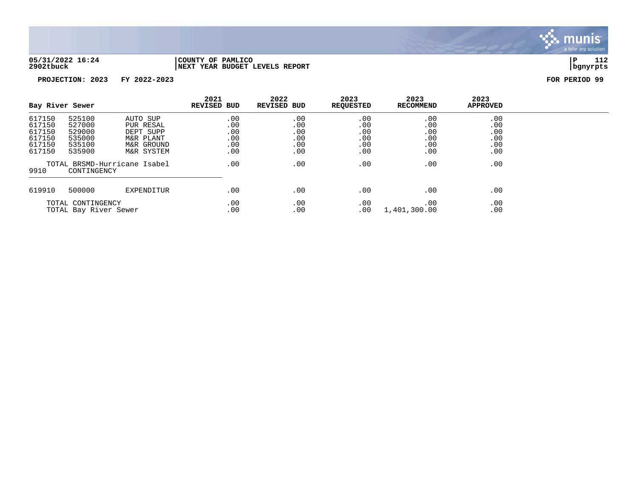

**2902tbuck |NEXT YEAR BUDGET LEVELS REPORT |bgnyrpts**

# **05/31/2022 16:24 |COUNTY OF PAMLICO |P 112**

| Bay River Sewer                                          |                                                          |                                                                             | 2021<br><b>REVISED BUD</b>             | 2022<br><b>REVISED BUD</b>             | 2023<br><b>REQUESTED</b>               | 2023<br><b>RECOMMEND</b>               | 2023<br><b>APPROVED</b>                |  |
|----------------------------------------------------------|----------------------------------------------------------|-----------------------------------------------------------------------------|----------------------------------------|----------------------------------------|----------------------------------------|----------------------------------------|----------------------------------------|--|
| 617150<br>617150<br>617150<br>617150<br>617150<br>617150 | 525100<br>527000<br>529000<br>535000<br>535100<br>535900 | AUTO SUP<br>PUR RESAL<br>DEPT SUPP<br>M&R PLANT<br>M&R GROUND<br>M&R SYSTEM | .00<br>.00<br>.00<br>.00<br>.00<br>.00 | .00<br>.00<br>.00<br>.00<br>.00<br>.00 | .00<br>.00<br>.00<br>.00<br>.00<br>.00 | .00<br>.00<br>.00<br>.00<br>.00<br>.00 | .00<br>.00<br>.00<br>.00<br>.00<br>.00 |  |
| 9910                                                     | CONTINGENCY                                              | TOTAL BRSMD-Hurricane Isabel                                                | .00                                    | .00                                    | .00                                    | .00                                    | .00                                    |  |
| 619910                                                   | 500000                                                   | EXPENDITUR                                                                  | .00                                    | .00                                    | .00                                    | .00                                    | .00                                    |  |
| TOTAL CONTINGENCY<br>TOTAL Bay River Sewer               |                                                          | .00<br>.00                                                                  | .00<br>.00                             | .00<br>.00                             | .00<br>1,401,300.00                    | .00<br>.00                             |                                        |  |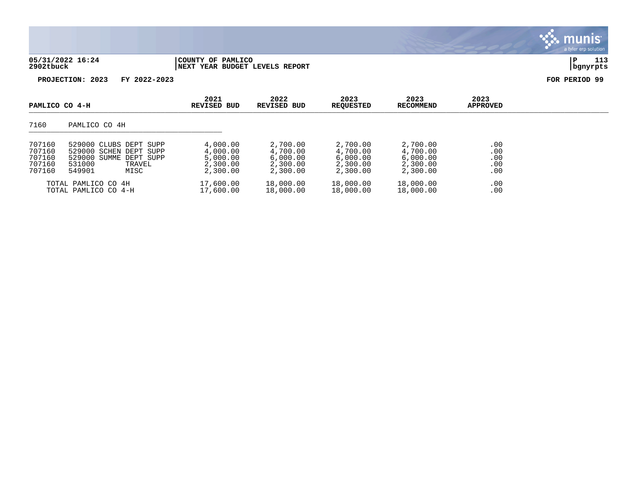| 05/31/2022<br>16:24 | PAMLICO<br>OF<br>COUNTY                           | Ð | . |
|---------------------|---------------------------------------------------|---|---|
| 2902tbuck           | REPORT<br>LEVELS<br><b>BUDGET</b><br>NEXT<br>YEAR |   |   |

**PROJECTION: 2023 FY 2022-2023 FOR PERIOD 99**

| PAMLICO CO 4-H                                 |                                                                                                                  | 2021<br>REVISED BUD                                      | 2022<br>REVISED BUD                                      | 2023<br><b>REOUESTED</b>                                 | 2023<br>RECOMMEND                                        | 2023<br><b>APPROVED</b>         |  |
|------------------------------------------------|------------------------------------------------------------------------------------------------------------------|----------------------------------------------------------|----------------------------------------------------------|----------------------------------------------------------|----------------------------------------------------------|---------------------------------|--|
| 7160                                           | PAMLICO CO 4H                                                                                                    |                                                          |                                                          |                                                          |                                                          |                                 |  |
| 707160<br>707160<br>707160<br>707160<br>707160 | 529000 CLUBS DEPT SUPP<br>529000 SCHEN DEPT SUPP<br>529000 SUMME DEPT SUPP<br>531000<br>TRAVEL<br>549901<br>MISC | 4,000.00<br>4,000.00<br>5,000.00<br>2,300.00<br>2,300.00 | 2,700.00<br>4,700.00<br>6,000.00<br>2,300.00<br>2,300.00 | 2,700.00<br>4,700.00<br>6,000.00<br>2,300.00<br>2,300.00 | 2,700.00<br>4,700.00<br>6,000.00<br>2,300.00<br>2,300.00 | .00<br>.00<br>.00<br>.00<br>.00 |  |
|                                                | TOTAL PAMLICO CO 4H<br>TOTAL PAMLICO CO 4-H                                                                      | 17,600.00<br>17,600.00                                   | 18,000.00<br>18,000.00                                   | 18,000.00<br>18,000.00                                   | 18,000.00<br>18,000.00                                   | .00<br>.00                      |  |

 $\ddot{\cdot}$ munis a tyler erp solution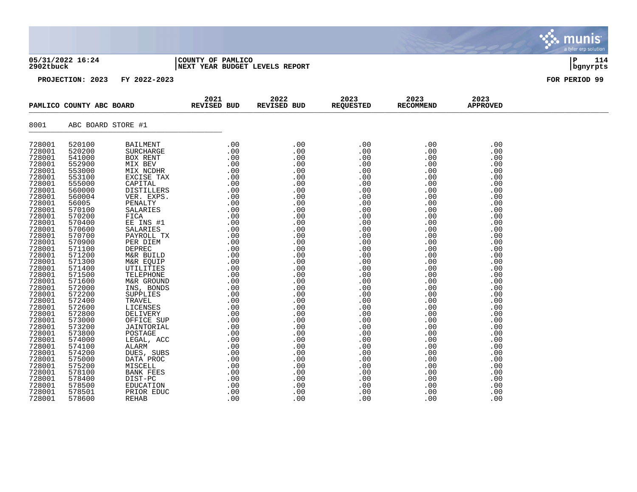### **05/31/2022 16:24 |COUNTY OF PAMLICO |P 114 2902tbuck |NEXT YEAR BUDGET LEVELS REPORT |bgnyrpts**

|                  | PAMLICO COUNTY ABC BOARD | 2021<br>REVISED BUD | 2022<br>REVISED BUD | 2023<br><b>REQUESTED</b> | 2023<br><b>RECOMMEND</b> | 2023<br><b>APPROVED</b> |  |
|------------------|--------------------------|---------------------|---------------------|--------------------------|--------------------------|-------------------------|--|
| 8001             | ABC BOARD STORE #1       |                     |                     |                          |                          |                         |  |
| 728001<br>728001 | 520100<br>520200         |                     |                     |                          |                          | .00<br>.00              |  |
| 728001           | 541000                   |                     |                     |                          |                          | .00                     |  |
| 728001           | 552900                   |                     |                     |                          |                          | .00                     |  |
| 728001           | 553000                   |                     |                     |                          |                          | .00                     |  |
| 728001           | 553100                   |                     |                     |                          |                          | .00                     |  |
| 728001<br>728001 | 555000                   |                     |                     |                          |                          | .00                     |  |
| 728001           | 560000<br>560004         |                     |                     |                          |                          | .00                     |  |
| 728001           | 56005                    |                     |                     |                          |                          | .00                     |  |
| 728001           | 570100                   |                     |                     |                          |                          | .00<br>.00              |  |
| 728001           | 570200                   |                     |                     |                          |                          | .00                     |  |
| 728001           | 570400                   |                     |                     |                          |                          | .00                     |  |
| 728001           | 570600                   |                     |                     |                          |                          | .00                     |  |
| 728001           | 570700                   |                     |                     |                          |                          | .00                     |  |
| 728001           | 570900                   |                     |                     |                          |                          | .00                     |  |
| 728001           | 571100                   |                     |                     |                          |                          | .00                     |  |
| 728001           | 571200                   |                     |                     |                          |                          | .00                     |  |
| 728001           | 571300                   |                     |                     |                          |                          | .00                     |  |
| 728001           | 571400                   |                     |                     |                          |                          | .00                     |  |
| 728001           | 571500                   |                     |                     |                          |                          | .00                     |  |
| 728001           | 571600                   |                     |                     |                          |                          | .00                     |  |
| 728001           | 572000                   |                     |                     |                          |                          | .00                     |  |
| 728001           | 572200                   |                     |                     |                          |                          | .00                     |  |
| 728001           | 572400                   |                     |                     |                          |                          | .00                     |  |
| 728001           | 572600                   |                     |                     |                          |                          | .00                     |  |
| 728001           | 572800                   |                     |                     |                          |                          | .00                     |  |
| 728001<br>728001 | 573000<br>573200         |                     |                     |                          |                          | .00<br>.00              |  |
| 728001           | 573800                   |                     |                     |                          |                          | .00                     |  |
| 728001           | 574000                   |                     |                     |                          |                          | .00                     |  |
| 728001           | 574100                   |                     |                     |                          |                          | .00                     |  |
| 728001           | 574200                   |                     |                     |                          |                          | .00                     |  |
| 728001           | 575000                   |                     |                     |                          |                          | .00                     |  |
| 728001           | 575200                   |                     |                     |                          |                          | .00                     |  |
| 728001           | 578100                   |                     |                     |                          |                          | .00                     |  |
| 728001           | 578400                   |                     |                     |                          |                          | .00                     |  |
| 728001           | 578500                   |                     |                     |                          |                          | .00                     |  |
| 728001           | 578501                   |                     |                     |                          |                          | .00                     |  |
| 728001           | 578600                   |                     |                     |                          |                          | .00                     |  |

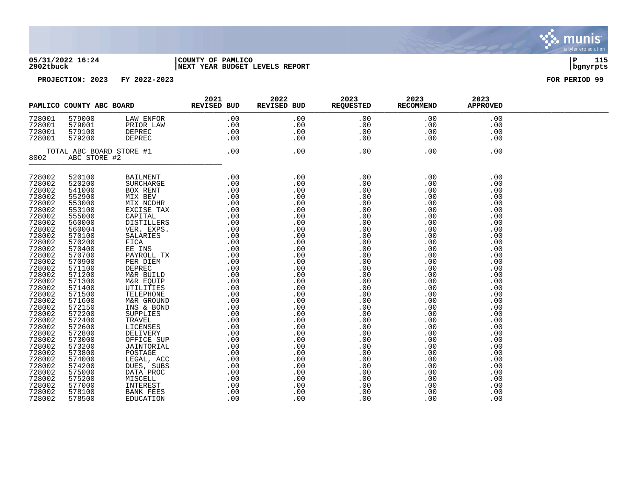

### **05/31/2022 16:24 |COUNTY OF PAMLICO |P 115 2902tbuck |NEXT YEAR BUDGET LEVELS REPORT |bgnyrpts**

|                                                                                                                                                                                                                                                                                                                              |                            | PAMLICO COUNTY ABC BOARD REVISED BUD | 2021 | 2022 | 2023<br>REVISED BUD REQUESTED RECOMMEND | 2023                                                                                                                | 2023<br><b>APPROVED</b>  |  |
|------------------------------------------------------------------------------------------------------------------------------------------------------------------------------------------------------------------------------------------------------------------------------------------------------------------------------|----------------------------|--------------------------------------|------|------|-----------------------------------------|---------------------------------------------------------------------------------------------------------------------|--------------------------|--|
| 728001<br>728001<br>728001<br>728001                                                                                                                                                                                                                                                                                         |                            |                                      |      |      |                                         | $\begin{array}{ l } \hline .00 & .00\ 00 & .00\ 00 & .00\ 00 & .00\ 00 & .00\ \hline .00 & .00\ \hline \end{array}$ | .00<br>.00<br>.00<br>.00 |  |
| $\begin{array}{cccccc} 001 & 579000 & & \text{LAW ENFORM} & & & .00 & & .00 & & & .00 \\ 001 & 579001 & & \text{PRIOR LAW} & & & .00 & & .00 & & .00 & & .00 \\ 001 & 579100 & & \text{DEPREC} & & & .00 & & .00 & & .00 & & .00 \\ 001 & 579200 & & \text{DEPREC} & & & .00 & & .00 & & .00 & & .00 \\ \end{array}$<br>8002 |                            |                                      |      |      |                                         | .00                                                                                                                 |                          |  |
| 728002<br>728002                                                                                                                                                                                                                                                                                                             | 520100<br>520200           |                                      |      |      |                                         |                                                                                                                     | .00<br>.00               |  |
| 728002<br>728002                                                                                                                                                                                                                                                                                                             | 541000<br>552900           |                                      |      |      |                                         |                                                                                                                     | .00<br>.00               |  |
| 728002<br>728002                                                                                                                                                                                                                                                                                                             | 553000<br>553100           |                                      |      |      |                                         |                                                                                                                     | .00<br>.00               |  |
| 728002<br>728002                                                                                                                                                                                                                                                                                                             | 555000<br>560000           |                                      |      |      |                                         |                                                                                                                     | .00<br>.00               |  |
| 728002<br>728002                                                                                                                                                                                                                                                                                                             | 560004<br>570100           |                                      |      |      |                                         |                                                                                                                     | .00<br>.00               |  |
| 728002<br>728002                                                                                                                                                                                                                                                                                                             | 570200<br>570400           |                                      |      |      |                                         |                                                                                                                     | .00<br>.00               |  |
| 728002<br>728002<br>728002                                                                                                                                                                                                                                                                                                   | 570700<br>570900<br>571100 |                                      |      |      |                                         |                                                                                                                     | .00<br>.00<br>.00        |  |
| 728002<br>728002                                                                                                                                                                                                                                                                                                             | 571200<br>571300           |                                      |      |      |                                         |                                                                                                                     | .00<br>.00               |  |
| 728002<br>728002                                                                                                                                                                                                                                                                                                             | 571400<br>571500           |                                      |      |      |                                         |                                                                                                                     | .00<br>.00               |  |
| 728002<br>728002                                                                                                                                                                                                                                                                                                             | 571600<br>572150           |                                      |      |      |                                         |                                                                                                                     | .00<br>.00               |  |
| 728002<br>728002                                                                                                                                                                                                                                                                                                             | 572200<br>572400           |                                      |      |      |                                         |                                                                                                                     | .00<br>.00               |  |
| 728002<br>728002<br>728002                                                                                                                                                                                                                                                                                                   | 572600<br>572800           |                                      |      |      |                                         |                                                                                                                     | .00<br>.00               |  |
| 728002<br>728002                                                                                                                                                                                                                                                                                                             | 573000<br>573200<br>573800 |                                      |      |      |                                         |                                                                                                                     | .00<br>.00<br>.00        |  |
| 728002<br>728002                                                                                                                                                                                                                                                                                                             | 574000<br>574200           |                                      |      |      |                                         |                                                                                                                     | .00<br>.00               |  |
| 728002<br>728002                                                                                                                                                                                                                                                                                                             | 575000<br>575200           |                                      |      |      |                                         |                                                                                                                     | .00<br>.00               |  |
| 728002<br>728002                                                                                                                                                                                                                                                                                                             | 577000<br>578100           |                                      |      |      |                                         |                                                                                                                     | .00<br>.00               |  |
| 728002                                                                                                                                                                                                                                                                                                                       | 578500                     |                                      |      |      |                                         |                                                                                                                     | .00                      |  |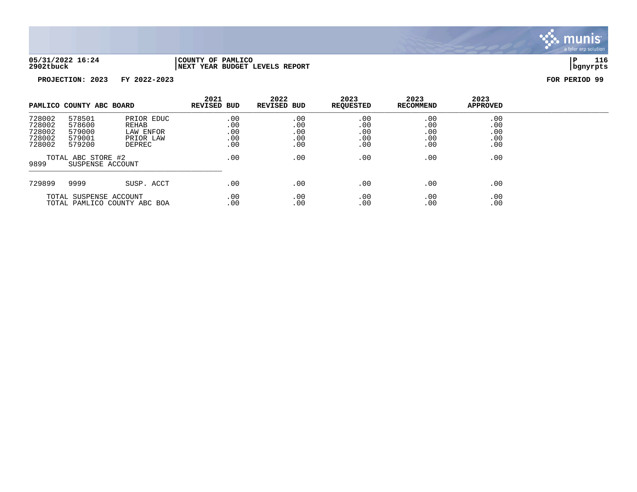

**05/31/2022 16:24 |COUNTY OF PAMLICO |P 116 2902tbuck |NEXT YEAR BUDGET LEVELS REPORT |bgnyrpts**

| PAMLICO COUNTY ABC BOARD                               |                                                |                                                         | 2021<br>REVISED BUD             | 2022<br>REVISED BUD             | 2023<br><b>REOUESTED</b>        | 2023<br>RECOMMEND               | 2023<br><b>APPROVED</b>         |  |
|--------------------------------------------------------|------------------------------------------------|---------------------------------------------------------|---------------------------------|---------------------------------|---------------------------------|---------------------------------|---------------------------------|--|
| 728002<br>728002<br>728002<br>728002<br>728002         | 578501<br>578600<br>579000<br>579001<br>579200 | PRIOR EDUC<br>REHAB<br>LAW ENFOR<br>PRIOR LAW<br>DEPREC | .00<br>.00<br>.00<br>.00<br>.00 | .00<br>.00<br>.00<br>.00<br>.00 | .00<br>.00<br>.00<br>.00<br>.00 | .00<br>.00<br>.00<br>.00<br>.00 | .00<br>.00<br>.00<br>.00<br>.00 |  |
| TOTAL ABC STORE #2<br>9899<br>SUSPENSE ACCOUNT         |                                                | .00                                                     | .00                             | .00                             | .00                             | .00                             |                                 |  |
| 729899                                                 | 9999                                           | SUSP. ACCT                                              | .00                             | .00                             | .00                             | .00                             | .00                             |  |
| TOTAL SUSPENSE ACCOUNT<br>TOTAL PAMLICO COUNTY ABC BOA |                                                |                                                         | .00<br>.00                      | .00<br>.00                      | .00<br>.00                      | .00<br>.00                      | .00<br>.00                      |  |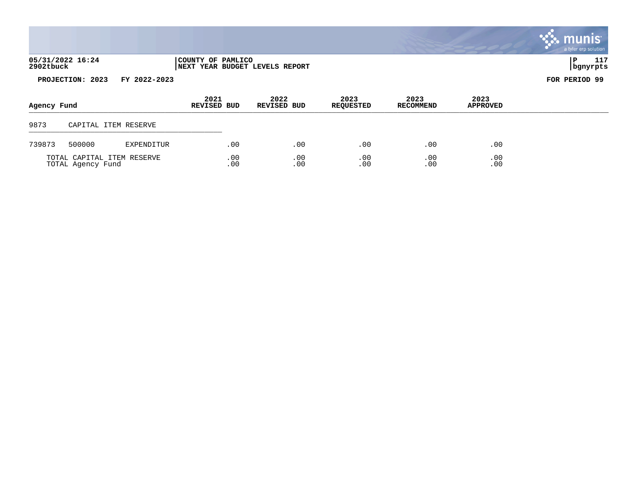|                               |                                                     | a tyler erp solution l |
|-------------------------------|-----------------------------------------------------|------------------------|
| 05/31/2022 16:24<br>2902tbuck | COUNTY OF PAMLICO<br>NEXT YEAR BUDGET LEVELS REPORT | 117<br>---<br>bgnyrpts |

**PROJECTION: 2023 FY 2022-2023 FOR PERIOD 99**

| bgnyrpt |
|---------|
|         |

| Agency Fund |                                                 |            | 2021<br>REVISED BUD | 2022<br>REVISED BUD | 2023<br><b>REQUESTED</b> | 2023<br><b>RECOMMEND</b> | 2023<br><b>APPROVED</b> |  |
|-------------|-------------------------------------------------|------------|---------------------|---------------------|--------------------------|--------------------------|-------------------------|--|
| 9873        | CAPITAL ITEM RESERVE                            |            |                     |                     |                          |                          |                         |  |
| 739873      | 500000                                          | EXPENDITUR | .00                 | .00                 | .00                      | .00                      | .00                     |  |
|             | TOTAL CAPITAL ITEM RESERVE<br>TOTAL Agency Fund |            | .00<br>.00          | .00<br>.00          | .00<br>.00               | .00<br>.00               | .00<br>.00              |  |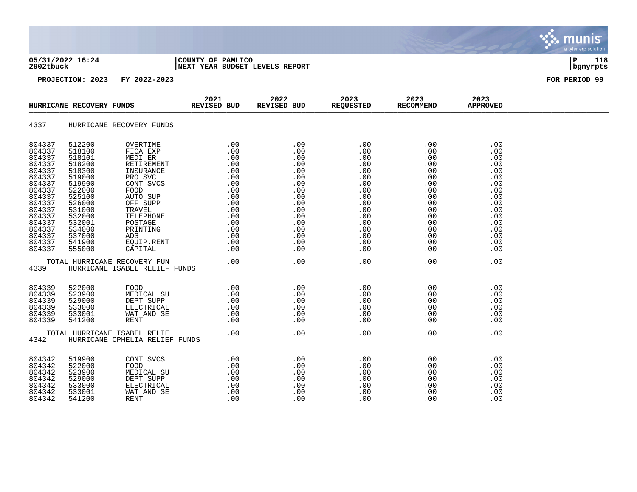| 05/31/2022 16:24 |  |  |
|------------------|--|--|
| 2902tbuck        |  |  |

### **05/31/2022 16:24 |COUNTY OF PAMLICO |P 118 2902tbuck |NEXT YEAR BUDGET LEVELS REPORT |bgnyrpts**

|                  | HURRICANE RECOVERY FUNDS |                                                                                                                                                                   | 2021<br>REVISED BUD                                                                                                                                                                                                                                                 |     |     | REVISED BUD 2023<br>REVISED BUD REQUESTED RECOMMEND |                      | 2023<br><b>APPROVED</b> |  |
|------------------|--------------------------|-------------------------------------------------------------------------------------------------------------------------------------------------------------------|---------------------------------------------------------------------------------------------------------------------------------------------------------------------------------------------------------------------------------------------------------------------|-----|-----|-----------------------------------------------------|----------------------|-------------------------|--|
| 4337             |                          | HURRICANE RECOVERY FUNDS                                                                                                                                          |                                                                                                                                                                                                                                                                     |     |     |                                                     |                      |                         |  |
| 804337<br>804337 | 512200<br>518100         | OVERTIME<br>FICA EXP                                                                                                                                              | ME<br>XP .00 .00<br>R<br>MENT .00 .00<br>NCE .00 .00<br>OC .00 .00<br>OC .00 .00<br>OC .00 .00<br>OC .00 .00<br>OC .00 .00<br>OPP .00 .00<br>OC .00 .00<br>OC .00 .00<br>OC .00 .00<br>OC .00 .00<br>OC .00 .00<br>OC .00 .00<br>OC .00 .00<br>OC .00 .00<br>OC .00 |     |     | .00<br>.00                                          | .00<br>.00           | .00<br>.00              |  |
| 804337           | 518101                   | MEDI ER                                                                                                                                                           |                                                                                                                                                                                                                                                                     |     |     | .00                                                 | .00                  | .00                     |  |
| 804337           | 518200                   | RETIREMENT                                                                                                                                                        |                                                                                                                                                                                                                                                                     |     |     | .00                                                 |                      | .00                     |  |
| 804337           | 518300                   | INSURANCE                                                                                                                                                         |                                                                                                                                                                                                                                                                     |     |     | .00                                                 |                      | .00                     |  |
| 804337           | 519000                   | PRO SVC                                                                                                                                                           |                                                                                                                                                                                                                                                                     |     |     | .00                                                 |                      | .00                     |  |
| 804337           | 519900                   | CONT SVCS                                                                                                                                                         |                                                                                                                                                                                                                                                                     |     |     | .00                                                 |                      | .00                     |  |
| 804337           | 522000                   | FOOD                                                                                                                                                              |                                                                                                                                                                                                                                                                     |     |     | .00                                                 |                      | .00                     |  |
| 804337           | 525100                   | AUTO SUP                                                                                                                                                          |                                                                                                                                                                                                                                                                     |     |     | .00                                                 |                      | .00                     |  |
| 804337           | 526000                   | OFF SUPP                                                                                                                                                          |                                                                                                                                                                                                                                                                     |     |     | .00                                                 |                      | .00                     |  |
| 804337           | 531000                   | TRAVEL                                                                                                                                                            |                                                                                                                                                                                                                                                                     |     |     | .00                                                 |                      | .00                     |  |
| 804337<br>804337 | 532000<br>532001         | TELEPHONE<br>POSTAGE                                                                                                                                              |                                                                                                                                                                                                                                                                     |     |     | .00<br>.00                                          |                      | .00<br>.00              |  |
| 804337           | 534000                   | PRINTING                                                                                                                                                          |                                                                                                                                                                                                                                                                     |     |     | .00                                                 |                      | .00                     |  |
| 804337           | 537000                   | ADS                                                                                                                                                               |                                                                                                                                                                                                                                                                     |     |     | .00                                                 |                      | .00                     |  |
| 804337           | 541900                   | EQUIP.RENT                                                                                                                                                        |                                                                                                                                                                                                                                                                     |     |     | .00                                                 |                      | .00                     |  |
| 804337           | 555000                   | CAPITAL                                                                                                                                                           |                                                                                                                                                                                                                                                                     |     |     | .00                                                 |                      | .00                     |  |
|                  |                          | TOTAL HURRICANE RECOVERY FUN                                                                                                                                      |                                                                                                                                                                                                                                                                     |     |     | .00                                                 | .00                  | .00                     |  |
| 4339             |                          | HURRICANE ISABEL RELIEF FUNDS                                                                                                                                     | $\frac{1}{2}$ .00 .00                                                                                                                                                                                                                                               |     |     |                                                     |                      |                         |  |
| 804339           | 522000                   | FOOD .00 .00<br>MEDICAL SU .00 .00<br>DEPT SUPP .00 .00<br>ELECTRICAL .00 .00<br>WAT AND SE .00 .00<br>RENT .00 .00<br>RENT .00 .00                               |                                                                                                                                                                                                                                                                     |     |     | $.00$<br>$.00$                                      | .00                  | .00                     |  |
| 804339           | 523900                   |                                                                                                                                                                   |                                                                                                                                                                                                                                                                     |     |     |                                                     | .00                  | .00                     |  |
| 804339           | 529000                   |                                                                                                                                                                   |                                                                                                                                                                                                                                                                     |     |     | .00                                                 | .00                  | .00                     |  |
| 804339           | 533000                   |                                                                                                                                                                   |                                                                                                                                                                                                                                                                     |     |     | .00                                                 |                      | .00                     |  |
| 804339           | 533001                   |                                                                                                                                                                   |                                                                                                                                                                                                                                                                     |     |     | .00                                                 | $0.00$<br>.00<br>.00 | .00                     |  |
| 804339           | 541200                   |                                                                                                                                                                   |                                                                                                                                                                                                                                                                     |     |     | .00                                                 |                      | .00                     |  |
| 4342             |                          | TOTAL HURRICANE ISABEL RELIE<br>HURRICANE OPHELIA RELIEF FUNDS                                                                                                    | <b>FUNDS</b>                                                                                                                                                                                                                                                        | .00 | .00 | .00                                                 | .00                  | .00                     |  |
|                  |                          |                                                                                                                                                                   |                                                                                                                                                                                                                                                                     |     |     |                                                     |                      |                         |  |
| 804342           | 519900                   | CONT SVCS<br>FOOD .00 .00<br>MEDICAL SU .00 .00<br>DEPT SUPP .00 .00<br>ELECTRICAL .00 .00<br>ELECTRICAL .00 .00<br>WAT AND SE .00 .00<br>RENT .00 .00<br>.00 .00 |                                                                                                                                                                                                                                                                     |     |     |                                                     | .00                  | .00                     |  |
| 804342           | 522000                   |                                                                                                                                                                   |                                                                                                                                                                                                                                                                     |     |     |                                                     |                      | .00                     |  |
| 804342           | 523900                   |                                                                                                                                                                   |                                                                                                                                                                                                                                                                     |     |     |                                                     |                      | .00                     |  |
| 804342           | 529000                   |                                                                                                                                                                   |                                                                                                                                                                                                                                                                     |     |     |                                                     |                      | .00                     |  |
| 804342<br>804342 | 533000                   |                                                                                                                                                                   |                                                                                                                                                                                                                                                                     |     |     |                                                     | .00                  | $\frac{0}{00}$<br>.00   |  |
| 804342           | 533001<br>541200         |                                                                                                                                                                   |                                                                                                                                                                                                                                                                     |     |     |                                                     | .00                  | .00<br>.00              |  |
|                  |                          |                                                                                                                                                                   |                                                                                                                                                                                                                                                                     |     |     |                                                     |                      |                         |  |

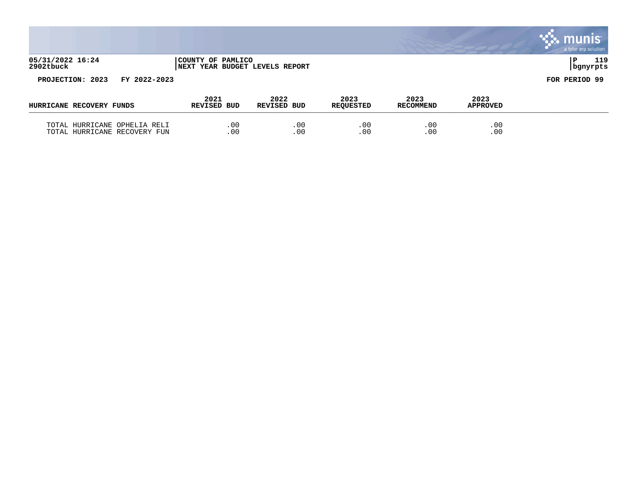|                                  |                                                             |                     |                          |                          |                         | <b>S.S. MUNIS</b><br>a tyler erp solution |
|----------------------------------|-------------------------------------------------------------|---------------------|--------------------------|--------------------------|-------------------------|-------------------------------------------|
| 05/31/2022 16:24<br>2902tbuck    | COUNTY OF PAMLICO<br><b>INEXT YEAR BUDGET LEVELS REPORT</b> |                     |                          |                          |                         | 119<br>l P<br>  bgnyrpts                  |
| PROJECTION: 2023<br>FY 2022-2023 |                                                             |                     |                          |                          |                         | FOR PERIOD 99                             |
| HURRICANE RECOVERY FUNDS         | 2021<br>REVISED BUD                                         | 2022<br>REVISED BUD | 2023<br><b>REQUESTED</b> | 2023<br><b>RECOMMEND</b> | 2023<br><b>APPROVED</b> |                                           |
| TOTAL HURRICANE OPHELIA RELI     | .00                                                         | .00                 | .00                      | .00                      | .00                     |                                           |

 $\mathcal{L}$ 

TOTAL HURRICANE RECOVERY FUN .00 .00 .00 .00 .00